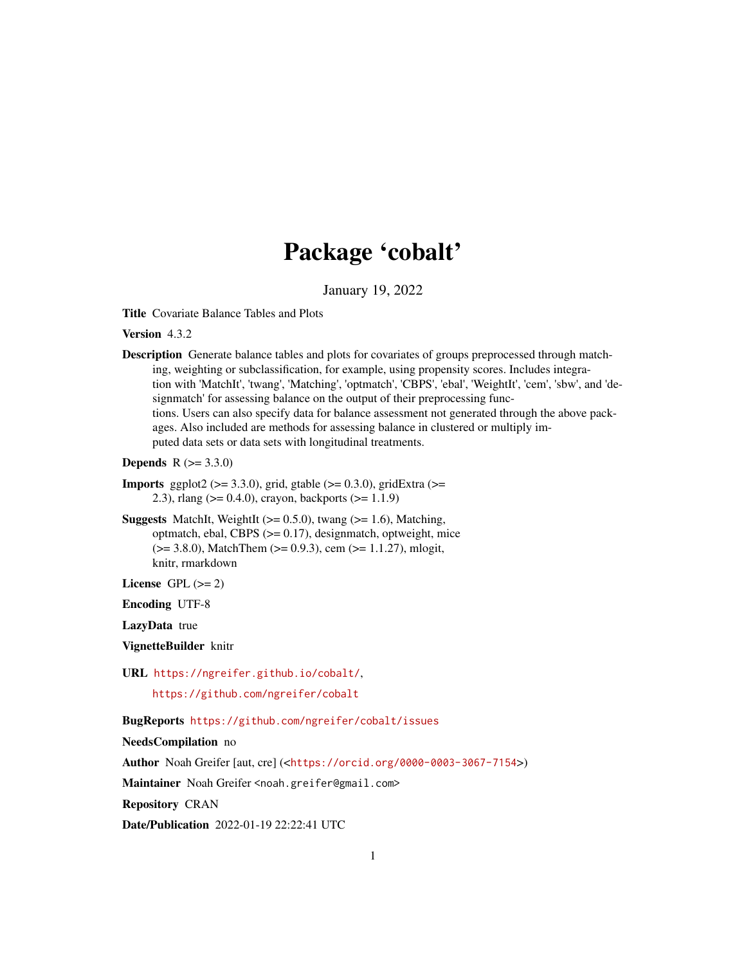# Package 'cobalt'

January 19, 2022

<span id="page-0-0"></span>Title Covariate Balance Tables and Plots

Version 4.3.2

Description Generate balance tables and plots for covariates of groups preprocessed through matching, weighting or subclassification, for example, using propensity scores. Includes integration with 'MatchIt', 'twang', 'Matching', 'optmatch', 'CBPS', 'ebal', 'WeightIt', 'cem', 'sbw', and 'designmatch' for assessing balance on the output of their preprocessing functions. Users can also specify data for balance assessment not generated through the above packages. Also included are methods for assessing balance in clustered or multiply imputed data sets or data sets with longitudinal treatments.

**Depends** R  $(>= 3.3.0)$ 

- **Imports** ggplot2 ( $> = 3.3.0$ ), grid, gtable ( $> = 0.3.0$ ), gridExtra ( $> =$ 2.3), rlang ( $> = 0.4.0$ ), crayon, backports ( $> = 1.1.9$ )
- **Suggests** MatchIt, WeightIt  $(>= 0.5.0)$ , twang  $(>= 1.6)$ , Matching, optmatch, ebal, CBPS (>= 0.17), designmatch, optweight, mice  $(>= 3.8.0)$ , MatchThem  $(>= 0.9.3)$ , cem  $(>= 1.1.27)$ , mlogit, knitr, rmarkdown

License GPL  $(>= 2)$ 

Encoding UTF-8

LazyData true

VignetteBuilder knitr

URL <https://ngreifer.github.io/cobalt/>,

<https://github.com/ngreifer/cobalt>

BugReports <https://github.com/ngreifer/cobalt/issues>

NeedsCompilation no

Author Noah Greifer [aut, cre] (<<https://orcid.org/0000-0003-3067-7154>>)

Maintainer Noah Greifer <noah.greifer@gmail.com>

Repository CRAN

Date/Publication 2022-01-19 22:22:41 UTC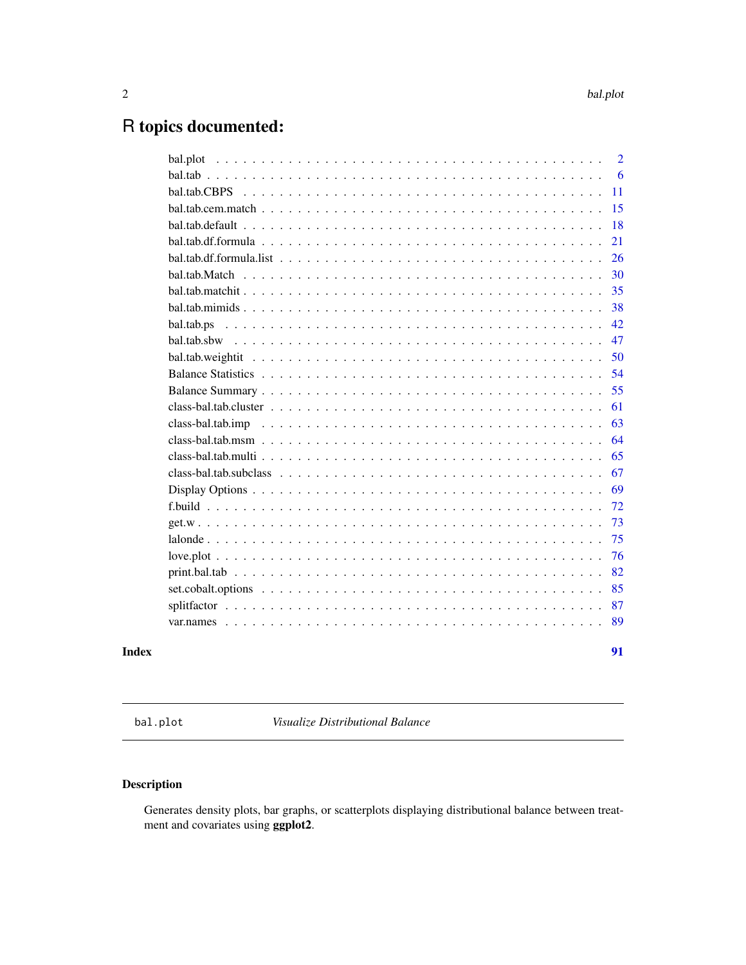# <span id="page-1-0"></span>R topics documented:

|       |                                                                                                                                              | 2  |
|-------|----------------------------------------------------------------------------------------------------------------------------------------------|----|
|       |                                                                                                                                              | 6  |
|       |                                                                                                                                              | 11 |
|       |                                                                                                                                              | 15 |
|       |                                                                                                                                              | 18 |
|       |                                                                                                                                              | 21 |
|       | bal.tab.df.formula.list $\ldots$ $\ldots$ $\ldots$ $\ldots$ $\ldots$ $\ldots$ $\ldots$ $\ldots$ $\ldots$ $\ldots$ $\ldots$ $\ldots$ $\ldots$ | 26 |
|       |                                                                                                                                              | 30 |
|       |                                                                                                                                              | 35 |
|       |                                                                                                                                              | 38 |
|       | bal.tab.ps                                                                                                                                   | 42 |
|       |                                                                                                                                              | 47 |
|       |                                                                                                                                              | 50 |
|       |                                                                                                                                              | 54 |
|       |                                                                                                                                              | 55 |
|       |                                                                                                                                              | 61 |
|       |                                                                                                                                              | 63 |
|       |                                                                                                                                              | 64 |
|       |                                                                                                                                              | 65 |
|       |                                                                                                                                              | 67 |
|       |                                                                                                                                              | 69 |
|       |                                                                                                                                              | 72 |
|       |                                                                                                                                              | 73 |
|       |                                                                                                                                              | 75 |
|       |                                                                                                                                              | 76 |
|       |                                                                                                                                              | 82 |
|       |                                                                                                                                              | 85 |
|       |                                                                                                                                              | 87 |
|       |                                                                                                                                              | 89 |
|       |                                                                                                                                              |    |
| Index |                                                                                                                                              | 91 |

bal.plot *Visualize Distributional Balance*

# Description

Generates density plots, bar graphs, or scatterplots displaying distributional balance between treatment and covariates using ggplot2.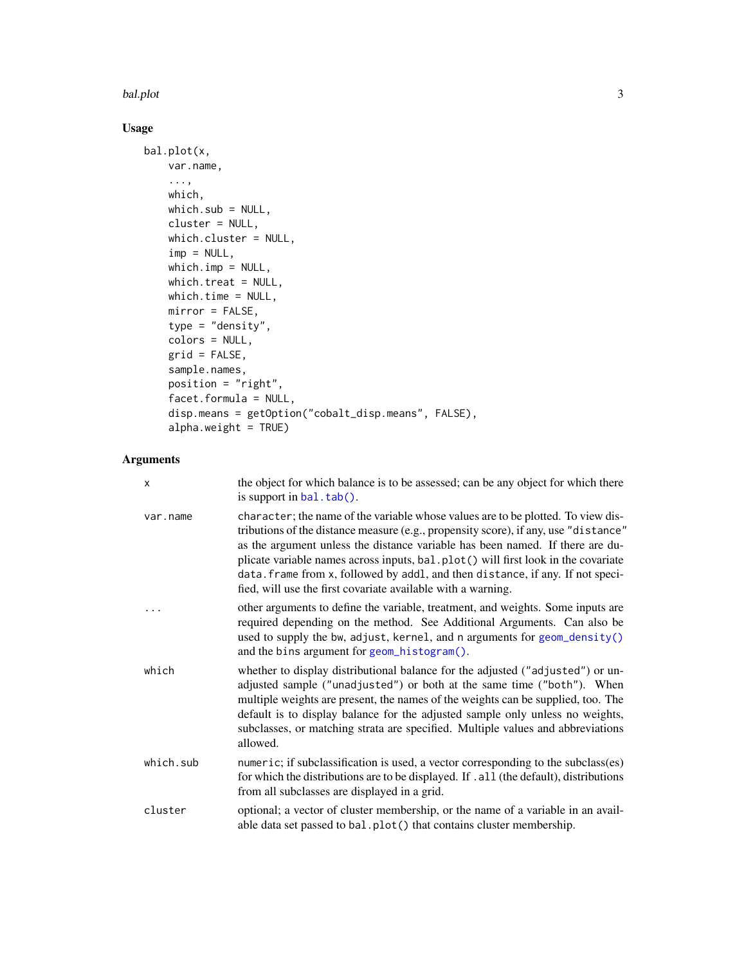#### bal.plot 3

## Usage

```
bal.plot(x,
   var.name,
    ...,
   which,
   which.sub = NULL,
   cluster = NULL,
   which.cluster = NULL,
   imp = NULL,which.imp = NULL,
   which.treat = NULL,
   which.time = NULL,
   mirror = FALSE,
   type = "density",
   colors = NULL,
   grid = FALSE,
   sample.names,
   position = "right",
    facet.formula = NULL,
   disp.means = getOption("cobalt_disp.means", FALSE),
    alpha.weight = TRUE)
```
## Arguments

| x         | the object for which balance is to be assessed; can be any object for which there<br>is support in $bal. tab()$ .                                                                                                                                                                                                                                                                                                                                                                               |
|-----------|-------------------------------------------------------------------------------------------------------------------------------------------------------------------------------------------------------------------------------------------------------------------------------------------------------------------------------------------------------------------------------------------------------------------------------------------------------------------------------------------------|
| var.name  | character; the name of the variable whose values are to be plotted. To view dis-<br>tributions of the distance measure (e.g., propensity score), if any, use "distance"<br>as the argument unless the distance variable has been named. If there are du-<br>plicate variable names across inputs, bal.plot() will first look in the covariate<br>data. frame from x, followed by addl, and then distance, if any. If not speci-<br>fied, will use the first covariate available with a warning. |
|           | other arguments to define the variable, treatment, and weights. Some inputs are<br>required depending on the method. See Additional Arguments. Can also be<br>used to supply the bw, adjust, kernel, and n arguments for geom_density()<br>and the bins argument for geom_histogram().                                                                                                                                                                                                          |
| which     | whether to display distributional balance for the adjusted ("adjusted") or un-<br>adjusted sample ("unadjusted") or both at the same time ("both"). When<br>multiple weights are present, the names of the weights can be supplied, too. The<br>default is to display balance for the adjusted sample only unless no weights,<br>subclasses, or matching strata are specified. Multiple values and abbreviations<br>allowed.                                                                    |
| which.sub | numeric; if subclassification is used, a vector corresponding to the subclass(es)<br>for which the distributions are to be displayed. If . all (the default), distributions<br>from all subclasses are displayed in a grid.                                                                                                                                                                                                                                                                     |
| cluster   | optional; a vector of cluster membership, or the name of a variable in an avail-<br>able data set passed to bal.plot() that contains cluster membership.                                                                                                                                                                                                                                                                                                                                        |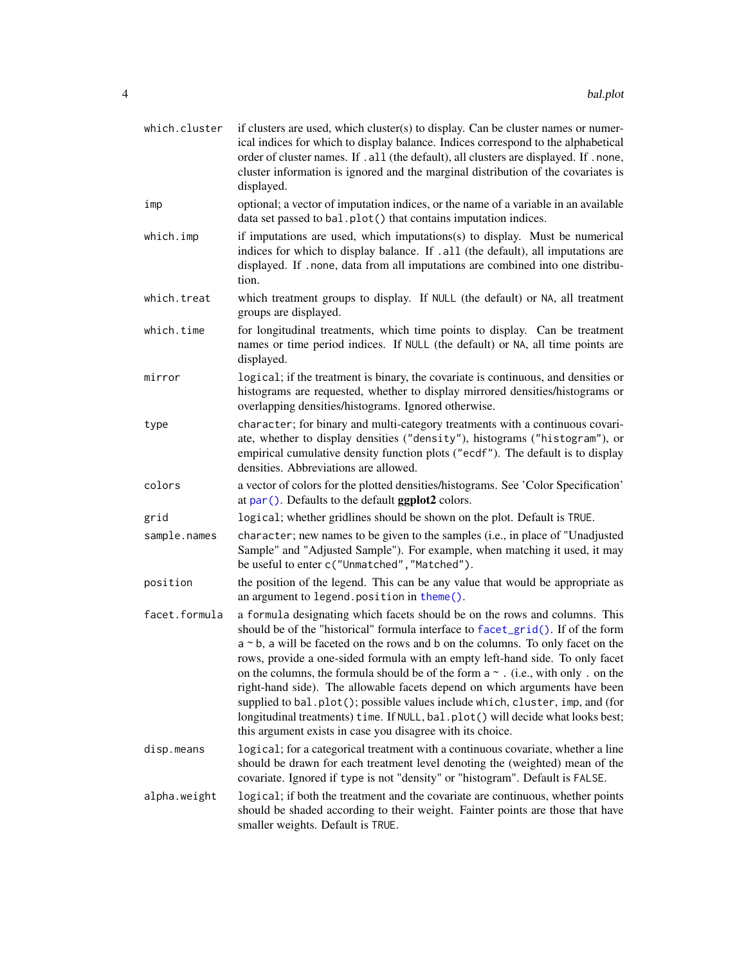| which.cluster | if clusters are used, which cluster(s) to display. Can be cluster names or numer-<br>ical indices for which to display balance. Indices correspond to the alphabetical<br>order of cluster names. If . all (the default), all clusters are displayed. If . none,<br>cluster information is ignored and the marginal distribution of the covariates is<br>displayed.                                                                                                                                                                                                                                                                                                                                                                               |
|---------------|---------------------------------------------------------------------------------------------------------------------------------------------------------------------------------------------------------------------------------------------------------------------------------------------------------------------------------------------------------------------------------------------------------------------------------------------------------------------------------------------------------------------------------------------------------------------------------------------------------------------------------------------------------------------------------------------------------------------------------------------------|
| imp           | optional; a vector of imputation indices, or the name of a variable in an available<br>data set passed to bal.plot() that contains imputation indices.                                                                                                                                                                                                                                                                                                                                                                                                                                                                                                                                                                                            |
| which.imp     | if imputations are used, which imputations(s) to display. Must be numerical<br>indices for which to display balance. If .all (the default), all imputations are<br>displayed. If .none, data from all imputations are combined into one distribu-<br>tion.                                                                                                                                                                                                                                                                                                                                                                                                                                                                                        |
| which.treat   | which treatment groups to display. If NULL (the default) or NA, all treatment<br>groups are displayed.                                                                                                                                                                                                                                                                                                                                                                                                                                                                                                                                                                                                                                            |
| which.time    | for longitudinal treatments, which time points to display. Can be treatment<br>names or time period indices. If NULL (the default) or NA, all time points are<br>displayed.                                                                                                                                                                                                                                                                                                                                                                                                                                                                                                                                                                       |
| mirror        | logical; if the treatment is binary, the covariate is continuous, and densities or<br>histograms are requested, whether to display mirrored densities/histograms or<br>overlapping densities/histograms. Ignored otherwise.                                                                                                                                                                                                                                                                                                                                                                                                                                                                                                                       |
| type          | character; for binary and multi-category treatments with a continuous covari-<br>ate, whether to display densities ("density"), histograms ("histogram"), or<br>empirical cumulative density function plots ("ecdf"). The default is to display<br>densities. Abbreviations are allowed.                                                                                                                                                                                                                                                                                                                                                                                                                                                          |
| colors        | a vector of colors for the plotted densities/histograms. See 'Color Specification'<br>at $par()$ . Defaults to the default $ggplot2$ colors.                                                                                                                                                                                                                                                                                                                                                                                                                                                                                                                                                                                                      |
| grid          | logical; whether gridlines should be shown on the plot. Default is TRUE.                                                                                                                                                                                                                                                                                                                                                                                                                                                                                                                                                                                                                                                                          |
| sample.names  | character; new names to be given to the samples (i.e., in place of "Unadjusted<br>Sample" and "Adjusted Sample"). For example, when matching it used, it may<br>be useful to enter c("Unmatched", "Matched").                                                                                                                                                                                                                                                                                                                                                                                                                                                                                                                                     |
| position      | the position of the legend. This can be any value that would be appropriate as<br>an argument to legend.position in theme().                                                                                                                                                                                                                                                                                                                                                                                                                                                                                                                                                                                                                      |
| facet.formula | a formula designating which facets should be on the rows and columns. This<br>should be of the "historical" formula interface to facet_grid(). If of the form<br>$a \sim b$ , a will be faceted on the rows and b on the columns. To only facet on the<br>rows, provide a one-sided formula with an empty left-hand side. To only facet<br>on the columns, the formula should be of the form $a \sim$ . (i.e., with only . on the<br>right-hand side). The allowable facets depend on which arguments have been<br>supplied to bal.plot(); possible values include which, cluster, imp, and (for<br>longitudinal treatments) time. If NULL, bal.plot() will decide what looks best;<br>this argument exists in case you disagree with its choice. |
| disp.means    | logical; for a categorical treatment with a continuous covariate, whether a line<br>should be drawn for each treatment level denoting the (weighted) mean of the<br>covariate. Ignored if type is not "density" or "histogram". Default is FALSE.                                                                                                                                                                                                                                                                                                                                                                                                                                                                                                 |
| alpha.weight  | logical; if both the treatment and the covariate are continuous, whether points<br>should be shaded according to their weight. Fainter points are those that have<br>smaller weights. Default is TRUE.                                                                                                                                                                                                                                                                                                                                                                                                                                                                                                                                            |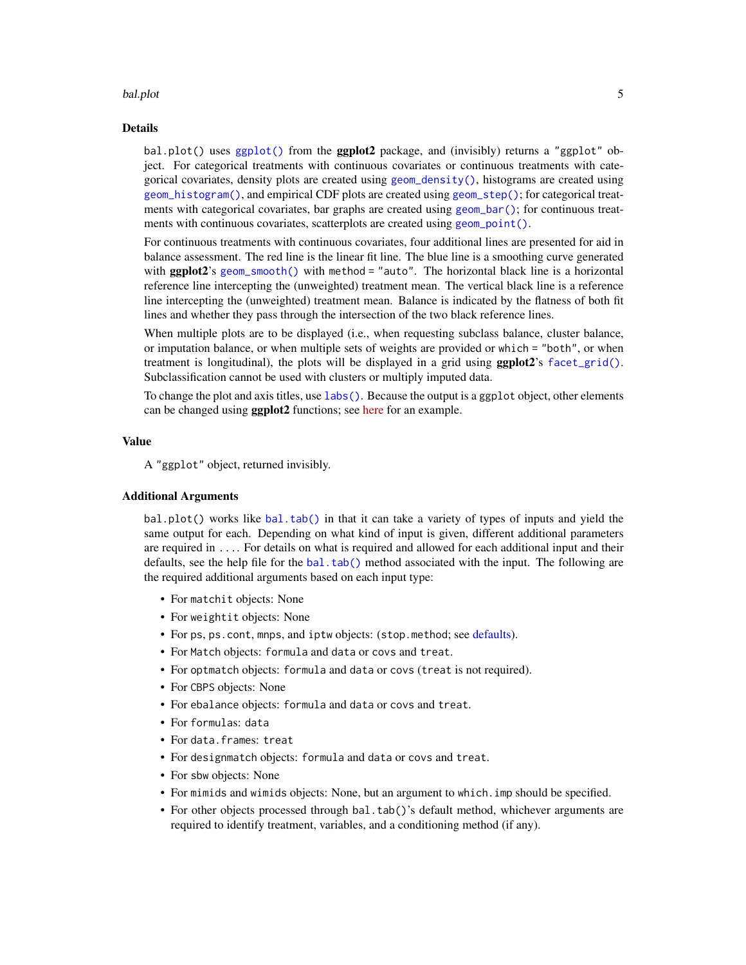#### bal.plot 5

#### Details

bal.plot() uses  $ggplot()$  from the **ggplot2** package, and (invisibly) returns a "ggplot" object. For categorical treatments with continuous covariates or continuous treatments with categorical covariates, density plots are created using [geom\\_density\(\)](#page-0-0), histograms are created using [geom\\_histogram\(\)](#page-0-0), and empirical CDF plots are created using [geom\\_step\(\)](#page-0-0); for categorical treatments with categorical covariates, bar graphs are created using [geom\\_bar\(\)](#page-0-0); for continuous treatments with continuous covariates, scatterplots are created using [geom\\_point\(\)](#page-0-0).

For continuous treatments with continuous covariates, four additional lines are presented for aid in balance assessment. The red line is the linear fit line. The blue line is a smoothing curve generated with ggplot2's [geom\\_smooth\(\)](#page-0-0) with method = "auto". The horizontal black line is a horizontal reference line intercepting the (unweighted) treatment mean. The vertical black line is a reference line intercepting the (unweighted) treatment mean. Balance is indicated by the flatness of both fit lines and whether they pass through the intersection of the two black reference lines.

When multiple plots are to be displayed (i.e., when requesting subclass balance, cluster balance, or imputation balance, or when multiple sets of weights are provided or which = "both", or when treatment is longitudinal), the plots will be displayed in a grid using  $ggplot2$ 's  $facet\_grid()$ . Subclassification cannot be used with clusters or multiply imputed data.

To change the plot and axis titles, use [labs\(\)](#page-0-0). Because the output is a ggplot object, other elements can be changed using **ggplot2** functions; see [here](https://stackoverflow.com/questions/61255335/change-legend-generated-by-bal-plot) for an example.

## Value

A "ggplot" object, returned invisibly.

#### Additional Arguments

bal.plot() works like [bal.tab\(\)](#page-5-1) in that it can take a variety of types of inputs and yield the same output for each. Depending on what kind of input is given, different additional parameters are required in .... For details on what is required and allowed for each additional input and their defaults, see the help file for the  $bal.tab()$  method associated with the input. The following are the required additional arguments based on each input type:

- For matchit objects: None
- For weightit objects: None
- For ps, ps.cont, mnps, and iptw objects: (stop.method; see [defaults\)](#page-41-1).
- For Match objects: formula and data or covs and treat.
- For optmatch objects: formula and data or covs (treat is not required).
- For CBPS objects: None
- For ebalance objects: formula and data or covs and treat.
- For formulas: data
- For data.frames: treat
- For designmatch objects: formula and data or covs and treat.
- For sbw objects: None
- For mimids and wimids objects: None, but an argument to which.imp should be specified.
- For other objects processed through bal.tab()'s default method, whichever arguments are required to identify treatment, variables, and a conditioning method (if any).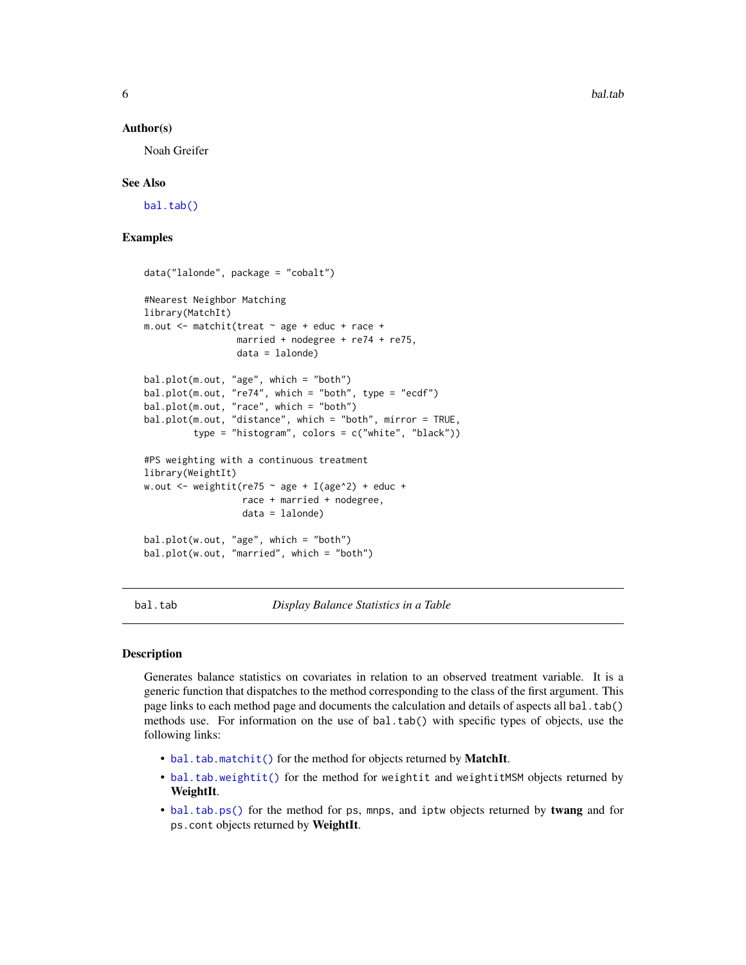#### <span id="page-5-0"></span>Author(s)

Noah Greifer

#### See Also

[bal.tab\(\)](#page-5-1)

#### Examples

```
data("lalonde", package = "cobalt")
#Nearest Neighbor Matching
library(MatchIt)
m.out <- matchit(treat ~ age + educ + race +
                 married + nodegree + re74 + re75,
                 data = lalonde)
bal.plot(m.out, "age", which = "both")
bal.plot(m.out, "re74", which = "both", type = "ecdf")
bal.plot(m.out, "race", which = "both")
bal.plot(m.out, "distance", which = "both", mirror = TRUE,
         type = "histogram", colors = c("white", "black"))
#PS weighting with a continuous treatment
library(WeightIt)
w.out \le weightit(re75 \sim age + I(age^2) + educ +
                  race + married + nodegree,
                  data = lalonde)
bal.plot(w.out, "age", which = "both")
bal.plot(w.out, "married", which = "both")
```
<span id="page-5-1"></span>bal.tab *Display Balance Statistics in a Table*

## **Description**

Generates balance statistics on covariates in relation to an observed treatment variable. It is a generic function that dispatches to the method corresponding to the class of the first argument. This page links to each method page and documents the calculation and details of aspects all bal.tab() methods use. For information on the use of bal.tab() with specific types of objects, use the following links:

- [bal.tab.matchit\(\)](#page-34-1) for the method for objects returned by **MatchIt**.
- [bal.tab.weightit\(\)](#page-49-1) for the method for weightit and weightitMSM objects returned by WeightIt.
- [bal.tab.ps\(\)](#page-41-1) for the method for ps, mnps, and iptw objects returned by twang and for ps.cont objects returned by WeightIt.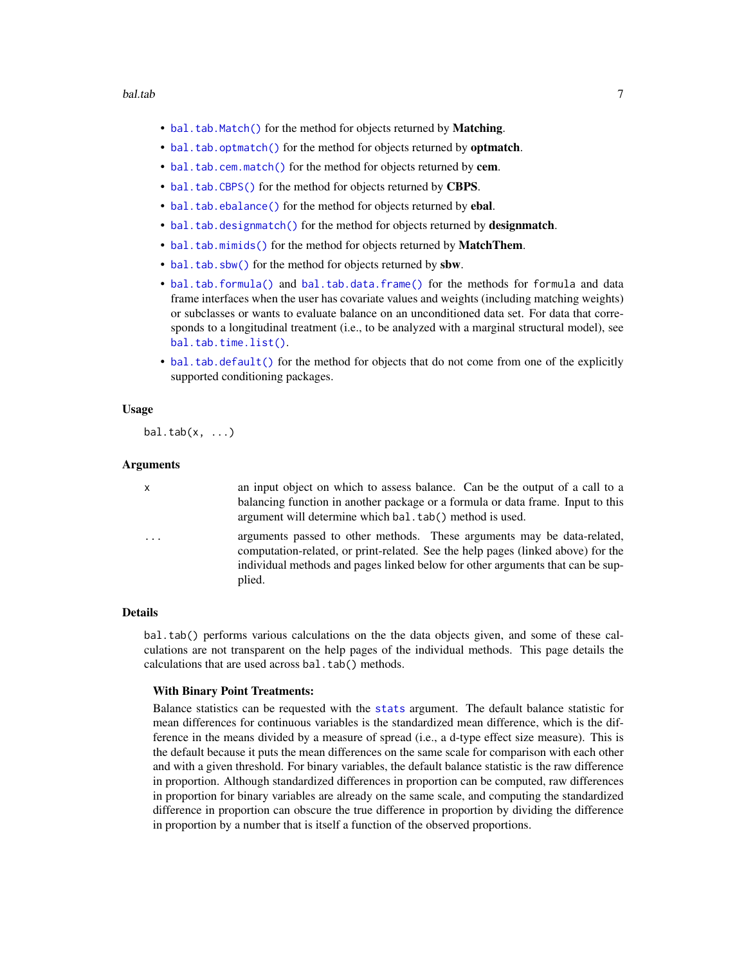#### bal.tab 7

- [bal.tab.Match\(\)](#page-29-1) for the method for objects returned by Matching.
- [bal.tab.optmatch\(\)](#page-29-2) for the method for objects returned by **optmatch**.
- [bal.tab.cem.match\(\)](#page-14-1) for the method for objects returned by cem.
- [bal.tab.CBPS\(\)](#page-10-1) for the method for objects returned by CBPS.
- [bal.tab.ebalance\(\)](#page-29-2) for the method for objects returned by ebal.
- [bal.tab.designmatch\(\)](#page-29-2) for the method for objects returned by designmatch.
- [bal.tab.mimids\(\)](#page-37-1) for the method for objects returned by MatchThem.
- [bal.tab.sbw\(\)](#page-46-1) for the method for objects returned by sbw.
- [bal.tab.formula\(\)](#page-20-1) and [bal.tab.data.frame\(\)](#page-20-1) for the methods for formula and data frame interfaces when the user has covariate values and weights (including matching weights) or subclasses or wants to evaluate balance on an unconditioned data set. For data that corresponds to a longitudinal treatment (i.e., to be analyzed with a marginal structural model), see [bal.tab.time.list\(\)](#page-25-1).
- [bal.tab.default\(\)](#page-17-1) for the method for objects that do not come from one of the explicitly supported conditioning packages.

## Usage

 $bal.tab(x, ...)$ 

#### Arguments

| X        | an input object on which to assess balance. Can be the output of a call to a<br>balancing function in another package or a formula or data frame. Input to this                                                                                         |
|----------|---------------------------------------------------------------------------------------------------------------------------------------------------------------------------------------------------------------------------------------------------------|
|          | argument will determine which bal.tab() method is used.                                                                                                                                                                                                 |
| $\ddots$ | arguments passed to other methods. These arguments may be data-related,<br>computation-related, or print-related. See the help pages (linked above) for the<br>individual methods and pages linked below for other arguments that can be sup-<br>plied. |

#### Details

bal.tab() performs various calculations on the the data objects given, and some of these calculations are not transparent on the help pages of the individual methods. This page details the calculations that are used across bal.tab() methods.

#### With Binary Point Treatments:

Balance statistics can be requested with the [stats](#page-53-1) argument. The default balance statistic for mean differences for continuous variables is the standardized mean difference, which is the difference in the means divided by a measure of spread (i.e., a d-type effect size measure). This is the default because it puts the mean differences on the same scale for comparison with each other and with a given threshold. For binary variables, the default balance statistic is the raw difference in proportion. Although standardized differences in proportion can be computed, raw differences in proportion for binary variables are already on the same scale, and computing the standardized difference in proportion can obscure the true difference in proportion by dividing the difference in proportion by a number that is itself a function of the observed proportions.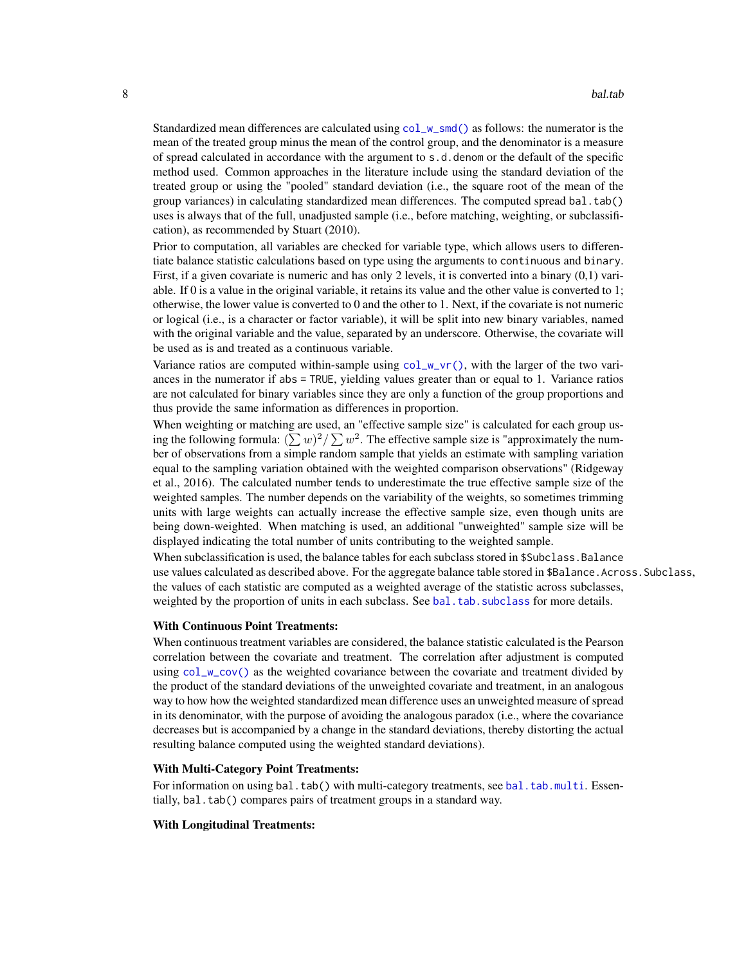Standardized mean differences are calculated using  $col_w\_sm$  () as follows: the numerator is the mean of the treated group minus the mean of the control group, and the denominator is a measure of spread calculated in accordance with the argument to s.d.denom or the default of the specific method used. Common approaches in the literature include using the standard deviation of the treated group or using the "pooled" standard deviation (i.e., the square root of the mean of the group variances) in calculating standardized mean differences. The computed spread bal.tab() uses is always that of the full, unadjusted sample (i.e., before matching, weighting, or subclassification), as recommended by Stuart (2010).

Prior to computation, all variables are checked for variable type, which allows users to differentiate balance statistic calculations based on type using the arguments to continuous and binary. First, if a given covariate is numeric and has only 2 levels, it is converted into a binary (0,1) variable. If 0 is a value in the original variable, it retains its value and the other value is converted to 1; otherwise, the lower value is converted to 0 and the other to 1. Next, if the covariate is not numeric or logical (i.e., is a character or factor variable), it will be split into new binary variables, named with the original variable and the value, separated by an underscore. Otherwise, the covariate will be used as is and treated as a continuous variable.

Variance ratios are computed within-sample using  $col_wvr()$ , with the larger of the two variances in the numerator if abs = TRUE, yielding values greater than or equal to 1. Variance ratios are not calculated for binary variables since they are only a function of the group proportions and thus provide the same information as differences in proportion.

When weighting or matching are used, an "effective sample size" is calculated for each group using the following formula:  $(\sum w)^2 / \sum w^2$ . The effective sample size is "approximately the number of observations from a simple random sample that yields an estimate with sampling variation equal to the sampling variation obtained with the weighted comparison observations" (Ridgeway et al., 2016). The calculated number tends to underestimate the true effective sample size of the weighted samples. The number depends on the variability of the weights, so sometimes trimming units with large weights can actually increase the effective sample size, even though units are being down-weighted. When matching is used, an additional "unweighted" sample size will be displayed indicating the total number of units contributing to the weighted sample.

When subclassification is used, the balance tables for each subclass stored in \$Subclass.Balance use values calculated as described above. For the aggregate balance table stored in \$Balance.Across.Subclass, the values of each statistic are computed as a weighted average of the statistic across subclasses, weighted by the proportion of units in each subclass. See [bal.tab.subclass](#page-66-1) for more details.

#### With Continuous Point Treatments:

When continuous treatment variables are considered, the balance statistic calculated is the Pearson correlation between the covariate and treatment. The correlation after adjustment is computed using  $col_wcov()$  as the weighted covariance between the covariate and treatment divided by the product of the standard deviations of the unweighted covariate and treatment, in an analogous way to how how the weighted standardized mean difference uses an unweighted measure of spread in its denominator, with the purpose of avoiding the analogous paradox (i.e., where the covariance decreases but is accompanied by a change in the standard deviations, thereby distorting the actual resulting balance computed using the weighted standard deviations).

#### With Multi-Category Point Treatments:

For information on using bal.tab() with multi-category treatments, see [bal.tab.multi](#page-64-1). Essentially, bal.tab() compares pairs of treatment groups in a standard way.

#### With Longitudinal Treatments: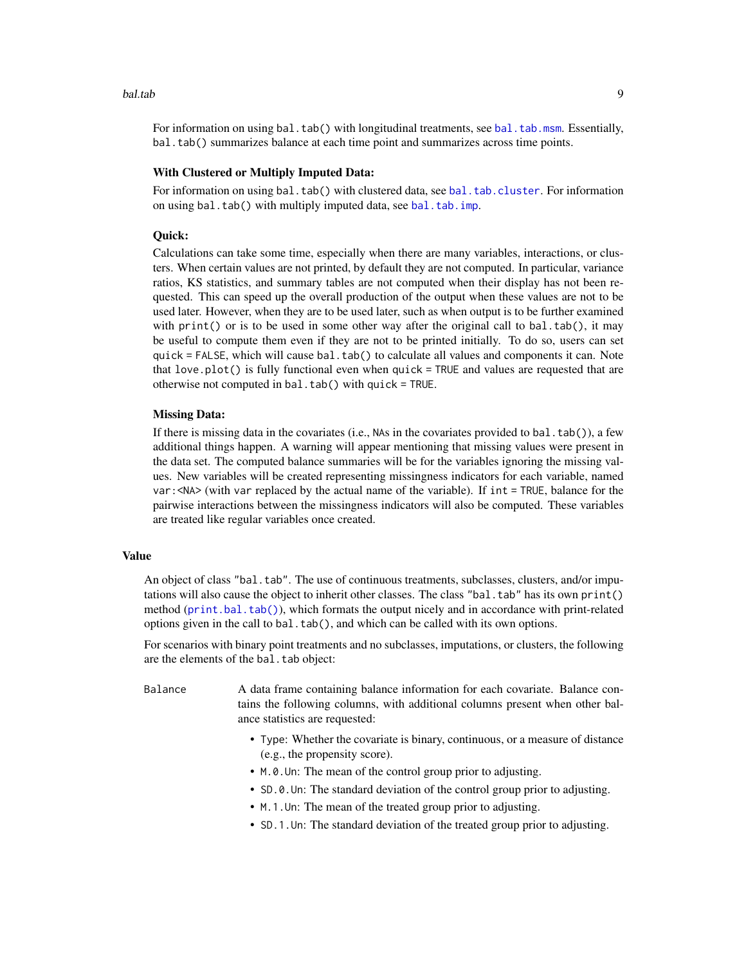#### bal.tab 9

#### With Clustered or Multiply Imputed Data:

For information on using bal.tab() with clustered data, see [bal.tab.cluster](#page-60-1). For information on using bal.tab() with multiply imputed data, see [bal.tab.imp](#page-62-1).

## Quick:

Calculations can take some time, especially when there are many variables, interactions, or clusters. When certain values are not printed, by default they are not computed. In particular, variance ratios, KS statistics, and summary tables are not computed when their display has not been requested. This can speed up the overall production of the output when these values are not to be used later. However, when they are to be used later, such as when output is to be further examined with print() or is to be used in some other way after the original call to bal.tab(), it may be useful to compute them even if they are not to be printed initially. To do so, users can set quick = FALSE, which will cause bal.tab() to calculate all values and components it can. Note that love.plot() is fully functional even when quick = TRUE and values are requested that are otherwise not computed in bal.tab() with quick = TRUE.

#### Missing Data:

If there is missing data in the covariates (i.e., NAs in the covariates provided to bal.tab()), a few additional things happen. A warning will appear mentioning that missing values were present in the data set. The computed balance summaries will be for the variables ignoring the missing values. New variables will be created representing missingness indicators for each variable, named var:<NA> (with var replaced by the actual name of the variable). If int = TRUE, balance for the pairwise interactions between the missingness indicators will also be computed. These variables are treated like regular variables once created.

#### Value

An object of class "bal.tab". The use of continuous treatments, subclasses, clusters, and/or imputations will also cause the object to inherit other classes. The class "bal.tab" has its own print() method ([print.bal.tab\(\)](#page-81-1)), which formats the output nicely and in accordance with print-related options given in the call to bal.tab(), and which can be called with its own options.

For scenarios with binary point treatments and no subclasses, imputations, or clusters, the following are the elements of the bal.tab object:

Balance A data frame containing balance information for each covariate. Balance contains the following columns, with additional columns present when other balance statistics are requested:

- Type: Whether the covariate is binary, continuous, or a measure of distance (e.g., the propensity score).
- M.0.Un: The mean of the control group prior to adjusting.
- SD.0.Un: The standard deviation of the control group prior to adjusting.
- M.1.Un: The mean of the treated group prior to adjusting.
- SD.1.Un: The standard deviation of the treated group prior to adjusting.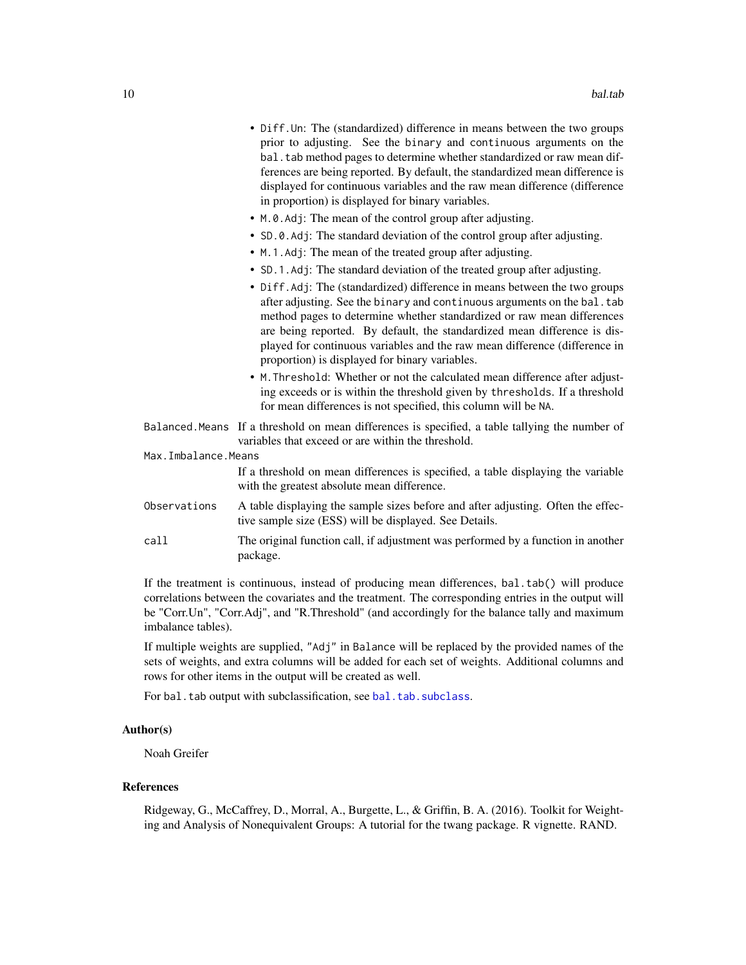- Diff.Un: The (standardized) difference in means between the two groups prior to adjusting. See the binary and continuous arguments on the bal. tab method pages to determine whether standardized or raw mean differences are being reported. By default, the standardized mean difference is displayed for continuous variables and the raw mean difference (difference in proportion) is displayed for binary variables.
- M.0.Adj: The mean of the control group after adjusting.
- SD.0.Adj: The standard deviation of the control group after adjusting.
- M.1.Adj: The mean of the treated group after adjusting.
- SD.1.Adj: The standard deviation of the treated group after adjusting.
- Diff.Adj: The (standardized) difference in means between the two groups after adjusting. See the binary and continuous arguments on the bal.tab method pages to determine whether standardized or raw mean differences are being reported. By default, the standardized mean difference is displayed for continuous variables and the raw mean difference (difference in proportion) is displayed for binary variables.
- M.Threshold: Whether or not the calculated mean difference after adjusting exceeds or is within the threshold given by thresholds. If a threshold for mean differences is not specified, this column will be NA.
- Balanced.Means If a threshold on mean differences is specified, a table tallying the number of variables that exceed or are within the threshold.
- Max.Imbalance.Means

If a threshold on mean differences is specified, a table displaying the variable with the greatest absolute mean difference.

- Observations A table displaying the sample sizes before and after adjusting. Often the effective sample size (ESS) will be displayed. See Details.
- call The original function call, if adjustment was performed by a function in another package.

If the treatment is continuous, instead of producing mean differences, bal.tab() will produce correlations between the covariates and the treatment. The corresponding entries in the output will be "Corr.Un", "Corr.Adj", and "R.Threshold" (and accordingly for the balance tally and maximum imbalance tables).

If multiple weights are supplied, "Adj" in Balance will be replaced by the provided names of the sets of weights, and extra columns will be added for each set of weights. Additional columns and rows for other items in the output will be created as well.

For bal.tab output with subclassification, see [bal.tab.subclass](#page-66-1).

## Author(s)

Noah Greifer

#### References

Ridgeway, G., McCaffrey, D., Morral, A., Burgette, L., & Griffin, B. A. (2016). Toolkit for Weighting and Analysis of Nonequivalent Groups: A tutorial for the twang package. R vignette. RAND.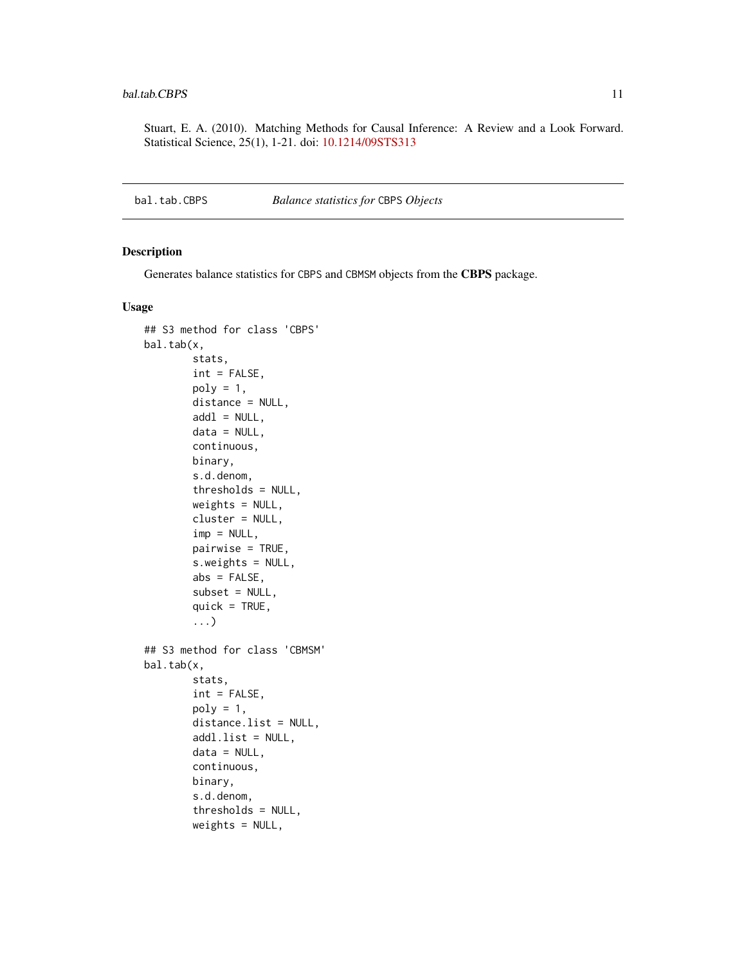<span id="page-10-0"></span>Stuart, E. A. (2010). Matching Methods for Causal Inference: A Review and a Look Forward. Statistical Science, 25(1), 1-21. doi: [10.1214/09STS313](https://doi.org/10.1214/09-STS313)

<span id="page-10-1"></span>bal.tab.CBPS *Balance statistics for* CBPS *Objects*

## Description

Generates balance statistics for CBPS and CBMSM objects from the CBPS package.

#### Usage

```
## S3 method for class 'CBPS'
bal.tab(x,
        stats,
        int = FALSE,
        poly = 1,
        distance = NULL,
        add1 = NULL,data = NULL,continuous,
        binary,
        s.d.denom,
        thresholds = NULL,
        weights = NULL,cluster = NULL,
        imp = NULL,pairwise = TRUE,
        s.weights = NULL,
        abs = FALSE,subset = NULL,quick = TRUE,
        ...)
## S3 method for class 'CBMSM'
bal.tab(x,
        stats,
        int = FALSE,
        poly = 1,
        distance.list = NULL,
        addl.list = NULL,
        data = NULL,continuous,
        binary,
        s.d.denom,
        thresholds = NULL,
        weights = NULL,
```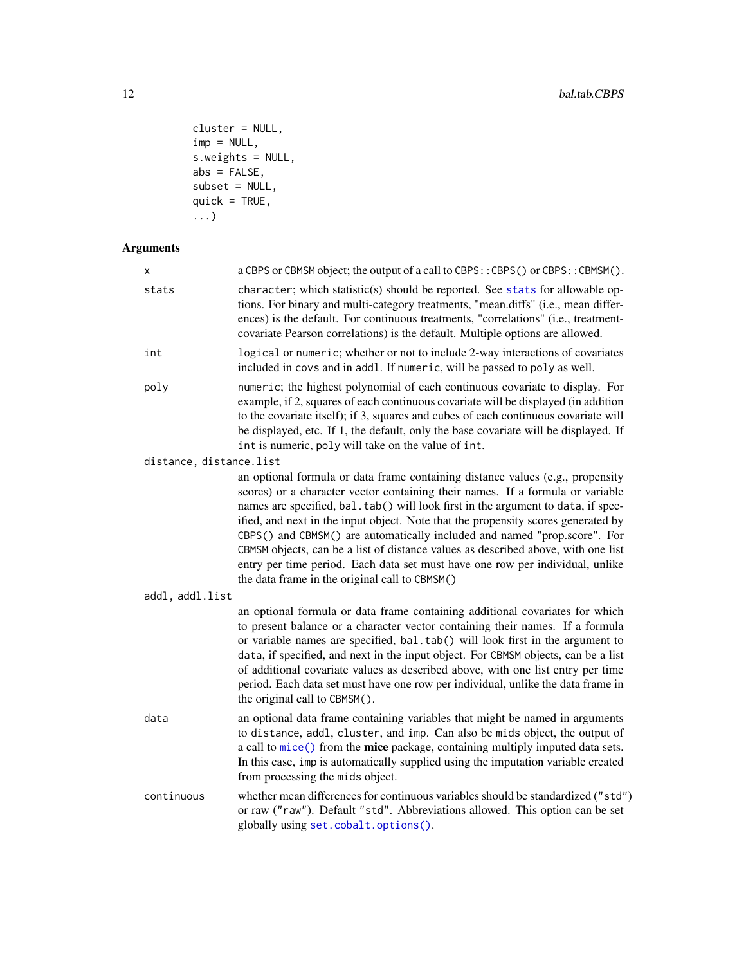```
cluster = NULL,
imp = NULL,s.weights = NULL,
abs = FALSE,subset = NULL,quick = TRUE,
...)
```
# Arguments

| x                       | a CBPS or CBMSM object; the output of a call to CBPS:: CBPS() or CBPS:: CBMSM().                                                                                                                                                                                                                                                                                                                                                                                                                                                                                                                                                               |
|-------------------------|------------------------------------------------------------------------------------------------------------------------------------------------------------------------------------------------------------------------------------------------------------------------------------------------------------------------------------------------------------------------------------------------------------------------------------------------------------------------------------------------------------------------------------------------------------------------------------------------------------------------------------------------|
| stats                   | character; which statistic(s) should be reported. See stats for allowable op-<br>tions. For binary and multi-category treatments, "mean.diffs" (i.e., mean differ-<br>ences) is the default. For continuous treatments, "correlations" (i.e., treatment-<br>covariate Pearson correlations) is the default. Multiple options are allowed.                                                                                                                                                                                                                                                                                                      |
| int                     | logical or numeric; whether or not to include 2-way interactions of covariates<br>included in covs and in addl. If numeric, will be passed to poly as well.                                                                                                                                                                                                                                                                                                                                                                                                                                                                                    |
| poly                    | numeric; the highest polynomial of each continuous covariate to display. For<br>example, if 2, squares of each continuous covariate will be displayed (in addition<br>to the covariate itself); if 3, squares and cubes of each continuous covariate will<br>be displayed, etc. If 1, the default, only the base covariate will be displayed. If<br>int is numeric, poly will take on the value of int.                                                                                                                                                                                                                                        |
| distance, distance.list |                                                                                                                                                                                                                                                                                                                                                                                                                                                                                                                                                                                                                                                |
|                         | an optional formula or data frame containing distance values (e.g., propensity<br>scores) or a character vector containing their names. If a formula or variable<br>names are specified, bal.tab() will look first in the argument to data, if spec-<br>ified, and next in the input object. Note that the propensity scores generated by<br>CBPS() and CBMSM() are automatically included and named "prop.score". For<br>CBMSM objects, can be a list of distance values as described above, with one list<br>entry per time period. Each data set must have one row per individual, unlike<br>the data frame in the original call to CBMSM() |
| addl, addl.list         |                                                                                                                                                                                                                                                                                                                                                                                                                                                                                                                                                                                                                                                |
|                         | an optional formula or data frame containing additional covariates for which<br>to present balance or a character vector containing their names. If a formula<br>or variable names are specified, bal.tab() will look first in the argument to<br>data, if specified, and next in the input object. For CBMSM objects, can be a list<br>of additional covariate values as described above, with one list entry per time<br>period. Each data set must have one row per individual, unlike the data frame in<br>the original call to CBMSM().                                                                                                   |
| data                    | an optional data frame containing variables that might be named in arguments<br>to distance, addl, cluster, and imp. Can also be mids object, the output of<br>a call to mice() from the mice package, containing multiply imputed data sets.<br>In this case, imp is automatically supplied using the imputation variable created<br>from processing the mids object.                                                                                                                                                                                                                                                                         |
| continuous              | whether mean differences for continuous variables should be standardized ("std")<br>or raw ("raw"). Default "std". Abbreviations allowed. This option can be set<br>globally using set.cobalt.options().                                                                                                                                                                                                                                                                                                                                                                                                                                       |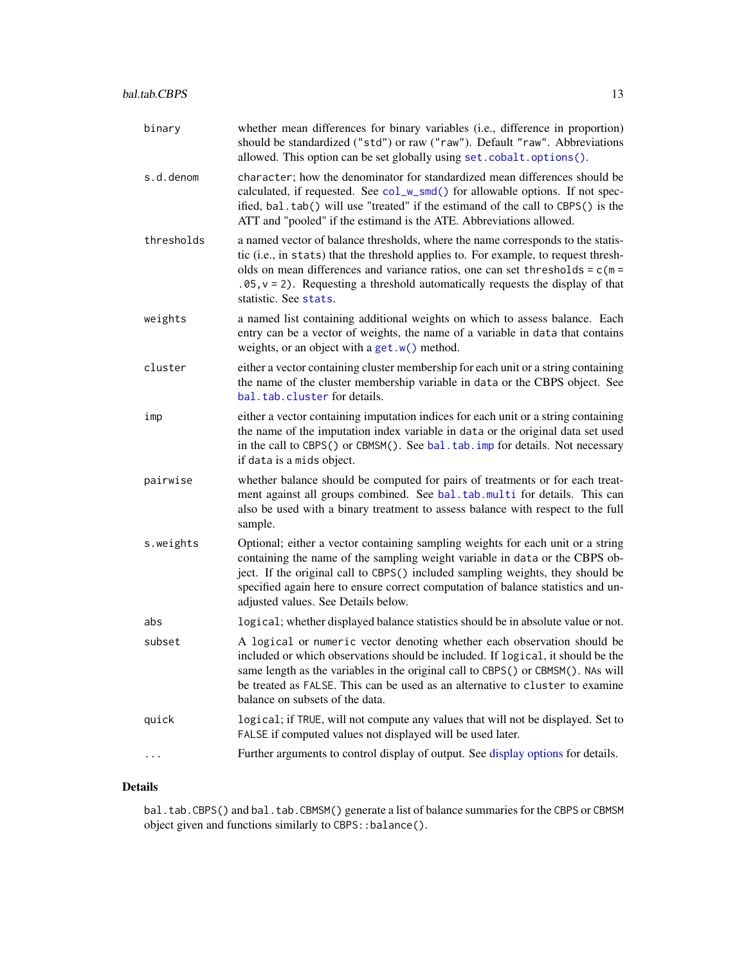| binary     | whether mean differences for binary variables (i.e., difference in proportion)<br>should be standardized ("std") or raw ("raw"). Default "raw". Abbreviations<br>allowed. This option can be set globally using set. cobalt. options().                                                                                                                                   |
|------------|---------------------------------------------------------------------------------------------------------------------------------------------------------------------------------------------------------------------------------------------------------------------------------------------------------------------------------------------------------------------------|
| s.d.denom  | character; how the denominator for standardized mean differences should be<br>calculated, if requested. See col_w_smd() for allowable options. If not spec-<br>ified, bal.tab() will use "treated" if the estimand of the call to CBPS() is the<br>ATT and "pooled" if the estimand is the ATE. Abbreviations allowed.                                                    |
| thresholds | a named vector of balance thresholds, where the name corresponds to the statis-<br>tic (i.e., in stats) that the threshold applies to. For example, to request thresh-<br>olds on mean differences and variance ratios, one can set thresholds = $c(m =$<br>$.05$ , $v = 2$ ). Requesting a threshold automatically requests the display of that<br>statistic. See stats. |
| weights    | a named list containing additional weights on which to assess balance. Each<br>entry can be a vector of weights, the name of a variable in data that contains<br>weights, or an object with $a get.w()$ method.                                                                                                                                                           |
| cluster    | either a vector containing cluster membership for each unit or a string containing<br>the name of the cluster membership variable in data or the CBPS object. See<br>bal.tab.cluster for details.                                                                                                                                                                         |
| imp        | either a vector containing imputation indices for each unit or a string containing<br>the name of the imputation index variable in data or the original data set used<br>in the call to CBPS() or CBMSM(). See bal. tab. imp for details. Not necessary<br>if data is a mids object.                                                                                      |
| pairwise   | whether balance should be computed for pairs of treatments or for each treat-<br>ment against all groups combined. See bal.tab.multi for details. This can<br>also be used with a binary treatment to assess balance with respect to the full<br>sample.                                                                                                                  |
| s.weights  | Optional; either a vector containing sampling weights for each unit or a string<br>containing the name of the sampling weight variable in data or the CBPS ob-<br>ject. If the original call to CBPS() included sampling weights, they should be<br>specified again here to ensure correct computation of balance statistics and un-                                      |

- adjusted values. See Details below. abs logical; whether displayed balance statistics should be in absolute value or not. subset A logical or numeric vector denoting whether each observation should be included or which observations should be included. If logical, it should be the same length as the variables in the original call to CBPS() or CBMSM(). NAs will be treated as FALSE. This can be used as an alternative to cluster to examine balance on subsets of the data. quick logical; if TRUE, will not compute any values that will not be displayed. Set to FALSE if computed values not displayed will be used later.
- ... Further arguments to control display of output. See [display options](#page-68-1) for details.

#### Details

bal.tab.CBPS() and bal.tab.CBMSM() generate a list of balance summaries for the CBPS or CBMSM object given and functions similarly to CBPS::balance().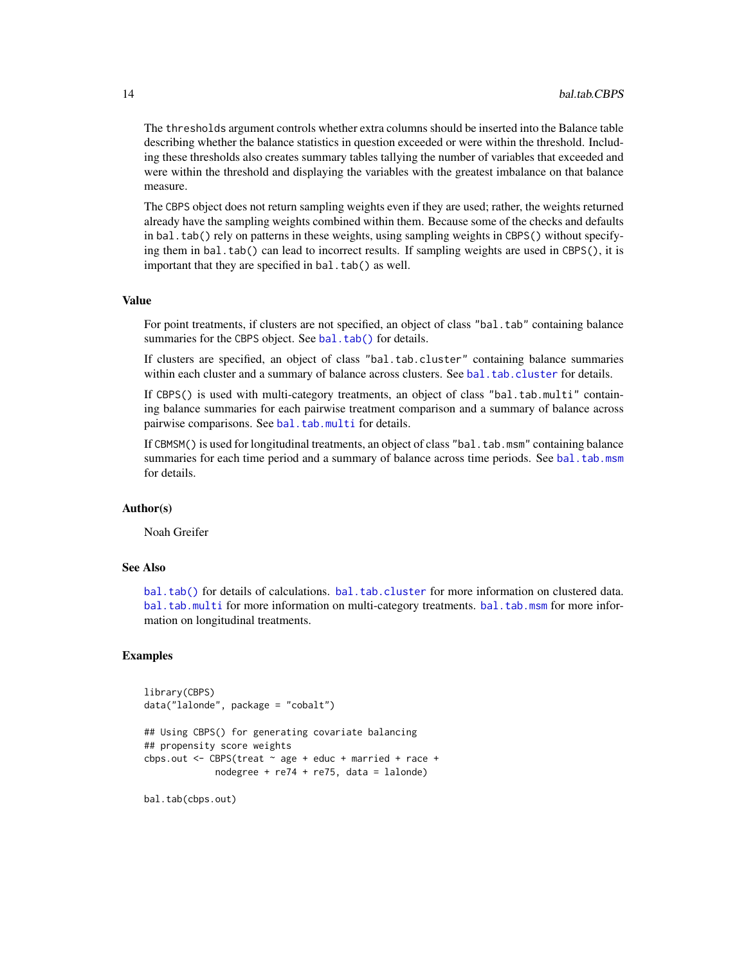The thresholds argument controls whether extra columns should be inserted into the Balance table describing whether the balance statistics in question exceeded or were within the threshold. Including these thresholds also creates summary tables tallying the number of variables that exceeded and were within the threshold and displaying the variables with the greatest imbalance on that balance measure.

The CBPS object does not return sampling weights even if they are used; rather, the weights returned already have the sampling weights combined within them. Because some of the checks and defaults in bal.tab() rely on patterns in these weights, using sampling weights in CBPS() without specifying them in bal.tab() can lead to incorrect results. If sampling weights are used in CBPS(), it is important that they are specified in bal.tab() as well.

## Value

For point treatments, if clusters are not specified, an object of class "bal.tab" containing balance summaries for the CBPS object. See [bal.tab\(\)](#page-5-1) for details.

If clusters are specified, an object of class "bal.tab.cluster" containing balance summaries within each cluster and a summary of balance across clusters. See [bal.tab.cluster](#page-60-1) for details.

If CBPS() is used with multi-category treatments, an object of class "bal.tab.multi" containing balance summaries for each pairwise treatment comparison and a summary of balance across pairwise comparisons. See [bal.tab.multi](#page-64-1) for details.

If CBMSM() is used for longitudinal treatments, an object of class "bal.tab.msm" containing balance summaries for each time period and a summary of balance across time periods. See [bal.tab.msm](#page-63-1) for details.

## Author(s)

Noah Greifer

## See Also

[bal.tab\(\)](#page-5-1) for details of calculations. [bal.tab.cluster](#page-60-1) for more information on clustered data. [bal.tab.multi](#page-64-1) for more information on multi-category treatments. [bal.tab.msm](#page-63-1) for more information on longitudinal treatments.

#### Examples

```
library(CBPS)
data("lalonde", package = "cobalt")
## Using CBPS() for generating covariate balancing
## propensity score weights
cbps.out <- CBPS(treat \sim age + educ + married + race +
             nodegree + re74 + re75, data = lalonde)
```
bal.tab(cbps.out)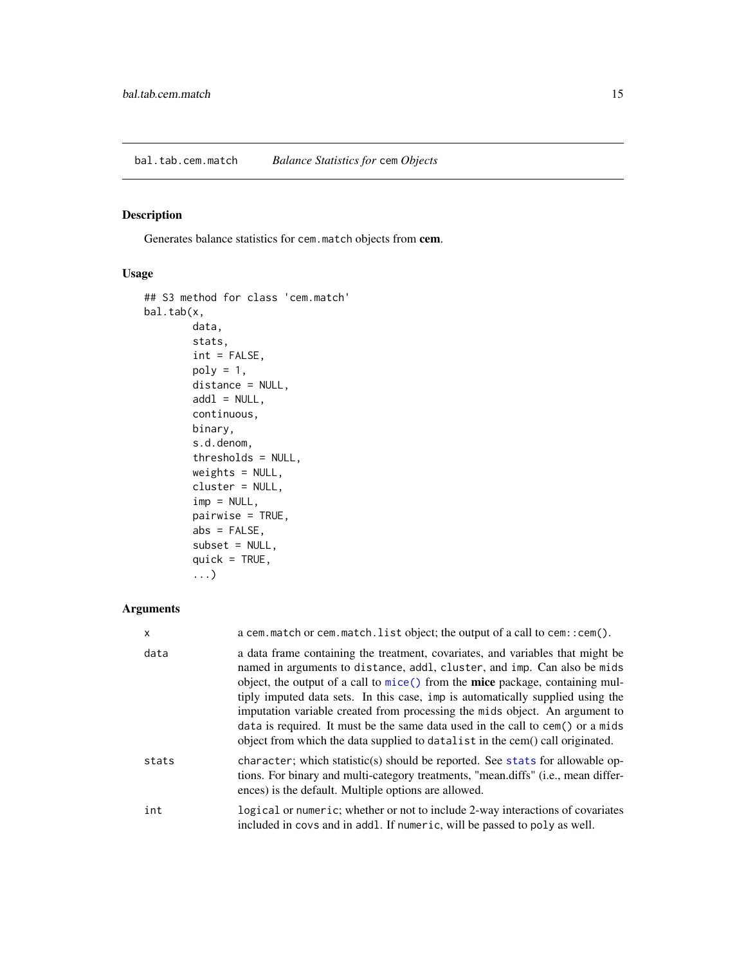<span id="page-14-1"></span><span id="page-14-0"></span>bal.tab.cem.match *Balance Statistics for* cem *Objects*

## Description

Generates balance statistics for cem.match objects from cem.

## Usage

```
## S3 method for class 'cem.match'
bal.tab(x,
        data,
        stats,
        int = FALSE,
        poly = 1,
        distance = NULL,
        add1 = NULL,continuous,
        binary,
        s.d.denom,
        thresholds = NULL,
        weights = NULL,cluster = NULL,
        imp = NULL,
        pairwise = TRUE,
        abs = FALSE,subset = NULL,quick = TRUE,
        ...)
```
## Arguments

| $\mathsf{x}$ | a cem.match or cem.match.list object; the output of a call to cem: : cem().                                                                                                                                                                                                                                                                                                                                                                                                                                                                                                              |
|--------------|------------------------------------------------------------------------------------------------------------------------------------------------------------------------------------------------------------------------------------------------------------------------------------------------------------------------------------------------------------------------------------------------------------------------------------------------------------------------------------------------------------------------------------------------------------------------------------------|
| data         | a data frame containing the treatment, covariates, and variables that might be<br>named in arguments to distance, addl, cluster, and imp. Can also be mids<br>object, the output of a call to $mice()$ from the <b>mice</b> package, containing mul-<br>tiply imputed data sets. In this case, imp is automatically supplied using the<br>imputation variable created from processing the mids object. An argument to<br>data is required. It must be the same data used in the call to cem() or a mids<br>object from which the data supplied to datalist in the cem() call originated. |
| stats        | character; which statistic(s) should be reported. See stats for allowable op-<br>tions. For binary and multi-category treatments, "mean.diffs" ( <i>i.e.</i> , mean differ-<br>ences) is the default. Multiple options are allowed.                                                                                                                                                                                                                                                                                                                                                      |
| int          | logical or numeric; whether or not to include 2-way interactions of covariates<br>included in covs and in addl. If numeric, will be passed to poly as well.                                                                                                                                                                                                                                                                                                                                                                                                                              |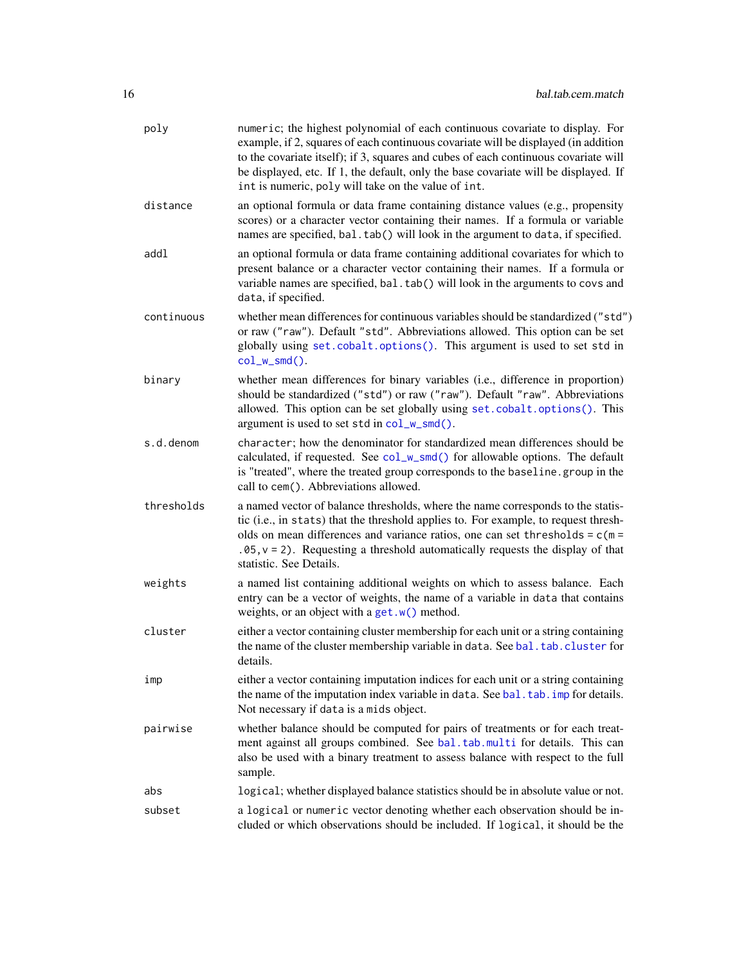| poly       | numeric; the highest polynomial of each continuous covariate to display. For<br>example, if 2, squares of each continuous covariate will be displayed (in addition<br>to the covariate itself); if 3, squares and cubes of each continuous covariate will<br>be displayed, etc. If 1, the default, only the base covariate will be displayed. If<br>int is numeric, poly will take on the value of int. |
|------------|---------------------------------------------------------------------------------------------------------------------------------------------------------------------------------------------------------------------------------------------------------------------------------------------------------------------------------------------------------------------------------------------------------|
| distance   | an optional formula or data frame containing distance values (e.g., propensity<br>scores) or a character vector containing their names. If a formula or variable<br>names are specified, bal.tab() will look in the argument to data, if specified.                                                                                                                                                     |
| addl       | an optional formula or data frame containing additional covariates for which to<br>present balance or a character vector containing their names. If a formula or<br>variable names are specified, bal.tab() will look in the arguments to covs and<br>data, if specified.                                                                                                                               |
| continuous | whether mean differences for continuous variables should be standardized ("std")<br>or raw ("raw"). Default "std". Abbreviations allowed. This option can be set<br>globally using set. cobalt. options(). This argument is used to set std in<br>$col_wsmd()$ .                                                                                                                                        |
| binary     | whether mean differences for binary variables (i.e., difference in proportion)<br>should be standardized ("std") or raw ("raw"). Default "raw". Abbreviations<br>allowed. This option can be set globally using set.cobalt.options(). This<br>argument is used to set std in col_w_smd().                                                                                                               |
| s.d.denom  | character; how the denominator for standardized mean differences should be<br>calculated, if requested. See col_w_smd() for allowable options. The default<br>is "treated", where the treated group corresponds to the baseline.group in the<br>call to cem(). Abbreviations allowed.                                                                                                                   |
| thresholds | a named vector of balance thresholds, where the name corresponds to the statis-<br>tic (i.e., in stats) that the threshold applies to. For example, to request thresh-<br>olds on mean differences and variance ratios, one can set thresholds = $c(m =$<br>$.05$ , $v = 2$ ). Requesting a threshold automatically requests the display of that<br>statistic. See Details.                             |
| weights    | a named list containing additional weights on which to assess balance. Each<br>entry can be a vector of weights, the name of a variable in data that contains<br>weights, or an object with a get. $w()$ method.                                                                                                                                                                                        |
| cluster    | either a vector containing cluster membership for each unit or a string containing<br>the name of the cluster membership variable in data. See bal. tab. cluster for<br>details.                                                                                                                                                                                                                        |
| imp        | either a vector containing imputation indices for each unit or a string containing<br>the name of the imputation index variable in data. See bal. tab. imp for details.<br>Not necessary if data is a mids object.                                                                                                                                                                                      |
| pairwise   | whether balance should be computed for pairs of treatments or for each treat-<br>ment against all groups combined. See bal.tab.multi for details. This can<br>also be used with a binary treatment to assess balance with respect to the full<br>sample.                                                                                                                                                |
| abs        | logical; whether displayed balance statistics should be in absolute value or not.                                                                                                                                                                                                                                                                                                                       |
| subset     | a logical or numeric vector denoting whether each observation should be in-<br>cluded or which observations should be included. If logical, it should be the                                                                                                                                                                                                                                            |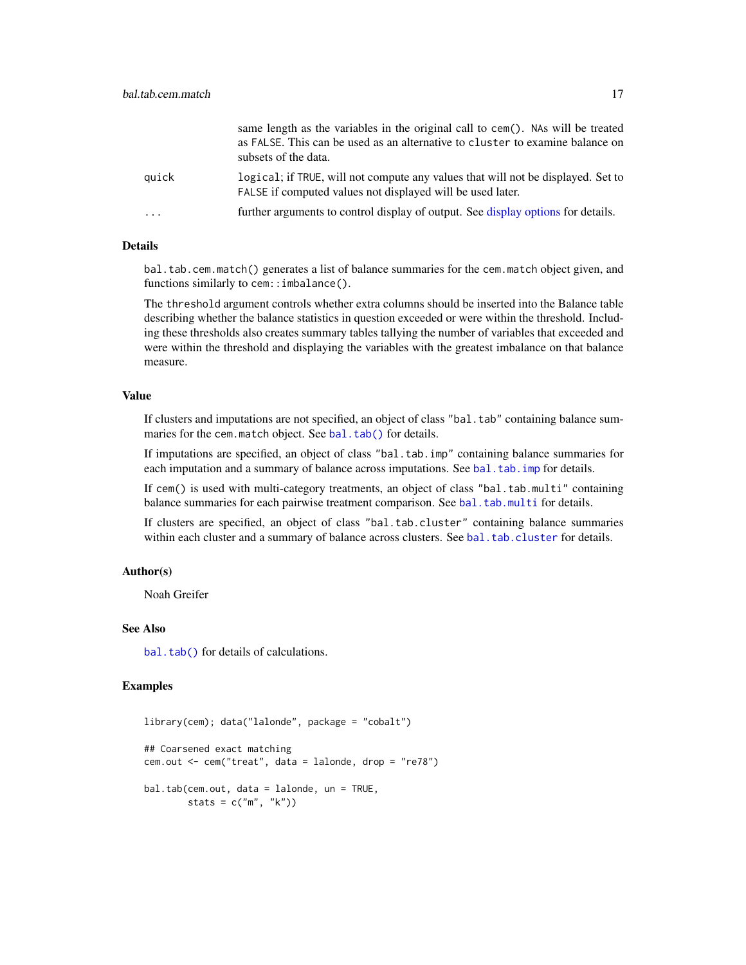|                         | same length as the variables in the original call to cem(). NAs will be treated<br>as FALSE. This can be used as an alternative to cluster to examine balance on<br>subsets of the data. |
|-------------------------|------------------------------------------------------------------------------------------------------------------------------------------------------------------------------------------|
| quick                   | logical; if TRUE, will not compute any values that will not be displayed. Set to<br>FALSE if computed values not displayed will be used later.                                           |
| $\cdot$ $\cdot$ $\cdot$ | further arguments to control display of output. See display options for details.                                                                                                         |

## Details

bal.tab.cem.match() generates a list of balance summaries for the cem.match object given, and functions similarly to cem:: imbalance().

The threshold argument controls whether extra columns should be inserted into the Balance table describing whether the balance statistics in question exceeded or were within the threshold. Including these thresholds also creates summary tables tallying the number of variables that exceeded and were within the threshold and displaying the variables with the greatest imbalance on that balance measure.

## Value

If clusters and imputations are not specified, an object of class "bal.tab" containing balance summaries for the cem.match object. See [bal.tab\(\)](#page-5-1) for details.

If imputations are specified, an object of class "bal.tab.imp" containing balance summaries for each imputation and a summary of balance across imputations. See bal. tab. imp for details.

If cem() is used with multi-category treatments, an object of class "bal.tab.multi" containing balance summaries for each pairwise treatment comparison. See [bal.tab.multi](#page-64-1) for details.

If clusters are specified, an object of class "bal.tab.cluster" containing balance summaries within each cluster and a summary of balance across clusters. See [bal.tab.cluster](#page-60-1) for details.

#### Author(s)

Noah Greifer

## See Also

[bal.tab\(\)](#page-5-1) for details of calculations.

#### Examples

```
library(cem); data("lalonde", package = "cobalt")
## Coarsened exact matching
cem.out \leq cem("treat", data = lalonde, drop = "re78")
bal.tab(cem.out, data = lalonde, un = TRUE,
        stats = c("m", "k"))
```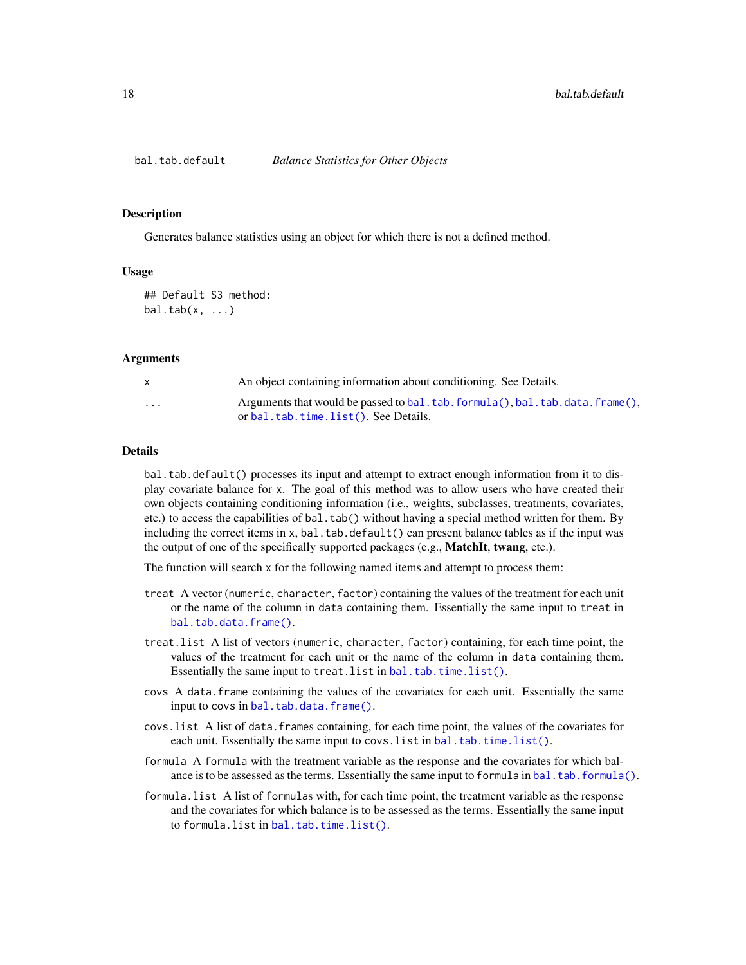<span id="page-17-1"></span><span id="page-17-0"></span>

## Description

Generates balance statistics using an object for which there is not a defined method.

#### Usage

## Default S3 method:  $bal.tab(x, ...)$ 

#### Arguments

|                         | An object containing information about conditioning. See Details.                                                         |
|-------------------------|---------------------------------------------------------------------------------------------------------------------------|
| $\cdot$ $\cdot$ $\cdot$ | Arguments that would be passed to bal. $tab. formula(), bal. tab. data. frame(),$<br>or bal.tab.time.list(). See Details. |

## Details

bal.tab.default() processes its input and attempt to extract enough information from it to display covariate balance for x. The goal of this method was to allow users who have created their own objects containing conditioning information (i.e., weights, subclasses, treatments, covariates, etc.) to access the capabilities of bal.tab() without having a special method written for them. By including the correct items in  $x$ , bal.tab.default() can present balance tables as if the input was the output of one of the specifically supported packages (e.g., MatchIt, twang, etc.).

The function will search x for the following named items and attempt to process them:

- treat A vector (numeric, character, factor) containing the values of the treatment for each unit or the name of the column in data containing them. Essentially the same input to treat in [bal.tab.data.frame\(\)](#page-20-1).
- treat.list A list of vectors (numeric, character, factor) containing, for each time point, the values of the treatment for each unit or the name of the column in data containing them. Essentially the same input to treat. list in bal.tab.time. list().
- covs A data.frame containing the values of the covariates for each unit. Essentially the same input to covs in [bal.tab.data.frame\(\)](#page-20-1).
- covs.list A list of data.frames containing, for each time point, the values of the covariates for each unit. Essentially the same input to covs. list in [bal.tab.time.list\(\)](#page-25-1).
- formula A formula with the treatment variable as the response and the covariates for which balance is to be assessed as the terms. Essentially the same input to formula in [bal.tab.formula\(\)](#page-20-1).
- formula.list A list of formulas with, for each time point, the treatment variable as the response and the covariates for which balance is to be assessed as the terms. Essentially the same input to formula.list in [bal.tab.time.list\(\)](#page-25-1).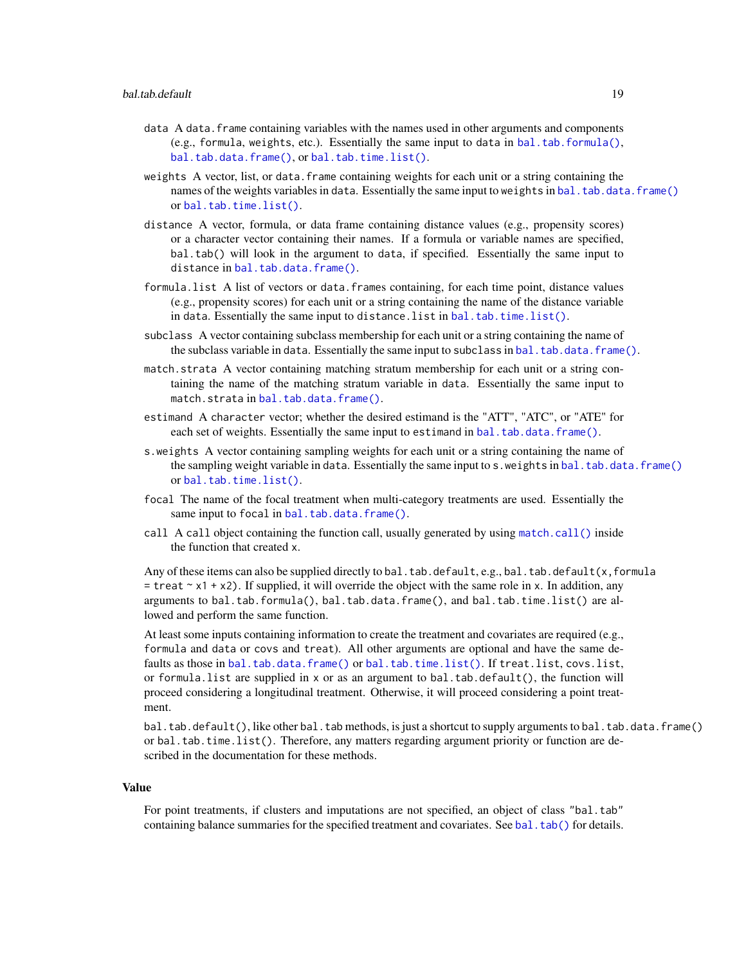- data A data. frame containing variables with the names used in other arguments and components (e.g., formula, weights, etc.). Essentially the same input to data in  $bal.tab.formula(),$  $bal.tab.formula(),$ [bal.tab.data.frame\(\)](#page-20-1), or [bal.tab.time.list\(\)](#page-25-1).
- weights A vector, list, or data.frame containing weights for each unit or a string containing the names of the weights variables in data. Essentially the same input to weights in [bal.tab.data.frame\(\)](#page-20-1) or [bal.tab.time.list\(\)](#page-25-1).
- distance A vector, formula, or data frame containing distance values (e.g., propensity scores) or a character vector containing their names. If a formula or variable names are specified, bal.tab() will look in the argument to data, if specified. Essentially the same input to distance in [bal.tab.data.frame\(\)](#page-20-1).
- formula.list A list of vectors or data.frames containing, for each time point, distance values (e.g., propensity scores) for each unit or a string containing the name of the distance variable in data. Essentially the same input to distance.list in [bal.tab.time.list\(\)](#page-25-1).
- subclass A vector containing subclass membership for each unit or a string containing the name of the subclass variable in data. Essentially the same input to subclass in [bal.tab.data.frame\(\)](#page-20-1).
- match.strata A vector containing matching stratum membership for each unit or a string containing the name of the matching stratum variable in data. Essentially the same input to match.strata in [bal.tab.data.frame\(\)](#page-20-1).
- estimand A character vector; whether the desired estimand is the "ATT", "ATC", or "ATE" for each set of weights. Essentially the same input to estimand in [bal.tab.data.frame\(\)](#page-20-1).
- s.weights A vector containing sampling weights for each unit or a string containing the name of the sampling weight variable in data. Essentially the same input to s.weights in [bal.tab.data.frame\(\)](#page-20-1) or [bal.tab.time.list\(\)](#page-25-1).
- focal The name of the focal treatment when multi-category treatments are used. Essentially the same input to focal in [bal.tab.data.frame\(\)](#page-20-1).
- call A call object containing the function call, usually generated by using [match.call\(\)](#page-0-0) inside the function that created x.

Any of these items can also be supplied directly to bal.tab.default, e.g., bal.tab.default(x,formula  $=$  treat  $\sim$  x1 + x2). If supplied, it will override the object with the same role in x. In addition, any arguments to bal.tab.formula(), bal.tab.data.frame(), and bal.tab.time.list() are allowed and perform the same function.

At least some inputs containing information to create the treatment and covariates are required (e.g., formula and data or covs and treat). All other arguments are optional and have the same defaults as those in [bal.tab.data.frame\(\)](#page-20-1) or [bal.tab.time.list\(\)](#page-25-1). If treat.list, covs.list, or formula.list are supplied in x or as an argument to bal.tab.default(), the function will proceed considering a longitudinal treatment. Otherwise, it will proceed considering a point treatment.

bal.tab.default(), like other bal.tab methods, is just a shortcut to supply arguments to bal.tab.data.frame() or bal.tab.time.list(). Therefore, any matters regarding argument priority or function are described in the documentation for these methods.

#### Value

For point treatments, if clusters and imputations are not specified, an object of class "bal.tab" containing balance summaries for the specified treatment and covariates. See [bal.tab\(\)](#page-5-1) for details.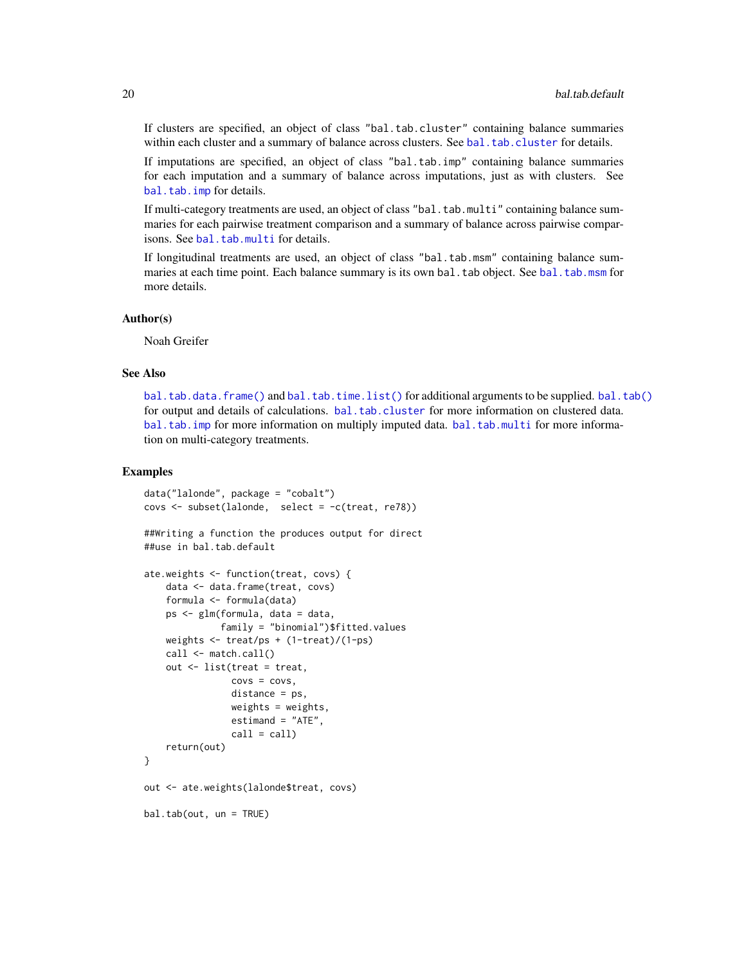If clusters are specified, an object of class "bal.tab.cluster" containing balance summaries within each cluster and a summary of balance across clusters. See [bal.tab.cluster](#page-60-1) for details.

If imputations are specified, an object of class "bal.tab.imp" containing balance summaries for each imputation and a summary of balance across imputations, just as with clusters. See [bal.tab.imp](#page-62-1) for details.

If multi-category treatments are used, an object of class "bal.tab.multi" containing balance summaries for each pairwise treatment comparison and a summary of balance across pairwise comparisons. See [bal.tab.multi](#page-64-1) for details.

If longitudinal treatments are used, an object of class "bal.tab.msm" containing balance summaries at each time point. Each balance summary is its own bal. tab object. See [bal.tab.msm](#page-63-1) for more details.

#### Author(s)

Noah Greifer

#### See Also

[bal.tab.data.frame\(\)](#page-20-1) and [bal.tab.time.list\(\)](#page-25-1) for additional arguments to be supplied. [bal.tab\(\)](#page-5-1) for output and details of calculations. [bal.tab.cluster](#page-60-1) for more information on clustered data. [bal.tab.imp](#page-62-1) for more information on multiply imputed data, [bal.tab.multi](#page-64-1) for more information on multi-category treatments.

#### Examples

```
data("lalonde", package = "cobalt")
covs <- subset(lalonde, select = -c(treat, re78))
##Writing a function the produces output for direct
##use in bal.tab.default
ate.weights <- function(treat, covs) {
   data <- data.frame(treat, covs)
   formula <- formula(data)
   ps <- glm(formula, data = data,
             family = "binomial")$fitted.values
   weights <- treat/ps + (1-treat)/(1-ps)
   call <- match.call()
   out <- list(treat = treat,
               covs = covs,
                distance = ps,
                weights = weights,
                estimand = "ATE",
                call = call)return(out)
}
out <- ate.weights(lalonde$treat, covs)
bal.tab(out, un = TRUE)
```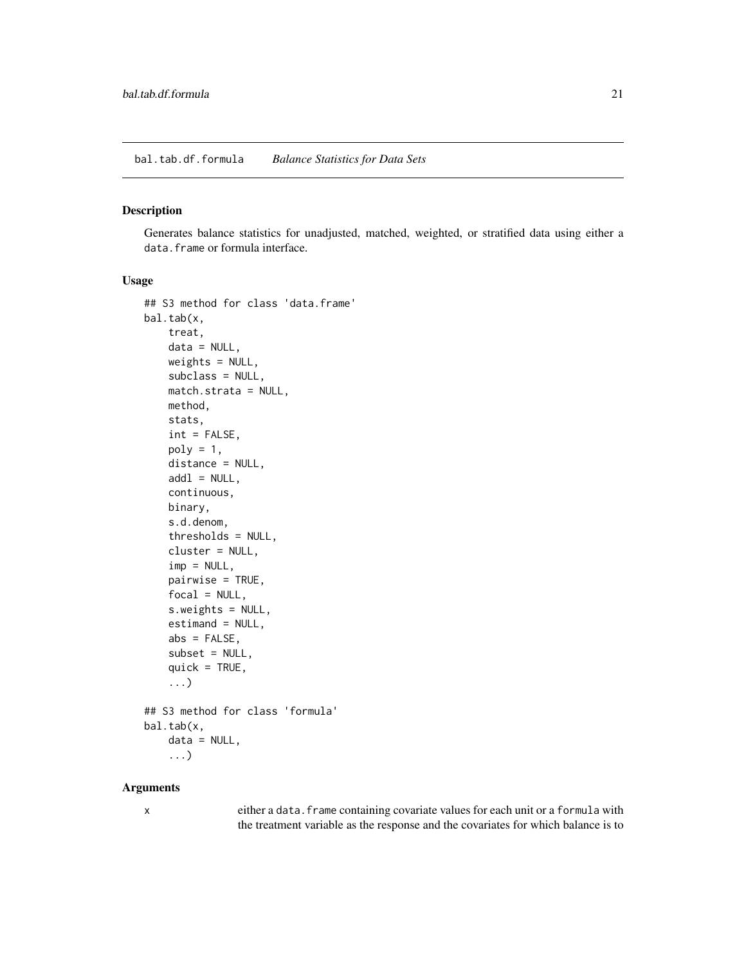## <span id="page-20-1"></span><span id="page-20-0"></span>Description

Generates balance statistics for unadjusted, matched, weighted, or stratified data using either a data.frame or formula interface.

## Usage

```
## S3 method for class 'data.frame'
bal.tab(x,
    treat,
    data = NULL,weights = NULL,
    subclass = NULL,
    match.strata = NULL,
    method,
    stats,
    int = FALSE,
    poly = 1,
    distance = NULL,
    add1 = NULL,continuous,
    binary,
    s.d.denom,
    thresholds = NULL,
    cluster = NULL,
    imp = NULL,pairwise = TRUE,
    focal = NULL,s.weights = NULL,
    estimand = NULL,
    abs = FALSE,subset = NULL,quick = TRUE,
    ...)
## S3 method for class 'formula'
bal.tab(x,
    data = NULL,...)
```
#### Arguments

x either a data.frame containing covariate values for each unit or a formula with the treatment variable as the response and the covariates for which balance is to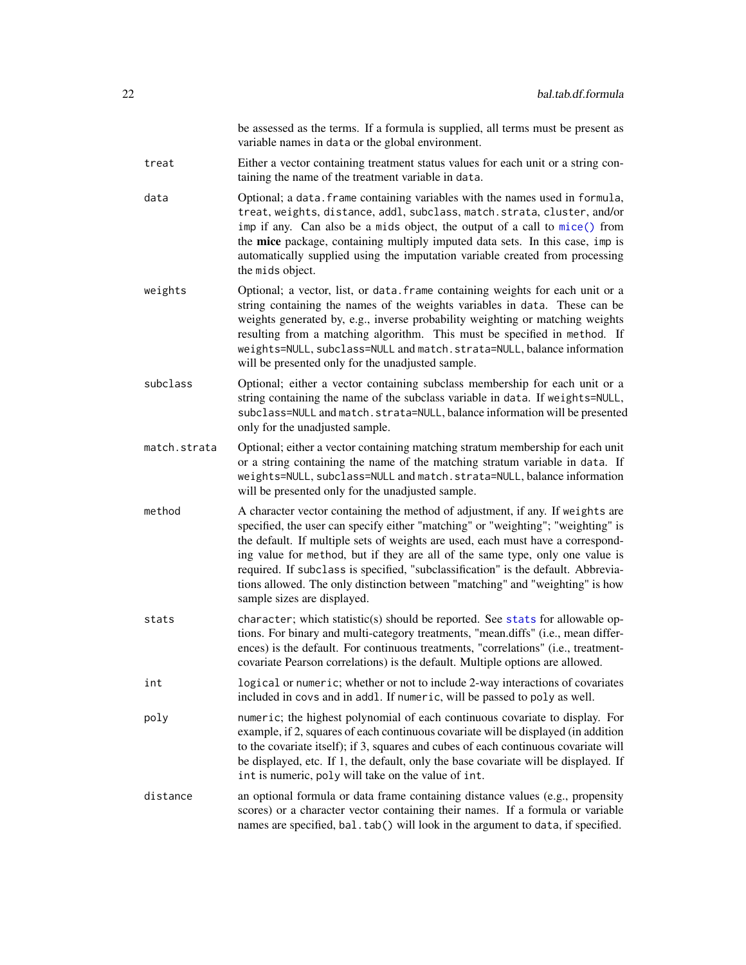| be assessed as the terms. If a formula is supplied, all terms must be present as |
|----------------------------------------------------------------------------------|
| variable names in data or the global environment.                                |

- treat Either a vector containing treatment status values for each unit or a string containing the name of the treatment variable in data.
- data Optional; a data.frame containing variables with the names used in formula, treat, weights, distance, addl, subclass, match.strata, cluster, and/or imp if any. Can also be a mids object, the output of a call to [mice\(\)](#page-0-0) from the mice package, containing multiply imputed data sets. In this case, imp is automatically supplied using the imputation variable created from processing the mids object.
- weights Optional; a vector, list, or data.frame containing weights for each unit or a string containing the names of the weights variables in data. These can be weights generated by, e.g., inverse probability weighting or matching weights resulting from a matching algorithm. This must be specified in method. If weights=NULL, subclass=NULL and match.strata=NULL, balance information will be presented only for the unadjusted sample.
- subclass Optional; either a vector containing subclass membership for each unit or a string containing the name of the subclass variable in data. If weights=NULL, subclass=NULL and match.strata=NULL, balance information will be presented only for the unadjusted sample.
- match.strata Optional; either a vector containing matching stratum membership for each unit or a string containing the name of the matching stratum variable in data. If weights=NULL, subclass=NULL and match.strata=NULL, balance information will be presented only for the unadjusted sample.
- method A character vector containing the method of adjustment, if any. If weights are specified, the user can specify either "matching" or "weighting"; "weighting" is the default. If multiple sets of weights are used, each must have a corresponding value for method, but if they are all of the same type, only one value is required. If subclass is specified, "subclassification" is the default. Abbreviations allowed. The only distinction between "matching" and "weighting" is how sample sizes are displayed.
- stats character; which statistic(s) should be reported. See [stats](#page-53-1) for allowable options. For binary and multi-category treatments, "mean.diffs" (i.e., mean differences) is the default. For continuous treatments, "correlations" (i.e., treatmentcovariate Pearson correlations) is the default. Multiple options are allowed.
- int logical or numeric; whether or not to include 2-way interactions of covariates included in covs and in addl. If numeric, will be passed to poly as well.
- poly numeric; the highest polynomial of each continuous covariate to display. For example, if 2, squares of each continuous covariate will be displayed (in addition to the covariate itself); if 3, squares and cubes of each continuous covariate will be displayed, etc. If 1, the default, only the base covariate will be displayed. If int is numeric, poly will take on the value of int.
- distance an optional formula or data frame containing distance values (e.g., propensity scores) or a character vector containing their names. If a formula or variable names are specified, bal.tab() will look in the argument to data, if specified.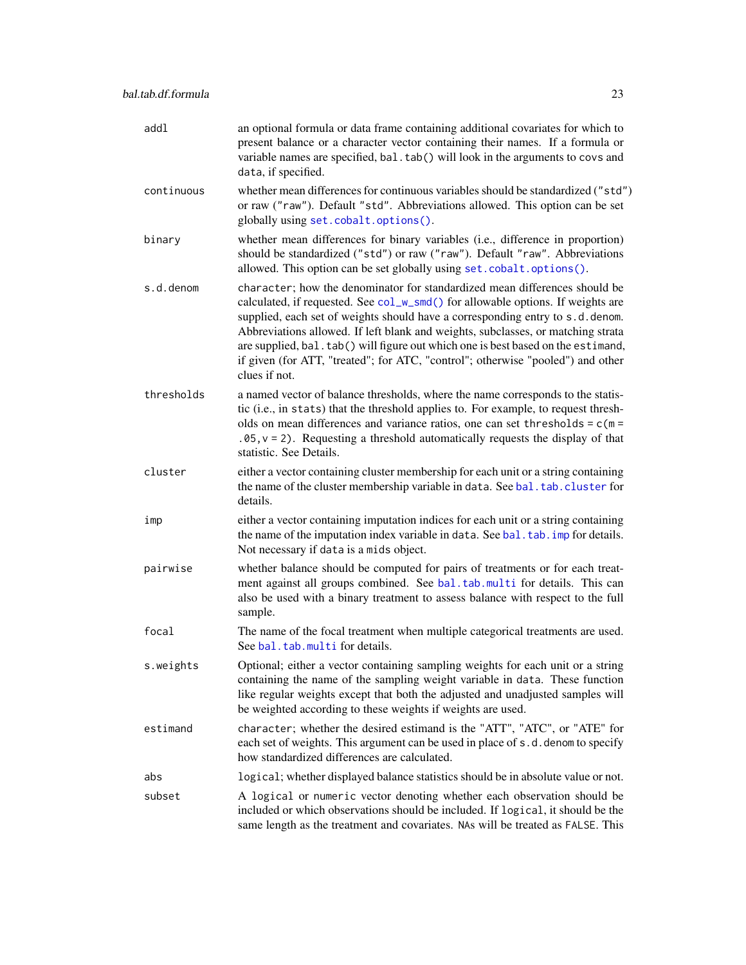| addl       | an optional formula or data frame containing additional covariates for which to<br>present balance or a character vector containing their names. If a formula or<br>variable names are specified, bal.tab() will look in the arguments to covs and<br>data, if specified.                                                                                                                                                                                                                                                  |
|------------|----------------------------------------------------------------------------------------------------------------------------------------------------------------------------------------------------------------------------------------------------------------------------------------------------------------------------------------------------------------------------------------------------------------------------------------------------------------------------------------------------------------------------|
| continuous | whether mean differences for continuous variables should be standardized ("std")<br>or raw ("raw"). Default "std". Abbreviations allowed. This option can be set<br>globally using set.cobalt.options().                                                                                                                                                                                                                                                                                                                   |
| binary     | whether mean differences for binary variables (i.e., difference in proportion)<br>should be standardized ("std") or raw ("raw"). Default "raw". Abbreviations<br>allowed. This option can be set globally using set. cobalt. options().                                                                                                                                                                                                                                                                                    |
| s.d.denom  | character; how the denominator for standardized mean differences should be<br>calculated, if requested. See col_w_smd() for allowable options. If weights are<br>supplied, each set of weights should have a corresponding entry to s.d.denom.<br>Abbreviations allowed. If left blank and weights, subclasses, or matching strata<br>are supplied, bal.tab() will figure out which one is best based on the estimand,<br>if given (for ATT, "treated"; for ATC, "control"; otherwise "pooled") and other<br>clues if not. |
| thresholds | a named vector of balance thresholds, where the name corresponds to the statis-<br>tic (i.e., in stats) that the threshold applies to. For example, to request thresh-<br>olds on mean differences and variance ratios, one can set thresholds = $c(m =$<br>$.05$ , $v = 2$ ). Requesting a threshold automatically requests the display of that<br>statistic. See Details.                                                                                                                                                |
| cluster    | either a vector containing cluster membership for each unit or a string containing<br>the name of the cluster membership variable in data. See bal. tab. cluster for<br>details.                                                                                                                                                                                                                                                                                                                                           |
| imp        | either a vector containing imputation indices for each unit or a string containing<br>the name of the imputation index variable in data. See bal. tab. imp for details.<br>Not necessary if data is a mids object.                                                                                                                                                                                                                                                                                                         |
| pairwise   | whether balance should be computed for pairs of treatments or for each treat-<br>ment against all groups combined. See bal.tab.multi for details. This can<br>also be used with a binary treatment to assess balance with respect to the full<br>sample.                                                                                                                                                                                                                                                                   |
| focal      | The name of the focal treatment when multiple categorical treatments are used.<br>See bal.tab.multi for details.                                                                                                                                                                                                                                                                                                                                                                                                           |
| s.weights  | Optional; either a vector containing sampling weights for each unit or a string<br>containing the name of the sampling weight variable in data. These function<br>like regular weights except that both the adjusted and unadjusted samples will<br>be weighted according to these weights if weights are used.                                                                                                                                                                                                            |
| estimand   | character; whether the desired estimand is the "ATT", "ATC", or "ATE" for<br>each set of weights. This argument can be used in place of s.d. denom to specify<br>how standardized differences are calculated.                                                                                                                                                                                                                                                                                                              |
| abs        | logical; whether displayed balance statistics should be in absolute value or not.                                                                                                                                                                                                                                                                                                                                                                                                                                          |
| subset     | A logical or numeric vector denoting whether each observation should be<br>included or which observations should be included. If logical, it should be the<br>same length as the treatment and covariates. NAs will be treated as FALSE. This                                                                                                                                                                                                                                                                              |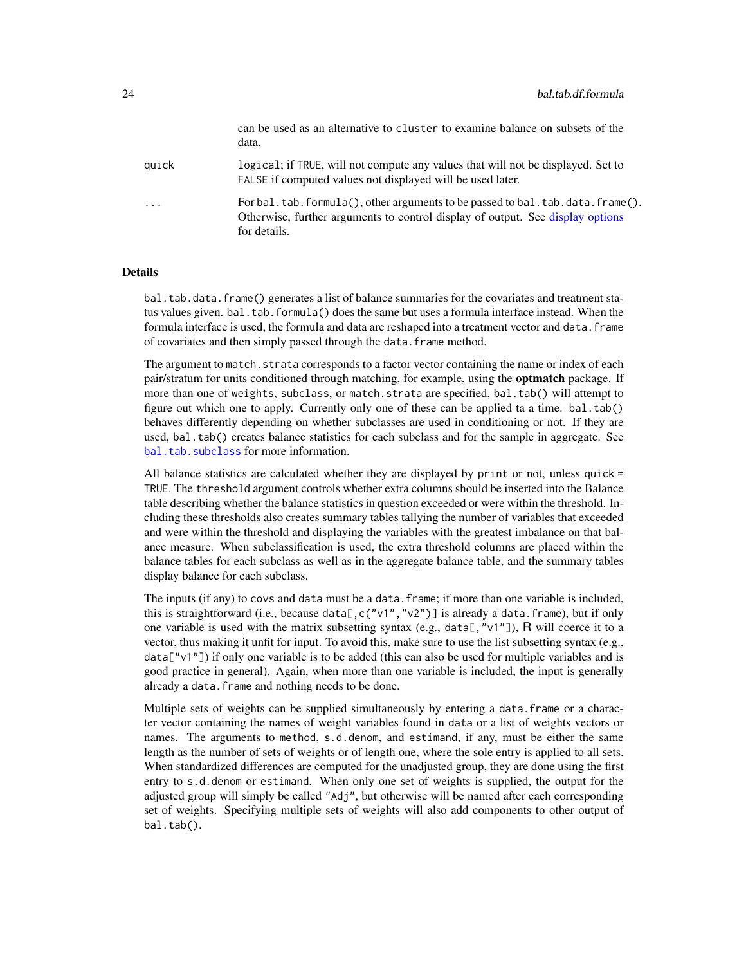|         | can be used as an ancinative to cluster to caaning balance on subsets of the<br>data.                                                                                               |
|---------|-------------------------------------------------------------------------------------------------------------------------------------------------------------------------------------|
| quick   | logical; if TRUE, will not compute any values that will not be displayed. Set to<br>FALSE if computed values not displayed will be used later.                                      |
| $\cdot$ | For bal. tab. formula(), other arguments to be passed to bal. tab. data. frame().<br>Otherwise, further arguments to control display of output. See display options<br>for details. |

can be used as an alternative to cluster to examine balance on subsets of the

#### Details

bal.tab.data.frame() generates a list of balance summaries for the covariates and treatment status values given. bal.tab.formula() does the same but uses a formula interface instead. When the formula interface is used, the formula and data are reshaped into a treatment vector and data. frame of covariates and then simply passed through the data.frame method.

The argument to match.strata corresponds to a factor vector containing the name or index of each pair/stratum for units conditioned through matching, for example, using the **optmatch** package. If more than one of weights, subclass, or match. strata are specified, bal.tab() will attempt to figure out which one to apply. Currently only one of these can be applied ta a time. bal.tab() behaves differently depending on whether subclasses are used in conditioning or not. If they are used, bal.tab() creates balance statistics for each subclass and for the sample in aggregate. See bal. tab. subclass for more information.

All balance statistics are calculated whether they are displayed by print or not, unless quick = TRUE. The threshold argument controls whether extra columns should be inserted into the Balance table describing whether the balance statistics in question exceeded or were within the threshold. Including these thresholds also creates summary tables tallying the number of variables that exceeded and were within the threshold and displaying the variables with the greatest imbalance on that balance measure. When subclassification is used, the extra threshold columns are placed within the balance tables for each subclass as well as in the aggregate balance table, and the summary tables display balance for each subclass.

The inputs (if any) to covs and data must be a data. frame; if more than one variable is included, this is straightforward (i.e., because data[,c("v1","v2")] is already a data.frame), but if only one variable is used with the matrix subsetting syntax (e.g., data[,"v1"]), R will coerce it to a vector, thus making it unfit for input. To avoid this, make sure to use the list subsetting syntax (e.g., data["v1"]) if only one variable is to be added (this can also be used for multiple variables and is good practice in general). Again, when more than one variable is included, the input is generally already a data. frame and nothing needs to be done.

Multiple sets of weights can be supplied simultaneously by entering a data. frame or a character vector containing the names of weight variables found in data or a list of weights vectors or names. The arguments to method, s.d.denom, and estimand, if any, must be either the same length as the number of sets of weights or of length one, where the sole entry is applied to all sets. When standardized differences are computed for the unadjusted group, they are done using the first entry to s.d.denom or estimand. When only one set of weights is supplied, the output for the adjusted group will simply be called "Adj", but otherwise will be named after each corresponding set of weights. Specifying multiple sets of weights will also add components to other output of bal.tab().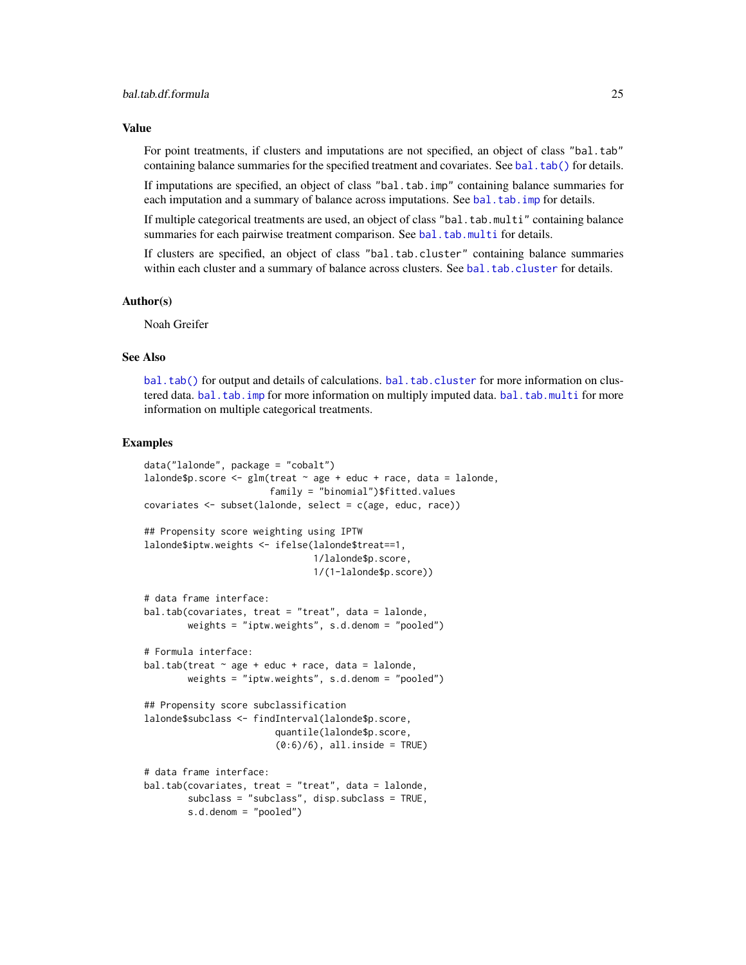## Value

For point treatments, if clusters and imputations are not specified, an object of class "bal.tab" containing balance summaries for the specified treatment and covariates. See [bal.tab\(\)](#page-5-1) for details.

If imputations are specified, an object of class "bal.tab.imp" containing balance summaries for each imputation and a summary of balance across imputations. See [bal.tab.imp](#page-62-1) for details.

If multiple categorical treatments are used, an object of class "bal.tab.multi" containing balance summaries for each pairwise treatment comparison. See [bal.tab.multi](#page-64-1) for details.

If clusters are specified, an object of class "bal.tab.cluster" containing balance summaries within each cluster and a summary of balance across clusters. See [bal.tab.cluster](#page-60-1) for details.

#### Author(s)

Noah Greifer

#### See Also

[bal.tab\(\)](#page-5-1) for output and details of calculations. [bal.tab.cluster](#page-60-1) for more information on clustered data. [bal.tab.imp](#page-62-1) for more information on multiply imputed data. [bal.tab.multi](#page-64-1) for more information on multiple categorical treatments.

## Examples

```
data("lalonde", package = "cobalt")
lalonde$p.score <- glm(treat \sim age + educ + race, data = lalone,family = "binomial")$fitted.values
covariates <- subset(lalonde, select = c(age, educ, race))
## Propensity score weighting using IPTW
lalonde$iptw.weights <- ifelse(lalonde$treat==1,
                               1/lalonde$p.score,
                               1/(1-lalonde$p.score))
# data frame interface:
bal. tab(covariates, treat = "treat", data = lalone,weights = "iptw.weights", s.d.denom = "pooled")
# Formula interface:
bal.tab(treat \sim age + educ + race, data = lalonde,
        weights = "iptw.weights", s.d.denom = "pooled")
## Propensity score subclassification
lalonde$subclass <- findInterval(lalonde$p.score,
                        quantile(lalonde$p.score,
                        (0:6)/6, all.inside = TRUE)
# data frame interface:
bal. tab(covariates, treat = "treat", data = lalone,subclass = "subclass", disp.subclass = TRUE,
        s.d.denom = "pooled")
```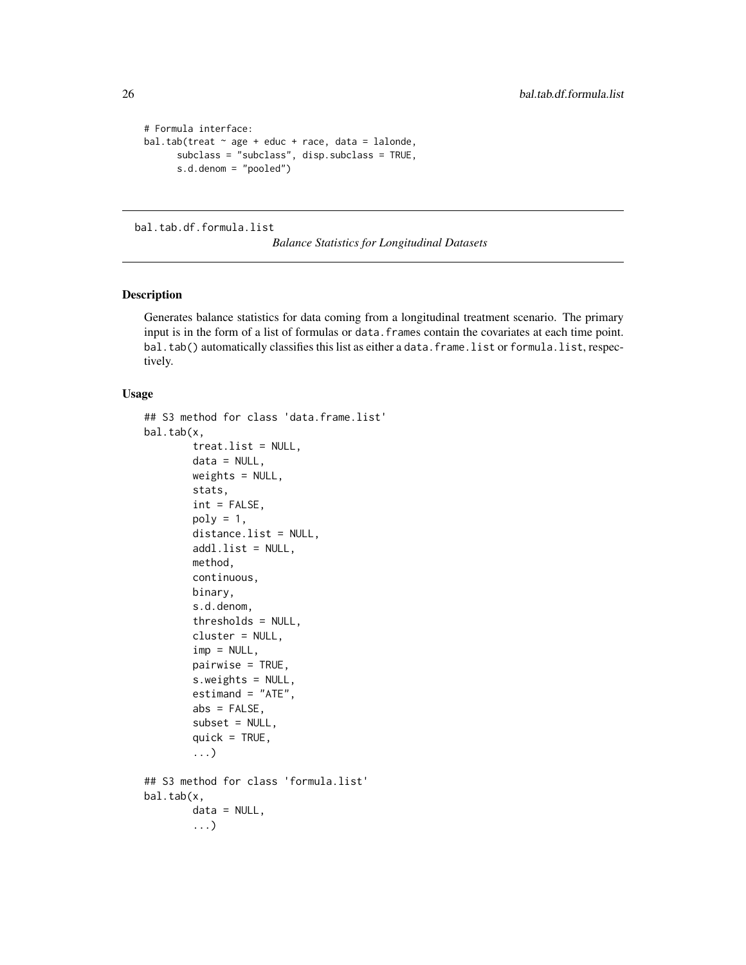```
# Formula interface:
bal.tab(treat \sim age + educ + race, data = lalonde,
      subclass = "subclass", disp.subclass = TRUE,
      s.d.denom = "pooled")
```
bal.tab.df.formula.list

*Balance Statistics for Longitudinal Datasets*

## <span id="page-25-1"></span>Description

Generates balance statistics for data coming from a longitudinal treatment scenario. The primary input is in the form of a list of formulas or data. frames contain the covariates at each time point. bal.tab() automatically classifies this list as either a data.frame.list or formula.list, respectively.

## Usage

```
## S3 method for class 'data.frame.list'
bal.tab(x,
        treat.list = NULL,
        data = NULL,weights = NULL,stats,
        int = FALSE,
        poly = 1,
        distance.list = NULL,
        addl.list = NULL,
        method,
        continuous,
        binary,
        s.d.denom,
        thresholds = NULL,
        cluster = NULL,
        imp = NULL,pairwise = TRUE,
        s.weights = NULL,
        estimand = "ATE",
        abs = FALSE,subset = NULL,quick = TRUE,
        ...)
## S3 method for class 'formula.list'
bal.tab(x,
        data = NULL,...)
```
<span id="page-25-0"></span>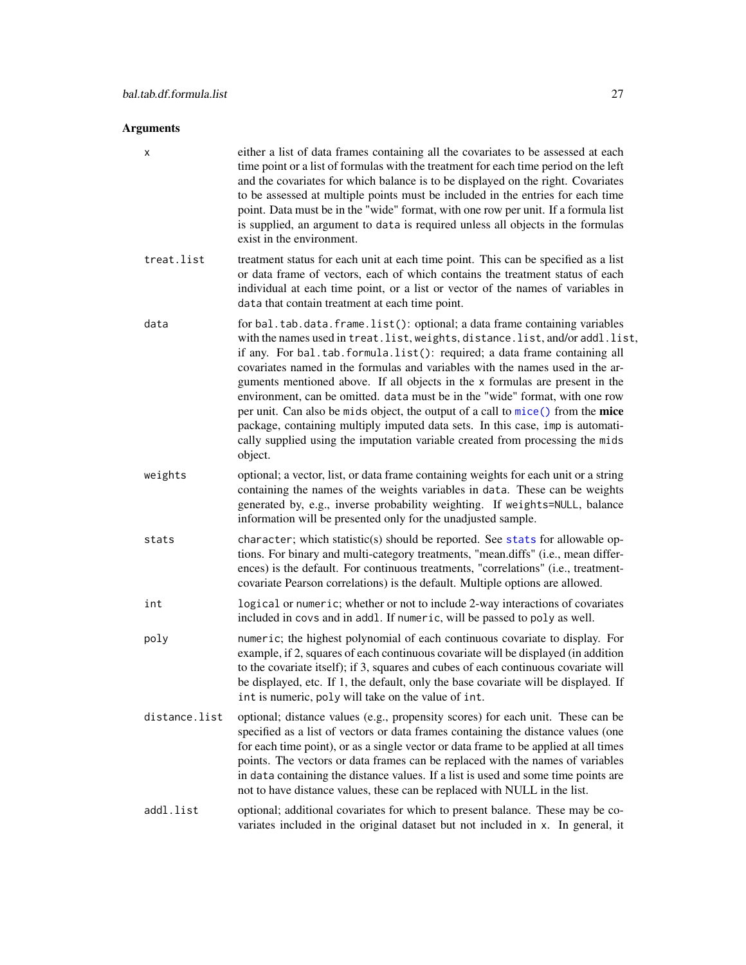#### Arguments

x either a list of data frames containing all the covariates to be assessed at each time point or a list of formulas with the treatment for each time period on the left and the covariates for which balance is to be displayed on the right. Covariates to be assessed at multiple points must be included in the entries for each time point. Data must be in the "wide" format, with one row per unit. If a formula list is supplied, an argument to data is required unless all objects in the formulas exist in the environment. treat. list treatment status for each unit at each time point. This can be specified as a list or data frame of vectors, each of which contains the treatment status of each individual at each time point, or a list or vector of the names of variables in data that contain treatment at each time point. data for bal.tab.data.frame.list(): optional; a data frame containing variables with the names used in treat.list, weights, distance.list, and/or addl.list, if any. For bal.tab.formula.list(): required; a data frame containing all covariates named in the formulas and variables with the names used in the arguments mentioned above. If all objects in the x formulas are present in the environment, can be omitted. data must be in the "wide" format, with one row per unit. Can also be mids object, the output of a call to  $mice()$  from the **mice** package, containing multiply imputed data sets. In this case, imp is automatically supplied using the imputation variable created from processing the mids object. weights optional; a vector, list, or data frame containing weights for each unit or a string containing the names of the weights variables in data. These can be weights generated by, e.g., inverse probability weighting. If weights=NULL, balance information will be presented only for the unadjusted sample. stats character; which statistic(s) should be reported. See [stats](#page-53-1) for allowable options. For binary and multi-category treatments, "mean.diffs" (i.e., mean differences) is the default. For continuous treatments, "correlations" (i.e., treatmentcovariate Pearson correlations) is the default. Multiple options are allowed. int logical or numeric; whether or not to include 2-way interactions of covariates included in covs and in addl. If numeric, will be passed to poly as well. poly numeric; the highest polynomial of each continuous covariate to display. For example, if 2, squares of each continuous covariate will be displayed (in addition to the covariate itself); if 3, squares and cubes of each continuous covariate will be displayed, etc. If 1, the default, only the base covariate will be displayed. If int is numeric, poly will take on the value of int. distance.list optional; distance values (e.g., propensity scores) for each unit. These can be specified as a list of vectors or data frames containing the distance values (one for each time point), or as a single vector or data frame to be applied at all times points. The vectors or data frames can be replaced with the names of variables in data containing the distance values. If a list is used and some time points are not to have distance values, these can be replaced with NULL in the list. addl.list optional; additional covariates for which to present balance. These may be covariates included in the original dataset but not included in x. In general, it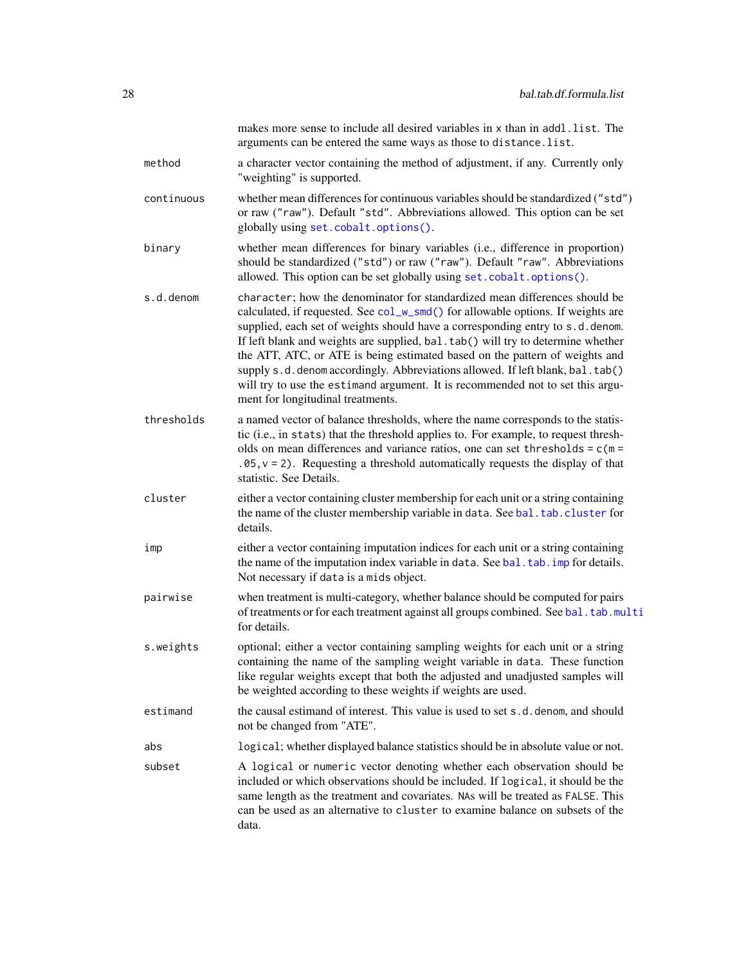|            | makes more sense to include all desired variables in x than in addl. list. The<br>arguments can be entered the same ways as those to distance. list.                                                                                                                                                                                                                                                                                                                                                                                                                                                                       |
|------------|----------------------------------------------------------------------------------------------------------------------------------------------------------------------------------------------------------------------------------------------------------------------------------------------------------------------------------------------------------------------------------------------------------------------------------------------------------------------------------------------------------------------------------------------------------------------------------------------------------------------------|
| method     | a character vector containing the method of adjustment, if any. Currently only<br>"weighting" is supported.                                                                                                                                                                                                                                                                                                                                                                                                                                                                                                                |
| continuous | whether mean differences for continuous variables should be standardized ("std")<br>or raw ("raw"). Default "std". Abbreviations allowed. This option can be set<br>globally using set.cobalt.options().                                                                                                                                                                                                                                                                                                                                                                                                                   |
| binary     | whether mean differences for binary variables (i.e., difference in proportion)<br>should be standardized ("std") or raw ("raw"). Default "raw". Abbreviations<br>allowed. This option can be set globally using set. cobalt. options().                                                                                                                                                                                                                                                                                                                                                                                    |
| s.d.denom  | character; how the denominator for standardized mean differences should be<br>calculated, if requested. See col_w_smd() for allowable options. If weights are<br>supplied, each set of weights should have a corresponding entry to s.d. denom.<br>If left blank and weights are supplied, bal.tab() will try to determine whether<br>the ATT, ATC, or ATE is being estimated based on the pattern of weights and<br>supply s.d. denom accordingly. Abbreviations allowed. If left blank, bal.tab()<br>will try to use the estimand argument. It is recommended not to set this argu-<br>ment for longitudinal treatments. |
| thresholds | a named vector of balance thresholds, where the name corresponds to the statis-<br>tic (i.e., in stats) that the threshold applies to. For example, to request thresh-<br>olds on mean differences and variance ratios, one can set thresholds = $c(m =$<br>$.05$ , $v = 2$ ). Requesting a threshold automatically requests the display of that<br>statistic. See Details.                                                                                                                                                                                                                                                |
| cluster    | either a vector containing cluster membership for each unit or a string containing<br>the name of the cluster membership variable in data. See bal. tab. cluster for<br>details.                                                                                                                                                                                                                                                                                                                                                                                                                                           |
| imp        | either a vector containing imputation indices for each unit or a string containing<br>the name of the imputation index variable in data. See bal. tab. imp for details.<br>Not necessary if data is a mids object.                                                                                                                                                                                                                                                                                                                                                                                                         |
| pairwise   | when treatment is multi-category, whether balance should be computed for pairs<br>of treatments or for each treatment against all groups combined. See bal. tab.multi<br>for details.                                                                                                                                                                                                                                                                                                                                                                                                                                      |
| s.weights  | optional; either a vector containing sampling weights for each unit or a string<br>containing the name of the sampling weight variable in data. These function<br>like regular weights except that both the adjusted and unadjusted samples will<br>be weighted according to these weights if weights are used.                                                                                                                                                                                                                                                                                                            |
| estimand   | the causal estimand of interest. This value is used to set s.d. denom, and should<br>not be changed from "ATE".                                                                                                                                                                                                                                                                                                                                                                                                                                                                                                            |
| abs        | logical; whether displayed balance statistics should be in absolute value or not.                                                                                                                                                                                                                                                                                                                                                                                                                                                                                                                                          |
| subset     | A logical or numeric vector denoting whether each observation should be<br>included or which observations should be included. If logical, it should be the<br>same length as the treatment and covariates. NAs will be treated as FALSE. This<br>can be used as an alternative to cluster to examine balance on subsets of the<br>data.                                                                                                                                                                                                                                                                                    |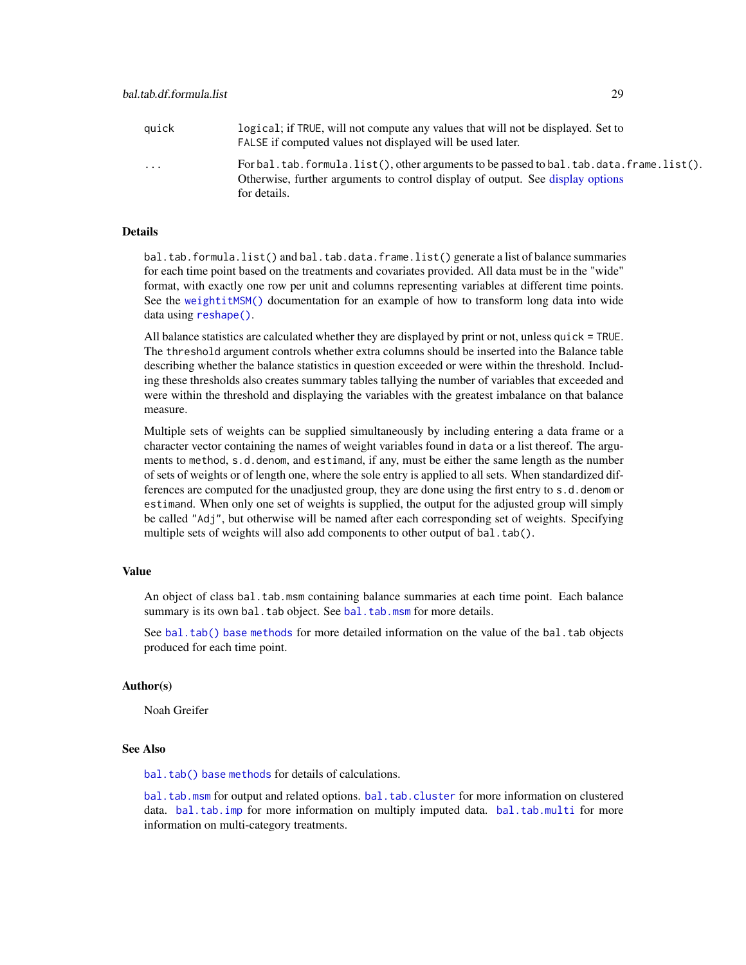| quick    | logical; if TRUE, will not compute any values that will not be displayed. Set to<br>FALSE if computed values not displayed will be used later.                                                        |
|----------|-------------------------------------------------------------------------------------------------------------------------------------------------------------------------------------------------------|
| $\cdots$ | For bal. tab. formula. $list()$ , other arguments to be passed to bal. tab. data. frame. $list()$ .<br>Otherwise, further arguments to control display of output. See display options<br>for details. |

## Details

bal.tab.formula.list() and bal.tab.data.frame.list() generate a list of balance summaries for each time point based on the treatments and covariates provided. All data must be in the "wide" format, with exactly one row per unit and columns representing variables at different time points. See the [weightitMSM\(\)](#page-0-0) documentation for an example of how to transform long data into wide data using [reshape\(\)](#page-0-0).

All balance statistics are calculated whether they are displayed by print or not, unless quick = TRUE. The threshold argument controls whether extra columns should be inserted into the Balance table describing whether the balance statistics in question exceeded or were within the threshold. Including these thresholds also creates summary tables tallying the number of variables that exceeded and were within the threshold and displaying the variables with the greatest imbalance on that balance measure.

Multiple sets of weights can be supplied simultaneously by including entering a data frame or a character vector containing the names of weight variables found in data or a list thereof. The arguments to method, s.d.denom, and estimand, if any, must be either the same length as the number of sets of weights or of length one, where the sole entry is applied to all sets. When standardized differences are computed for the unadjusted group, they are done using the first entry to s.d.denom or estimand. When only one set of weights is supplied, the output for the adjusted group will simply be called "Adj", but otherwise will be named after each corresponding set of weights. Specifying multiple sets of weights will also add components to other output of bal.tab().

#### Value

An object of class bal.tab.msm containing balance summaries at each time point. Each balance summary is its own bal.tab object. See [bal.tab.msm](#page-63-1) for more details.

See [bal.tab\(\) base methods](#page-20-1) for more detailed information on the value of the bal.tab objects produced for each time point.

#### Author(s)

Noah Greifer

#### See Also

[bal.tab\(\) base methods](#page-20-1) for details of calculations.

[bal.tab.msm](#page-63-1) for output and related options. [bal.tab.cluster](#page-60-1) for more information on clustered data. [bal.tab.imp](#page-62-1) for more information on multiply imputed data. [bal.tab.multi](#page-64-1) for more information on multi-category treatments.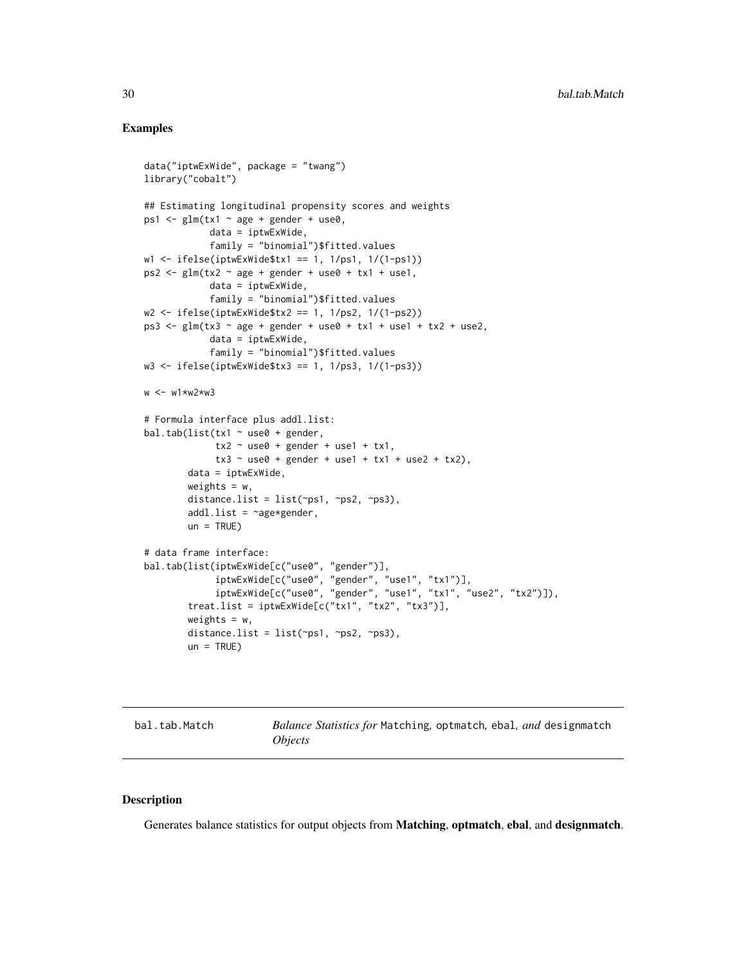## <span id="page-29-0"></span>Examples

```
data("iptwExWide", package = "twang")
library("cobalt")
## Estimating longitudinal propensity scores and weights
ps1 < - glm(tx1 \sim age + gender + use0,
            data = iptwExWide,
            family = "binomial")$fitted.values
w1 \le - ifelse(iptwExWide$tx1 == 1, 1/ps1, 1/(1-ps1))
ps2 \leq glm(tx2 \sim age + gender + use0 + tx1 + use1,data = iptwExWide,
            family = "binomial")$fitted.values
w2 \le - ifelse(iptwExWide$tx2 == 1, 1/ps2, 1/(1-ps2))
ps3 <- glm(tx3 ~ ~ age ~ + ~ gender ~ + use0 ~ + tx1 ~ + use1 ~ + tx2 ~ + use2,data = iptwExWide,
            family = "binomial")$fitted.values
w3 \leq ifelse(iptwExWide$tx3 == 1, 1/ps3, 1/(1-ps3))
w <- w1*w2*w3
# Formula interface plus addl.list:
bal.tab(list(tx1 \sim use0 + gender,
              tx2 \sim use0 + gender + use1 + tx1,tx3 \sim use0 + gender + use1 + tx1 + use2 + tx2),data = iptwExWide,
        weights = w,
        distance.list = list(\neg ps1, \neg ps2, \neg ps3),
        addl.list = \simage*gender,
        un = TRUE)
# data frame interface:
bal.tab(list(iptwExWide[c("use0", "gender")],
              iptwExWide[c("use0", "gender", "use1", "tx1")],
              iptwExWide[c("use0", "gender", "use1", "tx1", "use2", "tx2")]),
        treat.list = iptwExWide[c("tx1", "tx2", "tx3")],
        weights = w,
        distance.list = list(\neg ps1, \neg ps2, \neg ps3),
        un = TRUE)
```
<span id="page-29-1"></span>bal.tab.Match *Balance Statistics for* Matching*,* optmatch*,* ebal*, and* designmatch *Objects*

#### <span id="page-29-2"></span>Description

Generates balance statistics for output objects from Matching, optmatch, ebal, and designmatch.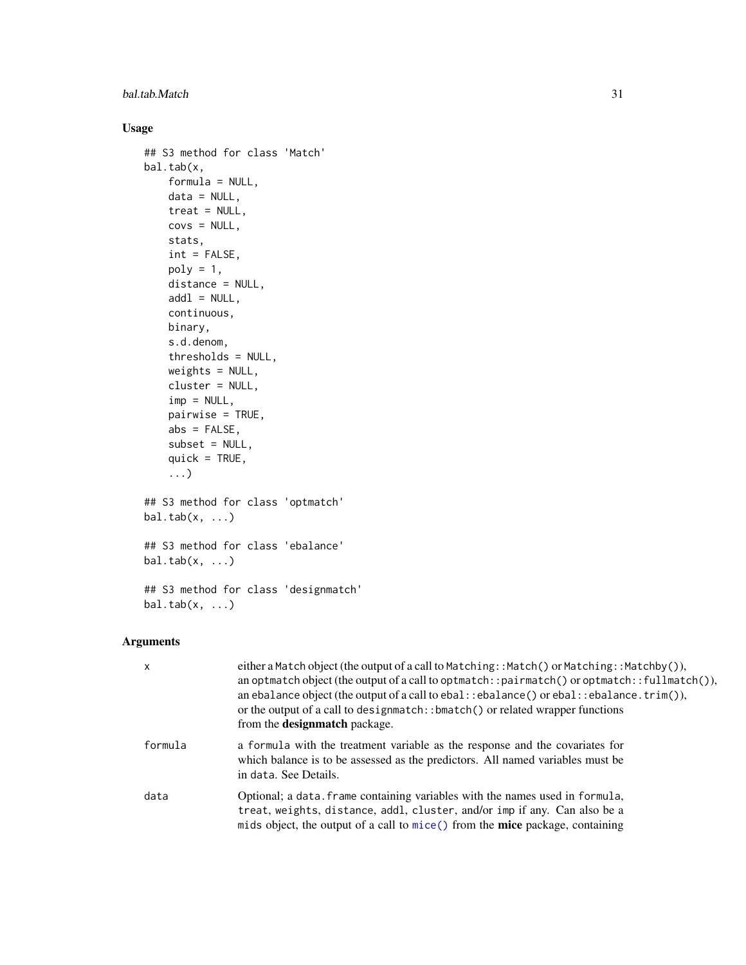# Usage

```
## S3 method for class 'Match'
bal.tab(x,
   formula = NULL,
   data = NULL,treat = NULL,
   covs = NULL,stats,
   int = FALSE,poly = 1,
   distance = NULL,
   add1 = NULL,continuous,
   binary,
   s.d.denom,
   thresholds = NULL,
   weights = NULL,
   cluster = NULL,
   imp = NULL,
   pairwise = TRUE,
   abs = FALSE,subset = NULL,quick = TRUE,
    ...)
## S3 method for class 'optmatch'
bal.tab(x, ...)## S3 method for class 'ebalance'
bal.tab(x, ...)## S3 method for class 'designmatch'
bal.tab(x, ...)
```
## Arguments

| X       | either a Match object (the output of a call to Matching: : Match() or Matching: : Matchby()),<br>an optmatch object (the output of a call to optmatch::pairmatch() or optmatch::fullmatch()),<br>an ebalance object (the output of a call to $ebal::ebalance()$ or $ebal::ebalance::trim())$ ,<br>or the output of a call to designmatch: : bmatch() or related wrapper functions<br>from the <b>designmatch</b> package. |
|---------|---------------------------------------------------------------------------------------------------------------------------------------------------------------------------------------------------------------------------------------------------------------------------------------------------------------------------------------------------------------------------------------------------------------------------|
| formula | a formula with the treatment variable as the response and the covariates for<br>which balance is to be assessed as the predictors. All named variables must be<br>in data. See Details.                                                                                                                                                                                                                                   |
| data    | Optional; a data. frame containing variables with the names used in formula,<br>treat, weights, distance, addl, cluster, and/or imp if any. Can also be a<br>mids object, the output of a call to mice() from the mice package, containing                                                                                                                                                                                |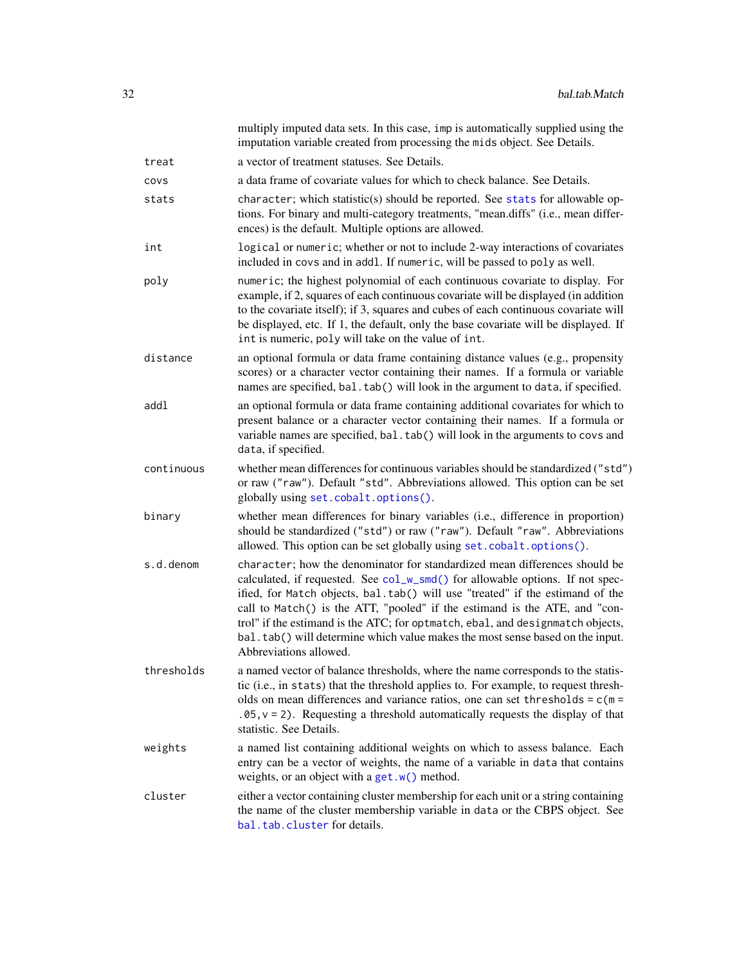|            | multiply imputed data sets. In this case, imp is automatically supplied using the<br>imputation variable created from processing the mids object. See Details.                                                                                                                                                                                                                                                                                                                                                          |
|------------|-------------------------------------------------------------------------------------------------------------------------------------------------------------------------------------------------------------------------------------------------------------------------------------------------------------------------------------------------------------------------------------------------------------------------------------------------------------------------------------------------------------------------|
| treat      | a vector of treatment statuses. See Details.                                                                                                                                                                                                                                                                                                                                                                                                                                                                            |
| covs       | a data frame of covariate values for which to check balance. See Details.                                                                                                                                                                                                                                                                                                                                                                                                                                               |
| stats      | character; which statistic(s) should be reported. See stats for allowable op-<br>tions. For binary and multi-category treatments, "mean.diffs" (i.e., mean differ-<br>ences) is the default. Multiple options are allowed.                                                                                                                                                                                                                                                                                              |
| int        | logical or numeric; whether or not to include 2-way interactions of covariates<br>included in covs and in addl. If numeric, will be passed to poly as well.                                                                                                                                                                                                                                                                                                                                                             |
| poly       | numeric; the highest polynomial of each continuous covariate to display. For<br>example, if 2, squares of each continuous covariate will be displayed (in addition<br>to the covariate itself); if 3, squares and cubes of each continuous covariate will<br>be displayed, etc. If 1, the default, only the base covariate will be displayed. If<br>int is numeric, poly will take on the value of int.                                                                                                                 |
| distance   | an optional formula or data frame containing distance values (e.g., propensity<br>scores) or a character vector containing their names. If a formula or variable<br>names are specified, bal.tab() will look in the argument to data, if specified.                                                                                                                                                                                                                                                                     |
| addl       | an optional formula or data frame containing additional covariates for which to<br>present balance or a character vector containing their names. If a formula or<br>variable names are specified, bal.tab() will look in the arguments to covs and<br>data, if specified.                                                                                                                                                                                                                                               |
| continuous | whether mean differences for continuous variables should be standardized ("std")<br>or raw ("raw"). Default "std". Abbreviations allowed. This option can be set<br>globally using set.cobalt.options().                                                                                                                                                                                                                                                                                                                |
| binary     | whether mean differences for binary variables (i.e., difference in proportion)<br>should be standardized ("std") or raw ("raw"). Default "raw". Abbreviations<br>allowed. This option can be set globally using set. cobalt. options().                                                                                                                                                                                                                                                                                 |
| s.d.denom  | character; how the denominator for standardized mean differences should be<br>calculated, if requested. See col_w_smd() for allowable options. If not spec-<br>ified, for Match objects, bal.tab() will use "treated" if the estimand of the<br>call to Match() is the ATT, "pooled" if the estimand is the ATE, and "con-<br>trol" if the estimand is the ATC; for optmatch, ebal, and designmatch objects,<br>bal.tab() will determine which value makes the most sense based on the input.<br>Abbreviations allowed. |
| thresholds | a named vector of balance thresholds, where the name corresponds to the statis-<br>tic (i.e., in stats) that the threshold applies to. For example, to request thresh-<br>olds on mean differences and variance ratios, one can set thresholds = $c(m =$<br>$.05$ , $v = 2$ ). Requesting a threshold automatically requests the display of that<br>statistic. See Details.                                                                                                                                             |
| weights    | a named list containing additional weights on which to assess balance. Each<br>entry can be a vector of weights, the name of a variable in data that contains<br>weights, or an object with a get. $w()$ method.                                                                                                                                                                                                                                                                                                        |
| cluster    | either a vector containing cluster membership for each unit or a string containing<br>the name of the cluster membership variable in data or the CBPS object. See<br>bal.tab.cluster for details.                                                                                                                                                                                                                                                                                                                       |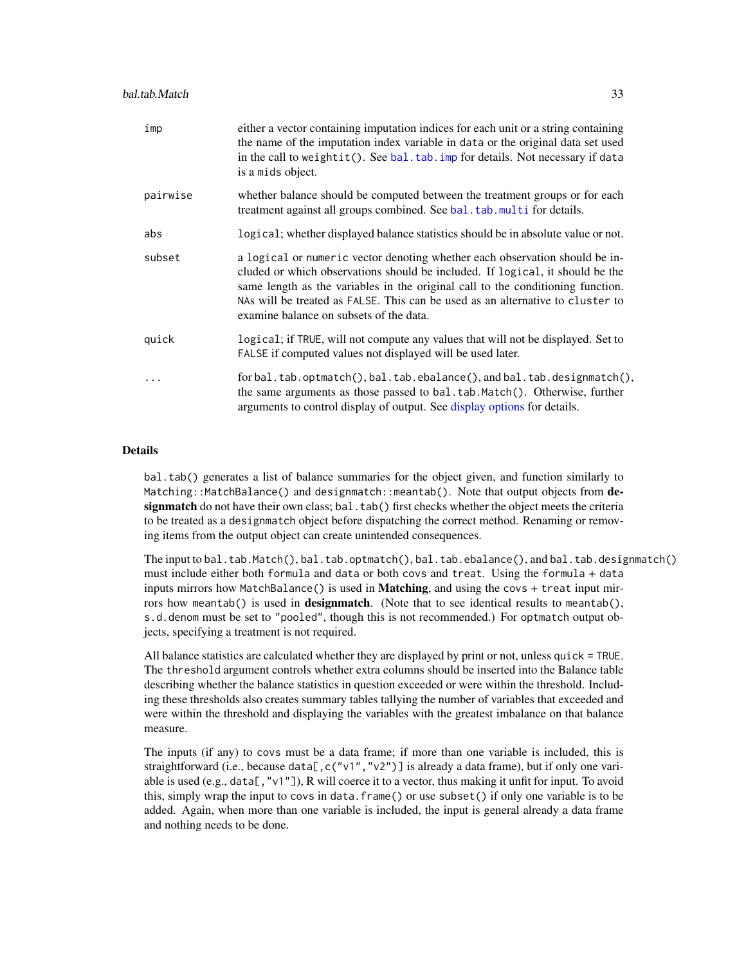| imp      | either a vector containing imputation indices for each unit or a string containing<br>the name of the imputation index variable in data or the original data set used<br>in the call to weightit(). See bal.tab.imp for details. Not necessary if data<br>is a mids object.                                                                                                  |
|----------|------------------------------------------------------------------------------------------------------------------------------------------------------------------------------------------------------------------------------------------------------------------------------------------------------------------------------------------------------------------------------|
| pairwise | whether balance should be computed between the treatment groups or for each<br>treatment against all groups combined. See bal. tab. multi for details.                                                                                                                                                                                                                       |
| abs      | logical; whether displayed balance statistics should be in absolute value or not.                                                                                                                                                                                                                                                                                            |
| subset   | a logical or numeric vector denoting whether each observation should be in-<br>cluded or which observations should be included. If logical, it should be the<br>same length as the variables in the original call to the conditioning function.<br>NAs will be treated as FALSE. This can be used as an alternative to cluster to<br>examine balance on subsets of the data. |
| quick    | logical; if TRUE, will not compute any values that will not be displayed. Set to<br>FALSE if computed values not displayed will be used later.                                                                                                                                                                                                                               |
| $\ddots$ | $for bal. tab. optmatch(), bal. tab. e balance(), and bal. tab. designmatch(),$<br>the same arguments as those passed to bal.tab.Match(). Otherwise, further<br>arguments to control display of output. See display options for details.                                                                                                                                     |

#### Details

bal.tab() generates a list of balance summaries for the object given, and function similarly to Matching::MatchBalance() and designmatch::meantab(). Note that output objects from designmatch do not have their own class; bal.tab() first checks whether the object meets the criteria to be treated as a designmatch object before dispatching the correct method. Renaming or removing items from the output object can create unintended consequences.

The input to bal.tab.Match(), bal.tab.optmatch(), bal.tab.ebalance(), and bal.tab.designmatch() must include either both formula and data or both covs and treat. Using the formula + data inputs mirrors how MatchBalance() is used in **Matching**, and using the covs  $+$  treat input mirrors how meantab() is used in designmatch. (Note that to see identical results to meantab(), s.d.denom must be set to "pooled", though this is not recommended.) For optmatch output objects, specifying a treatment is not required.

All balance statistics are calculated whether they are displayed by print or not, unless quick = TRUE. The threshold argument controls whether extra columns should be inserted into the Balance table describing whether the balance statistics in question exceeded or were within the threshold. Including these thresholds also creates summary tables tallying the number of variables that exceeded and were within the threshold and displaying the variables with the greatest imbalance on that balance measure.

The inputs (if any) to covs must be a data frame; if more than one variable is included, this is straightforward (i.e., because data[,c("v1","v2")] is already a data frame), but if only one variable is used (e.g., data[,"v1"]), R will coerce it to a vector, thus making it unfit for input. To avoid this, simply wrap the input to covs in data.frame() or use subset() if only one variable is to be added. Again, when more than one variable is included, the input is general already a data frame and nothing needs to be done.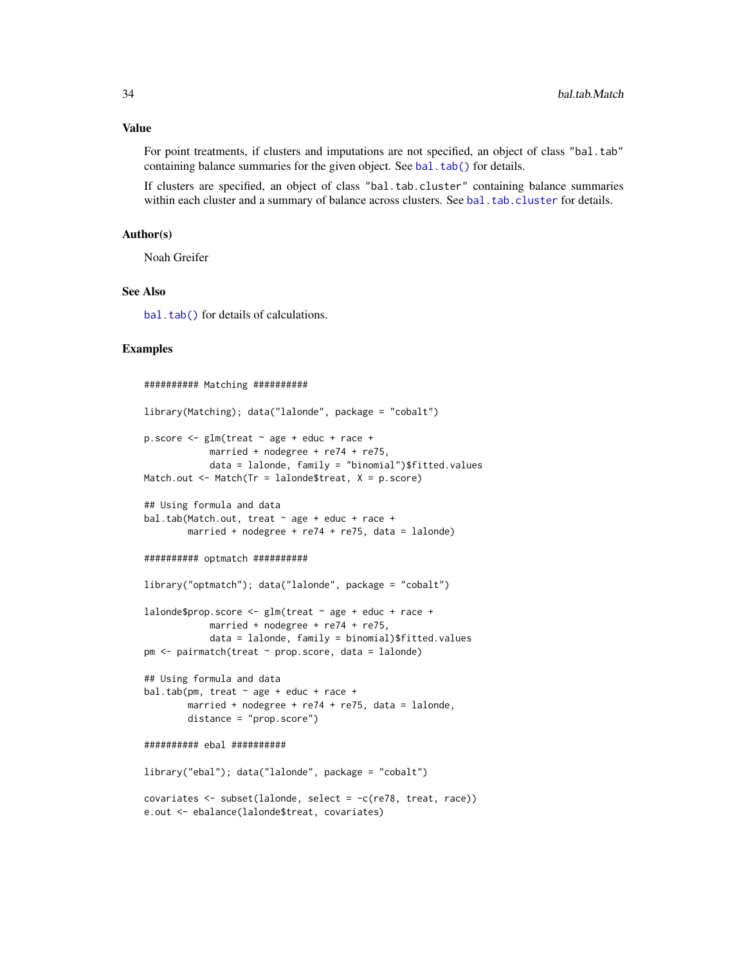## Value

For point treatments, if clusters and imputations are not specified, an object of class "bal.tab" containing balance summaries for the given object. See [bal.tab\(\)](#page-5-1) for details.

If clusters are specified, an object of class "bal.tab.cluster" containing balance summaries within each cluster and a summary of balance across clusters. See [bal.tab.cluster](#page-60-1) for details.

## Author(s)

Noah Greifer

## See Also

[bal.tab\(\)](#page-5-1) for details of calculations.

## Examples

```
########## Matching ##########
library(Matching); data("lalonde", package = "cobalt")
p.score <- glm(treat ~ age + educ + race +
            married + nodegree + re74 + re75,
            data = lalonde, family = "binomial")$fitted.values
Match.out \leq Match(Tr = lalonde$treat, X = p.score)
## Using formula and data
bal.tab(Match.out, treat \sim age + educ + race +
        married + nodegree + re74 + re75, data = lalonde)
########## optmatch ##########
library("optmatch"); data("lalonde", package = "cobalt")
lalonde$prop.score <- glm(treat ~ age + educ + race +married + nodegree + re74 + re75,
            data = lalonde, family = binomial)$fitted.values
pm <- pairmatch(treat ~ prop.score, data = lalonde)
## Using formula and data
bal.tab(pm, treat \sim age + educ + race +
        married + nodegree + re74 + re75, data = lalonde,
        distance = "prop.score")
########## ebal ##########
library("ebal"); data("lalonde", package = "cobalt")
covariates <- subset(lalonde, select = -c(re78, treat, race))
e.out <- ebalance(lalonde$treat, covariates)
```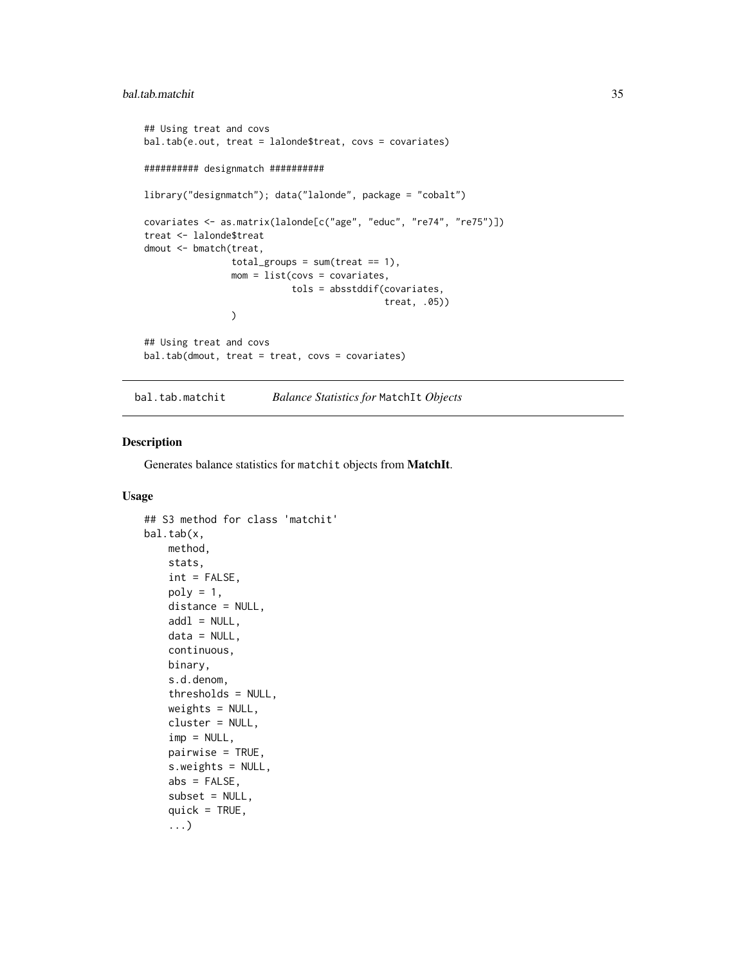## <span id="page-34-0"></span>bal.tab.matchit 35

```
## Using treat and covs
bal.tab(e.out, treat = lalonde$treat, covs = covariates)
########## designmatch ##########
library("designmatch"); data("lalonde", package = "cobalt")
covariates <- as.matrix(lalonde[c("age", "educ", "re74", "re75")])
treat <- lalonde$treat
dmout <- bmatch(treat,
                total\_groups = sum(treeat == 1),mom = list(covs = covariates,
                          tols = absstddif(covariates,
                                            treat, .05))
                )
## Using treat and covs
bal.tab(dmout, treat = treat, covs = covariates)
```
<span id="page-34-1"></span>bal.tab.matchit *Balance Statistics for* MatchIt *Objects*

## Description

Generates balance statistics for matchit objects from MatchIt.

## Usage

```
## S3 method for class 'matchit'
bal.tab(x,
   method,
   stats,
    int = FALSE,
   poly = 1,
   distance = NULL,
   add1 = NULL,data = NULL,continuous,
   binary,
    s.d.denom,
    thresholds = NULL,
   weights = NULL,
    cluster = NULL,
    imp = NULL,pairwise = TRUE,
    s.weights = NULL,
    abs = FALSE,subset = NULL,
    quick = TRUE,
    ...)
```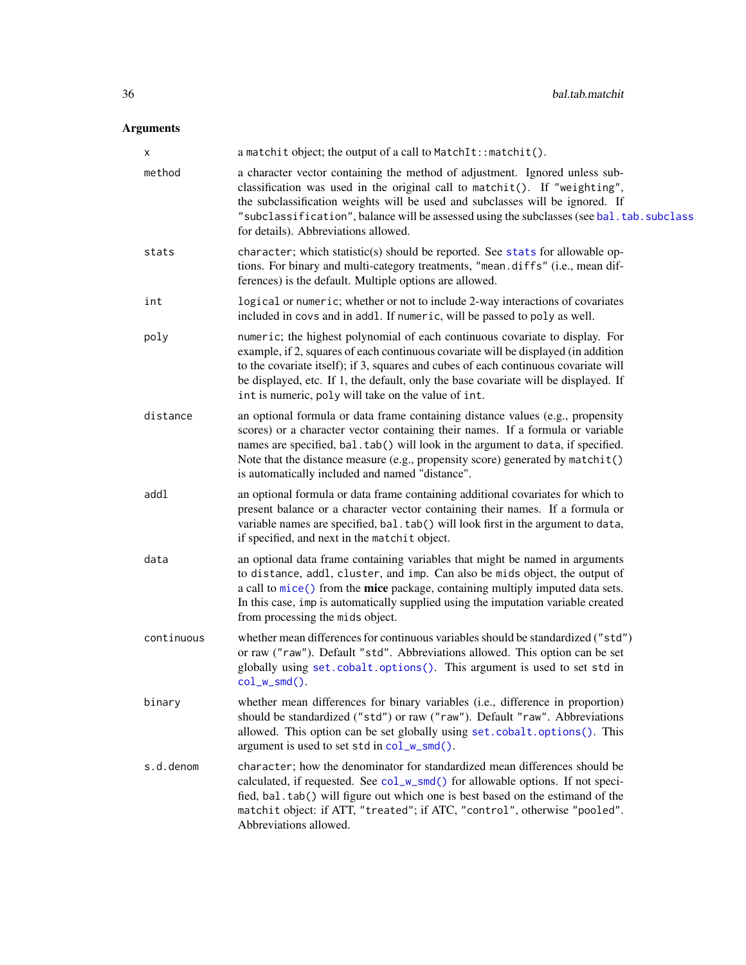# Arguments

| X          | a matchit object; the output of a call to MatchIt:: matchit().                                                                                                                                                                                                                                                                                                                                          |
|------------|---------------------------------------------------------------------------------------------------------------------------------------------------------------------------------------------------------------------------------------------------------------------------------------------------------------------------------------------------------------------------------------------------------|
| method     | a character vector containing the method of adjustment. Ignored unless sub-<br>classification was used in the original call to matchit(). If "weighting",<br>the subclassification weights will be used and subclasses will be ignored. If<br>"subclassification", balance will be assessed using the subclasses (see bal.tab.subclass<br>for details). Abbreviations allowed.                          |
| stats      | character; which statistic(s) should be reported. See stats for allowable op-<br>tions. For binary and multi-category treatments, "mean.diffs" (i.e., mean dif-<br>ferences) is the default. Multiple options are allowed.                                                                                                                                                                              |
| int        | logical or numeric; whether or not to include 2-way interactions of covariates<br>included in covs and in addl. If numeric, will be passed to poly as well.                                                                                                                                                                                                                                             |
| poly       | numeric; the highest polynomial of each continuous covariate to display. For<br>example, if 2, squares of each continuous covariate will be displayed (in addition<br>to the covariate itself); if 3, squares and cubes of each continuous covariate will<br>be displayed, etc. If 1, the default, only the base covariate will be displayed. If<br>int is numeric, poly will take on the value of int. |
| distance   | an optional formula or data frame containing distance values (e.g., propensity<br>scores) or a character vector containing their names. If a formula or variable<br>names are specified, bal.tab() will look in the argument to data, if specified.<br>Note that the distance measure (e.g., propensity score) generated by matchit()<br>is automatically included and named "distance".                |
| addl       | an optional formula or data frame containing additional covariates for which to<br>present balance or a character vector containing their names. If a formula or<br>variable names are specified, bal.tab() will look first in the argument to data,<br>if specified, and next in the matchit object.                                                                                                   |
| data       | an optional data frame containing variables that might be named in arguments<br>to distance, addl, cluster, and imp. Can also be mids object, the output of<br>a call to mice() from the mice package, containing multiply imputed data sets.<br>In this case, imp is automatically supplied using the imputation variable created<br>from processing the mids object.                                  |
| continuous | whether mean differences for continuous variables should be standardized ("std")<br>or raw ("raw"). Default "std". Abbreviations allowed. This option can be set<br>globally using set.cobalt.options(). This argument is used to set std in<br>$col_w_smd()$ .                                                                                                                                         |
| binary     | whether mean differences for binary variables (i.e., difference in proportion)<br>should be standardized ("std") or raw ("raw"). Default "raw". Abbreviations<br>allowed. This option can be set globally using set.cobalt.options(). This<br>argument is used to set std in col_w_smd().                                                                                                               |
| s.d.denom  | character; how the denominator for standardized mean differences should be<br>calculated, if requested. See col_w_smd() for allowable options. If not speci-<br>fied, bal.tab() will figure out which one is best based on the estimand of the<br>matchit object: if ATT, "treated"; if ATC, "control", otherwise "pooled".<br>Abbreviations allowed.                                                   |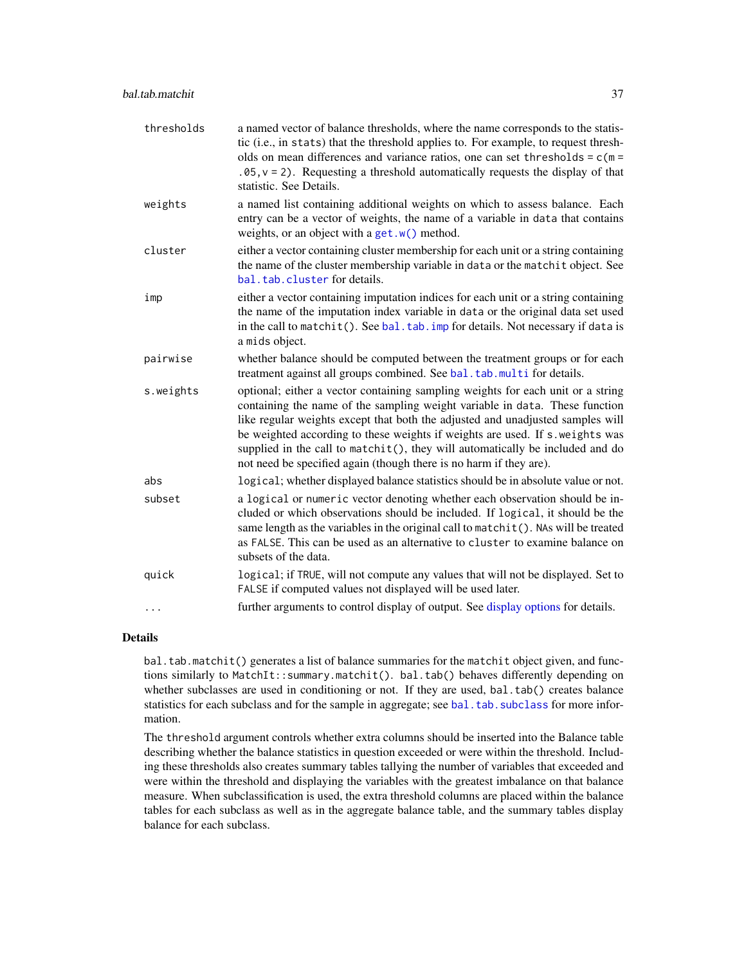| thresholds | a named vector of balance thresholds, where the name corresponds to the statis-<br>tic (i.e., in stats) that the threshold applies to. For example, to request thresh-<br>olds on mean differences and variance ratios, one can set thresholds = $c(m =$<br>$.05, v = 2$ ). Requesting a threshold automatically requests the display of that<br>statistic. See Details.                                                                                                                 |
|------------|------------------------------------------------------------------------------------------------------------------------------------------------------------------------------------------------------------------------------------------------------------------------------------------------------------------------------------------------------------------------------------------------------------------------------------------------------------------------------------------|
| weights    | a named list containing additional weights on which to assess balance. Each<br>entry can be a vector of weights, the name of a variable in data that contains<br>weights, or an object with a get. $w()$ method.                                                                                                                                                                                                                                                                         |
| cluster    | either a vector containing cluster membership for each unit or a string containing<br>the name of the cluster membership variable in data or the matchit object. See<br>bal. tab. cluster for details.                                                                                                                                                                                                                                                                                   |
| imp        | either a vector containing imputation indices for each unit or a string containing<br>the name of the imputation index variable in data or the original data set used<br>in the call to matchit(). See bal. tab. imp for details. Not necessary if data is<br>a mids object.                                                                                                                                                                                                             |
| pairwise   | whether balance should be computed between the treatment groups or for each<br>treatment against all groups combined. See bal. tab. multi for details.                                                                                                                                                                                                                                                                                                                                   |
| s.weights  | optional; either a vector containing sampling weights for each unit or a string<br>containing the name of the sampling weight variable in data. These function<br>like regular weights except that both the adjusted and unadjusted samples will<br>be weighted according to these weights if weights are used. If s. weights was<br>supplied in the call to matchit(), they will automatically be included and do<br>not need be specified again (though there is no harm if they are). |
| abs        | logical; whether displayed balance statistics should be in absolute value or not.                                                                                                                                                                                                                                                                                                                                                                                                        |
| subset     | a logical or numeric vector denoting whether each observation should be in-<br>cluded or which observations should be included. If logical, it should be the<br>same length as the variables in the original call to matchit(). NAs will be treated<br>as FALSE. This can be used as an alternative to cluster to examine balance on<br>subsets of the data.                                                                                                                             |
| quick      | logical; if TRUE, will not compute any values that will not be displayed. Set to<br>FALSE if computed values not displayed will be used later.                                                                                                                                                                                                                                                                                                                                           |
| $\cdots$   | further arguments to control display of output. See display options for details.                                                                                                                                                                                                                                                                                                                                                                                                         |

### Details

bal.tab.matchit() generates a list of balance summaries for the matchit object given, and functions similarly to MatchIt::summary.matchit(). bal.tab() behaves differently depending on whether subclasses are used in conditioning or not. If they are used, bal.tab() creates balance statistics for each subclass and for the sample in aggregate; see [bal.tab.subclass](#page-66-0) for more information.

The threshold argument controls whether extra columns should be inserted into the Balance table describing whether the balance statistics in question exceeded or were within the threshold. Including these thresholds also creates summary tables tallying the number of variables that exceeded and were within the threshold and displaying the variables with the greatest imbalance on that balance measure. When subclassification is used, the extra threshold columns are placed within the balance tables for each subclass as well as in the aggregate balance table, and the summary tables display balance for each subclass.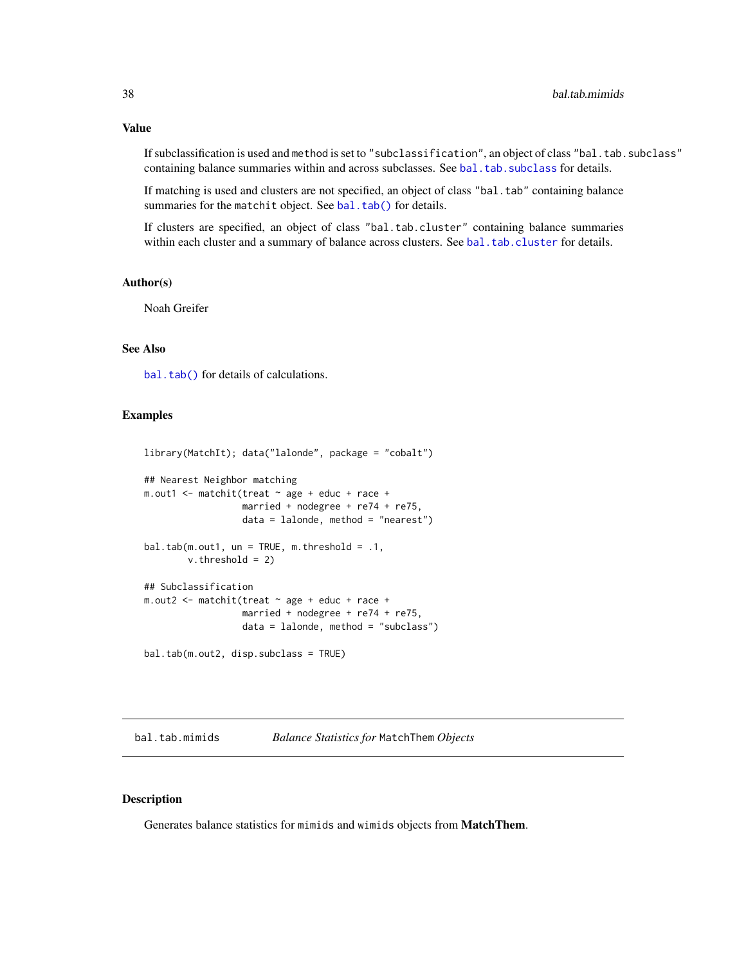## Value

If subclassification is used and method is set to "subclassification", an object of class "bal.tab.subclass" containing balance summaries within and across subclasses. See [bal.tab.subclass](#page-66-0) for details.

If matching is used and clusters are not specified, an object of class "bal.tab" containing balance summaries for the matchit object. See [bal.tab\(\)](#page-5-0) for details.

If clusters are specified, an object of class "bal.tab.cluster" containing balance summaries within each cluster and a summary of balance across clusters. See [bal.tab.cluster](#page-60-0) for details.

## Author(s)

Noah Greifer

# See Also

[bal.tab\(\)](#page-5-0) for details of calculations.

#### Examples

```
library(MatchIt); data("lalonde", package = "cobalt")
## Nearest Neighbor matching
m.out1 <- matchit(treat ~ age + educ + race +
                 married + nodegree + re74 + re75,
                 data = lalone, method = "nearest")bal.tab(m.out1, un = TRUE, m.threshold = .1,v.threshold = 2)
## Subclassification
m.out2 < - matchit(treat \sim age + educ + race +
                 married + nodegree + re74 + re75,
                  data = lalone, method = "subclass")bal.tab(m.out2, disp.subclass = TRUE)
```
bal.tab.mimids *Balance Statistics for* MatchThem *Objects*

## Description

Generates balance statistics for mimids and wimids objects from MatchThem.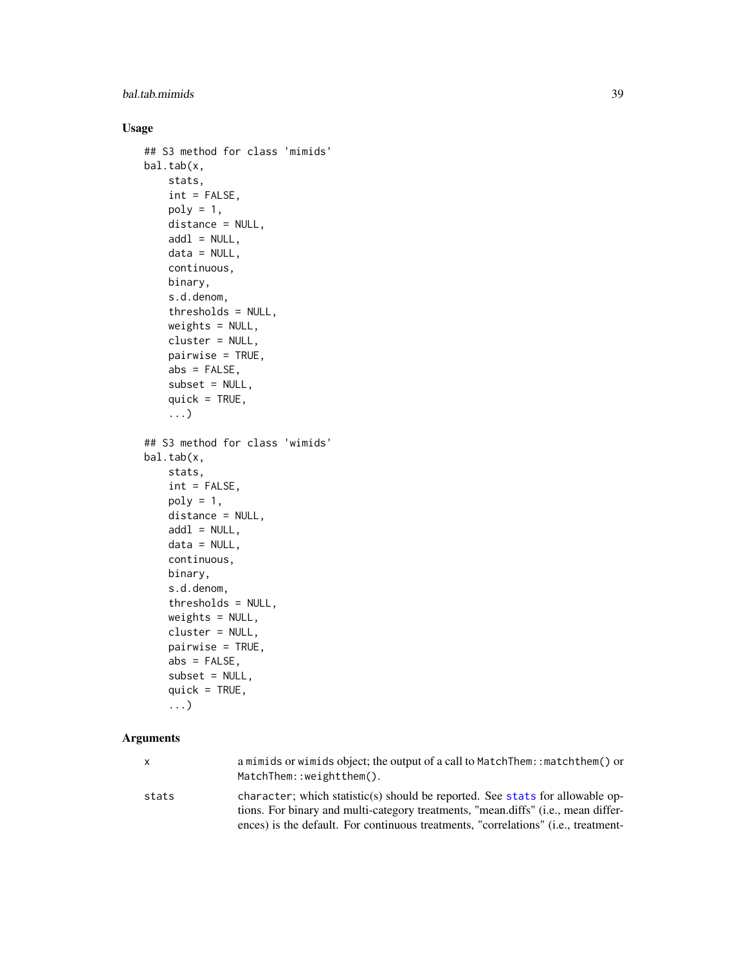## bal.tab.mimids 39

# Usage

```
## S3 method for class 'mimids'
bal.tab(x,
    stats,
    int = FALSE,poly = 1,
    distance = NULL,
    add1 = NULL,data = NULL,
    continuous,
    binary,
    s.d.denom,
    thresholds = NULL,
    weights = NULL,
    cluster = NULL,
    pairwise = TRUE,
    abs = FALSE,
    subset = NULL,
    quick = TRUE,
    ...)
## S3 method for class 'wimids'
bal.tab(x,
   stats,
   int = FALSE,poly = 1,
    distance = NULL,
    add1 = NULL,data = NULL,continuous,
   binary,
    s.d.denom,
    thresholds = NULL,
    weights = NULL,
    cluster = NULL,
    pairwise = TRUE,
    abs = FALSE,subset = NULL,
    quick = TRUE,
    ...)
```
# Arguments

| x.    | a mimids or wimids object; the output of a call to MatchThem: : matchthem() or<br>$MatchThen::weightthen()$ .                                                               |
|-------|-----------------------------------------------------------------------------------------------------------------------------------------------------------------------------|
| stats | character; which statistic(s) should be reported. See stats for allowable op-<br>tions. For binary and multi-category treatments, "mean.diffs" ( <i>i.e.</i> , mean differ- |
|       | ences) is the default. For continuous treatments, "correlations" ( <i>i.e.</i> , treatment-                                                                                 |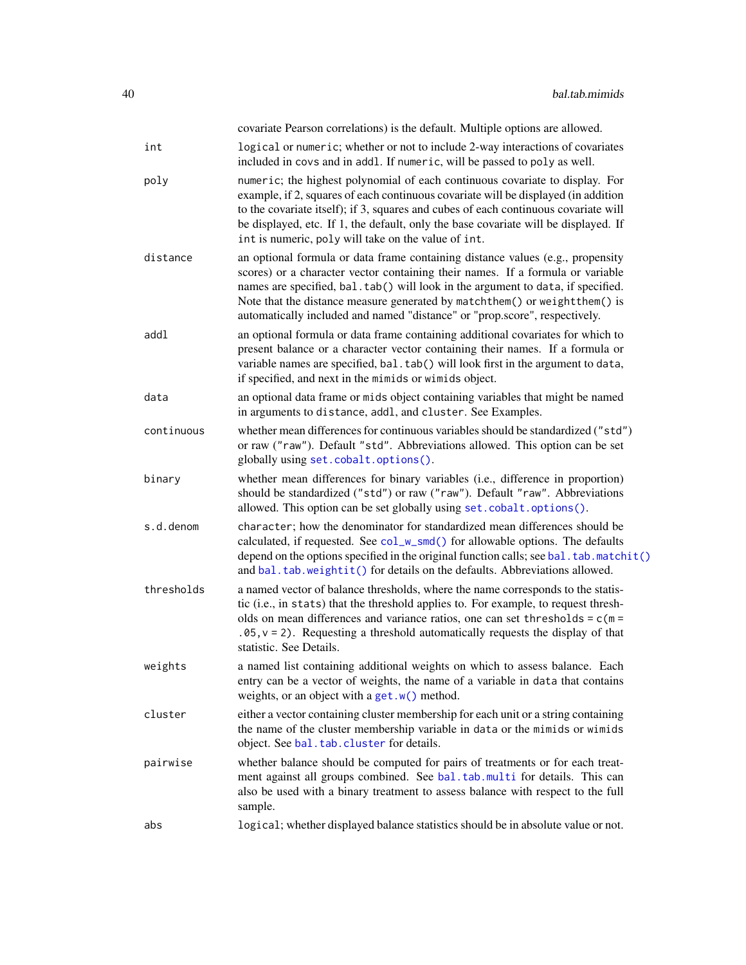|            | covariate Pearson correlations) is the default. Multiple options are allowed.                                                                                                                                                                                                                                                                                                                                   |
|------------|-----------------------------------------------------------------------------------------------------------------------------------------------------------------------------------------------------------------------------------------------------------------------------------------------------------------------------------------------------------------------------------------------------------------|
| int        | logical or numeric; whether or not to include 2-way interactions of covariates<br>included in covs and in addl. If numeric, will be passed to poly as well.                                                                                                                                                                                                                                                     |
| poly       | numeric; the highest polynomial of each continuous covariate to display. For<br>example, if 2, squares of each continuous covariate will be displayed (in addition<br>to the covariate itself); if 3, squares and cubes of each continuous covariate will<br>be displayed, etc. If 1, the default, only the base covariate will be displayed. If<br>int is numeric, poly will take on the value of int.         |
| distance   | an optional formula or data frame containing distance values (e.g., propensity<br>scores) or a character vector containing their names. If a formula or variable<br>names are specified, bal.tab() will look in the argument to data, if specified.<br>Note that the distance measure generated by matchthem() or weightthem() is<br>automatically included and named "distance" or "prop.score", respectively. |
| addl       | an optional formula or data frame containing additional covariates for which to<br>present balance or a character vector containing their names. If a formula or<br>variable names are specified, bal.tab() will look first in the argument to data,<br>if specified, and next in the mimids or wimids object.                                                                                                  |
| data       | an optional data frame or mids object containing variables that might be named<br>in arguments to distance, addl, and cluster. See Examples.                                                                                                                                                                                                                                                                    |
| continuous | whether mean differences for continuous variables should be standardized ("std")<br>or raw ("raw"). Default "std". Abbreviations allowed. This option can be set<br>globally using set.cobalt.options().                                                                                                                                                                                                        |
| binary     | whether mean differences for binary variables (i.e., difference in proportion)<br>should be standardized ("std") or raw ("raw"). Default "raw". Abbreviations<br>allowed. This option can be set globally using set. cobalt. options().                                                                                                                                                                         |
| s.d.denom  | character; how the denominator for standardized mean differences should be<br>calculated, if requested. See col_w_smd() for allowable options. The defaults<br>depend on the options specified in the original function calls; see bal. tab. matchit()<br>and bal. tab. weightit() for details on the defaults. Abbreviations allowed.                                                                          |
| thresholds | a named vector of balance thresholds, where the name corresponds to the statis-<br>tic (i.e., in stats) that the threshold applies to. For example, to request thresh-<br>olds on mean differences and variance ratios, one can set thresholds = $c(m =$<br>$.05$ , $v = 2$ ). Requesting a threshold automatically requests the display of that<br>statistic. See Details.                                     |
| weights    | a named list containing additional weights on which to assess balance. Each<br>entry can be a vector of weights, the name of a variable in data that contains<br>weights, or an object with a get. w() method.                                                                                                                                                                                                  |
| cluster    | either a vector containing cluster membership for each unit or a string containing<br>the name of the cluster membership variable in data or the mimids or wimids<br>object. See bal.tab.cluster for details.                                                                                                                                                                                                   |
| pairwise   | whether balance should be computed for pairs of treatments or for each treat-<br>ment against all groups combined. See bal.tab.multi for details. This can<br>also be used with a binary treatment to assess balance with respect to the full<br>sample.                                                                                                                                                        |
| abs        | logical; whether displayed balance statistics should be in absolute value or not.                                                                                                                                                                                                                                                                                                                               |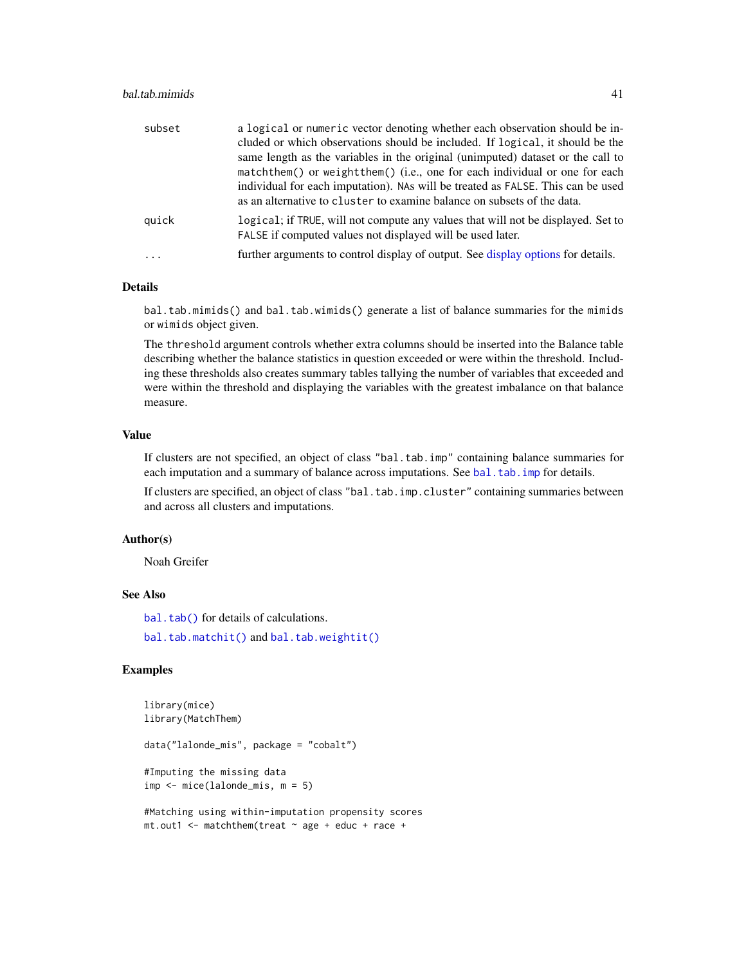## bal.tab.mimids 41

| subset   | a logical or numeric vector denoting whether each observation should be in-<br>cluded or which observations should be included. If logical, it should be the<br>same length as the variables in the original (unimputed) dataset or the call to |
|----------|-------------------------------------------------------------------------------------------------------------------------------------------------------------------------------------------------------------------------------------------------|
|          | matchthem() or weightthem() (i.e., one for each individual or one for each<br>individual for each imputation). NAs will be treated as FALSE. This can be used<br>as an alternative to cluster to examine balance on subsets of the data.        |
| quick    | logical; if TRUE, will not compute any values that will not be displayed. Set to<br>FALSE if computed values not displayed will be used later.                                                                                                  |
| $\ddots$ | further arguments to control display of output. See display options for details.                                                                                                                                                                |

## Details

bal.tab.mimids() and bal.tab.wimids() generate a list of balance summaries for the mimids or wimids object given.

The threshold argument controls whether extra columns should be inserted into the Balance table describing whether the balance statistics in question exceeded or were within the threshold. Including these thresholds also creates summary tables tallying the number of variables that exceeded and were within the threshold and displaying the variables with the greatest imbalance on that balance measure.

## Value

If clusters are not specified, an object of class "bal.tab.imp" containing balance summaries for each imputation and a summary of balance across imputations. See bal. tab. imp for details.

If clusters are specified, an object of class "bal.tab.imp.cluster" containing summaries between and across all clusters and imputations.

## Author(s)

Noah Greifer

#### See Also

[bal.tab\(\)](#page-5-0) for details of calculations.

[bal.tab.matchit\(\)](#page-34-0) and [bal.tab.weightit\(\)](#page-49-0)

## Examples

```
library(mice)
library(MatchThem)
data("lalonde_mis", package = "cobalt")
#Imputing the missing data
imp <- mice(lalonde_mis, m = 5)
#Matching using within-imputation propensity scores
```

```
mt.out1 <- matchthem(treat ~ age + educ + race +
```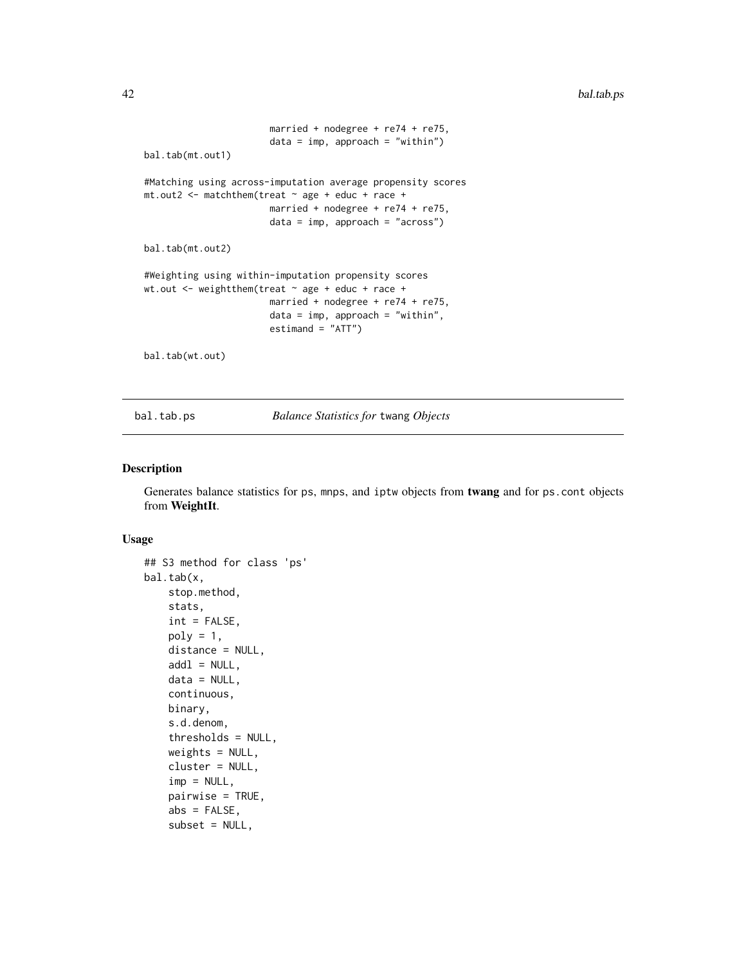```
married + nodegree + re74 + re75,
                       data = imp, approach = "within")
bal.tab(mt.out1)
#Matching using across-imputation average propensity scores
mt.out2 <- matchthem(treat ~ age + educ + race +
                       married + nodegree + re74 + re75,
                       data = imp, approach = "across")
bal.tab(mt.out2)
#Weighting using within-imputation propensity scores
wt.out \leq weightthem(treat \sim age + educ + race +
                       married + nodegree + re74 + re75,
                       data = imp, approach = "within",
                       estimand = "ATT")
bal.tab(wt.out)
```
bal.tab.ps *Balance Statistics for* twang *Objects*

## Description

Generates balance statistics for ps, mnps, and iptw objects from **twang** and for ps.cont objects from WeightIt.

#### Usage

```
## S3 method for class 'ps'
bal.tab(x,
    stop.method,
    stats,
    int = FALSE,poly = 1,
   distance = NULL,
   add1 = NULL,data = NULL,continuous,
   binary,
    s.d.denom,
    thresholds = NULL,
   weights = NULL,cluster = NULL,
    imp = NULL,pairwise = TRUE,
    abs = FALSE,subset = NULL,
```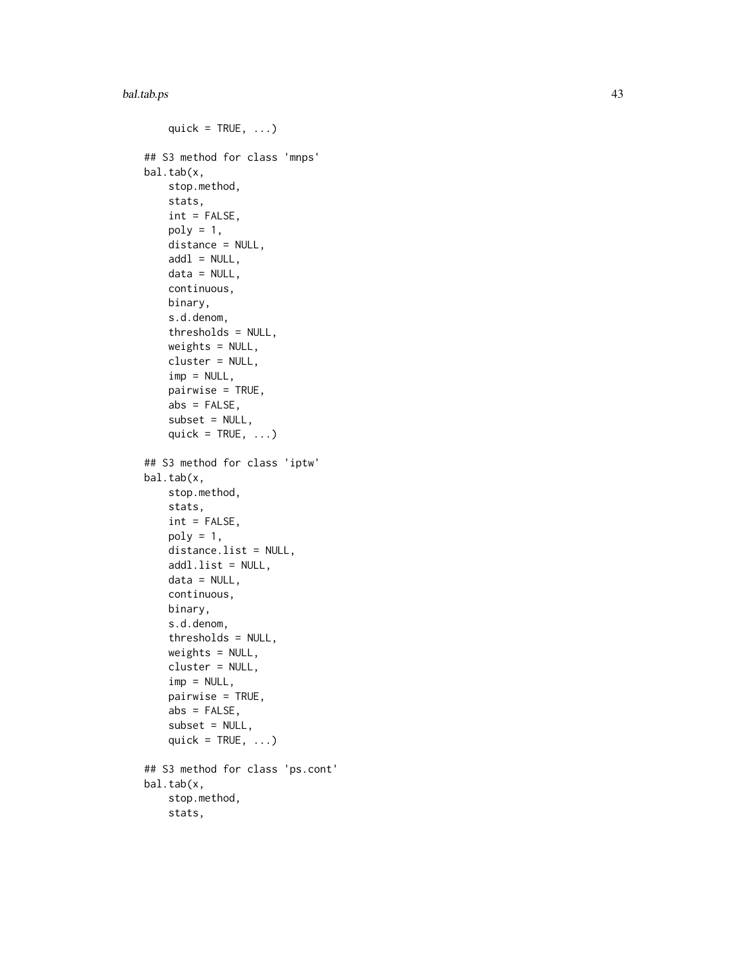#### bal.tab.ps 43

```
quick = TRUE, \ldots)
## S3 method for class 'mnps'
bal.tab(x,
    stop.method,
    stats,
   int = FALSE,poly = 1,
    distance = NULL,
    add1 = NULL,data = NULL,
    continuous,
   binary,
    s.d.denom,
    thresholds = NULL,
    weights = NULL,
    cluster = NULL,
    imp = NULL,pairwise = TRUE,
    abs = FALSE,
    subset = NULL,quick = TRUE, \ldots)
## S3 method for class 'iptw'
bal.tab(x,
   stop.method,
    stats,
    int = FALSE,
    poly = 1,
    distance.list = NULL,
    addl.list = NULL,
    data = NULL,
    continuous,
    binary,
    s.d.denom,
    thresholds = NULL,
    weights = NULL,cluster = NULL,
    imp = NULL,pairwise = TRUE,
    abs = FALSE,subset = NULL,quick = TRUE, \ldots)
## S3 method for class 'ps.cont'
bal.tab(x,
    stop.method,
    stats,
```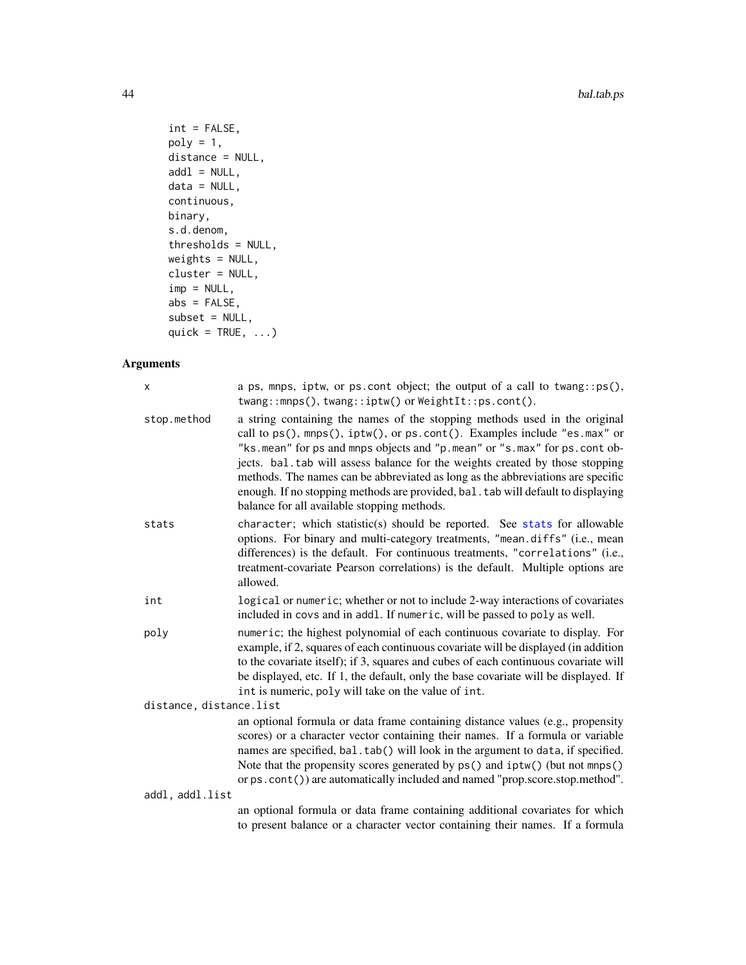```
int = FALSE,poly = 1,
distance = NULL,
add1 = NULL,data = NULL,
continuous,
binary,
s.d.denom,
thresholds = NULL,
weights = NULL,
cluster = NULL,
imp = NULL,abs = FALSE,subset = NULL,quick = TRUE, \dots)
```
# Arguments

| X                       | a ps, mnps, iptw, or ps. cont object; the output of a call to twang:: $ps()$ ,<br>twang::mnps(),twang::iptw() or WeightIt::ps.cont().                                                                                                                                                                                                                                                                                                                                                                                                         |
|-------------------------|-----------------------------------------------------------------------------------------------------------------------------------------------------------------------------------------------------------------------------------------------------------------------------------------------------------------------------------------------------------------------------------------------------------------------------------------------------------------------------------------------------------------------------------------------|
| stop.method             | a string containing the names of the stopping methods used in the original<br>call to ps(), mnps(), iptw(), or ps.cont(). Examples include "es.max" or<br>"ks. mean" for ps and mnps objects and "p. mean" or "s. max" for ps. cont ob-<br>jects. bal.tab will assess balance for the weights created by those stopping<br>methods. The names can be abbreviated as long as the abbreviations are specific<br>enough. If no stopping methods are provided, bal. tab will default to displaying<br>balance for all available stopping methods. |
| stats                   | character; which statistic(s) should be reported. See stats for allowable<br>options. For binary and multi-category treatments, "mean.diffs" (i.e., mean<br>differences) is the default. For continuous treatments, "correlations" (i.e.,<br>treatment-covariate Pearson correlations) is the default. Multiple options are<br>allowed.                                                                                                                                                                                                       |
| int                     | logical or numeric; whether or not to include 2-way interactions of covariates<br>included in covs and in addl. If numeric, will be passed to poly as well.                                                                                                                                                                                                                                                                                                                                                                                   |
| poly                    | numeric; the highest polynomial of each continuous covariate to display. For<br>example, if 2, squares of each continuous covariate will be displayed (in addition<br>to the covariate itself); if 3, squares and cubes of each continuous covariate will<br>be displayed, etc. If 1, the default, only the base covariate will be displayed. If<br>int is numeric, poly will take on the value of int.                                                                                                                                       |
| distance, distance.list |                                                                                                                                                                                                                                                                                                                                                                                                                                                                                                                                               |
|                         | an optional formula or data frame containing distance values (e.g., propensity<br>scores) or a character vector containing their names. If a formula or variable<br>names are specified, bal.tab() will look in the argument to data, if specified.<br>Note that the propensity scores generated by ps() and iptw() (but not mnps()<br>or ps. cont()) are automatically included and named "prop.score.stop.method".                                                                                                                          |
| addl, addl.list         |                                                                                                                                                                                                                                                                                                                                                                                                                                                                                                                                               |
|                         | an optional formula or data frame containing additional covariates for which<br>to present balance or a character vector containing their names. If a formula                                                                                                                                                                                                                                                                                                                                                                                 |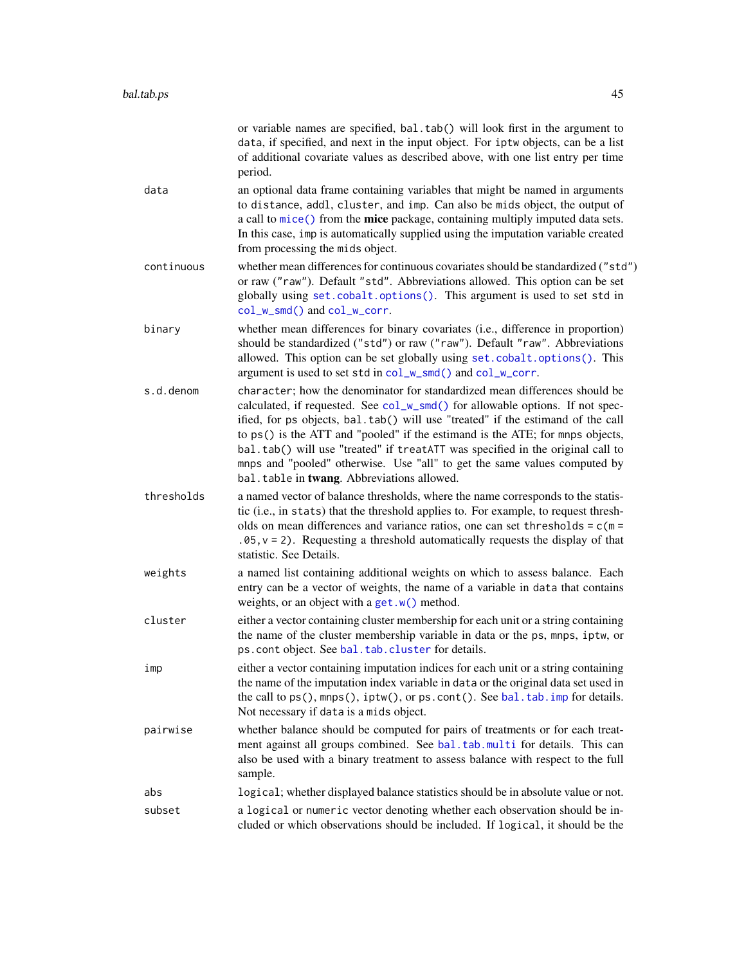|            | or variable names are specified, bal.tab() will look first in the argument to<br>data, if specified, and next in the input object. For iptw objects, can be a list<br>of additional covariate values as described above, with one list entry per time<br>period.                                                                                                                                                                                                                                                                             |
|------------|----------------------------------------------------------------------------------------------------------------------------------------------------------------------------------------------------------------------------------------------------------------------------------------------------------------------------------------------------------------------------------------------------------------------------------------------------------------------------------------------------------------------------------------------|
| data       | an optional data frame containing variables that might be named in arguments<br>to distance, addl, cluster, and imp. Can also be mids object, the output of<br>a call to mice() from the mice package, containing multiply imputed data sets.<br>In this case, imp is automatically supplied using the imputation variable created<br>from processing the mids object.                                                                                                                                                                       |
| continuous | whether mean differences for continuous covariates should be standardized ("std")<br>or raw ("raw"). Default "std". Abbreviations allowed. This option can be set<br>globally using set.cobalt.options(). This argument is used to set std in<br>col_w_smd() and col_w_corr.                                                                                                                                                                                                                                                                 |
| binary     | whether mean differences for binary covariates (i.e., difference in proportion)<br>should be standardized ("std") or raw ("raw"). Default "raw". Abbreviations<br>allowed. This option can be set globally using set.cobalt.options(). This<br>argument is used to set std in col_w_smd() and col_w_corr.                                                                                                                                                                                                                                    |
| s.d.denom  | character; how the denominator for standardized mean differences should be<br>calculated, if requested. See col_w_smd() for allowable options. If not spec-<br>ified, for ps objects, bal.tab() will use "treated" if the estimand of the call<br>to ps() is the ATT and "pooled" if the estimand is the ATE; for mnps objects,<br>bal.tab() will use "treated" if treatATT was specified in the original call to<br>mnps and "pooled" otherwise. Use "all" to get the same values computed by<br>bal.table in twang. Abbreviations allowed. |
| thresholds | a named vector of balance thresholds, where the name corresponds to the statis-<br>tic (i.e., in stats) that the threshold applies to. For example, to request thresh-<br>olds on mean differences and variance ratios, one can set thresholds = $c(m =$<br>$.05$ , $v = 2$ ). Requesting a threshold automatically requests the display of that<br>statistic. See Details.                                                                                                                                                                  |
| weights    | a named list containing additional weights on which to assess balance. Each<br>entry can be a vector of weights, the name of a variable in data that contains<br>weights, or an object with a get. $w()$ method.                                                                                                                                                                                                                                                                                                                             |
| cluster    | either a vector containing cluster membership for each unit or a string containing<br>the name of the cluster membership variable in data or the ps, mnps, iptw, or<br>ps. cont object. See bal. tab. cluster for details.                                                                                                                                                                                                                                                                                                                   |
| imp        | either a vector containing imputation indices for each unit or a string containing<br>the name of the imputation index variable in data or the original data set used in<br>the call to ps(), mnps(), iptw(), or ps.cont(). See bal.tab.imp for details.<br>Not necessary if data is a mids object.                                                                                                                                                                                                                                          |
| pairwise   | whether balance should be computed for pairs of treatments or for each treat-<br>ment against all groups combined. See bal.tab.multi for details. This can<br>also be used with a binary treatment to assess balance with respect to the full<br>sample.                                                                                                                                                                                                                                                                                     |
| abs        | logical; whether displayed balance statistics should be in absolute value or not.                                                                                                                                                                                                                                                                                                                                                                                                                                                            |
| subset     | a logical or numeric vector denoting whether each observation should be in-<br>cluded or which observations should be included. If logical, it should be the                                                                                                                                                                                                                                                                                                                                                                                 |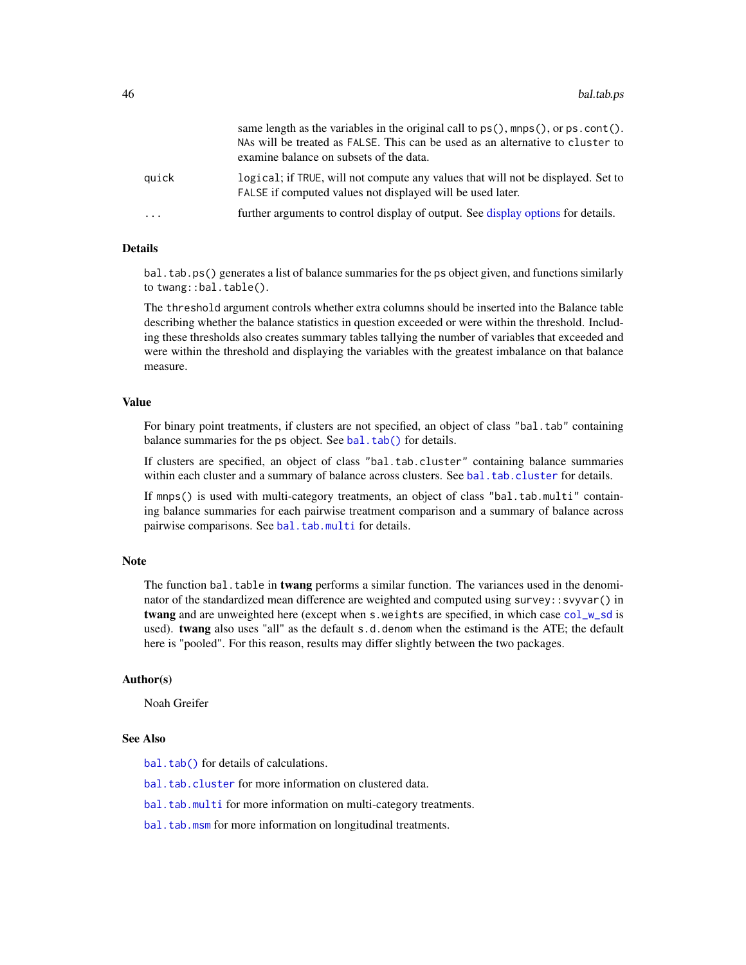|                         | same length as the variables in the original call to $ps()$ , mnps $()$ , or $ps$ . cont $()$ .<br>NAs will be treated as FALSE. This can be used as an alternative to cluster to<br>examine balance on subsets of the data. |
|-------------------------|------------------------------------------------------------------------------------------------------------------------------------------------------------------------------------------------------------------------------|
| auick                   | logical; if TRUE, will not compute any values that will not be displayed. Set to<br>FALSE if computed values not displayed will be used later.                                                                               |
| $\cdot$ $\cdot$ $\cdot$ | further arguments to control display of output. See display options for details.                                                                                                                                             |

## Details

bal.tab.ps() generates a list of balance summaries for the ps object given, and functions similarly to twang::bal.table().

The threshold argument controls whether extra columns should be inserted into the Balance table describing whether the balance statistics in question exceeded or were within the threshold. Including these thresholds also creates summary tables tallying the number of variables that exceeded and were within the threshold and displaying the variables with the greatest imbalance on that balance measure.

#### Value

For binary point treatments, if clusters are not specified, an object of class "bal.tab" containing balance summaries for the ps object. See [bal.tab\(\)](#page-5-0) for details.

If clusters are specified, an object of class "bal.tab.cluster" containing balance summaries within each cluster and a summary of balance across clusters. See [bal.tab.cluster](#page-60-0) for details.

If mnps() is used with multi-category treatments, an object of class "bal.tab.multi" containing balance summaries for each pairwise treatment comparison and a summary of balance across pairwise comparisons. See [bal.tab.multi](#page-64-0) for details.

## Note

The function bal.table in twang performs a similar function. The variances used in the denominator of the standardized mean difference are weighted and computed using survey::svyvar() in twang and are unweighted here (except when s. weights are specified, in which case [col\\_w\\_sd](#page-54-0) is used). twang also uses "all" as the default s.d.denom when the estimand is the ATE; the default here is "pooled". For this reason, results may differ slightly between the two packages.

### Author(s)

Noah Greifer

#### See Also

[bal.tab\(\)](#page-5-0) for details of calculations.

[bal.tab.cluster](#page-60-0) for more information on clustered data.

[bal.tab.multi](#page-64-0) for more information on multi-category treatments.

[bal.tab.msm](#page-63-0) for more information on longitudinal treatments.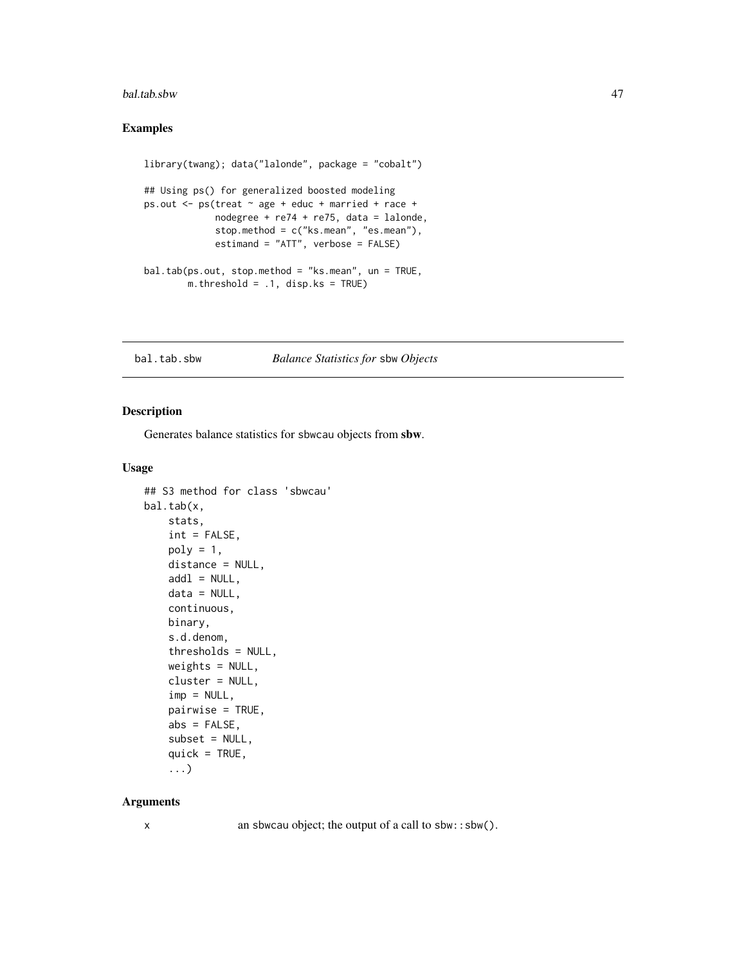#### bal.tab.sbw 47

## Examples

```
library(twang); data("lalonde", package = "cobalt")
## Using ps() for generalized boosted modeling
ps.out \leq ps(treat \sim age + educ + married + race +
             nodegree + re74 + re75, data = lalonde,
             stop.method = c("ks.mean", "es.mean"),
             estimand = "ATT", verbose = FALSE)
bal.tab(ps.out, stop.method = "ks.mean", un = TRUE,
        m.threshold = .1, disp.ks = TRUE)
```
### bal.tab.sbw *Balance Statistics for* sbw *Objects*

#### Description

Generates balance statistics for sbwcau objects from sbw.

## Usage

```
## S3 method for class 'sbwcau'
bal.tab(x,
   stats,
   int = FALSE,
   poly = 1,
   distance = NULL,
    add1 = NULL,data = NULL,
   continuous,
   binary,
    s.d.denom,
    thresholds = NULL,
   weights = NULL,
   cluster = NULL,
    imp = NULL,pairwise = TRUE,
   abs = FALSE,subset = NULL,quick = TRUE,
    ...)
```
### Arguments

x an sbwcau object; the output of a call to sbw::sbw().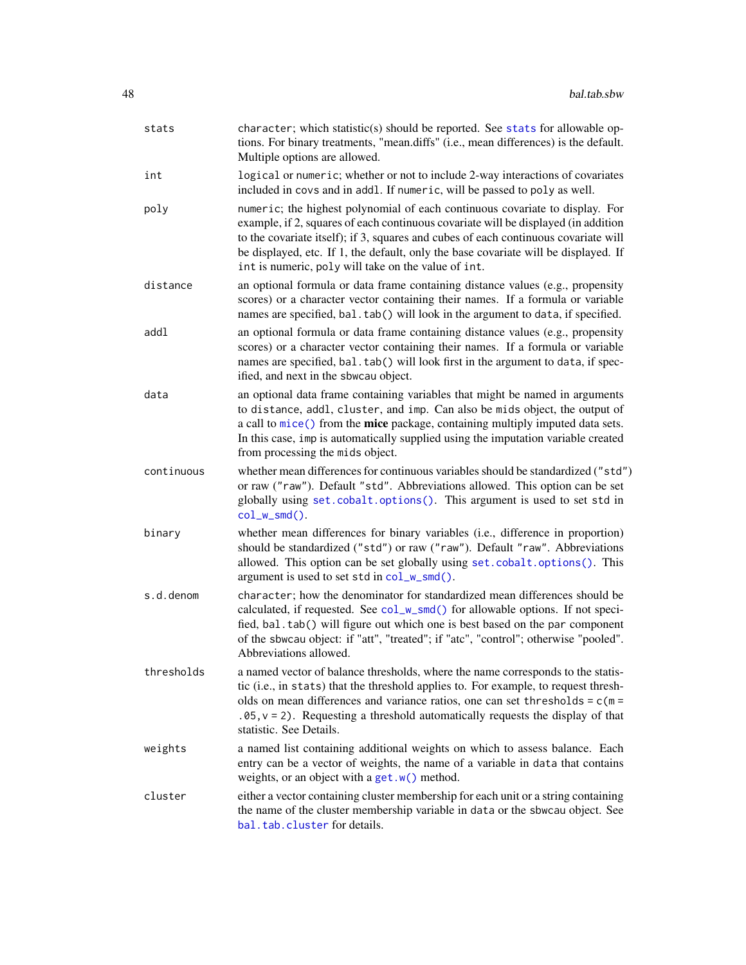| stats      | character; which statistic(s) should be reported. See stats for allowable op-<br>tions. For binary treatments, "mean.diffs" (i.e., mean differences) is the default.<br>Multiple options are allowed.                                                                                                                                                                                                   |
|------------|---------------------------------------------------------------------------------------------------------------------------------------------------------------------------------------------------------------------------------------------------------------------------------------------------------------------------------------------------------------------------------------------------------|
| int        | logical or numeric; whether or not to include 2-way interactions of covariates<br>included in covs and in addl. If numeric, will be passed to poly as well.                                                                                                                                                                                                                                             |
| poly       | numeric; the highest polynomial of each continuous covariate to display. For<br>example, if 2, squares of each continuous covariate will be displayed (in addition<br>to the covariate itself); if 3, squares and cubes of each continuous covariate will<br>be displayed, etc. If 1, the default, only the base covariate will be displayed. If<br>int is numeric, poly will take on the value of int. |
| distance   | an optional formula or data frame containing distance values (e.g., propensity<br>scores) or a character vector containing their names. If a formula or variable<br>names are specified, bal.tab() will look in the argument to data, if specified.                                                                                                                                                     |
| addl       | an optional formula or data frame containing distance values (e.g., propensity<br>scores) or a character vector containing their names. If a formula or variable<br>names are specified, bal.tab() will look first in the argument to data, if spec-<br>ified, and next in the sbwcau object.                                                                                                           |
| data       | an optional data frame containing variables that might be named in arguments<br>to distance, addl, cluster, and imp. Can also be mids object, the output of<br>a call to mice() from the mice package, containing multiply imputed data sets.<br>In this case, imp is automatically supplied using the imputation variable created<br>from processing the mids object.                                  |
| continuous | whether mean differences for continuous variables should be standardized ("std")<br>or raw ("raw"). Default "std". Abbreviations allowed. This option can be set<br>globally using set.cobalt.options(). This argument is used to set std in<br>$col_w_smd()$ .                                                                                                                                         |
| binary     | whether mean differences for binary variables (i.e., difference in proportion)<br>should be standardized ("std") or raw ("raw"). Default "raw". Abbreviations<br>allowed. This option can be set globally using set.cobalt.options(). This<br>argument is used to set std in col_w_smd().                                                                                                               |
| s.d.denom  | character; how the denominator for standardized mean differences should be<br>calculated, if requested. See col_w_smd() for allowable options. If not speci-<br>fied, bal.tab() will figure out which one is best based on the par component<br>of the sbwcau object: if "att", "treated"; if "atc", "control"; otherwise "pooled".<br>Abbreviations allowed.                                           |
| thresholds | a named vector of balance thresholds, where the name corresponds to the statis-<br>tic (i.e., in stats) that the threshold applies to. For example, to request thresh-<br>olds on mean differences and variance ratios, one can set thresholds = $c(m =$<br>$.05$ , $v = 2$ ). Requesting a threshold automatically requests the display of that<br>statistic. See Details.                             |
| weights    | a named list containing additional weights on which to assess balance. Each<br>entry can be a vector of weights, the name of a variable in data that contains<br>weights, or an object with a get. $w()$ method.                                                                                                                                                                                        |
| cluster    | either a vector containing cluster membership for each unit or a string containing<br>the name of the cluster membership variable in data or the sbwcau object. See<br>bal.tab.cluster for details.                                                                                                                                                                                                     |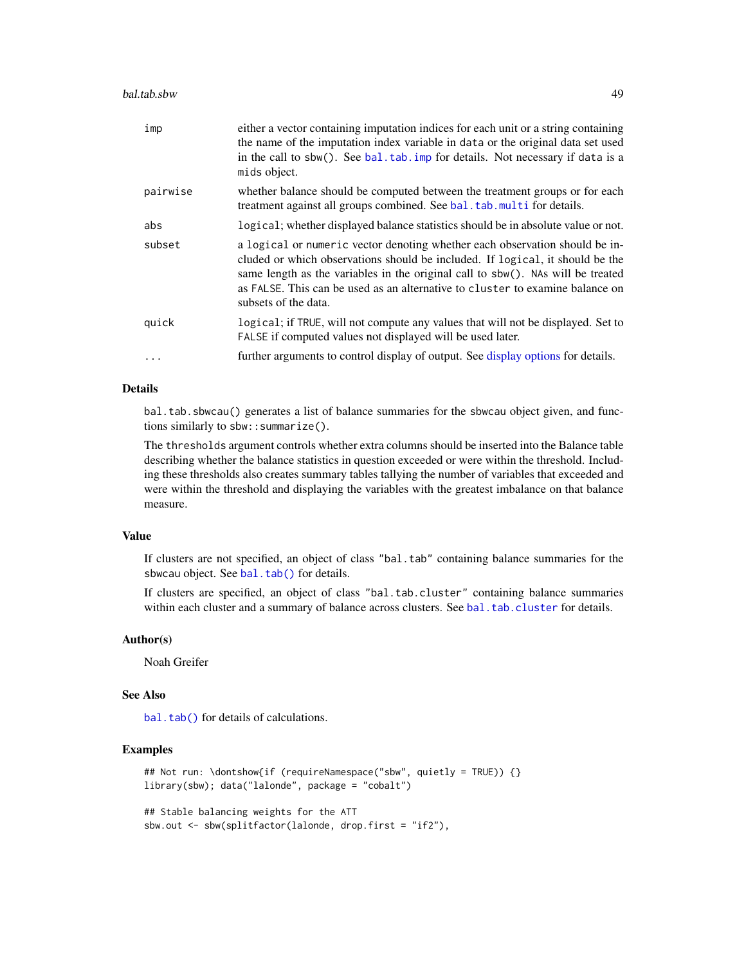#### bal.tab.sbw 49

| imp      | either a vector containing imputation indices for each unit or a string containing<br>the name of the imputation index variable in data or the original data set used<br>in the call to sbw(). See bal.tab.imp for details. Not necessary if data is a<br>mids object.                                                                                   |
|----------|----------------------------------------------------------------------------------------------------------------------------------------------------------------------------------------------------------------------------------------------------------------------------------------------------------------------------------------------------------|
| pairwise | whether balance should be computed between the treatment groups or for each<br>treatment against all groups combined. See bal. tab. multi for details.                                                                                                                                                                                                   |
| abs      | logical; whether displayed balance statistics should be in absolute value or not.                                                                                                                                                                                                                                                                        |
| subset   | a logical or numeric vector denoting whether each observation should be in-<br>cluded or which observations should be included. If logical, it should be the<br>same length as the variables in the original call to sbw(). NAs will be treated<br>as FALSE. This can be used as an alternative to cluster to examine balance on<br>subsets of the data. |
| quick    | logical; if TRUE, will not compute any values that will not be displayed. Set to<br>FALSE if computed values not displayed will be used later.                                                                                                                                                                                                           |
| $\ddots$ | further arguments to control display of output. See display options for details.                                                                                                                                                                                                                                                                         |

## Details

bal.tab.sbwcau() generates a list of balance summaries for the sbwcau object given, and functions similarly to sbw:: summarize().

The thresholds argument controls whether extra columns should be inserted into the Balance table describing whether the balance statistics in question exceeded or were within the threshold. Including these thresholds also creates summary tables tallying the number of variables that exceeded and were within the threshold and displaying the variables with the greatest imbalance on that balance measure.

## Value

If clusters are not specified, an object of class "bal.tab" containing balance summaries for the sbwcau object. See [bal.tab\(\)](#page-5-0) for details.

If clusters are specified, an object of class "bal.tab.cluster" containing balance summaries within each cluster and a summary of balance across clusters. See [bal.tab.cluster](#page-60-0) for details.

### Author(s)

Noah Greifer

### See Also

[bal.tab\(\)](#page-5-0) for details of calculations.

## Examples

```
## Not run: \dontshow{if (requireNamespace("sbw", quietly = TRUE)) {}
library(sbw); data("lalonde", package = "cobalt")
## Stable balancing weights for the ATT
```

```
sbw.out <- sbw(splitfactor(lalonde, drop.first = "if2"),
```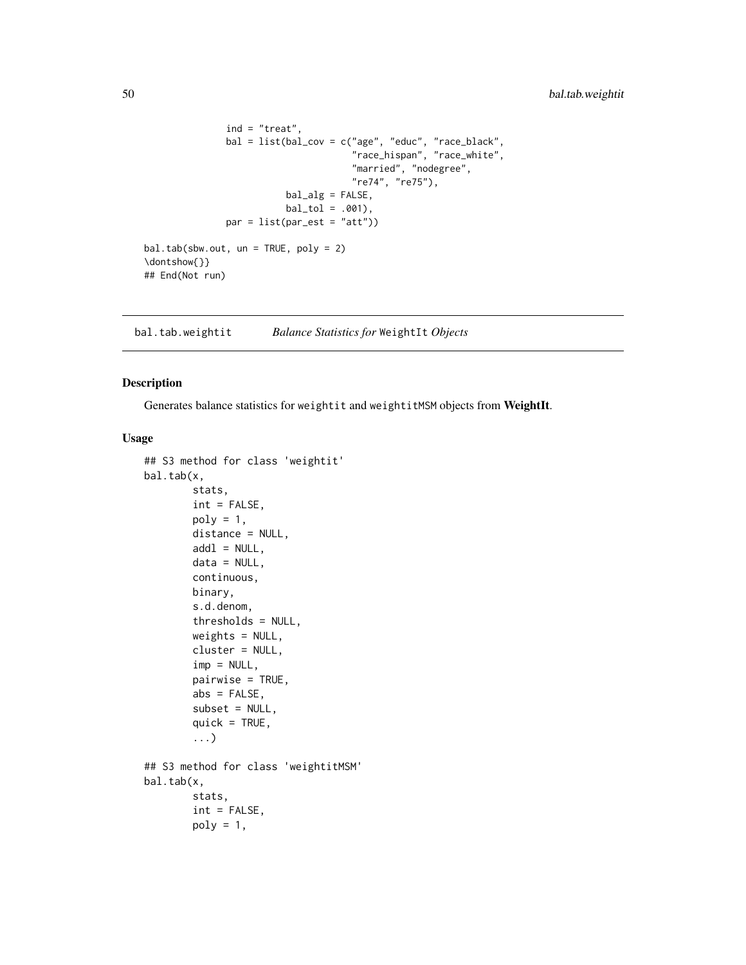```
ind = "treat",bal = list(bal_cov = c("age", "educ", "race_black",
                                      "race_hispan", "race_white",
                                      "married", "nodegree",
                                      "re74", "re75"),
                          bal_alg = FALSE,
                          bal\_tol = .001,
              par = list(par_set = "att")bal.tab(sbw.out, un = TRUE, poly = 2)\dontshow{}}
## End(Not run)
```
<span id="page-49-0"></span>bal.tab.weightit *Balance Statistics for* WeightIt *Objects*

## Description

Generates balance statistics for weightit and weightitMSM objects from WeightIt.

#### Usage

```
## S3 method for class 'weightit'
bal.tab(x,
        stats,
        int = FALSE,
        poly = 1,
        distance = NULL,
        add1 = NULL,data = NULL,continuous,
        binary,
        s.d.denom,
        thresholds = NULL,
        weights = NULL,
        cluster = NULL,
        imp = NULL,pairwise = TRUE,
        abs = FALSE,subset = NULL,
        quick = TRUE,
        ...)
## S3 method for class 'weightitMSM'
bal.tab(x,
        stats,
        int = FALSE,
        poly = 1,
```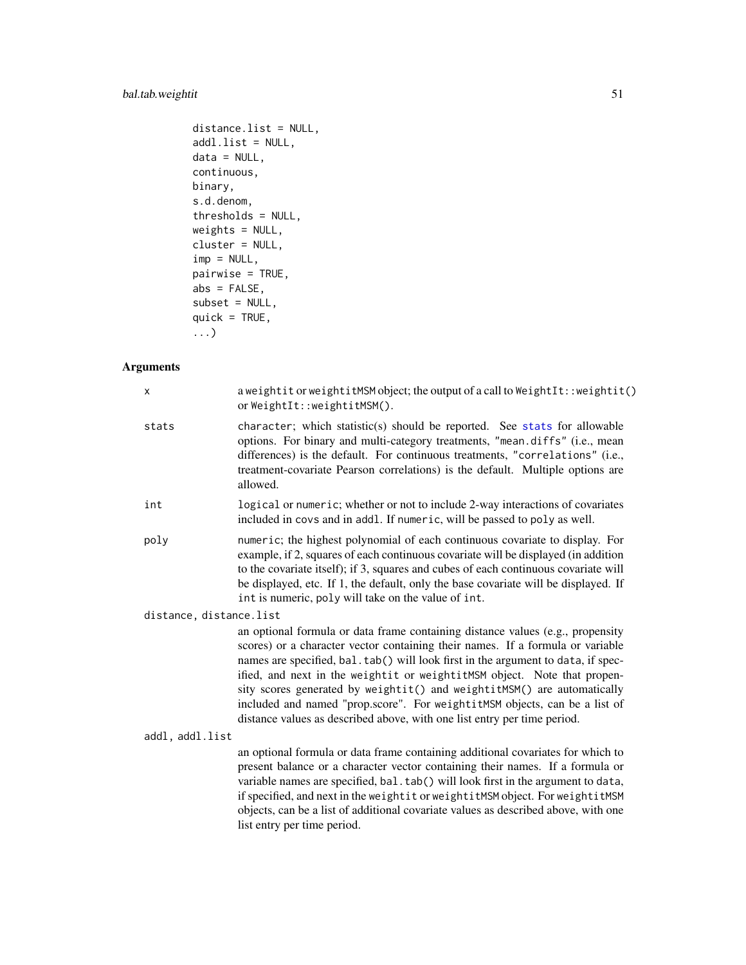# bal.tab.weightit 51

```
distance.list = NULL,
addl.list = NULL,
data = NULL,continuous,
binary,
s.d.denom,
thresholds = NULL,
weights = NULL,
cluster = NULL,
imp = NULL,
pairwise = TRUE,
abs = FALSE,subset = NULL,
quick = TRUE,
...)
```
# Arguments

| X                       | a weightit or weightitMSM object; the output of a call to WeightIt:: weightit()<br>or WeightIt::weightitMSM().                                                                                                                                                                                                                                                                                                                                                                                                                                                        |
|-------------------------|-----------------------------------------------------------------------------------------------------------------------------------------------------------------------------------------------------------------------------------------------------------------------------------------------------------------------------------------------------------------------------------------------------------------------------------------------------------------------------------------------------------------------------------------------------------------------|
| stats                   | character; which statistic(s) should be reported. See stats for allowable<br>options. For binary and multi-category treatments, "mean.diffs" (i.e., mean<br>differences) is the default. For continuous treatments, "correlations" (i.e.,<br>treatment-covariate Pearson correlations) is the default. Multiple options are<br>allowed.                                                                                                                                                                                                                               |
| int                     | logical or numeric; whether or not to include 2-way interactions of covariates<br>included in covs and in addl. If numeric, will be passed to poly as well.                                                                                                                                                                                                                                                                                                                                                                                                           |
| poly                    | numeric; the highest polynomial of each continuous covariate to display. For<br>example, if 2, squares of each continuous covariate will be displayed (in addition<br>to the covariate itself); if 3, squares and cubes of each continuous covariate will<br>be displayed, etc. If 1, the default, only the base covariate will be displayed. If<br>int is numeric, poly will take on the value of int.                                                                                                                                                               |
| distance, distance.list |                                                                                                                                                                                                                                                                                                                                                                                                                                                                                                                                                                       |
|                         | an optional formula or data frame containing distance values (e.g., propensity<br>scores) or a character vector containing their names. If a formula or variable<br>names are specified, bal.tab() will look first in the argument to data, if spec-<br>ified, and next in the weightit or weightitMSM object. Note that propen-<br>sity scores generated by weightit() and weightitMSM() are automatically<br>included and named "prop.score". For weightitMSM objects, can be a list of<br>distance values as described above, with one list entry per time period. |
| addl, addl.list         |                                                                                                                                                                                                                                                                                                                                                                                                                                                                                                                                                                       |
|                         | an optional formula or data frame containing additional covariates for which to<br>present balance or a character vector containing their names. If a formula or<br>variable names are specified, bal.tab() will look first in the argument to data,<br>if specified, and next in the weightit or weightitMSM object. For weightitMSM<br>objects, can be a list of additional covariate values as described above, with one<br>list entry per time period.                                                                                                            |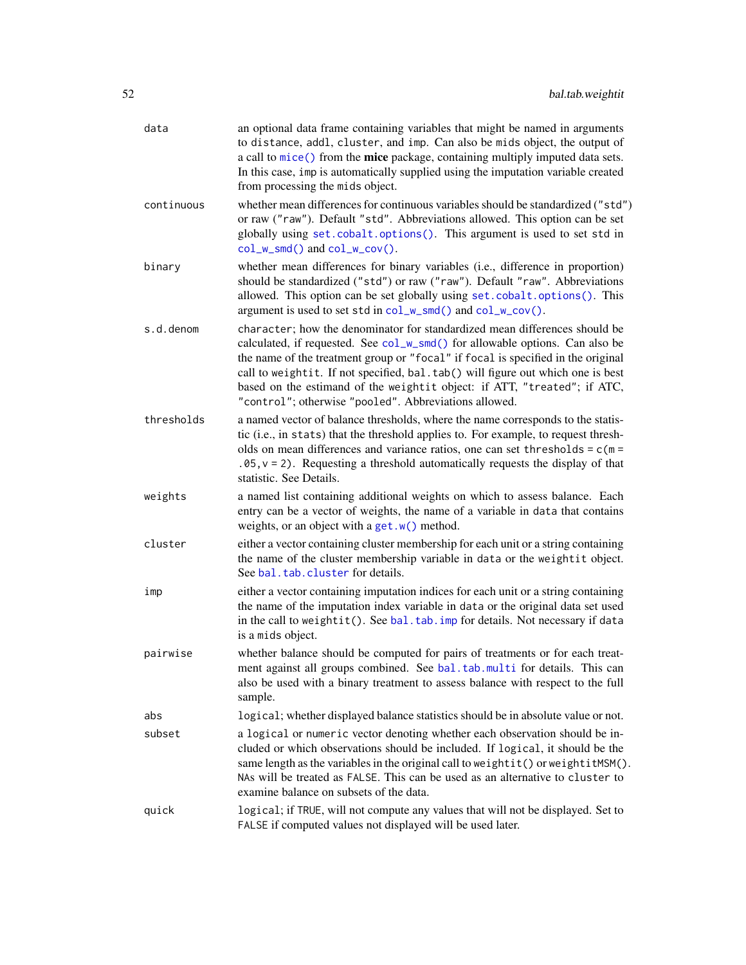| data       | an optional data frame containing variables that might be named in arguments<br>to distance, addl, cluster, and imp. Can also be mids object, the output of<br>a call to mice() from the mice package, containing multiply imputed data sets.<br>In this case, imp is automatically supplied using the imputation variable created<br>from processing the mids object.                                                                                                 |
|------------|------------------------------------------------------------------------------------------------------------------------------------------------------------------------------------------------------------------------------------------------------------------------------------------------------------------------------------------------------------------------------------------------------------------------------------------------------------------------|
| continuous | whether mean differences for continuous variables should be standardized ("std")<br>or raw ("raw"). Default "std". Abbreviations allowed. This option can be set<br>globally using set.cobalt.options(). This argument is used to set std in<br>$col_w_smd()$ and $col_w_cov()$ .                                                                                                                                                                                      |
| binary     | whether mean differences for binary variables (i.e., difference in proportion)<br>should be standardized ("std") or raw ("raw"). Default "raw". Abbreviations<br>allowed. This option can be set globally using set.cobalt.options(). This<br>argument is used to set std in col_w_smd() and col_w_cov().                                                                                                                                                              |
| s.d.denom  | character; how the denominator for standardized mean differences should be<br>calculated, if requested. See col_w_smd() for allowable options. Can also be<br>the name of the treatment group or "focal" if focal is specified in the original<br>call to weightit. If not specified, bal.tab() will figure out which one is best<br>based on the estimand of the weightit object: if ATT, "treated"; if ATC,<br>"control"; otherwise "pooled". Abbreviations allowed. |
| thresholds | a named vector of balance thresholds, where the name corresponds to the statis-<br>tic (i.e., in stats) that the threshold applies to. For example, to request thresh-<br>olds on mean differences and variance ratios, one can set thresholds = $c(m =$<br>$.05$ , $v = 2$ ). Requesting a threshold automatically requests the display of that<br>statistic. See Details.                                                                                            |
| weights    | a named list containing additional weights on which to assess balance. Each<br>entry can be a vector of weights, the name of a variable in data that contains<br>weights, or an object with a get. $w()$ method.                                                                                                                                                                                                                                                       |
| cluster    | either a vector containing cluster membership for each unit or a string containing<br>the name of the cluster membership variable in data or the weightit object.<br>See bal.tab.cluster for details.                                                                                                                                                                                                                                                                  |
| imp        | either a vector containing imputation indices for each unit or a string containing<br>the name of the imputation index variable in data or the original data set used<br>in the call to weightit(). See bal.tab.imp for details. Not necessary if data<br>is a mids object.                                                                                                                                                                                            |
| pairwise   | whether balance should be computed for pairs of treatments or for each treat-<br>ment against all groups combined. See bal.tab.multi for details. This can<br>also be used with a binary treatment to assess balance with respect to the full<br>sample.                                                                                                                                                                                                               |
| abs        | logical; whether displayed balance statistics should be in absolute value or not.                                                                                                                                                                                                                                                                                                                                                                                      |
| subset     | a logical or numeric vector denoting whether each observation should be in-<br>cluded or which observations should be included. If logical, it should be the<br>same length as the variables in the original call to weightit() or weightitMSM().<br>NAs will be treated as FALSE. This can be used as an alternative to cluster to<br>examine balance on subsets of the data.                                                                                         |
| quick      | logical; if TRUE, will not compute any values that will not be displayed. Set to<br>FALSE if computed values not displayed will be used later.                                                                                                                                                                                                                                                                                                                         |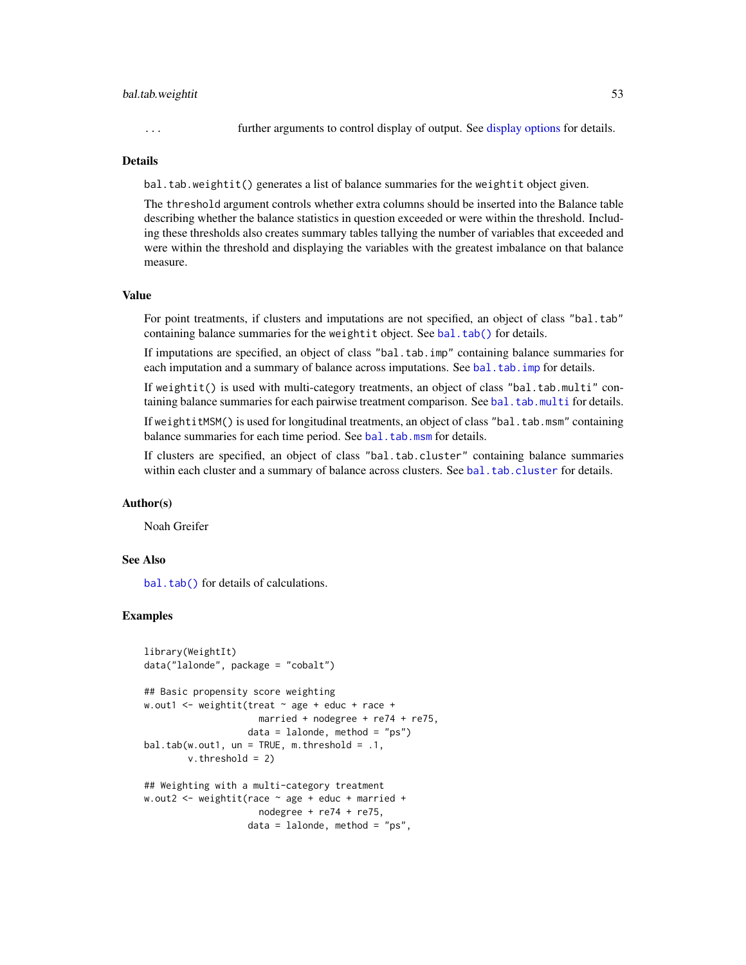#### bal.tab.weightit 53

... further arguments to control display of output. See [display options](#page-68-0) for details.

### Details

bal.tab.weightit() generates a list of balance summaries for the weightit object given.

The threshold argument controls whether extra columns should be inserted into the Balance table describing whether the balance statistics in question exceeded or were within the threshold. Including these thresholds also creates summary tables tallying the number of variables that exceeded and were within the threshold and displaying the variables with the greatest imbalance on that balance measure.

### Value

For point treatments, if clusters and imputations are not specified, an object of class "bal.tab" containing balance summaries for the weightit object. See [bal.tab\(\)](#page-5-0) for details.

If imputations are specified, an object of class "bal.tab.imp" containing balance summaries for each imputation and a summary of balance across imputations. See bal. tab. imp for details.

If weightit() is used with multi-category treatments, an object of class "bal.tab.multi" containing balance summaries for each pairwise treatment comparison. See [bal.tab.multi](#page-64-0) for details.

If weightitMSM() is used for longitudinal treatments, an object of class "bal.tab.msm" containing balance summaries for each time period. See [bal.tab.msm](#page-63-0) for details.

If clusters are specified, an object of class "bal.tab.cluster" containing balance summaries within each cluster and a summary of balance across clusters. See [bal.tab.cluster](#page-60-0) for details.

### Author(s)

Noah Greifer

## See Also

[bal.tab\(\)](#page-5-0) for details of calculations.

## Examples

```
library(WeightIt)
data("lalonde", package = "cobalt")
## Basic propensity score weighting
w.out1 \le- weightit(treat \sim age + educ + race +
                     married + nodegree + re74 + re75,
                   data = lalone, method = "ps")bal.tab(w.out1, un = TRUE, m.threshold = .1,v.threshold = 2)
## Weighting with a multi-category treatment
w.out2 <- weightit(race ~ age + educ + married +
                    nodegree + re74 + re75,
                   data = lalone, method = "ps",
```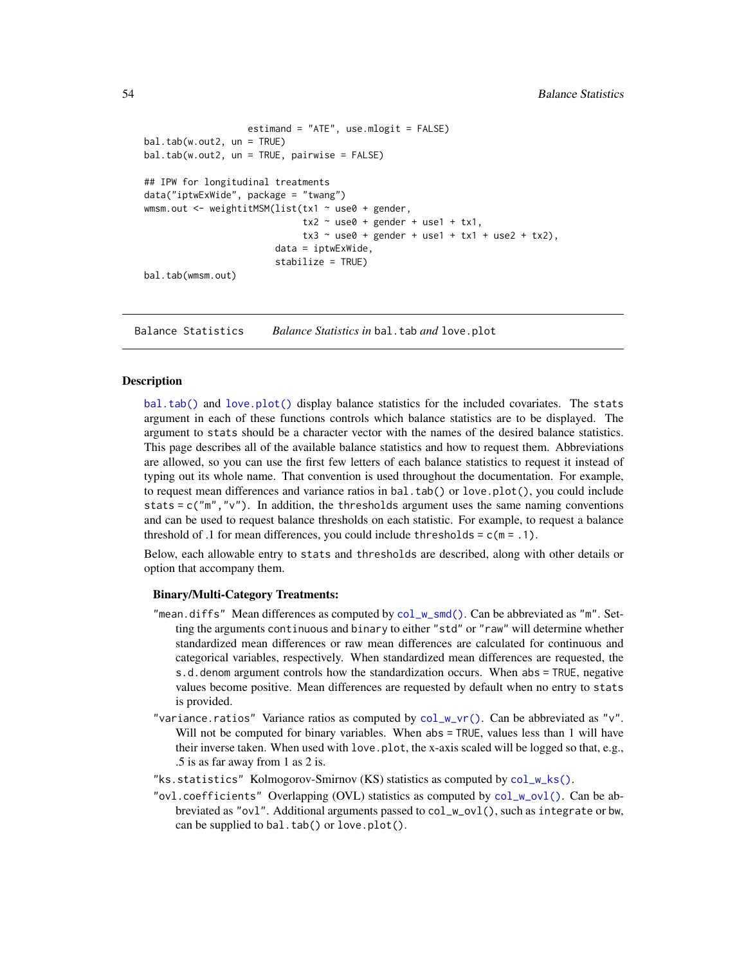```
estimand = "ATE", use.mlogit = FALSE)
bal.tab(w.out2, un = TRUE)
bal.tab(w.out2, un = TRUE, pairwise = FALSE)
## IPW for longitudinal treatments
data("iptwExWide", package = "twang")
wmsm.out <- weightitMSM(list(tx1 ~ use0 + gender,
                             tx2 \sim use0 + gender + use1 + tx1,tx3 \sim use0 + gender + use1 + tx1 + use2 + tx2),data = iptwExWide,
                        stabilize = TRUE)
bal.tab(wmsm.out)
```
Balance Statistics *Balance Statistics in* bal.tab *and* love.plot

## <span id="page-53-0"></span>Description

[bal.tab\(\)](#page-5-0) and [love.plot\(\)](#page-75-0) display balance statistics for the included covariates. The stats argument in each of these functions controls which balance statistics are to be displayed. The argument to stats should be a character vector with the names of the desired balance statistics. This page describes all of the available balance statistics and how to request them. Abbreviations are allowed, so you can use the first few letters of each balance statistics to request it instead of typing out its whole name. That convention is used throughout the documentation. For example, to request mean differences and variance ratios in bal.tab() or love.plot(), you could include stats =  $c("m", "v")$ . In addition, the thresholds argument uses the same naming conventions and can be used to request balance thresholds on each statistic. For example, to request a balance threshold of .1 for mean differences, you could include thresholds =  $c(m = .1)$ .

Below, each allowable entry to stats and thresholds are described, along with other details or option that accompany them.

#### Binary/Multi-Category Treatments:

- "mean.diffs" Mean differences as computed by  $col_w_smd()$ . Can be abbreviated as "m". Setting the arguments continuous and binary to either "std" or "raw" will determine whether standardized mean differences or raw mean differences are calculated for continuous and categorical variables, respectively. When standardized mean differences are requested, the s.d.denom argument controls how the standardization occurs. When abs = TRUE, negative values become positive. Mean differences are requested by default when no entry to stats is provided.
- "variance.ratios" Variance ratios as computed by  $col_{w-vr}()$ . Can be abbreviated as "v". Will not be computed for binary variables. When abs = TRUE, values less than 1 will have their inverse taken. When used with love.plot, the x-axis scaled will be logged so that, e.g., .5 is as far away from 1 as 2 is.
- "ks.statistics" Kolmogorov-Smirnov (KS) statistics as computed by [col\\_w\\_ks\(\)](#page-54-0).
- "ovl.coefficients" Overlapping (OVL) statistics as computed by [col\\_w\\_ovl\(\)](#page-54-0). Can be abbreviated as "ovl". Additional arguments passed to col\_w\_ovl(), such as integrate or bw, can be supplied to bal.tab() or love.plot().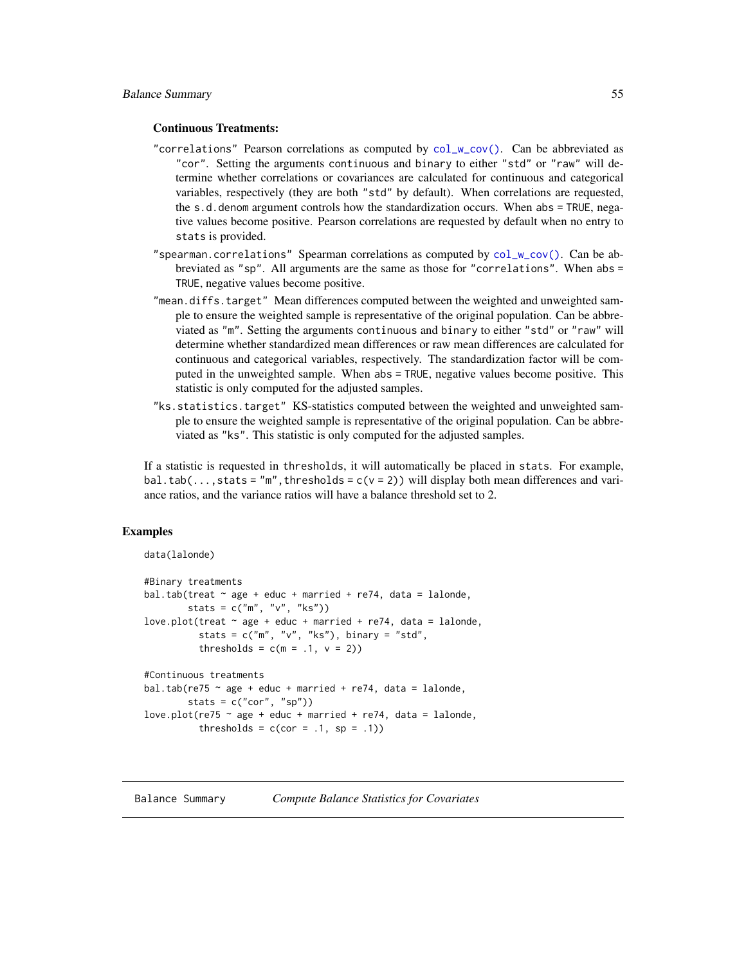#### Continuous Treatments:

- "correlations" Pearson correlations as computed by  $col_w_{\infty}$  cov(). Can be abbreviated as "cor". Setting the arguments continuous and binary to either "std" or "raw" will determine whether correlations or covariances are calculated for continuous and categorical variables, respectively (they are both "std" by default). When correlations are requested, the s.d.denom argument controls how the standardization occurs. When abs = TRUE, negative values become positive. Pearson correlations are requested by default when no entry to stats is provided.
- "spearman.correlations" Spearman correlations as computed by  $col_w_{cov}()$ . Can be abbreviated as "sp". All arguments are the same as those for "correlations". When abs = TRUE, negative values become positive.
- "mean.diffs.target" Mean differences computed between the weighted and unweighted sample to ensure the weighted sample is representative of the original population. Can be abbreviated as "m". Setting the arguments continuous and binary to either "std" or "raw" will determine whether standardized mean differences or raw mean differences are calculated for continuous and categorical variables, respectively. The standardization factor will be computed in the unweighted sample. When abs = TRUE, negative values become positive. This statistic is only computed for the adjusted samples.
- "ks.statistics.target" KS-statistics computed between the weighted and unweighted sample to ensure the weighted sample is representative of the original population. Can be abbreviated as "ks". This statistic is only computed for the adjusted samples.

If a statistic is requested in thresholds, it will automatically be placed in stats. For example, bal.tab(...,stats = "m", thresholds =  $c(v = 2)$ ) will display both mean differences and variance ratios, and the variance ratios will have a balance threshold set to 2.

### Examples

```
data(lalonde)
#Binary treatments
bal.tab(treat \sim age + educ + married + re74, data = lalonde,
        stats = c("m", "v", "ks")love.plot(treat \sim age + educ + married + re74, data = lalonde,
          stats = c("m", "v", "ks"), binary = "std",
          thresholds = c(m = .1, v = 2))#Continuous treatments
bal.tab(re75 \sim age + educ + married + re74, data = lalonde,
        stats = c("cor", "sp"))
love.plot(re75 \sim age + educ + married + re74, data = lalonde,
          thresholds = c(cor = .1, sp = .1))
```
<span id="page-54-0"></span>Balance Summary *Compute Balance Statistics for Covariates*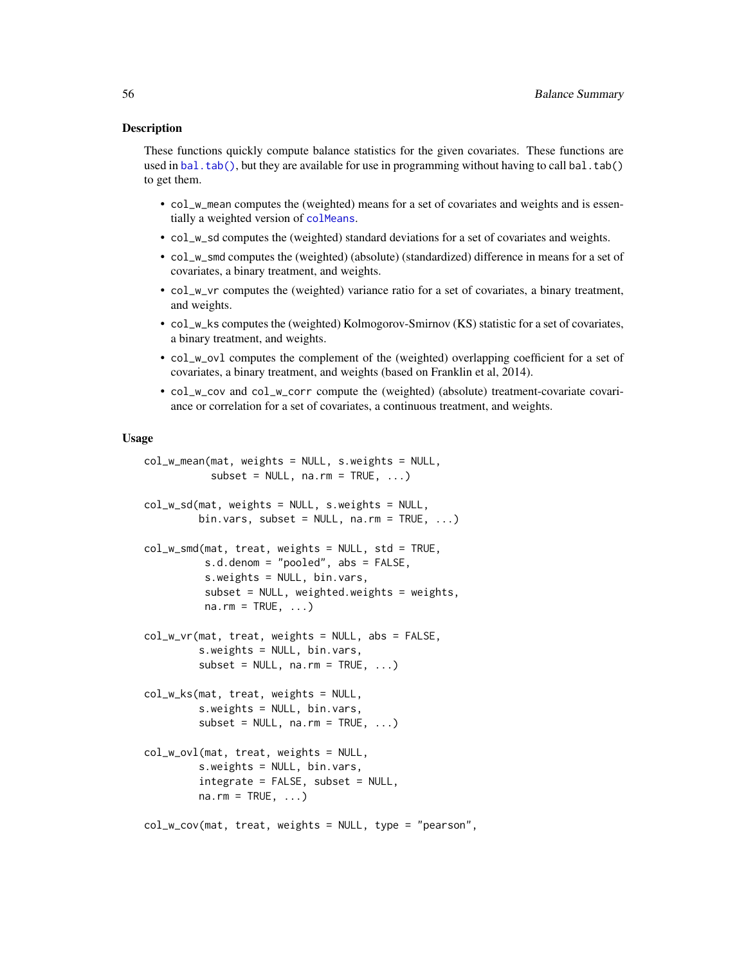### **Description**

These functions quickly compute balance statistics for the given covariates. These functions are used in [bal.tab\(\)](#page-5-0), but they are available for use in programming without having to call bal.tab() to get them.

- col\_w\_mean computes the (weighted) means for a set of covariates and weights and is essentially a weighted version of [colMeans](#page-0-0).
- col\_w\_sd computes the (weighted) standard deviations for a set of covariates and weights.
- col\_w\_smd computes the (weighted) (absolute) (standardized) difference in means for a set of covariates, a binary treatment, and weights.
- col\_w\_vr computes the (weighted) variance ratio for a set of covariates, a binary treatment, and weights.
- col\_w\_ks computes the (weighted) Kolmogorov-Smirnov (KS) statistic for a set of covariates, a binary treatment, and weights.
- col\_w\_ovl computes the complement of the (weighted) overlapping coefficient for a set of covariates, a binary treatment, and weights (based on Franklin et al, 2014).
- col\_w\_cov and col\_w\_corr compute the (weighted) (absolute) treatment-covariate covariance or correlation for a set of covariates, a continuous treatment, and weights.

#### Usage

```
col_w_mean(mat, weights = NULL, s.weights = NULL,
           subset = NULL, na.rm = TRUE, ...col_w_sd(mat, weights = NULL, s.weights = NULL,
         bin.vars, subset = NULL, na.rm = TRUE, ...col_w_smd(mat, treat, weights = NULL, std = TRUE,
          s.d.denom = "pooled", abs = FALSE,
          s.weights = NULL, bin.vars,
          subset = NULL, weighted.weights = weights,
          na.rm = TRUE, ...)col_w_vr(mat, treat, weights = NULL, abs = FALSE,
         s.weights = NULL, bin.vars,
         subset = NULL, na.rm = TRUE, ...)col_w_ks(mat, treat, weights = NULL,
         s.weights = NULL, bin.vars,
         subset = NULL, na.rm = TRUE, ...)col_w_ovl(mat, treat, weights = NULL,
         s.weights = NULL, bin.vars,
         integerate = FALSE, subset = NULL,na.rm = TRUE, ...col_w_cov(mat, treat, weights = NULL, type = "pearson",
```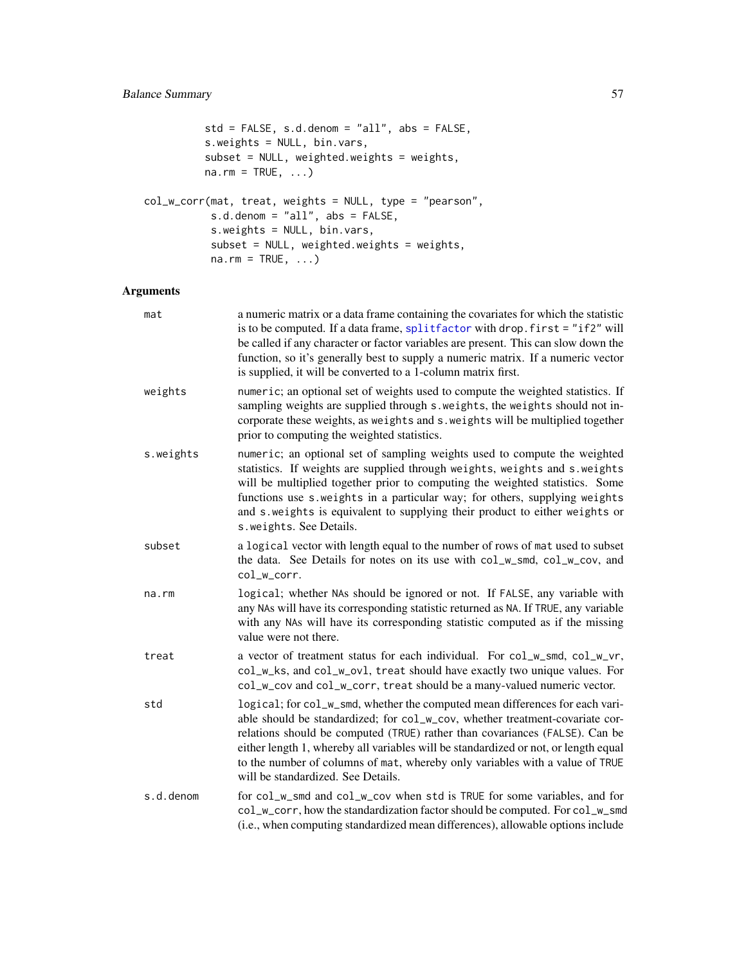```
std = FALSE, s.d.denom = "all", abs = FALSE,
         s.weights = NULL, bin.vars,
         subset = NULL, weighted.weights = weights,
         na.rm = TRUE, ...col_w_corr(mat, treat, weights = NULL, type = "pearson",
          s.d.denom = "all", abs = FALSE,
          s.weights = NULL, bin.vars,
          subset = NULL, weighted.weights = weights,
          na.rm = TRUE, ...)
```
## Arguments

| mat       | a numeric matrix or a data frame containing the covariates for which the statistic<br>is to be computed. If a data frame, splitfactor with drop. first = "if2" will<br>be called if any character or factor variables are present. This can slow down the<br>function, so it's generally best to supply a numeric matrix. If a numeric vector<br>is supplied, it will be converted to a 1-column matrix first.                                           |
|-----------|----------------------------------------------------------------------------------------------------------------------------------------------------------------------------------------------------------------------------------------------------------------------------------------------------------------------------------------------------------------------------------------------------------------------------------------------------------|
| weights   | numeric; an optional set of weights used to compute the weighted statistics. If<br>sampling weights are supplied through s. weights, the weights should not in-<br>corporate these weights, as weights and s. weights will be multiplied together<br>prior to computing the weighted statistics.                                                                                                                                                         |
| s.weights | numeric; an optional set of sampling weights used to compute the weighted<br>statistics. If weights are supplied through weights, weights and s.weights<br>will be multiplied together prior to computing the weighted statistics. Some<br>functions use s. weights in a particular way; for others, supplying weights<br>and s.weights is equivalent to supplying their product to either weights or<br>s. weights. See Details.                        |
| subset    | a logical vector with length equal to the number of rows of mat used to subset<br>the data. See Details for notes on its use with col_w_smd, col_w_cov, and<br>col w corr.                                                                                                                                                                                                                                                                               |
| na.rm     | logical; whether NAs should be ignored or not. If FALSE, any variable with<br>any NAs will have its corresponding statistic returned as NA. If TRUE, any variable<br>with any NAs will have its corresponding statistic computed as if the missing<br>value were not there.                                                                                                                                                                              |
| treat     | a vector of treatment status for each individual. For col_w_smd, col_w_vr,<br>col_w_ks, and col_w_ovl, treat should have exactly two unique values. For<br>col_w_cov and col_w_corr, treat should be a many-valued numeric vector.                                                                                                                                                                                                                       |
| std       | logical; for col_w_smd, whether the computed mean differences for each vari-<br>able should be standardized; for col_w_cov, whether treatment-covariate cor-<br>relations should be computed (TRUE) rather than covariances (FALSE). Can be<br>either length 1, whereby all variables will be standardized or not, or length equal<br>to the number of columns of mat, whereby only variables with a value of TRUE<br>will be standardized. See Details. |
| s.d.denom | for col_w_smd and col_w_cov when std is TRUE for some variables, and for<br>col_w_corr, how the standardization factor should be computed. For col_w_smd<br>(i.e., when computing standardized mean differences), allowable options include                                                                                                                                                                                                              |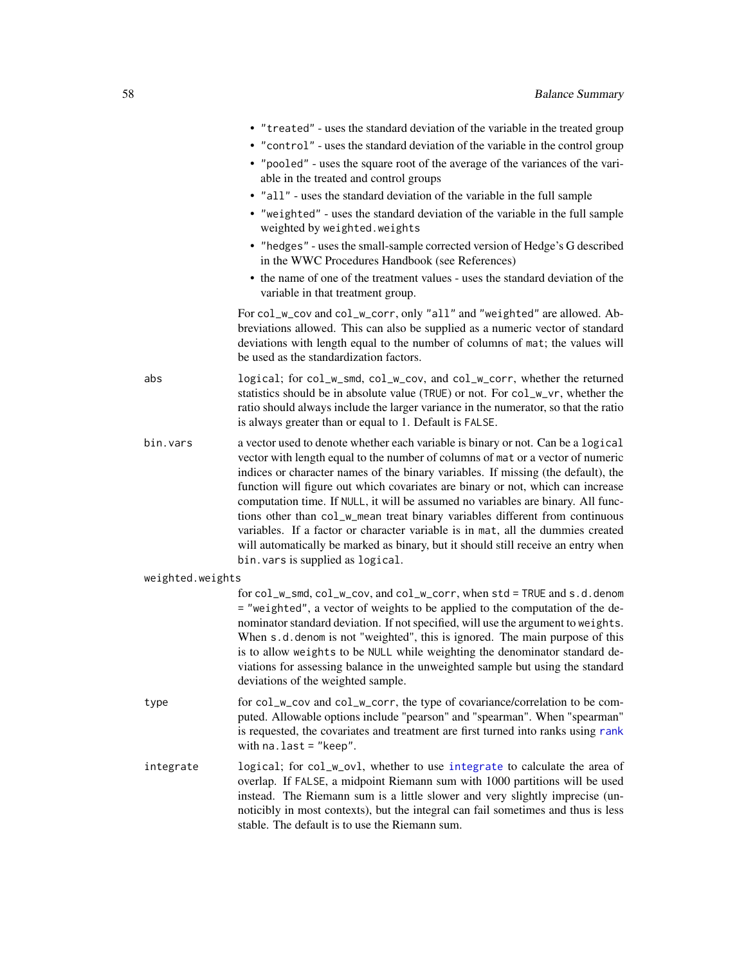|                  | • "treated" - uses the standard deviation of the variable in the treated group<br>• "control" - uses the standard deviation of the variable in the control group                                                                                                                                                                                                                                                                                                                                                                                                                                                                                                                                                             |
|------------------|------------------------------------------------------------------------------------------------------------------------------------------------------------------------------------------------------------------------------------------------------------------------------------------------------------------------------------------------------------------------------------------------------------------------------------------------------------------------------------------------------------------------------------------------------------------------------------------------------------------------------------------------------------------------------------------------------------------------------|
|                  | • "pooled" - uses the square root of the average of the variances of the vari-<br>able in the treated and control groups                                                                                                                                                                                                                                                                                                                                                                                                                                                                                                                                                                                                     |
|                  | • "all" - uses the standard deviation of the variable in the full sample                                                                                                                                                                                                                                                                                                                                                                                                                                                                                                                                                                                                                                                     |
|                  | • "weighted" - uses the standard deviation of the variable in the full sample<br>weighted by weighted.weights                                                                                                                                                                                                                                                                                                                                                                                                                                                                                                                                                                                                                |
|                  | • "hedges" - uses the small-sample corrected version of Hedge's G described<br>in the WWC Procedures Handbook (see References)                                                                                                                                                                                                                                                                                                                                                                                                                                                                                                                                                                                               |
|                  | • the name of one of the treatment values - uses the standard deviation of the<br>variable in that treatment group.                                                                                                                                                                                                                                                                                                                                                                                                                                                                                                                                                                                                          |
|                  | For col_w_cov and col_w_corr, only "all" and "weighted" are allowed. Ab-<br>breviations allowed. This can also be supplied as a numeric vector of standard<br>deviations with length equal to the number of columns of mat; the values will<br>be used as the standardization factors.                                                                                                                                                                                                                                                                                                                                                                                                                                       |
| abs              | logical; for col_w_smd, col_w_cov, and col_w_corr, whether the returned<br>statistics should be in absolute value (TRUE) or not. For col_w_vr, whether the<br>ratio should always include the larger variance in the numerator, so that the ratio<br>is always greater than or equal to 1. Default is FALSE.                                                                                                                                                                                                                                                                                                                                                                                                                 |
| bin.vars         | a vector used to denote whether each variable is binary or not. Can be a logical<br>vector with length equal to the number of columns of mat or a vector of numeric<br>indices or character names of the binary variables. If missing (the default), the<br>function will figure out which covariates are binary or not, which can increase<br>computation time. If NULL, it will be assumed no variables are binary. All func-<br>tions other than col_w_mean treat binary variables different from continuous<br>variables. If a factor or character variable is in mat, all the dummies created<br>will automatically be marked as binary, but it should still receive an entry when<br>bin. vars is supplied as logical. |
| weighted.weights |                                                                                                                                                                                                                                                                                                                                                                                                                                                                                                                                                                                                                                                                                                                              |
|                  | for col_w_smd, col_w_cov, and col_w_corr, when std = TRUE and s.d. denom<br>= "weighted", a vector of weights to be applied to the computation of the de-<br>nominator standard deviation. If not specified, will use the argument to weights.<br>When s.d. denom is not "weighted", this is ignored. The main purpose of this<br>is to allow weights to be NULL while weighting the denominator standard de-<br>viations for assessing balance in the unweighted sample but using the standard<br>deviations of the weighted sample.                                                                                                                                                                                        |
| type             | for col_w_cov and col_w_corr, the type of covariance/correlation to be com-<br>puted. Allowable options include "pearson" and "spearman". When "spearman"<br>is requested, the covariates and treatment are first turned into ranks using rank<br>with $na.$ last = "keep".                                                                                                                                                                                                                                                                                                                                                                                                                                                  |
| integrate        | logical; for col_w_ovl, whether to use integrate to calculate the area of<br>overlap. If FALSE, a midpoint Riemann sum with 1000 partitions will be used<br>instead. The Riemann sum is a little slower and very slightly imprecise (un-<br>noticibly in most contexts), but the integral can fail sometimes and thus is less<br>stable. The default is to use the Riemann sum.                                                                                                                                                                                                                                                                                                                                              |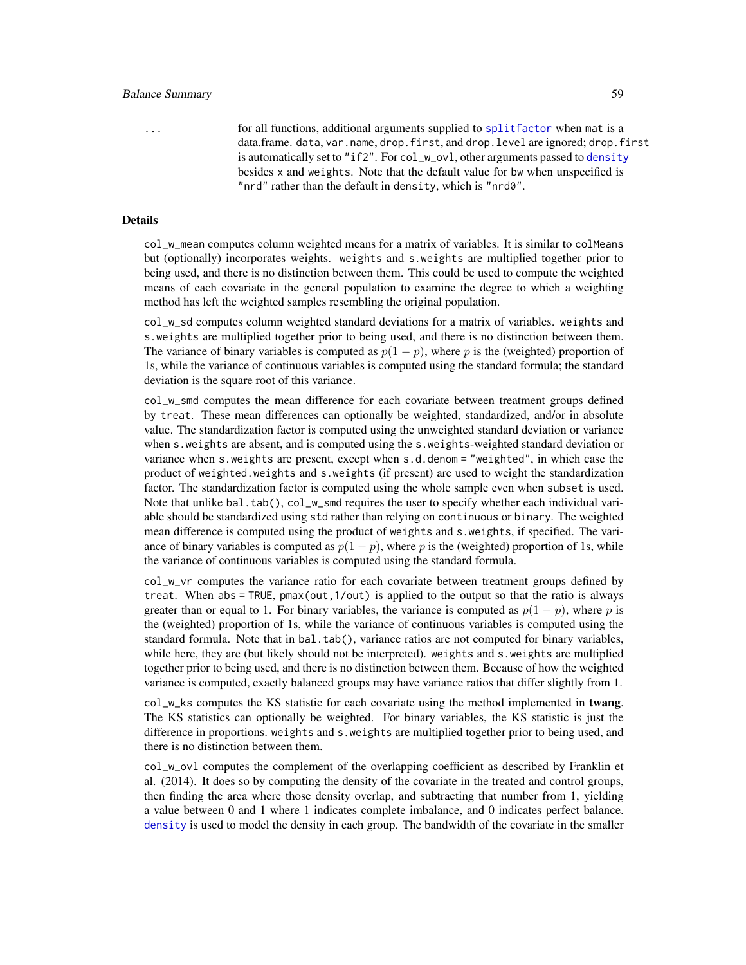#### Balance Summary 59

... for all functions, additional arguments supplied to [splitfactor](#page-86-0) when mat is a data.frame. data, var.name, drop.first, and drop.level are ignored; drop.first is automatically set to "if2". For col\_w\_ovl, other arguments passed to [density](#page-0-0) besides x and weights. Note that the default value for bw when unspecified is "nrd" rather than the default in density, which is "nrd0".

### Details

col\_w\_mean computes column weighted means for a matrix of variables. It is similar to colMeans but (optionally) incorporates weights. weights and s.weights are multiplied together prior to being used, and there is no distinction between them. This could be used to compute the weighted means of each covariate in the general population to examine the degree to which a weighting method has left the weighted samples resembling the original population.

col\_w\_sd computes column weighted standard deviations for a matrix of variables. weights and s.weights are multiplied together prior to being used, and there is no distinction between them. The variance of binary variables is computed as  $p(1 - p)$ , where p is the (weighted) proportion of 1s, while the variance of continuous variables is computed using the standard formula; the standard deviation is the square root of this variance.

col\_w\_smd computes the mean difference for each covariate between treatment groups defined by treat. These mean differences can optionally be weighted, standardized, and/or in absolute value. The standardization factor is computed using the unweighted standard deviation or variance when s.weights are absent, and is computed using the s.weights-weighted standard deviation or variance when s.weights are present, except when s.d.denom = "weighted", in which case the product of weighted.weights and s.weights (if present) are used to weight the standardization factor. The standardization factor is computed using the whole sample even when subset is used. Note that unlike bal.tab(),  $col_w_s$  and requires the user to specify whether each individual variable should be standardized using std rather than relying on continuous or binary. The weighted mean difference is computed using the product of weights and s.weights, if specified. The variance of binary variables is computed as  $p(1-p)$ , where p is the (weighted) proportion of 1s, while the variance of continuous variables is computed using the standard formula.

col\_w\_vr computes the variance ratio for each covariate between treatment groups defined by treat. When  $abs = TRUE$ , pmax(out,  $1/out$ ) is applied to the output so that the ratio is always greater than or equal to 1. For binary variables, the variance is computed as  $p(1 - p)$ , where p is the (weighted) proportion of 1s, while the variance of continuous variables is computed using the standard formula. Note that in bal.tab(), variance ratios are not computed for binary variables, while here, they are (but likely should not be interpreted). weights and s.weights are multiplied together prior to being used, and there is no distinction between them. Because of how the weighted variance is computed, exactly balanced groups may have variance ratios that differ slightly from 1.

col\_w\_ks computes the KS statistic for each covariate using the method implemented in twang. The KS statistics can optionally be weighted. For binary variables, the KS statistic is just the difference in proportions. weights and s.weights are multiplied together prior to being used, and there is no distinction between them.

col\_w\_ovl computes the complement of the overlapping coefficient as described by Franklin et al. (2014). It does so by computing the density of the covariate in the treated and control groups, then finding the area where those density overlap, and subtracting that number from 1, yielding a value between 0 and 1 where 1 indicates complete imbalance, and 0 indicates perfect balance. [density](#page-0-0) is used to model the density in each group. The bandwidth of the covariate in the smaller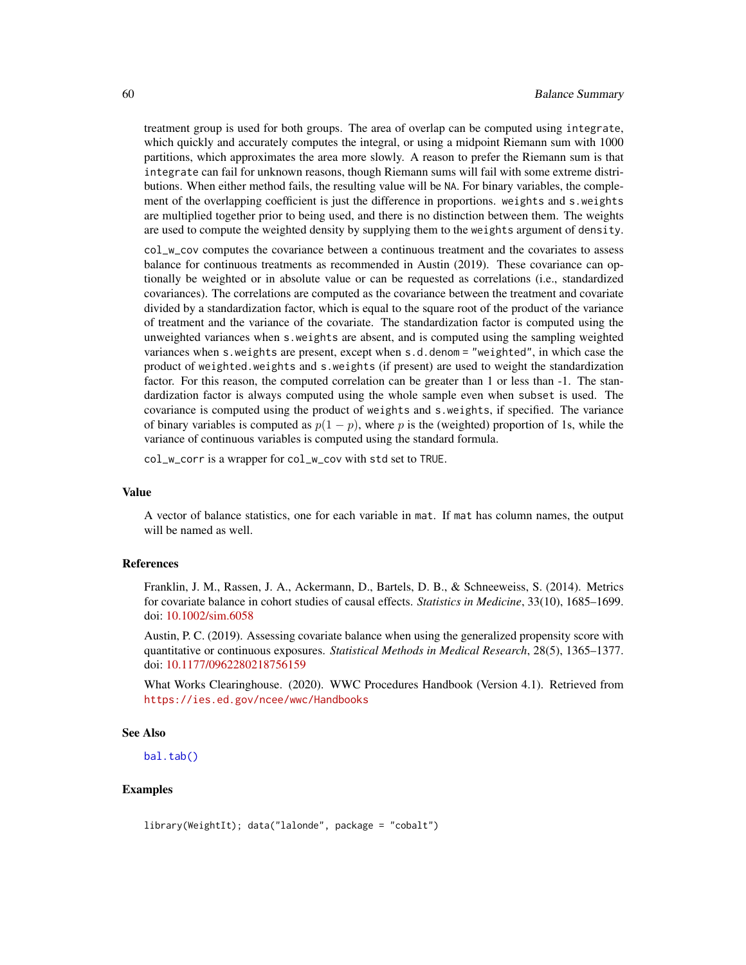treatment group is used for both groups. The area of overlap can be computed using integrate, which quickly and accurately computes the integral, or using a midpoint Riemann sum with 1000 partitions, which approximates the area more slowly. A reason to prefer the Riemann sum is that integrate can fail for unknown reasons, though Riemann sums will fail with some extreme distributions. When either method fails, the resulting value will be NA. For binary variables, the complement of the overlapping coefficient is just the difference in proportions. weights and s.weights are multiplied together prior to being used, and there is no distinction between them. The weights are used to compute the weighted density by supplying them to the weights argument of density.

col\_w\_cov computes the covariance between a continuous treatment and the covariates to assess balance for continuous treatments as recommended in Austin (2019). These covariance can optionally be weighted or in absolute value or can be requested as correlations (i.e., standardized covariances). The correlations are computed as the covariance between the treatment and covariate divided by a standardization factor, which is equal to the square root of the product of the variance of treatment and the variance of the covariate. The standardization factor is computed using the unweighted variances when s.weights are absent, and is computed using the sampling weighted variances when s.weights are present, except when s.d.denom = "weighted", in which case the product of weighted.weights and s.weights (if present) are used to weight the standardization factor. For this reason, the computed correlation can be greater than 1 or less than -1. The standardization factor is always computed using the whole sample even when subset is used. The covariance is computed using the product of weights and s.weights, if specified. The variance of binary variables is computed as  $p(1 - p)$ , where p is the (weighted) proportion of 1s, while the variance of continuous variables is computed using the standard formula.

col\_w\_corr is a wrapper for col\_w\_cov with std set to TRUE.

#### Value

A vector of balance statistics, one for each variable in mat. If mat has column names, the output will be named as well.

## References

Franklin, J. M., Rassen, J. A., Ackermann, D., Bartels, D. B., & Schneeweiss, S. (2014). Metrics for covariate balance in cohort studies of causal effects. *Statistics in Medicine*, 33(10), 1685–1699. doi: [10.1002/sim.6058](https://doi.org/10.1002/sim.6058)

Austin, P. C. (2019). Assessing covariate balance when using the generalized propensity score with quantitative or continuous exposures. *Statistical Methods in Medical Research*, 28(5), 1365–1377. doi: [10.1177/0962280218756159](https://doi.org/10.1177/0962280218756159)

What Works Clearinghouse. (2020). WWC Procedures Handbook (Version 4.1). Retrieved from <https://ies.ed.gov/ncee/wwc/Handbooks>

#### See Also

[bal.tab\(\)](#page-5-0)

## Examples

library(WeightIt); data("lalonde", package = "cobalt")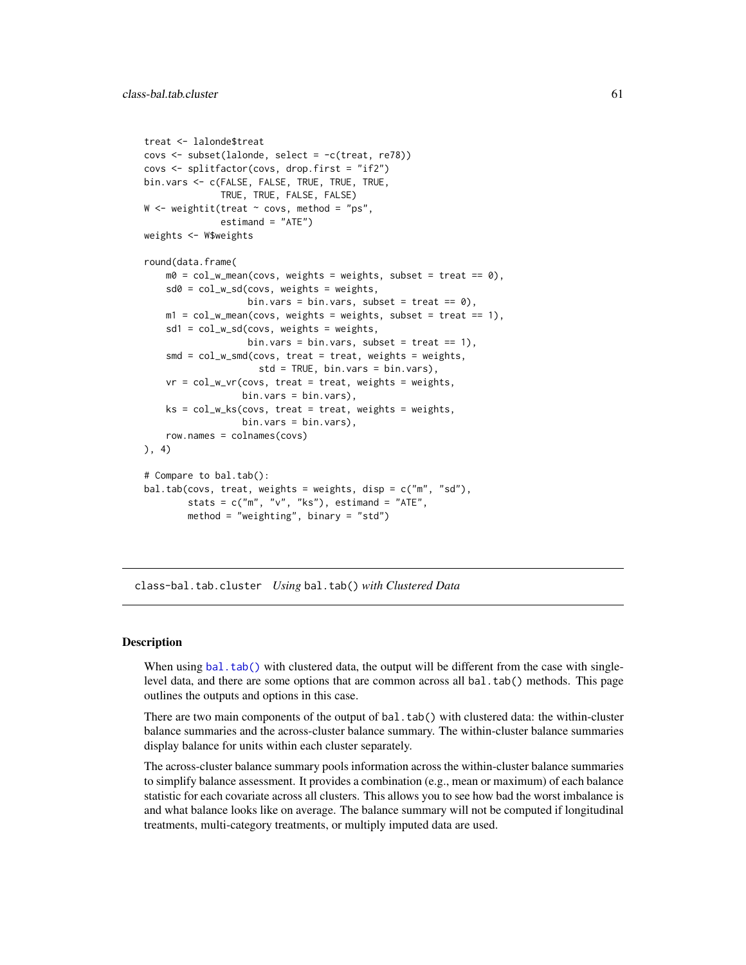```
treat <- lalonde$treat
covs <- subset(lalonde, select = -c(treat, re78))
covs <- splitfactor(covs, drop.first = "if2")
bin.vars <- c(FALSE, FALSE, TRUE, TRUE, TRUE,
              TRUE, TRUE, FALSE, FALSE)
W \leq - weightit(treat \sim covs, method = "ps",
              estimand = "ATE")
weights <- W$weights
round(data.frame(
    m0 = col_w_mean(covs, weights = weights, subset = treat == 0),sd0 = col_w_s d(covs, weights = weights,bin.vars = bin.vars, subset = treat == \emptyset),
    m1 = col_w_mean(covs, weights = weights, subset = treat == 1),
    sd1 = col_w_sd(covs, weights = weights,
                    bin.vars = bin.vars, subset = treat == 1),
    smd = col_w_smd(covs, treat = treat, weights = weights,std = TRUE, bin.vars = bin.vars),
    vr = col_w_v(r(\text{covs}, \text{treat} = \text{treat}, \text{weights} = \text{weights},bin.vars = bin.vars),
    ks = col_w_ks(covs, treat = treat, weights = weights,bin.vars = bin.vars),
    row.names = colnames(covs)
), 4)
# Compare to bal.tab():
bal.tab(covs, treat, weights = weights, disp = c("m", "sd"),
        stats = c("m", "v", "ks"), estimand = "ATE",
        method = "weighting", binary = "std")
```
<span id="page-60-0"></span>class-bal.tab.cluster *Using* bal.tab() *with Clustered Data*

#### Description

When using [bal.tab\(\)](#page-5-0) with clustered data, the output will be different from the case with singlelevel data, and there are some options that are common across all bal.tab() methods. This page outlines the outputs and options in this case.

There are two main components of the output of bal.tab() with clustered data: the within-cluster balance summaries and the across-cluster balance summary. The within-cluster balance summaries display balance for units within each cluster separately.

The across-cluster balance summary pools information across the within-cluster balance summaries to simplify balance assessment. It provides a combination (e.g., mean or maximum) of each balance statistic for each covariate across all clusters. This allows you to see how bad the worst imbalance is and what balance looks like on average. The balance summary will not be computed if longitudinal treatments, multi-category treatments, or multiply imputed data are used.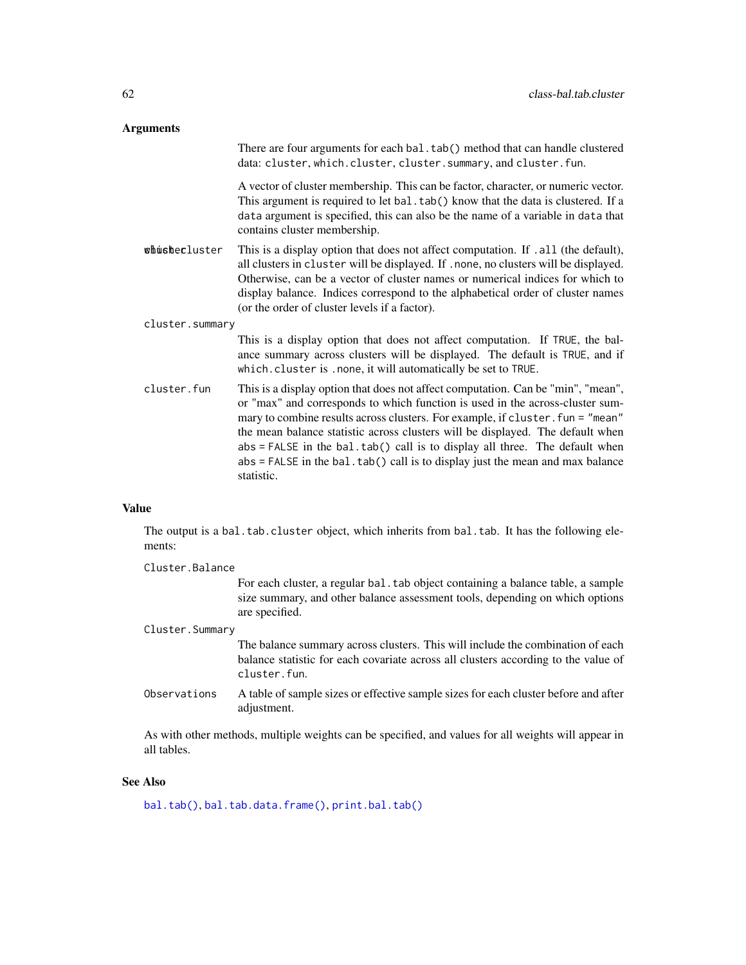### Arguments

There are four arguments for each bal.tab() method that can handle clustered data: cluster, which.cluster, cluster.summary, and cluster.fun. A vector of cluster membership. This can be factor, character, or numeric vector. This argument is required to let bal.tab() know that the data is clustered. If a data argument is specified, this can also be the name of a variable in data that contains cluster membership. where values which which is a display option that does not affect computation. If . all (the default), all clusters in cluster will be displayed. If .none, no clusters will be displayed. Otherwise, can be a vector of cluster names or numerical indices for which to display balance. Indices correspond to the alphabetical order of cluster names (or the order of cluster levels if a factor). cluster.summary This is a display option that does not affect computation. If TRUE, the balance summary across clusters will be displayed. The default is TRUE, and if which.cluster is .none, it will automatically be set to TRUE. cluster.fun This is a display option that does not affect computation. Can be "min", "mean", or "max" and corresponds to which function is used in the across-cluster summary to combine results across clusters. For example, if cluster, fun = "mean" the mean balance statistic across clusters will be displayed. The default when  $abs = FALSE$  in the bal.tab() call is to display all three. The default when  $abs = FALSE$  in the bal.tab() call is to display just the mean and max balance statistic.

## Value

The output is a bal.tab.cluster object, which inherits from bal.tab. It has the following elements:

| Cluster.Balance |                                                                                                                                                                                      |
|-----------------|--------------------------------------------------------------------------------------------------------------------------------------------------------------------------------------|
|                 | For each cluster, a regular bal. tab object containing a balance table, a sample<br>size summary, and other balance assessment tools, depending on which options<br>are specified.   |
| Cluster.Summary |                                                                                                                                                                                      |
|                 | The balance summary across clusters. This will include the combination of each<br>balance statistic for each covariate across all clusters according to the value of<br>cluster.fun. |
| Observations    | A table of sample sizes or effective sample sizes for each cluster before and after<br>adjustment.                                                                                   |
|                 | Ag with other methods, multiple weights ean be specified, and values for all weights will appear in                                                                                  |

As with other methods, multiple weights can be specified, and values for all weights will appear in all tables.

## See Also

[bal.tab\(\)](#page-5-0), [bal.tab.data.frame\(\)](#page-20-0), [print.bal.tab\(\)](#page-81-0)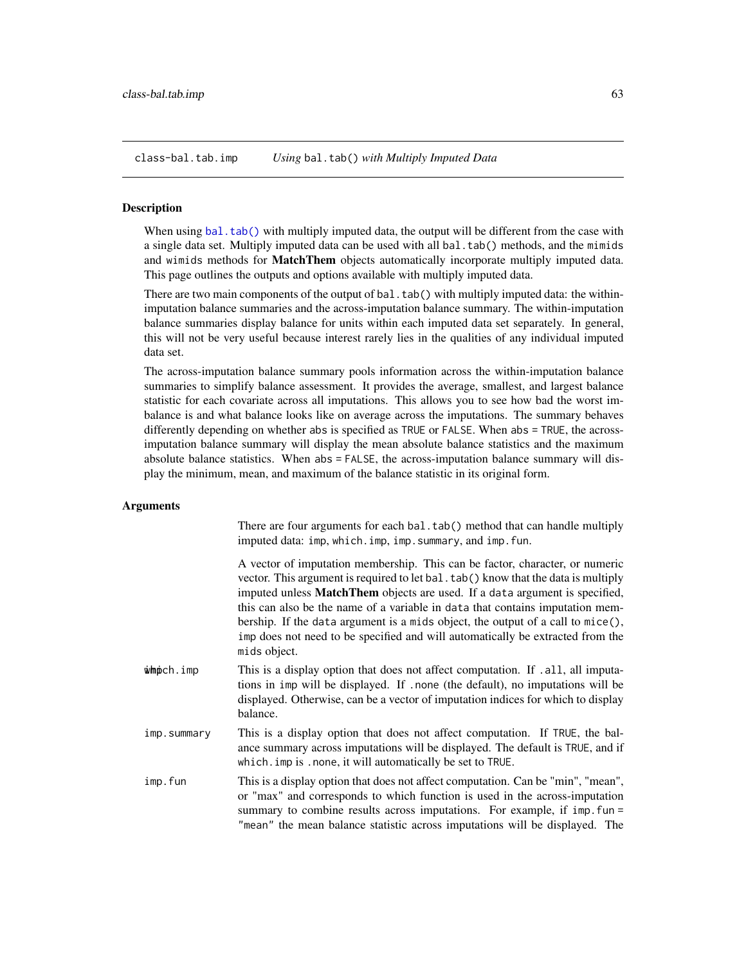<span id="page-62-0"></span>class-bal.tab.imp *Using* bal.tab() *with Multiply Imputed Data*

### Description

When using  $bal.tab()$  with multiply imputed data, the output will be different from the case with a single data set. Multiply imputed data can be used with all bal.tab() methods, and the mimids and wimids methods for **MatchThem** objects automatically incorporate multiply imputed data. This page outlines the outputs and options available with multiply imputed data.

There are two main components of the output of bal.tab() with multiply imputed data: the withinimputation balance summaries and the across-imputation balance summary. The within-imputation balance summaries display balance for units within each imputed data set separately. In general, this will not be very useful because interest rarely lies in the qualities of any individual imputed data set.

The across-imputation balance summary pools information across the within-imputation balance summaries to simplify balance assessment. It provides the average, smallest, and largest balance statistic for each covariate across all imputations. This allows you to see how bad the worst imbalance is and what balance looks like on average across the imputations. The summary behaves differently depending on whether abs is specified as TRUE or FALSE. When abs = TRUE, the acrossimputation balance summary will display the mean absolute balance statistics and the maximum absolute balance statistics. When abs = FALSE, the across-imputation balance summary will display the minimum, mean, and maximum of the balance statistic in its original form.

#### Arguments

There are four arguments for each bal.tab() method that can handle multiply imputed data: imp, which.imp, imp. summary, and imp. fun.

| A vector of imputation membership. This can be factor, character, or numeric                                                                                                                                                       |
|------------------------------------------------------------------------------------------------------------------------------------------------------------------------------------------------------------------------------------|
| vector. This argument is required to let bal. tab() know that the data is multiply                                                                                                                                                 |
| imputed unless MatchThem objects are used. If a data argument is specified,                                                                                                                                                        |
| this can also be the name of a variable in data that contains imputation mem-                                                                                                                                                      |
| bership. If the data argument is a mids object, the output of a call to mice(),                                                                                                                                                    |
| imp does not need to be specified and will automatically be extracted from the<br>mids object.                                                                                                                                     |
| $\mathcal{L}$ , and the contract of the contract of the contract of the contract of the contract of the contract of the contract of the contract of the contract of the contract of the contract of the contract of the contract o |

- when  $\phi$  imp importance in This is a display option that does not affect computation. If .all, all imputations in imp will be displayed. If .none (the default), no imputations will be displayed. Otherwise, can be a vector of imputation indices for which to display balance.
- imp.summary This is a display option that does not affect computation. If TRUE, the balance summary across imputations will be displayed. The default is TRUE, and if which.imp is .none, it will automatically be set to TRUE.
- imp.fun This is a display option that does not affect computation. Can be "min", "mean", or "max" and corresponds to which function is used in the across-imputation summary to combine results across imputations. For example, if  $\text{imp.}\text{fun} =$ "mean" the mean balance statistic across imputations will be displayed. The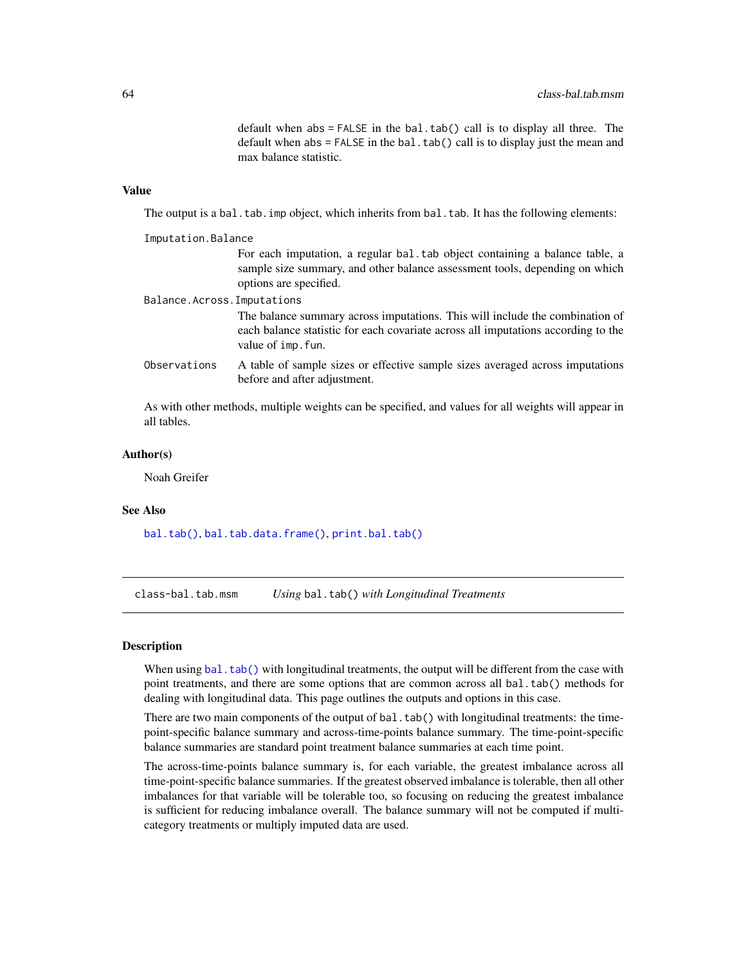default when abs = FALSE in the bal.tab() call is to display all three. The default when  $abs = FALSE$  in the  $bal.tab()$  call is to display just the mean and max balance statistic.

## Value

The output is a bal.tab.imp object, which inherits from bal.tab. It has the following elements:

| Imputation.Balance         |                                                                                                                                                                                         |
|----------------------------|-----------------------------------------------------------------------------------------------------------------------------------------------------------------------------------------|
|                            | For each imputation, a regular bal. tab object containing a balance table, a<br>sample size summary, and other balance assessment tools, depending on which<br>options are specified.   |
| Balance.Across.Imputations |                                                                                                                                                                                         |
|                            | The balance summary across imputations. This will include the combination of<br>each balance statistic for each covariate across all imputations according to the<br>value of imp. fun. |
| Observations               | A table of sample sizes or effective sample sizes averaged across imputations<br>before and after adjustment.                                                                           |
|                            |                                                                                                                                                                                         |

As with other methods, multiple weights can be specified, and values for all weights will appear in all tables.

## Author(s)

Noah Greifer

# See Also

[bal.tab\(\)](#page-5-0), [bal.tab.data.frame\(\)](#page-20-0), [print.bal.tab\(\)](#page-81-0)

<span id="page-63-0"></span>class-bal.tab.msm *Using* bal.tab() *with Longitudinal Treatments*

#### Description

When using  $bal.tab()$  with longitudinal treatments, the output will be different from the case with point treatments, and there are some options that are common across all bal.tab() methods for dealing with longitudinal data. This page outlines the outputs and options in this case.

There are two main components of the output of bal.tab() with longitudinal treatments: the timepoint-specific balance summary and across-time-points balance summary. The time-point-specific balance summaries are standard point treatment balance summaries at each time point.

The across-time-points balance summary is, for each variable, the greatest imbalance across all time-point-specific balance summaries. If the greatest observed imbalance is tolerable, then all other imbalances for that variable will be tolerable too, so focusing on reducing the greatest imbalance is sufficient for reducing imbalance overall. The balance summary will not be computed if multicategory treatments or multiply imputed data are used.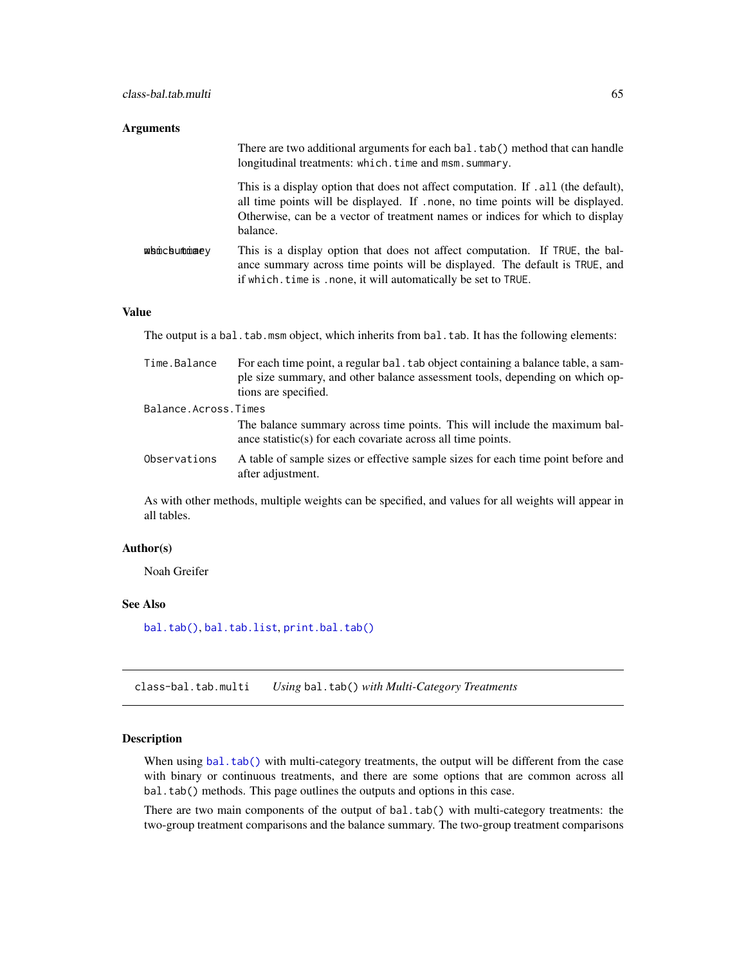## Arguments

|                | There are two additional arguments for each bal.tab() method that can handle<br>longitudinal treatments: which.time and msm.summary.                                                                                                                             |
|----------------|------------------------------------------------------------------------------------------------------------------------------------------------------------------------------------------------------------------------------------------------------------------|
|                | This is a display option that does not affect computation. If .all (the default),<br>all time points will be displayed. If .none, no time points will be displayed.<br>Otherwise, can be a vector of treatment names or indices for which to display<br>balance. |
| whinchurchiney | This is a display option that does not affect computation. If TRUE, the bal-<br>ance summary across time points will be displayed. The default is TRUE, and<br>if which, time is , none, it will automatically be set to TRUE.                                   |

#### Value

The output is a bal.tab.msm object, which inherits from bal.tab. It has the following elements:

| Time.Balance         | For each time point, a regular bal. tab object containing a balance table, a sam-<br>ple size summary, and other balance assessment tools, depending on which op-<br>tions are specified. |
|----------------------|-------------------------------------------------------------------------------------------------------------------------------------------------------------------------------------------|
| Balance.Across.Times |                                                                                                                                                                                           |
|                      | The balance summary across time points. This will include the maximum bal-<br>ance statistic(s) for each covariate across all time points.                                                |
| Observations         | A table of sample sizes or effective sample sizes for each time point before and<br>after adjustment.                                                                                     |

As with other methods, multiple weights can be specified, and values for all weights will appear in all tables.

## Author(s)

Noah Greifer

## See Also

[bal.tab\(\)](#page-5-0), [bal.tab.list](#page-25-0), [print.bal.tab\(\)](#page-81-0)

<span id="page-64-0"></span>class-bal.tab.multi *Using* bal.tab() *with Multi-Category Treatments*

## Description

When using [bal.tab\(\)](#page-5-0) with multi-category treatments, the output will be different from the case with binary or continuous treatments, and there are some options that are common across all bal.tab() methods. This page outlines the outputs and options in this case.

There are two main components of the output of bal.tab() with multi-category treatments: the two-group treatment comparisons and the balance summary. The two-group treatment comparisons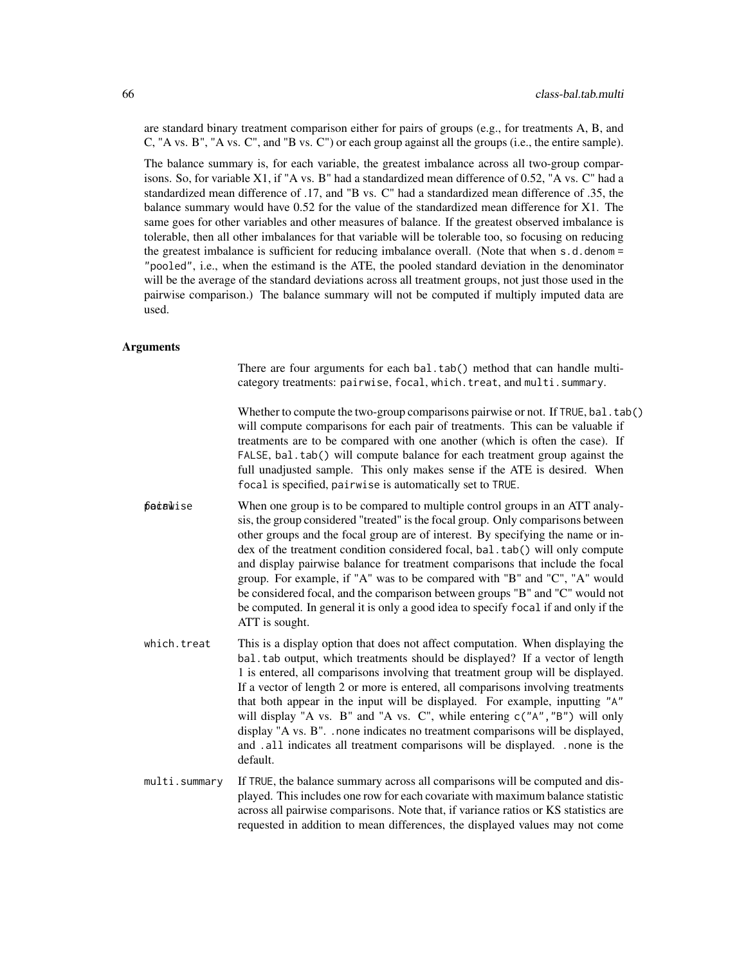are standard binary treatment comparison either for pairs of groups (e.g., for treatments A, B, and C, "A vs. B", "A vs. C", and "B vs. C") or each group against all the groups (i.e., the entire sample).

The balance summary is, for each variable, the greatest imbalance across all two-group comparisons. So, for variable X1, if "A vs. B" had a standardized mean difference of 0.52, "A vs. C" had a standardized mean difference of .17, and "B vs. C" had a standardized mean difference of .35, the balance summary would have 0.52 for the value of the standardized mean difference for X1. The same goes for other variables and other measures of balance. If the greatest observed imbalance is tolerable, then all other imbalances for that variable will be tolerable too, so focusing on reducing the greatest imbalance is sufficient for reducing imbalance overall. (Note that when s.d.denom = "pooled", i.e., when the estimand is the ATE, the pooled standard deviation in the denominator will be the average of the standard deviations across all treatment groups, not just those used in the pairwise comparison.) The balance summary will not be computed if multiply imputed data are used.

### Arguments

There are four arguments for each bal.tab() method that can handle multicategory treatments: pairwise, focal, which.treat, and multi.summary.

Whether to compute the two-group comparisons pairwise or not. If TRUE, bal.tab() will compute comparisons for each pair of treatments. This can be valuable if treatments are to be compared with one another (which is often the case). If FALSE, bal.tab() will compute balance for each treatment group against the full unadjusted sample. This only makes sense if the ATE is desired. When focal is specified, pairwise is automatically set to TRUE.

pothermies when one group is to be compared to multiple control groups in an ATT analysis, the group considered "treated" is the focal group. Only comparisons between other groups and the focal group are of interest. By specifying the name or index of the treatment condition considered focal, bal.tab() will only compute and display pairwise balance for treatment comparisons that include the focal group. For example, if "A" was to be compared with "B" and "C", "A" would be considered focal, and the comparison between groups "B" and "C" would not be computed. In general it is only a good idea to specify focal if and only if the ATT is sought.

- which.treat This is a display option that does not affect computation. When displaying the bal.tab output, which treatments should be displayed? If a vector of length 1 is entered, all comparisons involving that treatment group will be displayed. If a vector of length 2 or more is entered, all comparisons involving treatments that both appear in the input will be displayed. For example, inputting "A" will display "A vs. B" and "A vs. C", while entering  $c("A", "B")$  will only display "A vs. B". .none indicates no treatment comparisons will be displayed, and .all indicates all treatment comparisons will be displayed. .none is the default.
- multi.summary If TRUE, the balance summary across all comparisons will be computed and displayed. This includes one row for each covariate with maximum balance statistic across all pairwise comparisons. Note that, if variance ratios or KS statistics are requested in addition to mean differences, the displayed values may not come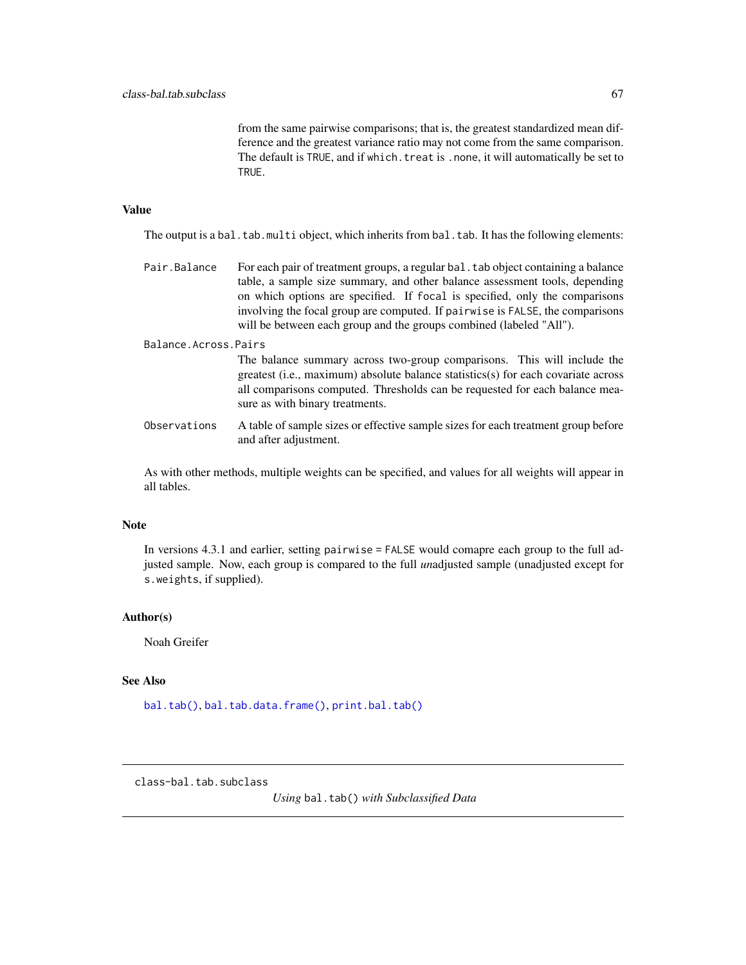from the same pairwise comparisons; that is, the greatest standardized mean difference and the greatest variance ratio may not come from the same comparison. The default is TRUE, and if which.treat is .none, it will automatically be set to TRUE.

## Value

The output is a bal.tab.multi object, which inherits from bal.tab. It has the following elements:

- Pair.Balance For each pair of treatment groups, a regular bal.tab object containing a balance table, a sample size summary, and other balance assessment tools, depending on which options are specified. If focal is specified, only the comparisons involving the focal group are computed. If pairwise is FALSE, the comparisons will be between each group and the groups combined (labeled "All").
- Balance.Across.Pairs The balance summary across two-group comparisons. This will include the greatest (i.e., maximum) absolute balance statistics(s) for each covariate across all comparisons computed. Thresholds can be requested for each balance measure as with binary treatments.
- Observations A table of sample sizes or effective sample sizes for each treatment group before and after adjustment.

As with other methods, multiple weights can be specified, and values for all weights will appear in all tables.

## Note

In versions 4.3.1 and earlier, setting pairwise = FALSE would comapre each group to the full adjusted sample. Now, each group is compared to the full *un*adjusted sample (unadjusted except for s.weights, if supplied).

## Author(s)

Noah Greifer

# See Also

[bal.tab\(\)](#page-5-0), [bal.tab.data.frame\(\)](#page-20-0), [print.bal.tab\(\)](#page-81-0)

<span id="page-66-0"></span>class-bal.tab.subclass

*Using* bal.tab() *with Subclassified Data*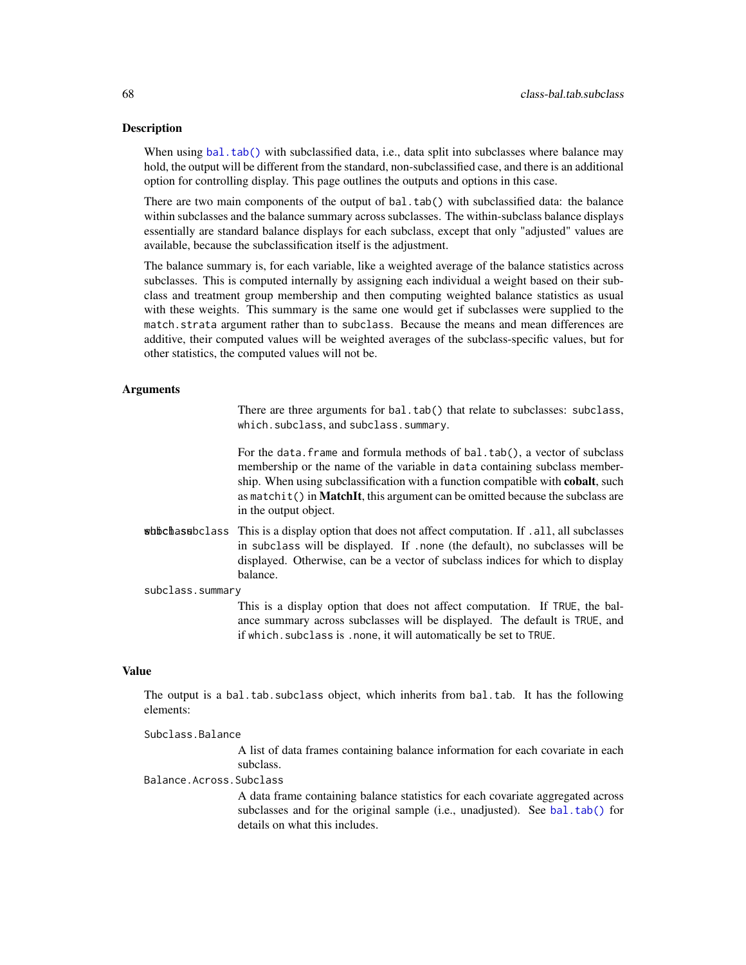### **Description**

When using [bal.tab\(\)](#page-5-0) with subclassified data, i.e., data split into subclasses where balance may hold, the output will be different from the standard, non-subclassified case, and there is an additional option for controlling display. This page outlines the outputs and options in this case.

There are two main components of the output of bal.tab() with subclassified data: the balance within subclasses and the balance summary across subclasses. The within-subclass balance displays essentially are standard balance displays for each subclass, except that only "adjusted" values are available, because the subclassification itself is the adjustment.

The balance summary is, for each variable, like a weighted average of the balance statistics across subclasses. This is computed internally by assigning each individual a weight based on their subclass and treatment group membership and then computing weighted balance statistics as usual with these weights. This summary is the same one would get if subclasses were supplied to the match.strata argument rather than to subclass. Because the means and mean differences are additive, their computed values will be weighted averages of the subclass-specific values, but for other statistics, the computed values will not be.

### Arguments

There are three arguments for bal.tab() that relate to subclasses: subclass, which.subclass, and subclass.summary.

For the data. frame and formula methods of bal.tab(), a vector of subclass membership or the name of the variable in data containing subclass membership. When using subclassification with a function compatible with **cobalt**, such as matchit() in MatchIt, this argument can be omitted because the subclass are in the output object.

which as a subclass subset is a display option that does not affect computation. If . all, all subclasses in subclass will be displayed. If .none (the default), no subclasses will be displayed. Otherwise, can be a vector of subclass indices for which to display balance.

subclass.summary

This is a display option that does not affect computation. If TRUE, the balance summary across subclasses will be displayed. The default is TRUE, and if which.subclass is .none, it will automatically be set to TRUE.

#### Value

The output is a bal.tab.subclass object, which inherits from bal.tab. It has the following elements:

| Subclass.Balance        |                                                                                                                                                                                                   |
|-------------------------|---------------------------------------------------------------------------------------------------------------------------------------------------------------------------------------------------|
|                         | A list of data frames containing balance information for each covariate in each<br>subclass.                                                                                                      |
| Balance.Across.Subclass |                                                                                                                                                                                                   |
|                         | A data frame containing balance statistics for each covariate aggregated across<br>subclasses and for the original sample (i.e., unadjusted). See bal.tab() for<br>details on what this includes. |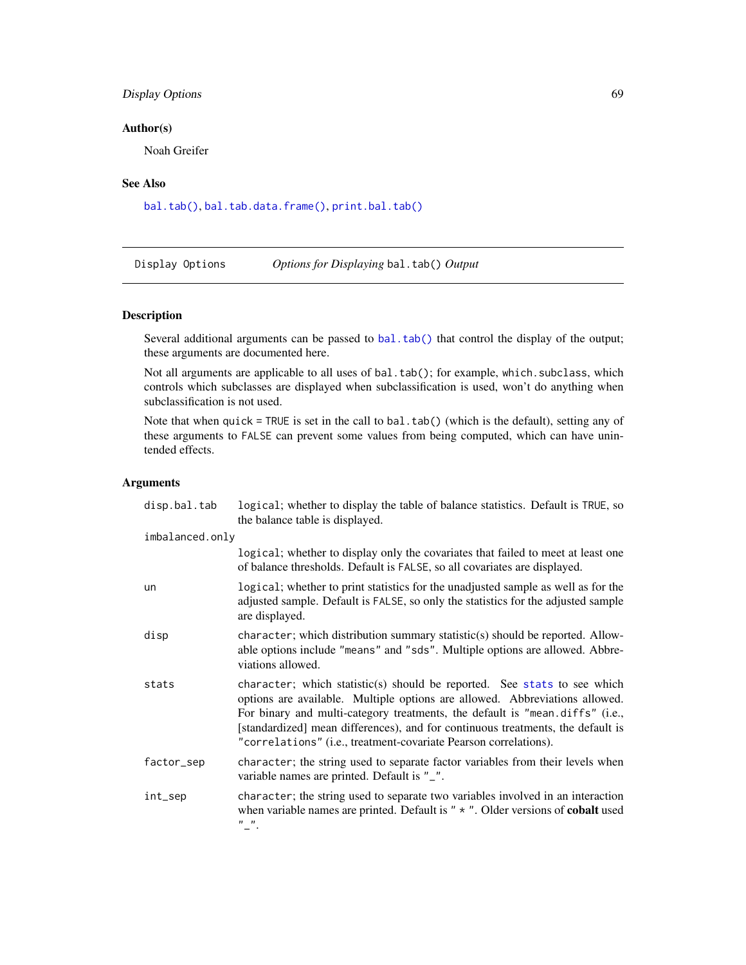## Display Options 69

## Author(s)

Noah Greifer

### See Also

[bal.tab\(\)](#page-5-0), [bal.tab.data.frame\(\)](#page-20-0), [print.bal.tab\(\)](#page-81-0)

Display Options *Options for Displaying* bal.tab() *Output*

## <span id="page-68-0"></span>Description

Several additional arguments can be passed to [bal.tab\(\)](#page-5-0) that control the display of the output; these arguments are documented here.

Not all arguments are applicable to all uses of bal.tab(); for example, which.subclass, which controls which subclasses are displayed when subclassification is used, won't do anything when subclassification is not used.

Note that when quick = TRUE is set in the call to bal.tab() (which is the default), setting any of these arguments to FALSE can prevent some values from being computed, which can have unintended effects.

## Arguments

| disp.bal.tab    | logical; whether to display the table of balance statistics. Default is TRUE, so<br>the balance table is displayed.                                                                                                                                                                                                                                                                            |
|-----------------|------------------------------------------------------------------------------------------------------------------------------------------------------------------------------------------------------------------------------------------------------------------------------------------------------------------------------------------------------------------------------------------------|
| imbalanced.only |                                                                                                                                                                                                                                                                                                                                                                                                |
|                 | logical; whether to display only the covariates that failed to meet at least one<br>of balance thresholds. Default is FALSE, so all covariates are displayed.                                                                                                                                                                                                                                  |
| un              | logical; whether to print statistics for the unadjusted sample as well as for the<br>adjusted sample. Default is FALSE, so only the statistics for the adjusted sample<br>are displayed.                                                                                                                                                                                                       |
| disp            | character; which distribution summary statistic(s) should be reported. Allow-<br>able options include "means" and "sds". Multiple options are allowed. Abbre-<br>viations allowed.                                                                                                                                                                                                             |
| stats           | character; which statistic(s) should be reported. See stats to see which<br>options are available. Multiple options are allowed. Abbreviations allowed.<br>For binary and multi-category treatments, the default is "mean.diffs" (i.e.,<br>[standardized] mean differences), and for continuous treatments, the default is<br>"correlations" (i.e., treatment-covariate Pearson correlations). |
| factor_sep      | character; the string used to separate factor variables from their levels when<br>variable names are printed. Default is "_".                                                                                                                                                                                                                                                                  |
| int_sep         | character; the string used to separate two variables involved in an interaction<br>when variable names are printed. Default is " $\star$ ". Older versions of <b>cobalt</b> used                                                                                                                                                                                                               |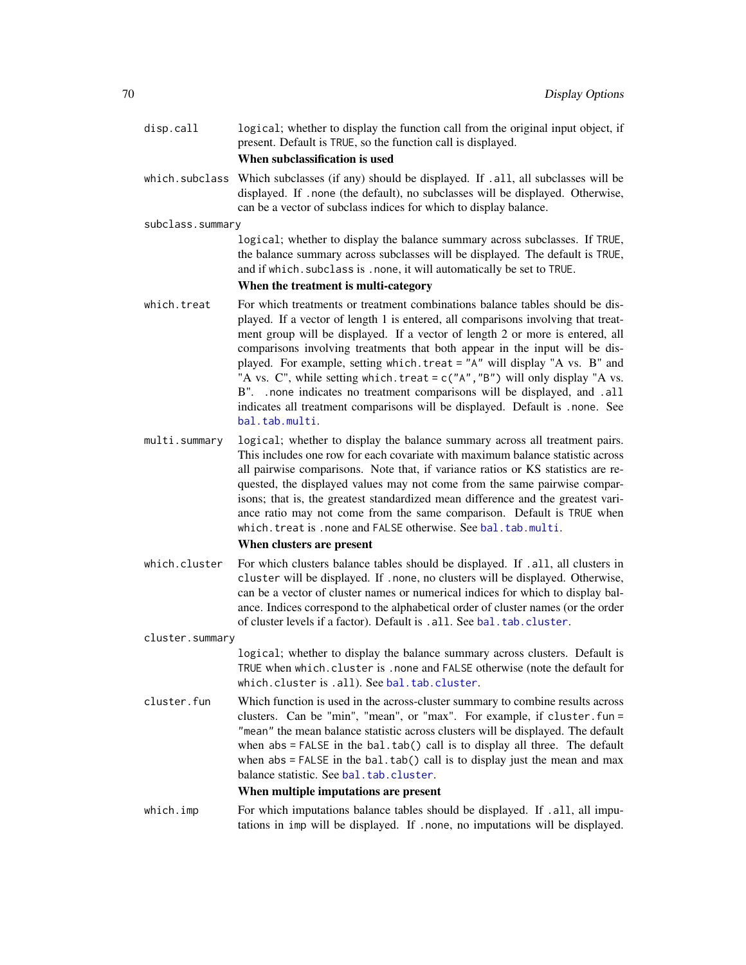disp.call logical; whether to display the function call from the original input object, if present. Default is TRUE, so the function call is displayed.

## When subclassification is used

- which.subclass Which subclasses (if any) should be displayed. If .all, all subclasses will be displayed. If .none (the default), no subclasses will be displayed. Otherwise, can be a vector of subclass indices for which to display balance.
- subclass.summary

cluster.summary

logical; whether to display the balance summary across subclasses. If TRUE, the balance summary across subclasses will be displayed. The default is TRUE, and if which.subclass is .none, it will automatically be set to TRUE.

## When the treatment is multi-category

- which.treat For which treatments or treatment combinations balance tables should be displayed. If a vector of length 1 is entered, all comparisons involving that treatment group will be displayed. If a vector of length 2 or more is entered, all comparisons involving treatments that both appear in the input will be displayed. For example, setting which.treat = "A" will display "A vs. B" and "A vs. C", while setting which.treat =  $c("A", "B")$  will only display "A vs. B". .none indicates no treatment comparisons will be displayed, and .all indicates all treatment comparisons will be displayed. Default is .none. See [bal.tab.multi](#page-64-0).
- multi.summary logical; whether to display the balance summary across all treatment pairs. This includes one row for each covariate with maximum balance statistic across all pairwise comparisons. Note that, if variance ratios or KS statistics are requested, the displayed values may not come from the same pairwise comparisons; that is, the greatest standardized mean difference and the greatest variance ratio may not come from the same comparison. Default is TRUE when which.treat is .none and FALSE otherwise. See [bal.tab.multi](#page-64-0).

### When clusters are present

- which.cluster For which clusters balance tables should be displayed. If .all, all clusters in cluster will be displayed. If .none, no clusters will be displayed. Otherwise, can be a vector of cluster names or numerical indices for which to display balance. Indices correspond to the alphabetical order of cluster names (or the order of cluster levels if a factor). Default is .all. See [bal.tab.cluster](#page-60-0).
	- logical; whether to display the balance summary across clusters. Default is TRUE when which.cluster is .none and FALSE otherwise (note the default for which.cluster is .all). See [bal.tab.cluster](#page-60-0).
- cluster.fun Which function is used in the across-cluster summary to combine results across clusters. Can be "min", "mean", or "max". For example, if cluster.fun = "mean" the mean balance statistic across clusters will be displayed. The default when abs = FALSE in the bal.tab() call is to display all three. The default when  $abs = FALSE$  in the  $bal.tab()$  call is to display just the mean and max balance statistic. See [bal.tab.cluster](#page-60-0).

## When multiple imputations are present

which.imp For which imputations balance tables should be displayed. If .all, all imputations in imp will be displayed. If .none, no imputations will be displayed.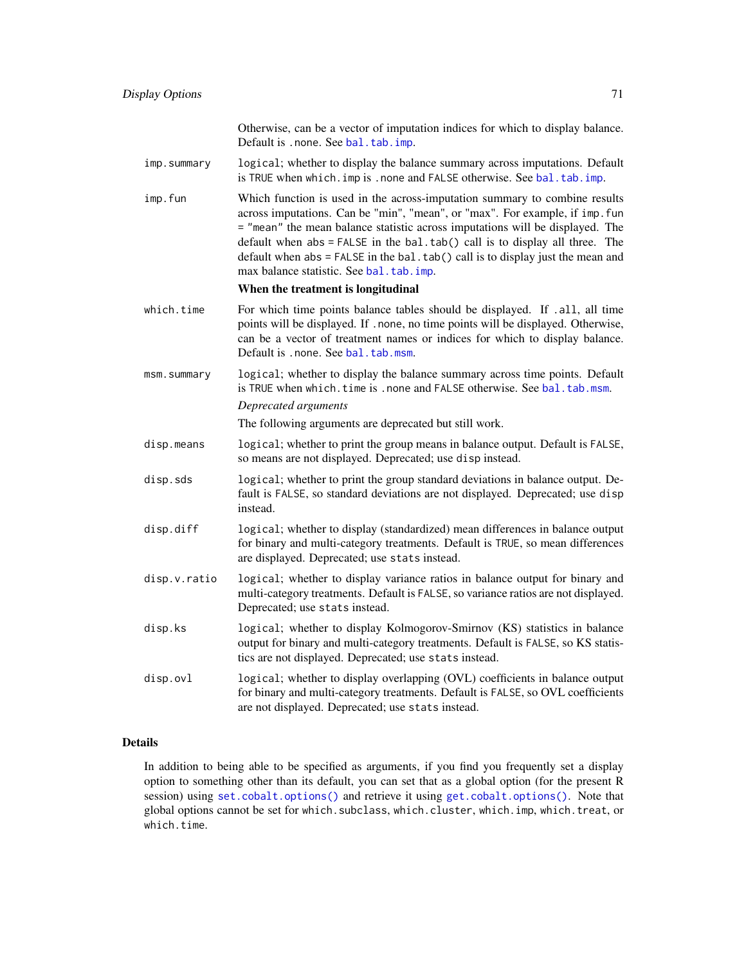Otherwise, can be a vector of imputation indices for which to display balance. Default is .none. See [bal.tab.imp](#page-62-0).

- imp.summary logical; whether to display the balance summary across imputations. Default is TRUE when which.imp is .none and FALSE otherwise. See [bal.tab.imp](#page-62-0).
- imp.fun Which function is used in the across-imputation summary to combine results across imputations. Can be "min", "mean", or "max". For example, if imp.fun = "mean" the mean balance statistic across imputations will be displayed. The default when abs = FALSE in the bal.tab() call is to display all three. The default when abs = FALSE in the bal.tab() call is to display just the mean and max balance statistic. See [bal.tab.imp](#page-62-0).

#### When the treatment is longitudinal

- which.time For which time points balance tables should be displayed. If .all, all time points will be displayed. If .none, no time points will be displayed. Otherwise, can be a vector of treatment names or indices for which to display balance. Default is .none. See [bal.tab.msm](#page-63-0).
- msm.summary logical; whether to display the balance summary across time points. Default is TRUE when which.time is .none and FALSE otherwise. See [bal.tab.msm](#page-63-0). *Deprecated arguments*

The following arguments are deprecated but still work.

- disp.means logical; whether to print the group means in balance output. Default is FALSE, so means are not displayed. Deprecated; use disp instead.
- disp.sds logical; whether to print the group standard deviations in balance output. Default is FALSE, so standard deviations are not displayed. Deprecated; use disp instead.
- disp.diff logical; whether to display (standardized) mean differences in balance output for binary and multi-category treatments. Default is TRUE, so mean differences are displayed. Deprecated; use stats instead.
- disp.v.ratio logical; whether to display variance ratios in balance output for binary and multi-category treatments. Default is FALSE, so variance ratios are not displayed. Deprecated; use stats instead.
- disp.ks logical; whether to display Kolmogorov-Smirnov (KS) statistics in balance output for binary and multi-category treatments. Default is FALSE, so KS statistics are not displayed. Deprecated; use stats instead.
- disp.ovl logical; whether to display overlapping (OVL) coefficients in balance output for binary and multi-category treatments. Default is FALSE, so OVL coefficients are not displayed. Deprecated; use stats instead.

### Details

In addition to being able to be specified as arguments, if you find you frequently set a display option to something other than its default, you can set that as a global option (for the present R session) using [set.cobalt.options\(\)](#page-84-0) and retrieve it using [get.cobalt.options\(\)](#page-84-1). Note that global options cannot be set for which.subclass, which.cluster, which.imp, which.treat, or which.time.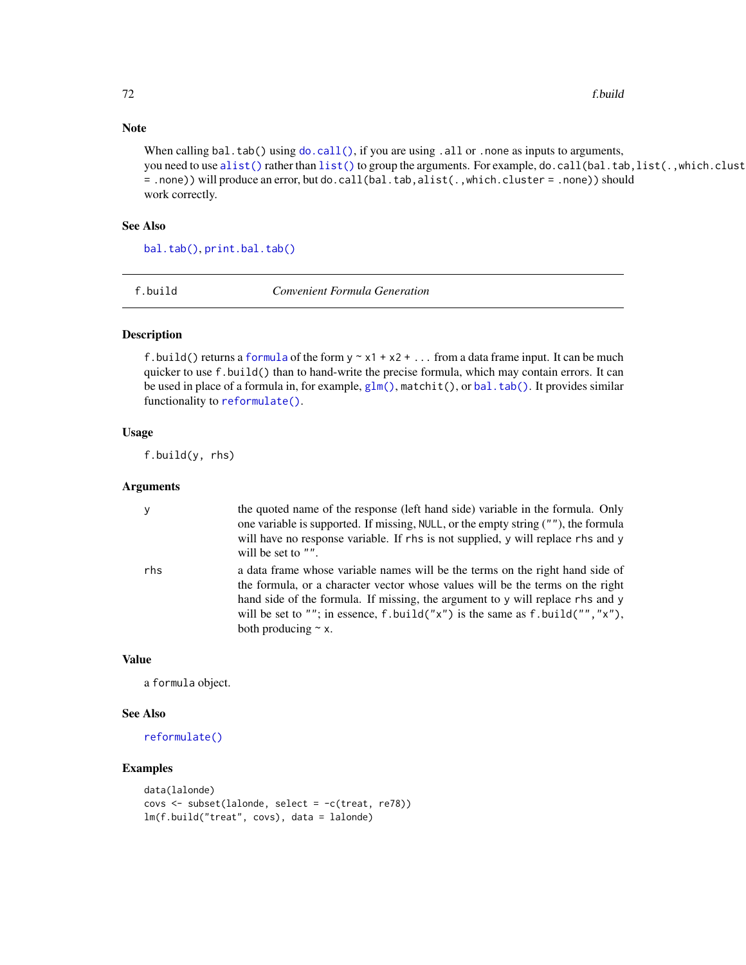## Note

When calling bal.tab() using  $\phi$ .call(), if you are using .all or .none as inputs to arguments, you need to use [alist\(\)](#page-0-0) rather than [list\(\)](#page-0-0) to group the arguments. For example, do.call(bal.tab,list(.,which.clust = .none)) will produce an error, but do.call(bal.tab,alist(.,which.cluster = .none)) should work correctly.

## See Also

[bal.tab\(\)](#page-5-0), [print.bal.tab\(\)](#page-81-0)

f.build *Convenient Formula Generation*

## Description

f.build() returns a [formula](#page-0-0) of the form  $y \sim x1 + x2 + ...$  from a data frame input. It can be much quicker to use f.build() than to hand-write the precise formula, which may contain errors. It can be used in place of a formula in, for example, [glm\(\)](#page-0-0), matchit(), or [bal.tab\(\)](#page-5-0). It provides similar functionality to [reformulate\(\)](#page-0-0).

### Usage

f.build(y, rhs)

#### Arguments

|     | the quoted name of the response (left hand side) variable in the formula. Only<br>one variable is supported. If missing, NULL, or the empty string (""), the formula<br>will have no response variable. If rhs is not supplied, y will replace rhs and y<br>will be set to "".                                                                                |
|-----|---------------------------------------------------------------------------------------------------------------------------------------------------------------------------------------------------------------------------------------------------------------------------------------------------------------------------------------------------------------|
| rhs | a data frame whose variable names will be the terms on the right hand side of<br>the formula, or a character vector whose values will be the terms on the right<br>hand side of the formula. If missing, the argument to y will replace rhs and y<br>will be set to ""; in essence, f.build("x") is the same as f.build("","x"),<br>both producing $\sim x$ . |

### Value

a formula object.

### See Also

[reformulate\(\)](#page-0-0)

## Examples

```
data(lalonde)
covs <- subset(lalonde, select = -c(treat, re78))
lm(f.build("treat", covs), data = lalonde)
```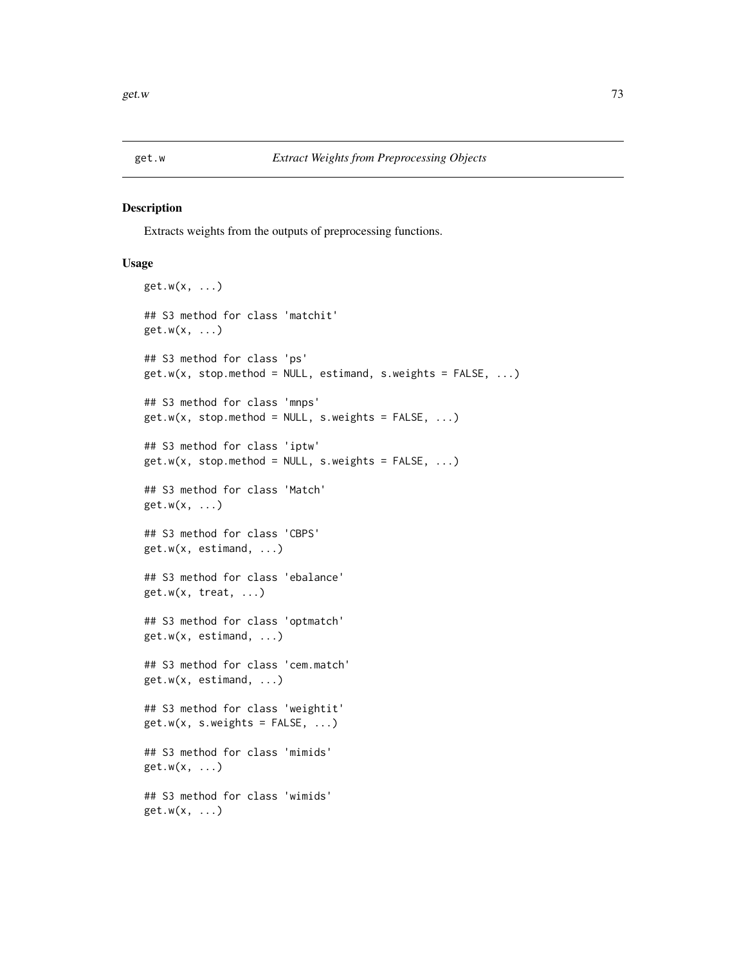<span id="page-72-0"></span>

#### Description

Extracts weights from the outputs of preprocessing functions.

```
get.w(x, \ldots)## S3 method for class 'matchit'
get.w(x, \ldots)## S3 method for class 'ps'
get.w(x, stop.method = NULL, estimating, s.weights = FALSE, ...)## S3 method for class 'mnps'
get.w(x, stop.method = NULL, s.weights = FALSE, ...)## S3 method for class 'iptw'
get.w(x, stop.method = NULL, s.weights = FALSE, ...)## S3 method for class 'Match'
get.w(x, \ldots)## S3 method for class 'CBPS'
get.w(x, estimand, ...)
## S3 method for class 'ebalance'
get.w(x, treat, ...)
## S3 method for class 'optmatch'
get.w(x, estimand, ...)
## S3 method for class 'cem.match'
get.w(x, estimand, ...)
## S3 method for class 'weightit'
get.w(x, s.weights = FALSE, ...)## S3 method for class 'mimids'
get.w(x, ...)
## S3 method for class 'wimids'
get.w(x, ...)
```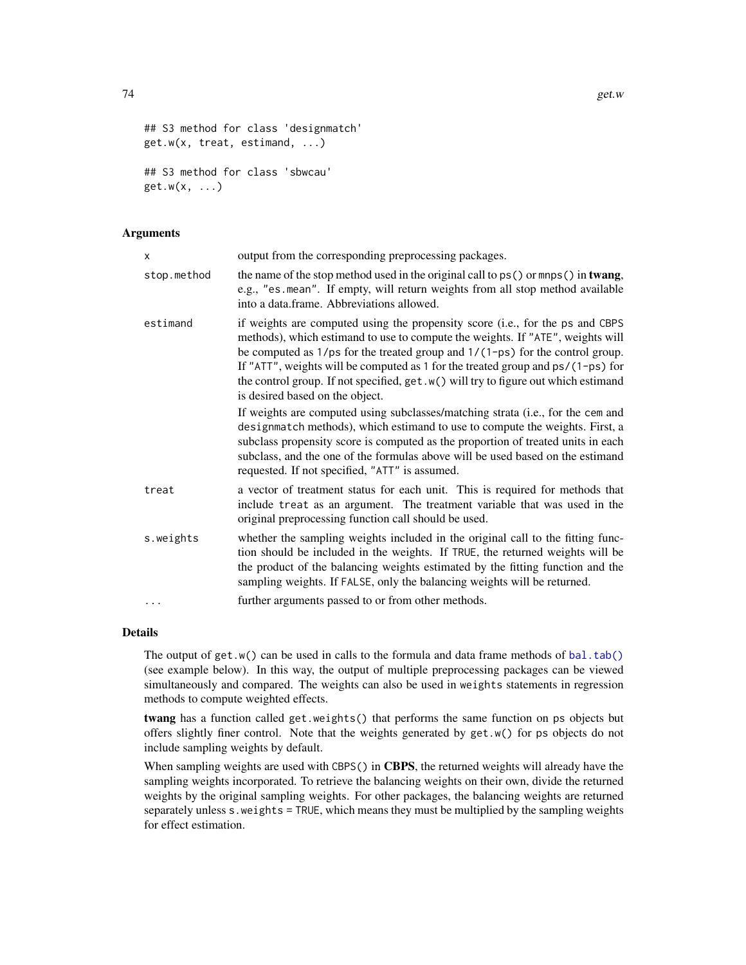```
## S3 method for class 'designmatch'
get.w(x, treat, estimand, ...)
## S3 method for class 'sbwcau'
get.w(x, \ldots)
```
#### Arguments

| X           | output from the corresponding preprocessing packages.                                                                                                                                                                                                                                                                                                                                                                                                                                                                                                                                                                                  |
|-------------|----------------------------------------------------------------------------------------------------------------------------------------------------------------------------------------------------------------------------------------------------------------------------------------------------------------------------------------------------------------------------------------------------------------------------------------------------------------------------------------------------------------------------------------------------------------------------------------------------------------------------------------|
| stop.method | the name of the stop method used in the original call to $ps()$ or mnps () in twang,<br>e.g., "es.mean". If empty, will return weights from all stop method available<br>into a data.frame. Abbreviations allowed.                                                                                                                                                                                                                                                                                                                                                                                                                     |
| estimand    | if weights are computed using the propensity score (i.e., for the ps and CBPS<br>methods), which estimand to use to compute the weights. If "ATE", weights will<br>be computed as $1/ps$ for the treated group and $1/(1-ps)$ for the control group.<br>If "ATT", weights will be computed as 1 for the treated group and $ps/(1-ps)$ for<br>the control group. If not specified, get. w() will try to figure out which estimand<br>is desired based on the object.<br>If weights are computed using subclasses/matching strata (i.e., for the cem and<br>designmatch methods), which estimand to use to compute the weights. First, a |
|             | subclass propensity score is computed as the proportion of treated units in each<br>subclass, and the one of the formulas above will be used based on the estimand<br>requested. If not specified, "ATT" is assumed.                                                                                                                                                                                                                                                                                                                                                                                                                   |
| treat       | a vector of treatment status for each unit. This is required for methods that<br>include treat as an argument. The treatment variable that was used in the<br>original preprocessing function call should be used.                                                                                                                                                                                                                                                                                                                                                                                                                     |
| s.weights   | whether the sampling weights included in the original call to the fitting func-<br>tion should be included in the weights. If TRUE, the returned weights will be<br>the product of the balancing weights estimated by the fitting function and the<br>sampling weights. If FALSE, only the balancing weights will be returned.                                                                                                                                                                                                                                                                                                         |
| .           | further arguments passed to or from other methods.                                                                                                                                                                                                                                                                                                                                                                                                                                                                                                                                                                                     |

#### Details

The output of get.w() can be used in calls to the formula and data frame methods of [bal.tab\(\)](#page-5-0) (see example below). In this way, the output of multiple preprocessing packages can be viewed simultaneously and compared. The weights can also be used in weights statements in regression methods to compute weighted effects.

twang has a function called get.weights() that performs the same function on ps objects but offers slightly finer control. Note that the weights generated by get.w() for ps objects do not include sampling weights by default.

When sampling weights are used with CBPS() in CBPS, the returned weights will already have the sampling weights incorporated. To retrieve the balancing weights on their own, divide the returned weights by the original sampling weights. For other packages, the balancing weights are returned separately unless s.weights = TRUE, which means they must be multiplied by the sampling weights for effect estimation.

<span id="page-73-0"></span>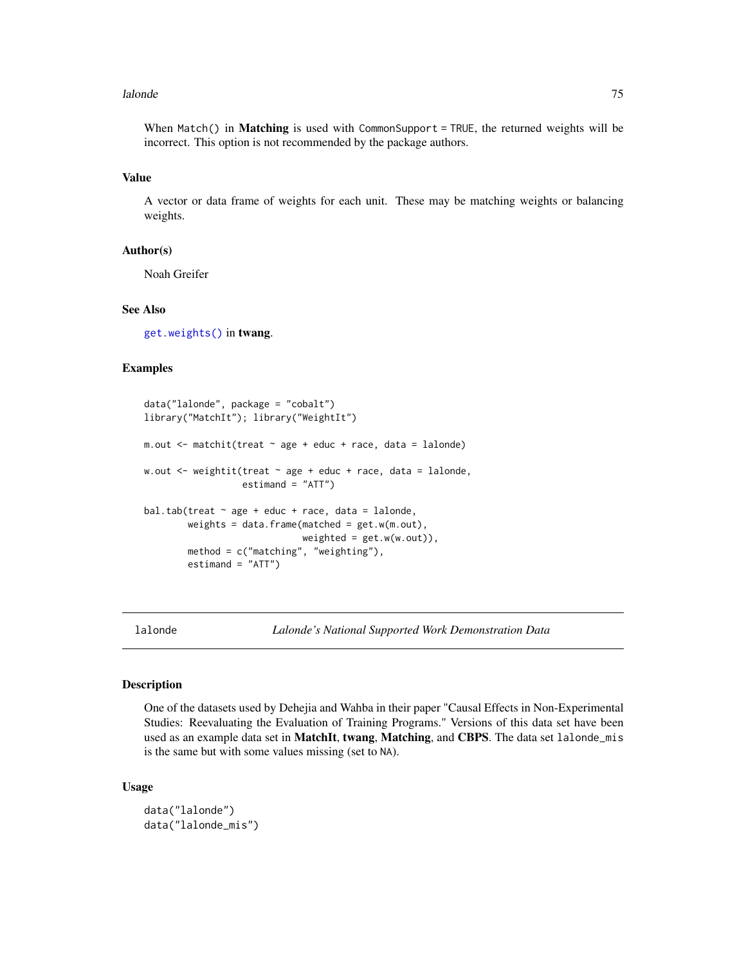#### <span id="page-74-0"></span>lalonde 75

When Match() in Matching is used with CommonSupport = TRUE, the returned weights will be incorrect. This option is not recommended by the package authors.

#### Value

A vector or data frame of weights for each unit. These may be matching weights or balancing weights.

#### Author(s)

Noah Greifer

## See Also

[get.weights\(\)](#page-0-0) in twang.

## Examples

```
data("lalonde", package = "cobalt")
library("MatchIt"); library("WeightIt")
m.out <- matchit(treat ~ age + educ + race, data = lalonde)
w.out \leq weightit(treat \sim age + educ + race, data = lalonde,
                  estimand = "ATT")bal.tab(treat \sim age + educ + race, data = lalonde,
        weights = data.frame(matched = get.w(m.out),
                             weighted = get.w(w.out)),method = c("matching", "weighting"),
        estimand = "ATT")
```
lalonde *Lalonde's National Supported Work Demonstration Data*

#### **Description**

One of the datasets used by Dehejia and Wahba in their paper "Causal Effects in Non-Experimental Studies: Reevaluating the Evaluation of Training Programs." Versions of this data set have been used as an example data set in MatchIt, twang, Matching, and CBPS. The data set lalonde\_mis is the same but with some values missing (set to NA).

```
data("lalonde")
data("lalonde_mis")
```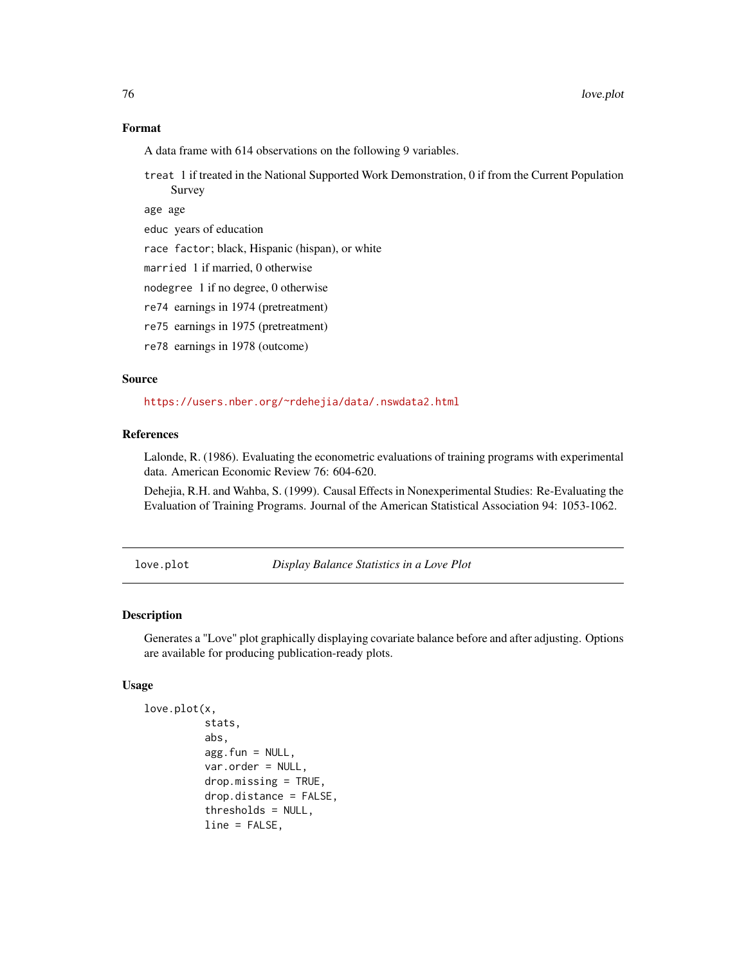## Format

A data frame with 614 observations on the following 9 variables.

treat 1 if treated in the National Supported Work Demonstration, 0 if from the Current Population Survey

age age

educ years of education

race factor; black, Hispanic (hispan), or white

married 1 if married, 0 otherwise

nodegree 1 if no degree, 0 otherwise

re74 earnings in 1974 (pretreatment)

re75 earnings in 1975 (pretreatment)

re78 earnings in 1978 (outcome)

#### Source

<https://users.nber.org/~rdehejia/data/.nswdata2.html>

## References

Lalonde, R. (1986). Evaluating the econometric evaluations of training programs with experimental data. American Economic Review 76: 604-620.

Dehejia, R.H. and Wahba, S. (1999). Causal Effects in Nonexperimental Studies: Re-Evaluating the Evaluation of Training Programs. Journal of the American Statistical Association 94: 1053-1062.

<span id="page-75-0"></span>love.plot *Display Balance Statistics in a Love Plot*

## **Description**

Generates a "Love" plot graphically displaying covariate balance before and after adjusting. Options are available for producing publication-ready plots.

```
love.plot(x,
          stats,
          abs,
          agg.fun = NULL,var.order = NULL,
          drop.missing = TRUE,
          drop.distance = FALSE,
          thresholds = NULL,
          line = FALSE,
```
<span id="page-75-1"></span>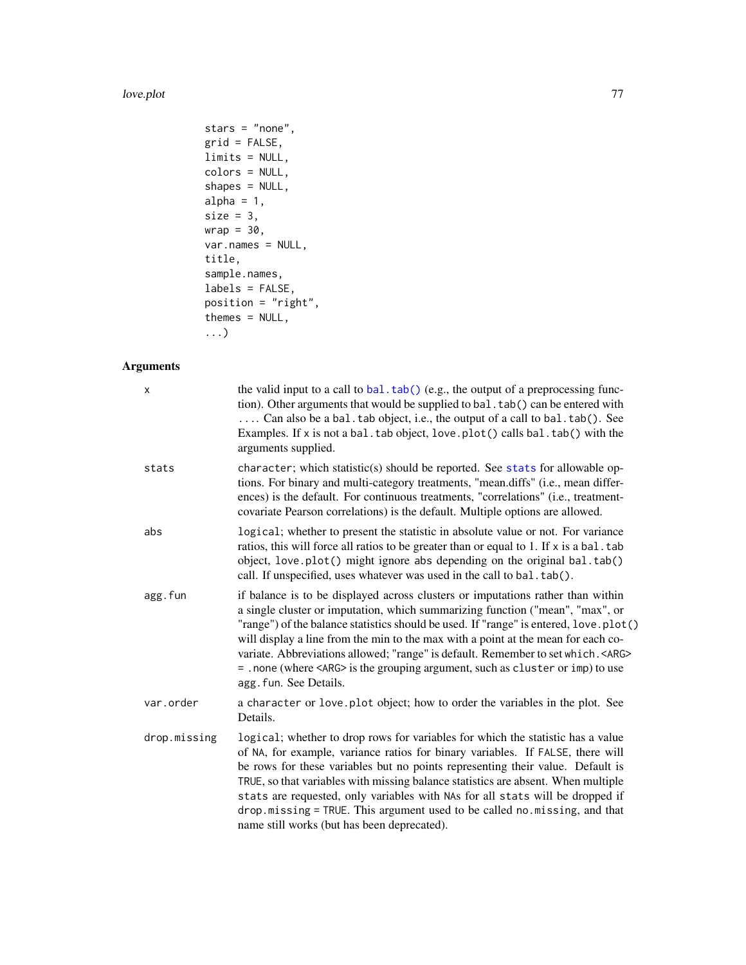#### <span id="page-76-0"></span>love.plot 277

```
stars = "none",
grid = FALSE,limits = NULL,
colors = NULL,
shapes = NULL,
alpha = 1,size = 3,wrap = 30,
var.names = NULL,
title,
sample.names,
labels = FALSE,
position = "right",
themes = NULL,
...)
```
# Arguments

| X            | the valid input to a call to bal. $tab()$ (e.g., the output of a preprocessing func-<br>tion). Other arguments that would be supplied to bal. tab() can be entered with<br>Can also be a bal. tab object, i.e., the output of a call to bal. tab(). See<br>Examples. If x is not a bal. tab object, love.plot() calls bal. tab() with the<br>arguments supplied.                                                                                                                                                                                             |
|--------------|--------------------------------------------------------------------------------------------------------------------------------------------------------------------------------------------------------------------------------------------------------------------------------------------------------------------------------------------------------------------------------------------------------------------------------------------------------------------------------------------------------------------------------------------------------------|
| stats        | character; which statistic(s) should be reported. See stats for allowable op-<br>tions. For binary and multi-category treatments, "mean.diffs" (i.e., mean differ-<br>ences) is the default. For continuous treatments, "correlations" (i.e., treatment-<br>covariate Pearson correlations) is the default. Multiple options are allowed.                                                                                                                                                                                                                    |
| abs          | logical; whether to present the statistic in absolute value or not. For variance<br>ratios, this will force all ratios to be greater than or equal to 1. If x is a bal. tab<br>object, love.plot() might ignore abs depending on the original bal.tab()<br>call. If unspecified, uses whatever was used in the call to bal.tab().                                                                                                                                                                                                                            |
| agg.fun      | if balance is to be displayed across clusters or imputations rather than within<br>a single cluster or imputation, which summarizing function ("mean", "max", or<br>"range") of the balance statistics should be used. If "range" is entered, love.plot()<br>will display a line from the min to the max with a point at the mean for each co-<br>variate. Abbreviations allowed; "range" is default. Remember to set which. <arg><br/>= . none (where <arg> is the grouping argument, such as cluster or imp) to use<br/>agg. fun. See Details.</arg></arg> |
| var.order    | a character or love plot object; how to order the variables in the plot. See<br>Details.                                                                                                                                                                                                                                                                                                                                                                                                                                                                     |
| drop.missing | logical; whether to drop rows for variables for which the statistic has a value<br>of NA, for example, variance ratios for binary variables. If FALSE, there will<br>be rows for these variables but no points representing their value. Default is<br>TRUE, so that variables with missing balance statistics are absent. When multiple<br>stats are requested, only variables with NAs for all stats will be dropped if<br>drop.missing = TRUE. This argument used to be called no.missing, and that<br>name still works (but has been deprecated).        |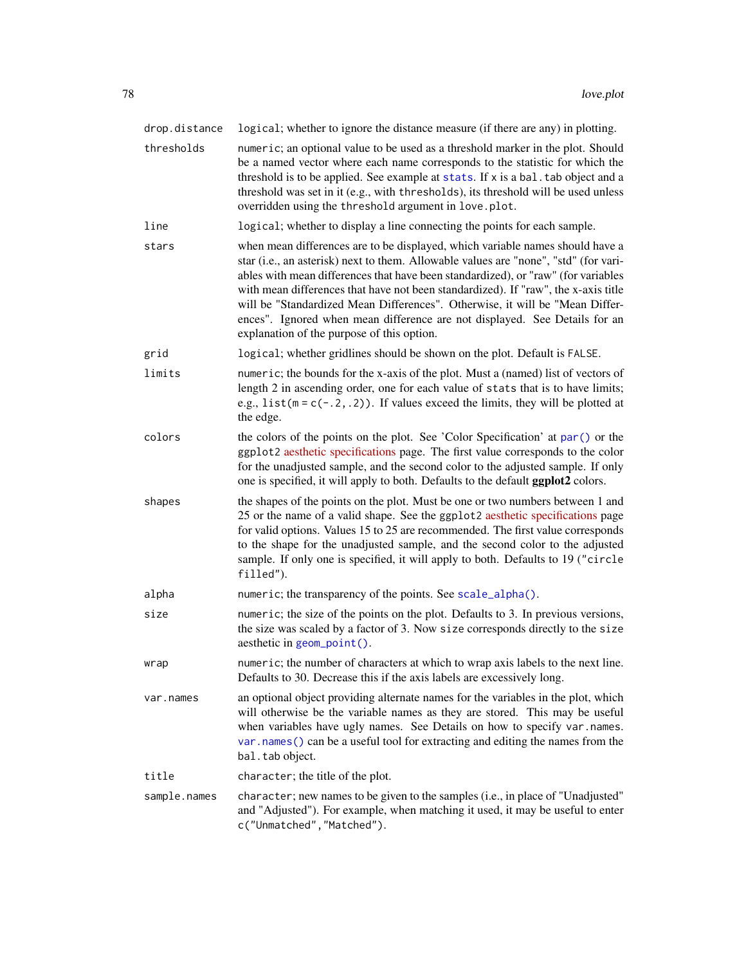<span id="page-77-0"></span>

| drop.distance | logical; whether to ignore the distance measure (if there are any) in plotting.                                                                                                                                                                                                                                                                                                                                                                                                                                                                              |
|---------------|--------------------------------------------------------------------------------------------------------------------------------------------------------------------------------------------------------------------------------------------------------------------------------------------------------------------------------------------------------------------------------------------------------------------------------------------------------------------------------------------------------------------------------------------------------------|
| thresholds    | numeric; an optional value to be used as a threshold marker in the plot. Should<br>be a named vector where each name corresponds to the statistic for which the<br>threshold is to be applied. See example at stats. If x is a bal. tab object and a<br>threshold was set in it (e.g., with thresholds), its threshold will be used unless<br>overridden using the threshold argument in love.plot.                                                                                                                                                          |
| line          | logical; whether to display a line connecting the points for each sample.                                                                                                                                                                                                                                                                                                                                                                                                                                                                                    |
| stars         | when mean differences are to be displayed, which variable names should have a<br>star (i.e., an asterisk) next to them. Allowable values are "none", "std" (for vari-<br>ables with mean differences that have been standardized), or "raw" (for variables<br>with mean differences that have not been standardized). If "raw", the x-axis title<br>will be "Standardized Mean Differences". Otherwise, it will be "Mean Differ-<br>ences". Ignored when mean difference are not displayed. See Details for an<br>explanation of the purpose of this option. |
| grid          | logical; whether gridlines should be shown on the plot. Default is FALSE.                                                                                                                                                                                                                                                                                                                                                                                                                                                                                    |
| limits        | numeric; the bounds for the x-axis of the plot. Must a (named) list of vectors of<br>length 2 in ascending order, one for each value of stats that is to have limits;<br>e.g., $list(m = c(-.2, .2))$ . If values exceed the limits, they will be plotted at<br>the edge.                                                                                                                                                                                                                                                                                    |
| colors        | the colors of the points on the plot. See 'Color Specification' at par() or the<br>ggplot2 aesthetic specifications page. The first value corresponds to the color<br>for the unadjusted sample, and the second color to the adjusted sample. If only<br>one is specified, it will apply to both. Defaults to the default ggplot2 colors.                                                                                                                                                                                                                    |
| shapes        | the shapes of the points on the plot. Must be one or two numbers between 1 and<br>25 or the name of a valid shape. See the ggplot2 aesthetic specifications page<br>for valid options. Values 15 to 25 are recommended. The first value corresponds<br>to the shape for the unadjusted sample, and the second color to the adjusted<br>sample. If only one is specified, it will apply to both. Defaults to 19 ("circle<br>filled").                                                                                                                         |
| alpha         | numeric; the transparency of the points. See scale_alpha().                                                                                                                                                                                                                                                                                                                                                                                                                                                                                                  |
| size          | numeric; the size of the points on the plot. Defaults to 3. In previous versions,<br>the size was scaled by a factor of 3. Now size corresponds directly to the size<br>$a$ aesthetic in $geom\_point()$ .                                                                                                                                                                                                                                                                                                                                                   |
| wrap          | numeric; the number of characters at which to wrap axis labels to the next line.<br>Defaults to 30. Decrease this if the axis labels are excessively long.                                                                                                                                                                                                                                                                                                                                                                                                   |
| var.names     | an optional object providing alternate names for the variables in the plot, which<br>will otherwise be the variable names as they are stored. This may be useful<br>when variables have ugly names. See Details on how to specify var.names.<br>var. names () can be a useful tool for extracting and editing the names from the<br>bal.tab object.                                                                                                                                                                                                          |
| title         | character; the title of the plot.                                                                                                                                                                                                                                                                                                                                                                                                                                                                                                                            |
| sample.names  | character; new names to be given to the samples (i.e., in place of "Unadjusted"<br>and "Adjusted"). For example, when matching it used, it may be useful to enter<br>c("Unmatched", "Matched").                                                                                                                                                                                                                                                                                                                                                              |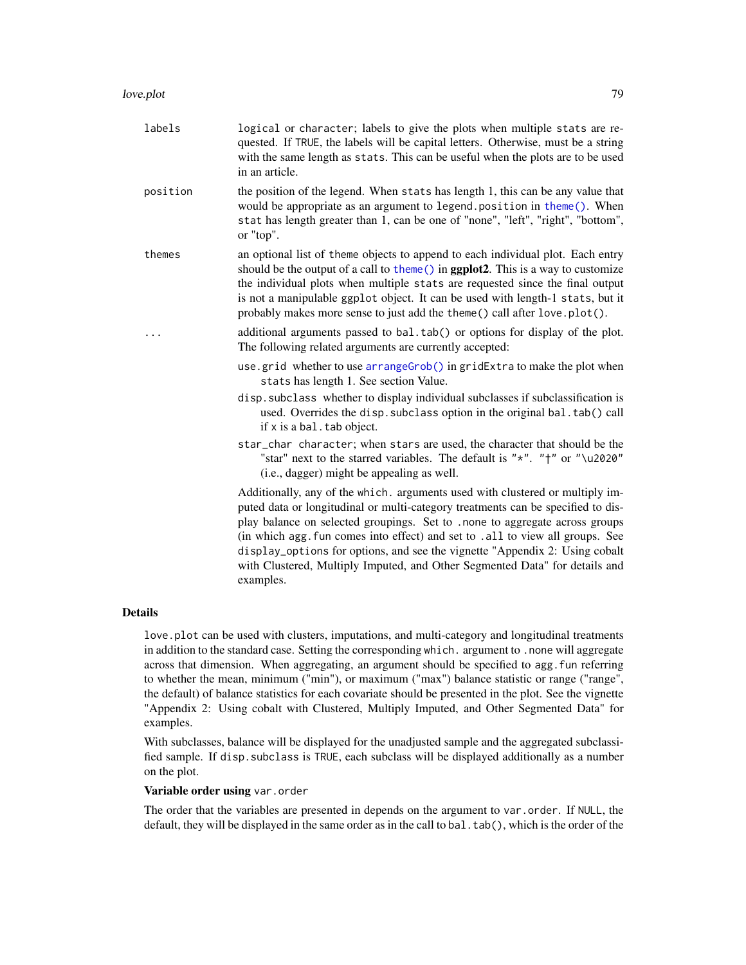<span id="page-78-0"></span>

| labels   | logical or character; labels to give the plots when multiple stats are re-<br>quested. If TRUE, the labels will be capital letters. Otherwise, must be a string<br>with the same length as stats. This can be useful when the plots are to be used<br>in an article.                                                                                                                                                                                                                                         |
|----------|--------------------------------------------------------------------------------------------------------------------------------------------------------------------------------------------------------------------------------------------------------------------------------------------------------------------------------------------------------------------------------------------------------------------------------------------------------------------------------------------------------------|
| position | the position of the legend. When stats has length 1, this can be any value that<br>would be appropriate as an argument to legend. position in theme(). When<br>stat has length greater than 1, can be one of "none", "left", "right", "bottom",<br>or "top".                                                                                                                                                                                                                                                 |
| themes   | an optional list of theme objects to append to each individual plot. Each entry<br>should be the output of a call to $\theta$ theme() in <b>ggplot2</b> . This is a way to customize<br>the individual plots when multiple stats are requested since the final output<br>is not a manipulable ggplot object. It can be used with length-1 stats, but it<br>probably makes more sense to just add the theme() call after love.plot().                                                                         |
|          | additional arguments passed to bal.tab() or options for display of the plot.<br>The following related arguments are currently accepted:                                                                                                                                                                                                                                                                                                                                                                      |
|          | use.grid whether to use arrangeGrob() in gridExtra to make the plot when<br>stats has length 1. See section Value.                                                                                                                                                                                                                                                                                                                                                                                           |
|          | disp. subclass whether to display individual subclasses if subclassification is<br>used. Overrides the disp. subclass option in the original bal.tab() call<br>if x is a bal. tab object.                                                                                                                                                                                                                                                                                                                    |
|          | star_char character; when stars are used, the character that should be the<br>"star" next to the starred variables. The default is " $*$ ". " $\uparrow$ " or " $\u$ 2020"<br>(i.e., dagger) might be appealing as well.                                                                                                                                                                                                                                                                                     |
|          | Additionally, any of the which. arguments used with clustered or multiply im-<br>puted data or longitudinal or multi-category treatments can be specified to dis-<br>play balance on selected groupings. Set to .none to aggregate across groups<br>(in which agg. fun comes into effect) and set to .all to view all groups. See<br>display_options for options, and see the vignette "Appendix 2: Using cobalt<br>with Clustered, Multiply Imputed, and Other Segmented Data" for details and<br>examples. |

## Details

love.plot can be used with clusters, imputations, and multi-category and longitudinal treatments in addition to the standard case. Setting the corresponding which. argument to .none will aggregate across that dimension. When aggregating, an argument should be specified to agg. fun referring to whether the mean, minimum ("min"), or maximum ("max") balance statistic or range ("range", the default) of balance statistics for each covariate should be presented in the plot. See the vignette "Appendix 2: Using cobalt with Clustered, Multiply Imputed, and Other Segmented Data" for examples.

With subclasses, balance will be displayed for the unadjusted sample and the aggregated subclassified sample. If disp.subclass is TRUE, each subclass will be displayed additionally as a number on the plot.

## Variable order using var.order

The order that the variables are presented in depends on the argument to var.order. If NULL, the default, they will be displayed in the same order as in the call to bal.tab(), which is the order of the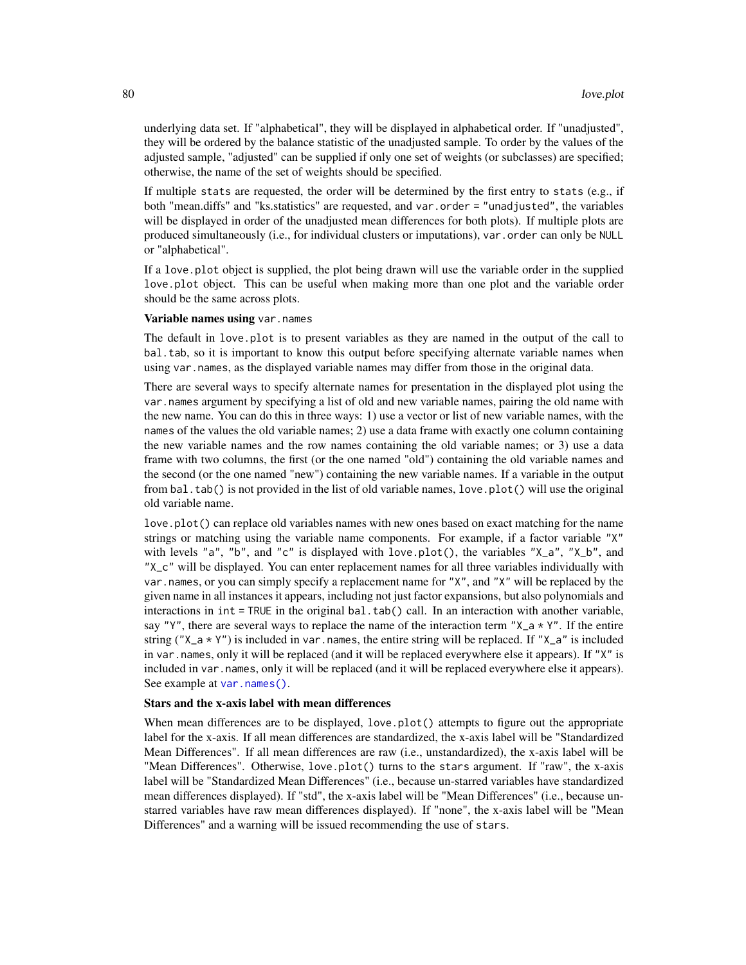<span id="page-79-0"></span>underlying data set. If "alphabetical", they will be displayed in alphabetical order. If "unadjusted", they will be ordered by the balance statistic of the unadjusted sample. To order by the values of the adjusted sample, "adjusted" can be supplied if only one set of weights (or subclasses) are specified; otherwise, the name of the set of weights should be specified.

If multiple stats are requested, the order will be determined by the first entry to stats (e.g., if both "mean.diffs" and "ks.statistics" are requested, and var.order = "unadjusted", the variables will be displayed in order of the unadjusted mean differences for both plots). If multiple plots are produced simultaneously (i.e., for individual clusters or imputations), var.order can only be NULL or "alphabetical".

If a love.plot object is supplied, the plot being drawn will use the variable order in the supplied love.plot object. This can be useful when making more than one plot and the variable order should be the same across plots.

#### Variable names using var.names

The default in love.plot is to present variables as they are named in the output of the call to bal.tab, so it is important to know this output before specifying alternate variable names when using var.names, as the displayed variable names may differ from those in the original data.

There are several ways to specify alternate names for presentation in the displayed plot using the var.names argument by specifying a list of old and new variable names, pairing the old name with the new name. You can do this in three ways: 1) use a vector or list of new variable names, with the names of the values the old variable names; 2) use a data frame with exactly one column containing the new variable names and the row names containing the old variable names; or 3) use a data frame with two columns, the first (or the one named "old") containing the old variable names and the second (or the one named "new") containing the new variable names. If a variable in the output from bal.tab() is not provided in the list of old variable names, love.plot() will use the original old variable name.

love.plot() can replace old variables names with new ones based on exact matching for the name strings or matching using the variable name components. For example, if a factor variable "X" with levels "a", "b", and "c" is displayed with love.plot(), the variables " $X_a$ ", " $X_b$ ", and "X\_c" will be displayed. You can enter replacement names for all three variables individually with var.names, or you can simply specify a replacement name for "X", and "X" will be replaced by the given name in all instances it appears, including not just factor expansions, but also polynomials and interactions in int = TRUE in the original bal.tab() call. In an interaction with another variable, say "Y", there are several ways to replace the name of the interaction term " $X_a$   $\star$  Y". If the entire string ("X\_a  $\star$  Y") is included in var. names, the entire string will be replaced. If "X\_a" is included in var.names, only it will be replaced (and it will be replaced everywhere else it appears). If "X" is included in var.names, only it will be replaced (and it will be replaced everywhere else it appears). See example at [var.names\(\)](#page-88-0).

## Stars and the x-axis label with mean differences

When mean differences are to be displayed, love.plot() attempts to figure out the appropriate label for the x-axis. If all mean differences are standardized, the x-axis label will be "Standardized Mean Differences". If all mean differences are raw (i.e., unstandardized), the x-axis label will be "Mean Differences". Otherwise, love.plot() turns to the stars argument. If "raw", the x-axis label will be "Standardized Mean Differences" (i.e., because un-starred variables have standardized mean differences displayed). If "std", the x-axis label will be "Mean Differences" (i.e., because unstarred variables have raw mean differences displayed). If "none", the x-axis label will be "Mean Differences" and a warning will be issued recommending the use of stars.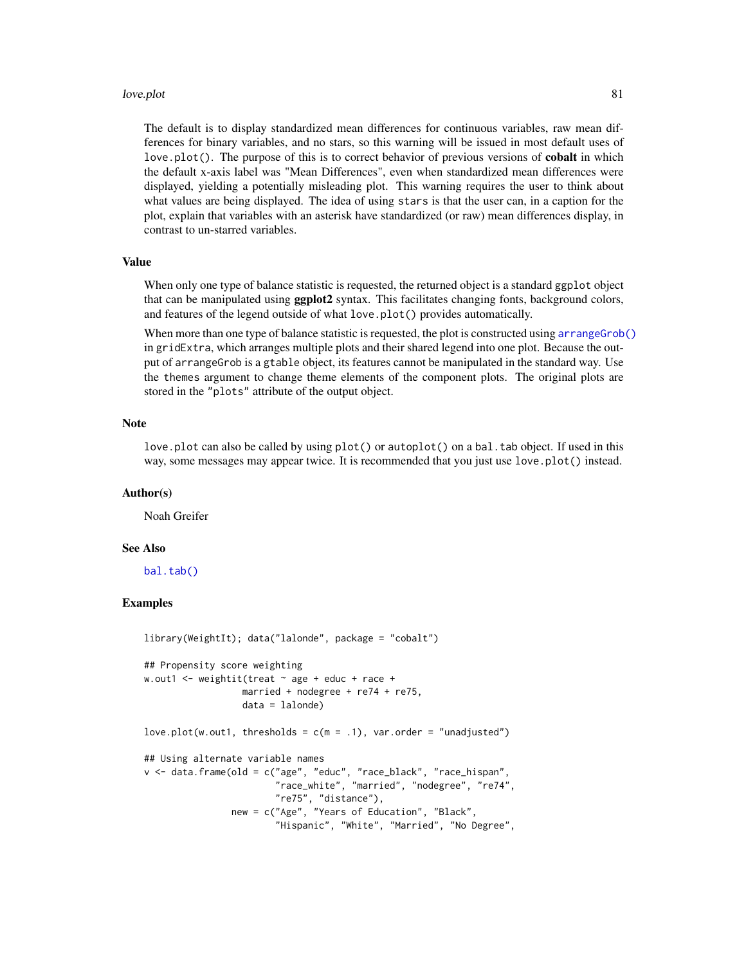#### <span id="page-80-0"></span>love.plot 81

The default is to display standardized mean differences for continuous variables, raw mean differences for binary variables, and no stars, so this warning will be issued in most default uses of love. plot(). The purpose of this is to correct behavior of previous versions of **cobalt** in which the default x-axis label was "Mean Differences", even when standardized mean differences were displayed, yielding a potentially misleading plot. This warning requires the user to think about what values are being displayed. The idea of using stars is that the user can, in a caption for the plot, explain that variables with an asterisk have standardized (or raw) mean differences display, in contrast to un-starred variables.

## Value

When only one type of balance statistic is requested, the returned object is a standard ggplot object that can be manipulated using ggplot2 syntax. This facilitates changing fonts, background colors, and features of the legend outside of what love.plot() provides automatically.

When more than one type of balance statistic is requested, the plot is constructed using [arrangeGrob\(\)](#page-0-0) in gridExtra, which arranges multiple plots and their shared legend into one plot. Because the output of arrangeGrob is a gtable object, its features cannot be manipulated in the standard way. Use the themes argument to change theme elements of the component plots. The original plots are stored in the "plots" attribute of the output object.

## Note

love.plot can also be called by using plot() or autoplot() on a bal.tab object. If used in this way, some messages may appear twice. It is recommended that you just use love.plot() instead.

#### Author(s)

Noah Greifer

#### See Also

[bal.tab\(\)](#page-5-0)

## Examples

```
library(WeightIt); data("lalonde", package = "cobalt")
## Propensity score weighting
w.out1 <- weightit(treat ~ age + educ + race +
                  married + nodegree + re74 + re75,
                  data = lalonde)
love.plot(w.out1, thresholds = c(m = .1), var.order = "unadjusted")
## Using alternate variable names
v <- data.frame(old = c("age", "educ", "race_black", "race_hispan",
                        "race_white", "married", "nodegree", "re74",
                        "re75", "distance"),
                new = c("Age", "Years of Education", "Black",
                        "Hispanic", "White", "Married", "No Degree",
```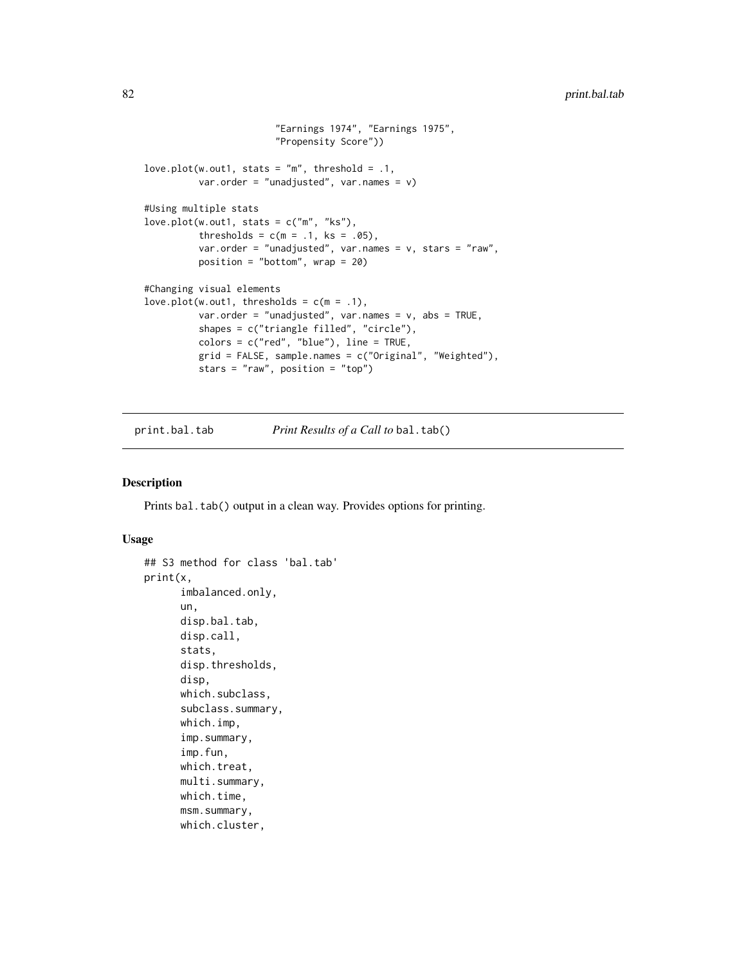```
"Earnings 1974", "Earnings 1975",
                        "Propensity Score"))
love.plot(w.out1, stats = m, threshold = .1,
         var.order = "unadjusted", var.names = v)
#Using multiple stats
love.plot(w.out1, stats = c("m", "ks"),thresholds = c(m = .1, ks = .05),
          var.order = "unadjusted", var.names = v, stars = "raw",
         position = "bottom", wrap = 20)
#Changing visual elements
love.plot(w.out1, thresholds = c(m = .1),
          var.order = "unadjusted", var.names = v, abs = TRUE,
          shapes = c("triangle filled", "circle"),
         colors = c("red", "blue"), line = TRUE,grid = FALSE, sample.names = c("Original", "Weighted"),
         stars = "raw", position = "top")
```
print.bal.tab *Print Results of a Call to* bal.tab()

## Description

Prints bal.tab() output in a clean way. Provides options for printing.

```
## S3 method for class 'bal.tab'
print(x,
      imbalanced.only,
      un,
      disp.bal.tab,
      disp.call,
      stats,
      disp.thresholds,
      disp,
      which.subclass,
      subclass.summary,
      which.imp,
      imp.summary,
      imp.fun,
      which.treat,
      multi.summary,
      which.time,
      msm.summary,
      which.cluster,
```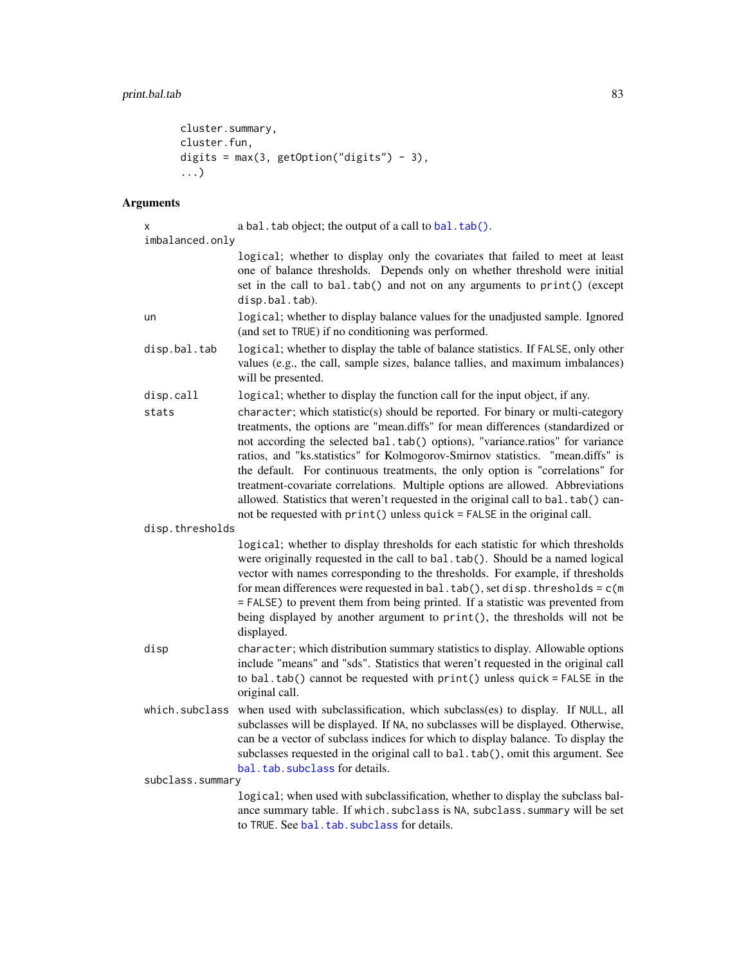```
cluster.summary,
cluster.fun,
digits = max(3, getOption("digits") - 3),...)
```
# Arguments

| Χ<br>imbalanced.only | a bal. tab object; the output of a call to bal. tab().                                                                                                                                                                                                                                                                                                                                                                                                                                                                                                                                                                                                                  |  |
|----------------------|-------------------------------------------------------------------------------------------------------------------------------------------------------------------------------------------------------------------------------------------------------------------------------------------------------------------------------------------------------------------------------------------------------------------------------------------------------------------------------------------------------------------------------------------------------------------------------------------------------------------------------------------------------------------------|--|
|                      | logical; whether to display only the covariates that failed to meet at least<br>one of balance thresholds. Depends only on whether threshold were initial<br>set in the call to bal.tab() and not on any arguments to print() (except<br>disp.bal.tab).                                                                                                                                                                                                                                                                                                                                                                                                                 |  |
| un                   | logical; whether to display balance values for the unadjusted sample. Ignored<br>(and set to TRUE) if no conditioning was performed.                                                                                                                                                                                                                                                                                                                                                                                                                                                                                                                                    |  |
| disp.bal.tab         | logical; whether to display the table of balance statistics. If FALSE, only other<br>values (e.g., the call, sample sizes, balance tallies, and maximum imbalances)<br>will be presented.                                                                                                                                                                                                                                                                                                                                                                                                                                                                               |  |
| disp.call            | logical; whether to display the function call for the input object, if any.                                                                                                                                                                                                                                                                                                                                                                                                                                                                                                                                                                                             |  |
| stats                | character; which statistic(s) should be reported. For binary or multi-category<br>treatments, the options are "mean.diffs" for mean differences (standardized or<br>not according the selected bal.tab() options), "variance.ratios" for variance<br>ratios, and "ks.statistics" for Kolmogorov-Smirnov statistics. "mean.diffs" is<br>the default. For continuous treatments, the only option is "correlations" for<br>treatment-covariate correlations. Multiple options are allowed. Abbreviations<br>allowed. Statistics that weren't requested in the original call to bal.tab() can-<br>not be requested with print () unless quick = FALSE in the original call. |  |
| disp.thresholds      |                                                                                                                                                                                                                                                                                                                                                                                                                                                                                                                                                                                                                                                                         |  |
|                      | logical; whether to display thresholds for each statistic for which thresholds<br>were originally requested in the call to bal.tab(). Should be a named logical<br>vector with names corresponding to the thresholds. For example, if thresholds<br>for mean differences were requested in $bal. tab()$ , set disp. thresholds = $c(m)$<br>= FALSE) to prevent them from being printed. If a statistic was prevented from<br>being displayed by another argument to print(), the thresholds will not be<br>displayed.                                                                                                                                                   |  |
| disp                 | character; which distribution summary statistics to display. Allowable options<br>include "means" and "sds". Statistics that weren't requested in the original call<br>to bal.tab() cannot be requested with $print()$ unless quick = FALSE in the<br>original call.                                                                                                                                                                                                                                                                                                                                                                                                    |  |
| which.subclass       | when used with subclassification, which subclass(es) to display. If NULL, all<br>subclasses will be displayed. If NA, no subclasses will be displayed. Otherwise,<br>can be a vector of subclass indices for which to display balance. To display the<br>subclasses requested in the original call to bal.tab(), omit this argument. See<br>bal.tab.subclass for details.                                                                                                                                                                                                                                                                                               |  |
| subclass.summary     |                                                                                                                                                                                                                                                                                                                                                                                                                                                                                                                                                                                                                                                                         |  |
|                      | logical; when used with subclassification, whether to display the subclass bal-<br>ance summary table. If which. subclass is NA, subclass. summary will be set<br>to TRUE. See bal. tab. subclass for details.                                                                                                                                                                                                                                                                                                                                                                                                                                                          |  |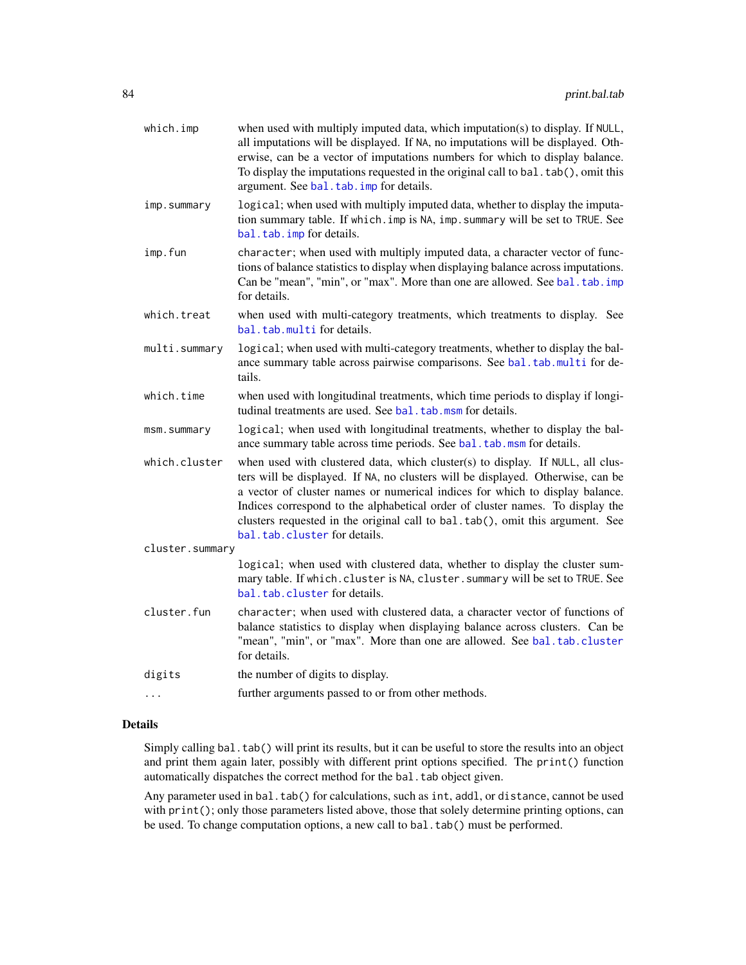<span id="page-83-0"></span>

| which.imp       | when used with multiply imputed data, which imputation(s) to display. If NULL,<br>all imputations will be displayed. If NA, no imputations will be displayed. Oth-<br>erwise, can be a vector of imputations numbers for which to display balance.<br>To display the imputations requested in the original call to bal. tab(), omit this<br>argument. See bal. tab. imp for details.                                                                |
|-----------------|-----------------------------------------------------------------------------------------------------------------------------------------------------------------------------------------------------------------------------------------------------------------------------------------------------------------------------------------------------------------------------------------------------------------------------------------------------|
| imp.summary     | logical; when used with multiply imputed data, whether to display the imputa-<br>tion summary table. If which. imp is NA, imp. summary will be set to TRUE. See<br>bal.tab.imp for details.                                                                                                                                                                                                                                                         |
| imp.fun         | character; when used with multiply imputed data, a character vector of func-<br>tions of balance statistics to display when displaying balance across imputations.<br>Can be "mean", "min", or "max". More than one are allowed. See bal.tab.imp<br>for details.                                                                                                                                                                                    |
| which.treat     | when used with multi-category treatments, which treatments to display. See<br>bal.tab.multi for details.                                                                                                                                                                                                                                                                                                                                            |
| multi.summary   | logical; when used with multi-category treatments, whether to display the bal-<br>ance summary table across pairwise comparisons. See bal.tab.multi for de-<br>tails.                                                                                                                                                                                                                                                                               |
| which.time      | when used with longitudinal treatments, which time periods to display if longi-<br>tudinal treatments are used. See bal. tab. msm for details.                                                                                                                                                                                                                                                                                                      |
| msm.summary     | logical; when used with longitudinal treatments, whether to display the bal-<br>ance summary table across time periods. See bal. tab. msm for details.                                                                                                                                                                                                                                                                                              |
| which.cluster   | when used with clustered data, which cluster(s) to display. If NULL, all clus-<br>ters will be displayed. If NA, no clusters will be displayed. Otherwise, can be<br>a vector of cluster names or numerical indices for which to display balance.<br>Indices correspond to the alphabetical order of cluster names. To display the<br>clusters requested in the original call to bal.tab(), omit this argument. See<br>bal.tab.cluster for details. |
| cluster.summary |                                                                                                                                                                                                                                                                                                                                                                                                                                                     |
|                 | logical; when used with clustered data, whether to display the cluster sum-<br>mary table. If which.cluster is NA, cluster.summary will be set to TRUE. See<br>bal.tab.cluster for details.                                                                                                                                                                                                                                                         |
| cluster.fun     | character; when used with clustered data, a character vector of functions of<br>balance statistics to display when displaying balance across clusters. Can be<br>"mean", "min", or "max". More than one are allowed. See bal.tab.cluster<br>for details.                                                                                                                                                                                            |
| digits          | the number of digits to display.                                                                                                                                                                                                                                                                                                                                                                                                                    |
| .               | further arguments passed to or from other methods.                                                                                                                                                                                                                                                                                                                                                                                                  |

## Details

Simply calling bal.tab() will print its results, but it can be useful to store the results into an object and print them again later, possibly with different print options specified. The print() function automatically dispatches the correct method for the bal.tab object given.

Any parameter used in bal.tab() for calculations, such as int, addl, or distance, cannot be used with print(); only those parameters listed above, those that solely determine printing options, can be used. To change computation options, a new call to bal.tab() must be performed.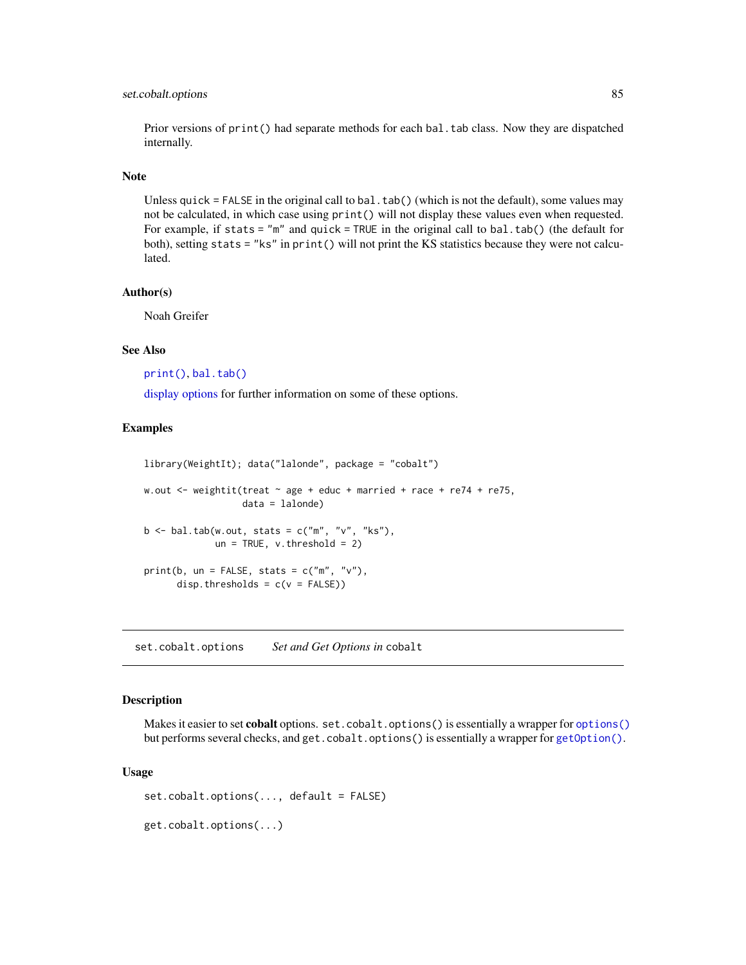## <span id="page-84-0"></span>set.cobalt.options 85

Prior versions of print() had separate methods for each bal.tab class. Now they are dispatched internally.

#### Note

Unless quick = FALSE in the original call to bal.tab() (which is not the default), some values may not be calculated, in which case using print() will not display these values even when requested. For example, if stats = "m" and quick = TRUE in the original call to bal.tab() (the default for both), setting stats = "ks" in print() will not print the KS statistics because they were not calculated.

## Author(s)

Noah Greifer

## See Also

[print\(\)](#page-0-0), [bal.tab\(\)](#page-5-0)

[display options](#page-68-0) for further information on some of these options.

## Examples

```
library(WeightIt); data("lalonde", package = "cobalt")
w.out \le - weightit(treat \sim age + educ + married + race + re74 + re75,
                  data = lalonde)
b \le bal.tab(w.out, stats = c("m", "v", "ks"),
             un = TRUE, v.threshold = 2)print(b, un = FALSE, stats = c("m", "v"),disp.thresholds = c(v = FALSE))
```
set.cobalt.options *Set and Get Options in* cobalt

#### Description

Makes it easier to set **cobalt** options. set.cobalt.[options\(\)](#page-0-0) is essentially a wrapper for options() but performs several checks, and get.cobalt.options() is essentially a wrapper for [getOption\(\)](#page-0-0).

```
set.cobalt.options(..., default = FALSE)
get.cobalt.options(...)
```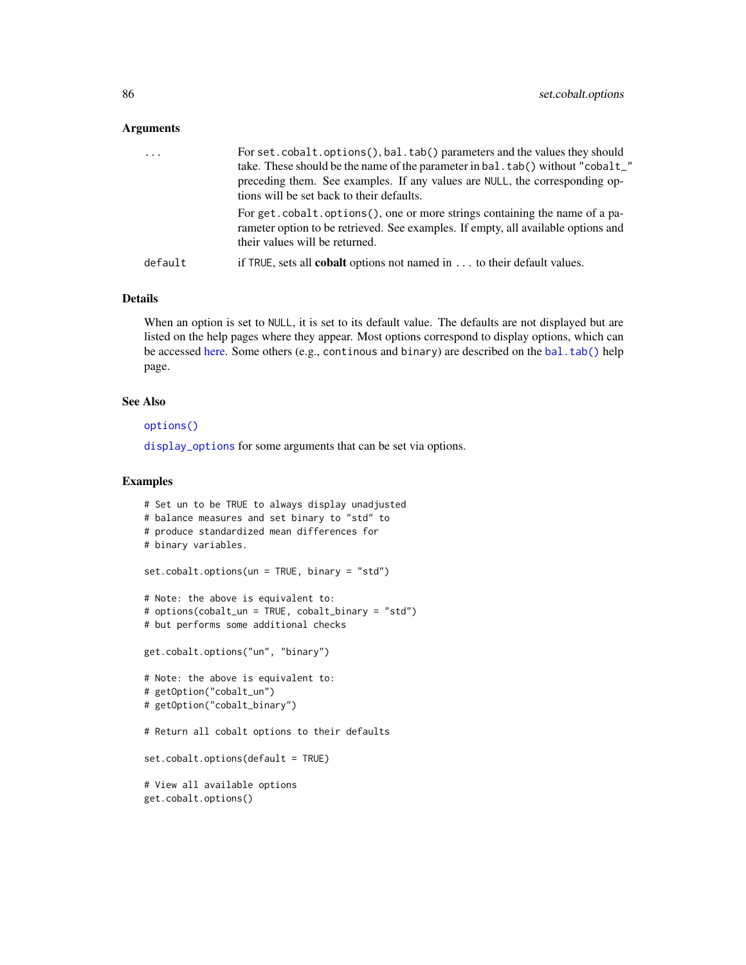#### <span id="page-85-0"></span>Arguments

| $\cdot$ $\cdot$ $\cdot$ | For set. cobalt. options (), bal. tab() parameters and the values they should<br>take. These should be the name of the parameter in bal. tab() without "cobalt_"<br>preceding them. See examples. If any values are NULL, the corresponding op-<br>tions will be set back to their defaults. |
|-------------------------|----------------------------------------------------------------------------------------------------------------------------------------------------------------------------------------------------------------------------------------------------------------------------------------------|
|                         | For get. cobalt. options (), one or more strings containing the name of a pa-<br>rameter option to be retrieved. See examples. If empty, all available options and<br>their values will be returned.                                                                                         |
| default                 | if TRUE, sets all <b>cobalt</b> options not named in $\ldots$ to their default values.                                                                                                                                                                                                       |

## Details

When an option is set to NULL, it is set to its default value. The defaults are not displayed but are listed on the help pages where they appear. Most options correspond to display options, which can be accessed [here.](#page-68-0) Some others (e.g., continous and binary) are described on the [bal.tab\(\)](#page-5-0) help page.

## See Also

[options\(\)](#page-0-0)

[display\\_options](#page-68-0) for some arguments that can be set via options.

## Examples

```
# Set un to be TRUE to always display unadjusted
# balance measures and set binary to "std" to
# produce standardized mean differences for
# binary variables.
set.cobalt.options(un = TRUE, binary = "std")
# Note: the above is equivalent to:
# options(cobalt_un = TRUE, cobalt_binary = "std")
# but performs some additional checks
get.cobalt.options("un", "binary")
# Note: the above is equivalent to:
# getOption("cobalt_un")
# getOption("cobalt_binary")
# Return all cobalt options to their defaults
set.cobalt.options(default = TRUE)
# View all available options
get.cobalt.options()
```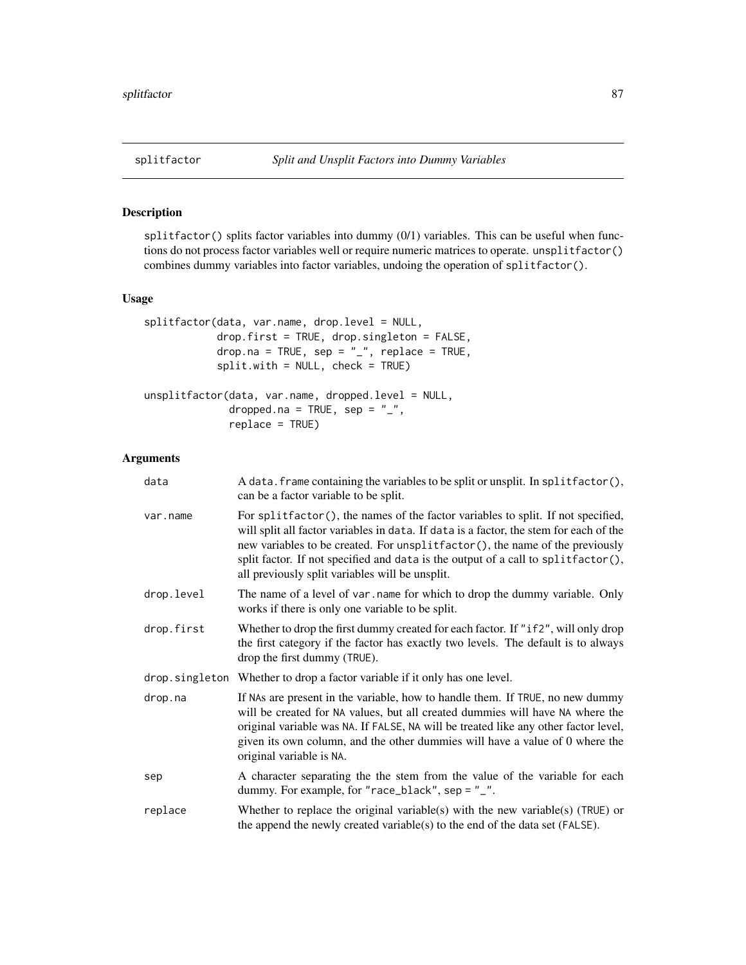<span id="page-86-0"></span>

## Description

splitfactor() splits factor variables into dummy (0/1) variables. This can be useful when functions do not process factor variables well or require numeric matrices to operate. unsplitfactor() combines dummy variables into factor variables, undoing the operation of splitfactor().

## Usage

| splitfactor(data, var.name, drop.level = NULL,         |  |
|--------------------------------------------------------|--|
| $drop.first = TRUE, drop.singleton = FALSE,$           |  |
| drop.na = TRUE, sep = $"$ _", replace = TRUE,          |  |
| $split. with = NULL, check = TRUE)$                    |  |
|                                                        |  |
| $unsplitfactor(data, var.name, dropped. level = NULL,$ |  |
| dropped.na = TRUE, sep = $"$ _",                       |  |
| $replace = TRUE$ )                                     |  |

## Arguments

| data       | A data. frame containing the variables to be split or unsplit. In splitfactor(),<br>can be a factor variable to be split.                                                                                                                                                                                                                                                                          |
|------------|----------------------------------------------------------------------------------------------------------------------------------------------------------------------------------------------------------------------------------------------------------------------------------------------------------------------------------------------------------------------------------------------------|
| var.name   | For splitfactor(), the names of the factor variables to split. If not specified,<br>will split all factor variables in data. If data is a factor, the stem for each of the<br>new variables to be created. For unsplitfactor(), the name of the previously<br>split factor. If not specified and data is the output of a call to splitfactor(),<br>all previously split variables will be unsplit. |
| drop.level | The name of a level of var, name for which to drop the dummy variable. Only<br>works if there is only one variable to be split.                                                                                                                                                                                                                                                                    |
| drop.first | Whether to drop the first dummy created for each factor. If "if2", will only drop<br>the first category if the factor has exactly two levels. The default is to always<br>drop the first dummy (TRUE).                                                                                                                                                                                             |
|            | drop. singleton Whether to drop a factor variable if it only has one level.                                                                                                                                                                                                                                                                                                                        |
| drop.na    | If NAs are present in the variable, how to handle them. If TRUE, no new dummy<br>will be created for NA values, but all created dummies will have NA where the<br>original variable was NA. If FALSE, NA will be treated like any other factor level,<br>given its own column, and the other dummies will have a value of 0 where the<br>original variable is NA.                                  |
| sep        | A character separating the the stem from the value of the variable for each<br>dummy. For example, for "race_black", sep = $"$ _".                                                                                                                                                                                                                                                                 |
| replace    | Whether to replace the original variable(s) with the new variable(s) (TRUE) or<br>the append the newly created variable(s) to the end of the data set (FALSE).                                                                                                                                                                                                                                     |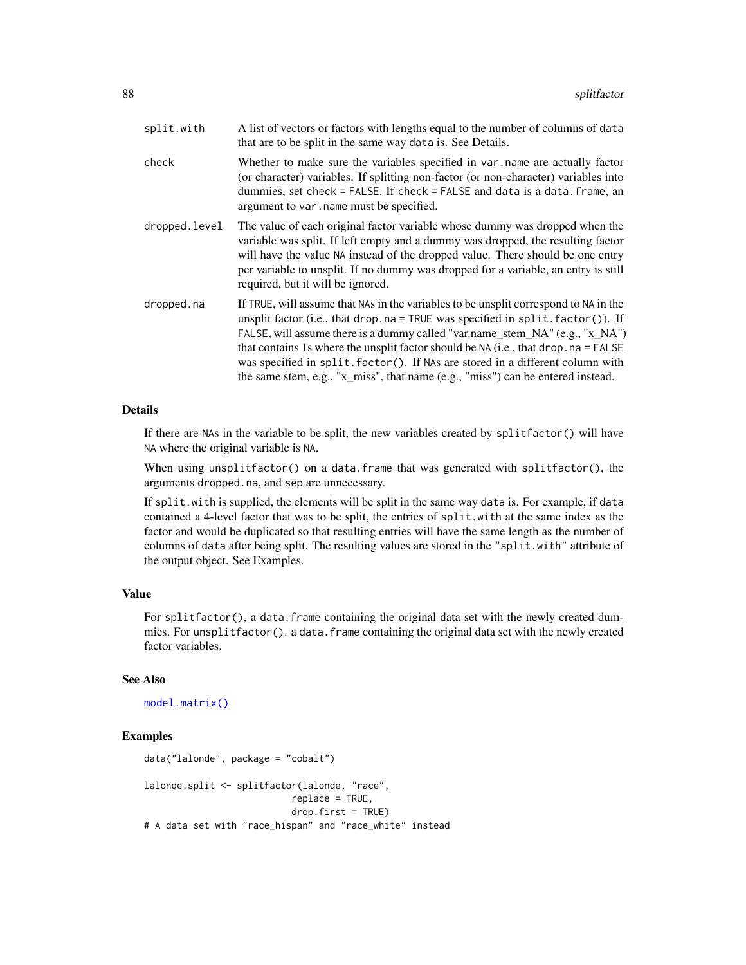<span id="page-87-0"></span>

| split.with    | A list of vectors or factors with lengths equal to the number of columns of data<br>that are to be split in the same way data is. See Details.                                                                                                                                                                                                                                                                                                                                                                            |
|---------------|---------------------------------------------------------------------------------------------------------------------------------------------------------------------------------------------------------------------------------------------------------------------------------------------------------------------------------------------------------------------------------------------------------------------------------------------------------------------------------------------------------------------------|
| check         | Whether to make sure the variables specified in var, name are actually factor<br>(or character) variables. If splitting non-factor (or non-character) variables into<br>dummies, set check = FALSE. If check = FALSE and data is a data. frame, an<br>argument to var. name must be specified.                                                                                                                                                                                                                            |
| dropped.level | The value of each original factor variable whose dummy was dropped when the<br>variable was split. If left empty and a dummy was dropped, the resulting factor<br>will have the value NA instead of the dropped value. There should be one entry<br>per variable to unsplit. If no dummy was dropped for a variable, an entry is still<br>required, but it will be ignored.                                                                                                                                               |
| dropped.na    | If TRUE, will assume that NAs in the variables to be unsplit correspond to NA in the<br>unsplit factor (i.e., that drop. $na = TRUE$ was specified in split. factor()). If<br>FALSE, will assume there is a dummy called "var.name_stem_NA" (e.g., "x_NA")<br>that contains 1s where the unsplit factor should be NA (i.e., that drop, $na = FALSE$<br>was specified in split. factor (). If NAs are stored in a different column with<br>the same stem, e.g., "x_miss", that name (e.g., "miss") can be entered instead. |

## Details

If there are NAs in the variable to be split, the new variables created by splitfactor() will have NA where the original variable is NA.

When using unsplitfactor() on a data.frame that was generated with splitfactor(), the arguments dropped.na, and sep are unnecessary.

If split.with is supplied, the elements will be split in the same way data is. For example, if data contained a 4-level factor that was to be split, the entries of split.with at the same index as the factor and would be duplicated so that resulting entries will have the same length as the number of columns of data after being split. The resulting values are stored in the "split.with" attribute of the output object. See Examples.

## Value

For splitfactor(), a data.frame containing the original data set with the newly created dummies. For unsplitfactor(). a data. frame containing the original data set with the newly created factor variables.

## See Also

```
model.matrix()
```
#### Examples

```
data("lalonde", package = "cobalt")
lalonde.split <- splitfactor(lalonde, "race",
                           replace = TRUE,
                           drop.first = TRUE)
# A data set with "race_hispan" and "race_white" instead
```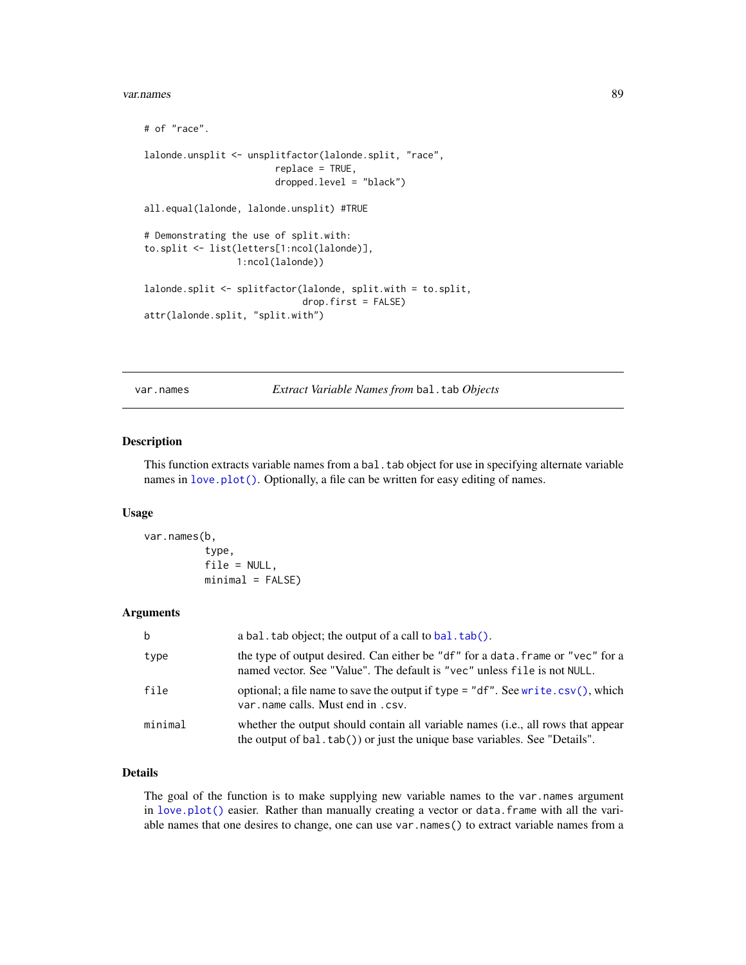#### <span id="page-88-1"></span>var.names 89

```
# of "race".
lalonde.unsplit <- unsplitfactor(lalonde.split, "race",
                        replace = TRUE,
                        dropped.level = "black")
all.equal(lalonde, lalonde.unsplit) #TRUE
# Demonstrating the use of split.with:
to.split <- list(letters[1:ncol(lalonde)],
                 1:ncol(lalonde))
lalonde.split <- splitfactor(lalonde, split.with = to.split,
                             drop.first = FALSE)
attr(lalonde.split, "split.with")
```
<span id="page-88-0"></span>var.names *Extract Variable Names from* bal.tab *Objects*

## Description

This function extracts variable names from a bal. tab object for use in specifying alternate variable names in [love.plot\(\)](#page-75-0). Optionally, a file can be written for easy editing of names.

## Usage

```
var.names(b,
          type,
          file = NULL,
          minimal = FALSE)
```
#### Arguments

| b       | a bal. tab object; the output of a call to bal. $tab()$ .                                                                                                       |
|---------|-----------------------------------------------------------------------------------------------------------------------------------------------------------------|
| type    | the type of output desired. Can either be "df" for a data. frame or "vec" for a<br>named vector. See "Value". The default is "vec" unless file is not NULL.     |
| file    | optional; a file name to save the output if type = " $df$ ". See write.csv(), which<br>var name calls. Must end in .csv.                                        |
| minimal | whether the output should contain all variable names (i.e., all rows that appear<br>the output of bal. tab()) or just the unique base variables. See "Details". |

## Details

The goal of the function is to make supplying new variable names to the var.names argument in [love.plot\(\)](#page-75-0) easier. Rather than manually creating a vector or data.frame with all the variable names that one desires to change, one can use var.names() to extract variable names from a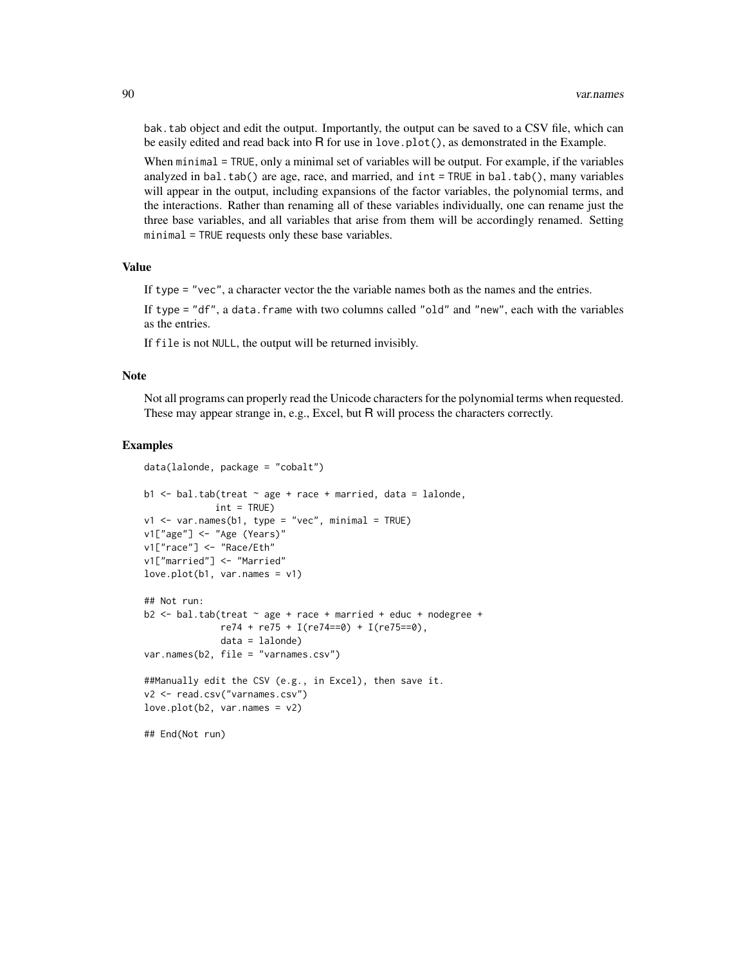bak.tab object and edit the output. Importantly, the output can be saved to a CSV file, which can be easily edited and read back into  $\overline{R}$  for use in love.plot(), as demonstrated in the Example.

When minimal = TRUE, only a minimal set of variables will be output. For example, if the variables analyzed in bal.tab() are age, race, and married, and int = TRUE in bal.tab(), many variables will appear in the output, including expansions of the factor variables, the polynomial terms, and the interactions. Rather than renaming all of these variables individually, one can rename just the three base variables, and all variables that arise from them will be accordingly renamed. Setting minimal = TRUE requests only these base variables.

## Value

If type = "vec", a character vector the the variable names both as the names and the entries.

If type =  $"df", a data frame with two columns called "old" and "new", each with the variables$ as the entries.

If file is not NULL, the output will be returned invisibly.

## Note

Not all programs can properly read the Unicode characters for the polynomial terms when requested. These may appear strange in, e.g., Excel, but R will process the characters correctly.

#### Examples

```
data(lalonde, package = "cobalt")
b1 \le - bal.tab(treat \sim age + race + married, data = lalonde,
             int = TRUE)
v1 <- var.names(b1, type = "vec", minimal = TRUE)
v1["age"] <- "Age (Years)"
v1["race"] <- "Race/Eth"
v1["married"] <- "Married"
love.plot(b1, var.names = v1)## Not run:
b2 \le - bal.tab(treat \sim age + race + married + educ + nodegree +
              re74 + re75 + I(re74==0) + I(re75==0),data = lalonde)
var.names(b2, file = "varnames.csv")
##Manually edit the CSV (e.g., in Excel), then save it.
v2 <- read.csv("varnames.csv")
love.plot(b2, var.names = v2)
```
## End(Not run)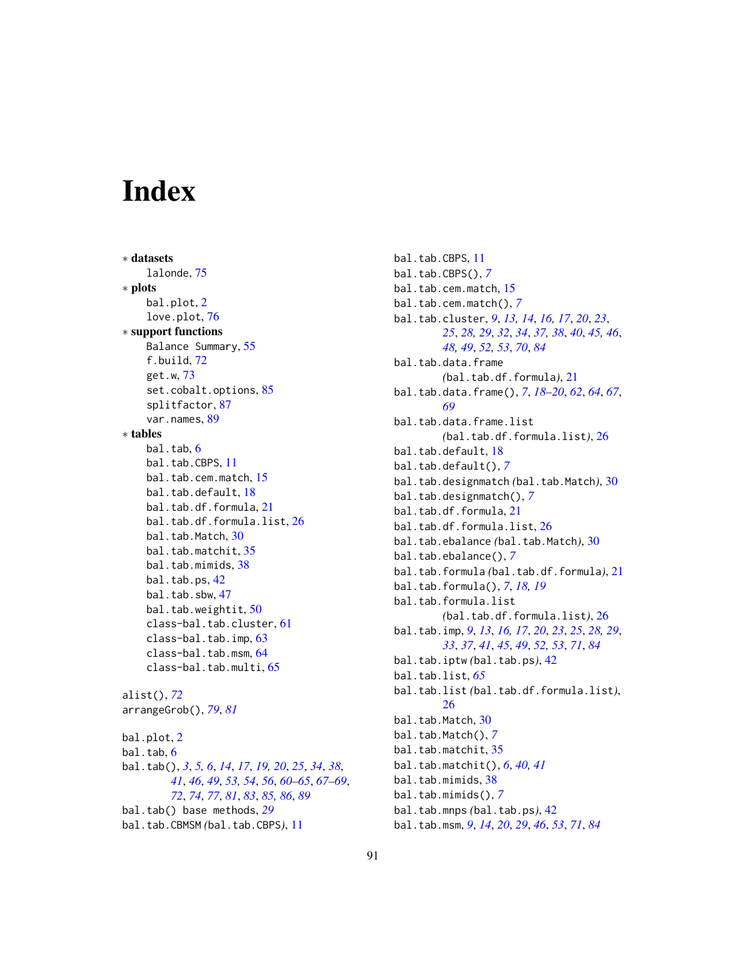# **Index**

∗ datasets lalonde, [75](#page-74-0) ∗ plots bal.plot, [2](#page-1-0) love.plot, [76](#page-75-1) ∗ support functions Balance Summary, [55](#page-54-0) f.build, [72](#page-71-0) get.w, [73](#page-72-0) set.cobalt.options, [85](#page-84-0) splitfactor, [87](#page-86-0) var.names, [89](#page-88-1) ∗ tables bal.tab, [6](#page-5-1) bal.tab.CBPS, [11](#page-10-0) bal.tab.cem.match, [15](#page-14-0) bal.tab.default, [18](#page-17-0) bal.tab.df.formula, [21](#page-20-0) bal.tab.df.formula.list, [26](#page-25-0) bal.tab.Match, [30](#page-29-0) bal.tab.matchit, [35](#page-34-0) bal.tab.mimids, [38](#page-37-0) bal.tab.ps, [42](#page-41-0) bal.tab.sbw, [47](#page-46-0) bal.tab.weightit, [50](#page-49-0) class-bal.tab.cluster, [61](#page-60-1) class-bal.tab.imp, [63](#page-62-1) class-bal.tab.msm, [64](#page-63-1) class-bal.tab.multi, [65](#page-64-1) alist(), *[72](#page-71-0)* arrangeGrob(), *[79](#page-78-0)*, *[81](#page-80-0)* bal.plot, [2](#page-1-0) bal.tab, [6](#page-5-1) bal.tab(), *[3](#page-2-0)*, *[5,](#page-4-0) [6](#page-5-1)*, *[14](#page-13-0)*, *[17](#page-16-0)*, *[19,](#page-18-0) [20](#page-19-0)*, *[25](#page-24-0)*, *[34](#page-33-0)*, *[38](#page-37-0)*, *[41](#page-40-0)*, *[46](#page-45-0)*, *[49](#page-48-0)*, *[53,](#page-52-0) [54](#page-53-1)*, *[56](#page-55-0)*, *[60–](#page-59-0)[65](#page-64-1)*, *[67–](#page-66-1)[69](#page-68-1)*, *[72](#page-71-0)*, *[74](#page-73-0)*, *[77](#page-76-0)*, *[81](#page-80-0)*, *[83](#page-82-0)*, *[85,](#page-84-0) [86](#page-85-0)*, *[89](#page-88-1)* bal.tab() base methods, *[29](#page-28-0)* bal.tab.CBMSM *(*bal.tab.CBPS*)*, [11](#page-10-0)

bal.tab.CBPS, [11](#page-10-0) bal.tab.CBPS(), *[7](#page-6-0)* bal.tab.cem.match, [15](#page-14-0) bal.tab.cem.match(), *[7](#page-6-0)* bal.tab.cluster, *[9](#page-8-0)*, *[13,](#page-12-0) [14](#page-13-0)*, *[16,](#page-15-0) [17](#page-16-0)*, *[20](#page-19-0)*, *[23](#page-22-0)*, *[25](#page-24-0)*, *[28,](#page-27-0) [29](#page-28-0)*, *[32](#page-31-0)*, *[34](#page-33-0)*, *[37,](#page-36-0) [38](#page-37-0)*, *[40](#page-39-0)*, *[45,](#page-44-0) [46](#page-45-0)*, *[48,](#page-47-0) [49](#page-48-0)*, *[52,](#page-51-0) [53](#page-52-0)*, *[70](#page-69-0)*, *[84](#page-83-0)* bal.tab.data.frame *(*bal.tab.df.formula*)*, [21](#page-20-0) bal.tab.data.frame(), *[7](#page-6-0)*, *[18](#page-17-0)[–20](#page-19-0)*, *[62](#page-61-0)*, *[64](#page-63-1)*, *[67](#page-66-1)*, *[69](#page-68-1)* bal.tab.data.frame.list *(*bal.tab.df.formula.list*)*, [26](#page-25-0) bal.tab.default, [18](#page-17-0) bal.tab.default(), *[7](#page-6-0)* bal.tab.designmatch *(*bal.tab.Match*)*, [30](#page-29-0) bal.tab.designmatch(), *[7](#page-6-0)* bal.tab.df.formula, [21](#page-20-0) bal.tab.df.formula.list, [26](#page-25-0) bal.tab.ebalance *(*bal.tab.Match*)*, [30](#page-29-0) bal.tab.ebalance(), *[7](#page-6-0)* bal.tab.formula *(*bal.tab.df.formula*)*, [21](#page-20-0) bal.tab.formula(), *[7](#page-6-0)*, *[18,](#page-17-0) [19](#page-18-0)* bal.tab.formula.list *(*bal.tab.df.formula.list*)*, [26](#page-25-0) bal.tab.imp, *[9](#page-8-0)*, *[13](#page-12-0)*, *[16,](#page-15-0) [17](#page-16-0)*, *[20](#page-19-0)*, *[23](#page-22-0)*, *[25](#page-24-0)*, *[28,](#page-27-0) [29](#page-28-0)*, *[33](#page-32-0)*, *[37](#page-36-0)*, *[41](#page-40-0)*, *[45](#page-44-0)*, *[49](#page-48-0)*, *[52,](#page-51-0) [53](#page-52-0)*, *[71](#page-70-0)*, *[84](#page-83-0)* bal.tab.iptw *(*bal.tab.ps*)*, [42](#page-41-0) bal.tab.list, *[65](#page-64-1)* bal.tab.list *(*bal.tab.df.formula.list*)*, [26](#page-25-0) bal.tab.Match, [30](#page-29-0) bal.tab.Match(), *[7](#page-6-0)* bal.tab.matchit, [35](#page-34-0) bal.tab.matchit(), *[6](#page-5-1)*, *[40,](#page-39-0) [41](#page-40-0)* bal.tab.mimids, [38](#page-37-0) bal.tab.mimids(), *[7](#page-6-0)* bal.tab.mnps *(*bal.tab.ps*)*, [42](#page-41-0) bal.tab.msm, *[9](#page-8-0)*, *[14](#page-13-0)*, *[20](#page-19-0)*, *[29](#page-28-0)*, *[46](#page-45-0)*, *[53](#page-52-0)*, *[71](#page-70-0)*, *[84](#page-83-0)*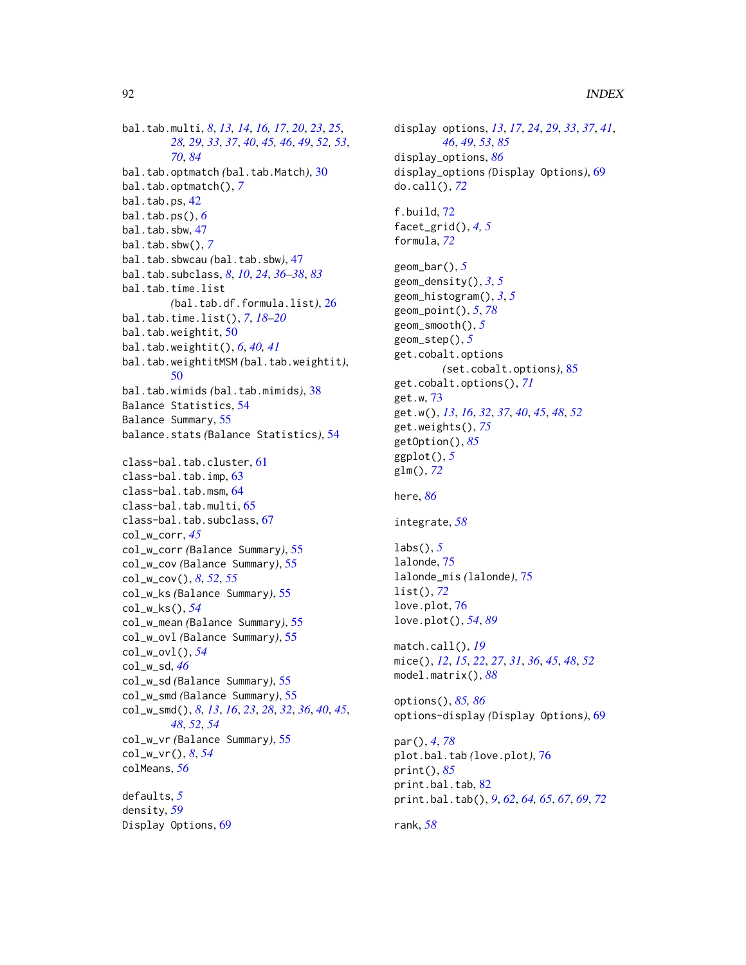```
bal.tab.multi, 8, 13, 14, 16, 17, 20, 23, 25,
        28, 29, 33, 37, 40, 45, 46, 49, 52, 53,
        70, 84
bal.tab.optmatch (bal.tab.Match), 30
bal.tab.optmatch(), 7
bal.tab.ps, 42
bal.tab.ps(), 6
bal.tab.sbw, 47
bal.tab.sbw(), 7
bal.tab.sbwcau (bal.tab.sbw), 47
bal.tab.subclass, 8, 10, 24, 36–38, 83
bal.tab.time.list
        (bal.tab.df.formula.list), 26
bal.tab.time.list(), 7, 18–20
bal.tab.weightit, 50
bal.tab.weightit(), 6, 40, 41
bal.tab.weightitMSM (bal.tab.weightit),
        50
bal.tab.wimids (bal.tab.mimids), 38
Balance Statistics, 54
Balance Summary, 55
balance.stats (Balance Statistics), 54
class-bal.tab.cluster, 61
class-bal.tab.imp, 63
64
class-bal.tab.multi, 65
67
col_w_corr, 45
col_w_corr (Balance Summary), 55
col_w_cov (Balance Summary), 55
col_w_cov(), 8, 52, 55
col_w_ks (Balance Summary), 55
col_w_ks(), 54
col_w_mean (Balance Summary), 55
col_w_ovl (Balance Summary), 55
col_w_ovl(), 54
col_w_sd, 46
col_w_sd (Balance Summary), 55
col_w_smd (Balance Summary), 55
col_w_smd(), 8, 13, 16, 23, 28, 32, 36, 40, 45,
        48, 52, 54
col_w_vr (Balance Summary), 55
col_w_vr(), 8, 54
colMeans, 56
defaults, 5
density, 59
Display Options, 69
```
display options, *[13](#page-12-0)*, *[17](#page-16-0)*, *[24](#page-23-0)*, *[29](#page-28-0)*, *[33](#page-32-0)*, *[37](#page-36-0)*, *[41](#page-40-0)*, *[46](#page-45-0)*, *[49](#page-48-0)*, *[53](#page-52-0)*, *[85](#page-84-0)* display\_options, *[86](#page-85-0)* display\_options *(*Display Options*)*, [69](#page-68-1) do.call(), *[72](#page-71-0)* f.build, [72](#page-71-0) facet\_grid(), *[4,](#page-3-0) [5](#page-4-0)* formula, *[72](#page-71-0)* geom\_bar(), *[5](#page-4-0)* geom\_density(), *[3](#page-2-0)*, *[5](#page-4-0)* geom\_histogram(), *[3](#page-2-0)*, *[5](#page-4-0)* geom\_point(), *[5](#page-4-0)*, *[78](#page-77-0)* geom\_smooth(), *[5](#page-4-0)* geom\_step(), *[5](#page-4-0)* get.cobalt.options *(*set.cobalt.options*)*, [85](#page-84-0) get.cobalt.options(), *[71](#page-70-0)* get.w, [73](#page-72-0) get.w(), *[13](#page-12-0)*, *[16](#page-15-0)*, *[32](#page-31-0)*, *[37](#page-36-0)*, *[40](#page-39-0)*, *[45](#page-44-0)*, *[48](#page-47-0)*, *[52](#page-51-0)* get.weights(), *[75](#page-74-0)* getOption(), *[85](#page-84-0)* ggplot(), *[5](#page-4-0)* glm(), *[72](#page-71-0)* here, *[86](#page-85-0)* integrate, *[58](#page-57-0)* labs(), *[5](#page-4-0)* lalonde, [75](#page-74-0) lalonde\_mis *(*lalonde*)*, [75](#page-74-0) list(), *[72](#page-71-0)* love.plot, [76](#page-75-1) love.plot(), *[54](#page-53-1)*, *[89](#page-88-1)* match.call(), *[19](#page-18-0)* mice(), *[12](#page-11-0)*, *[15](#page-14-0)*, *[22](#page-21-0)*, *[27](#page-26-0)*, *[31](#page-30-0)*, *[36](#page-35-0)*, *[45](#page-44-0)*, *[48](#page-47-0)*, *[52](#page-51-0)* model.matrix(), *[88](#page-87-0)* options(), *[85,](#page-84-0) [86](#page-85-0)* options-display *(*Display Options*)*, [69](#page-68-1) par(), *[4](#page-3-0)*, *[78](#page-77-0)* plot.bal.tab *(*love.plot*)*, [76](#page-75-1) print(), *[85](#page-84-0)* print.bal.tab, [82](#page-81-0) print.bal.tab(), *[9](#page-8-0)*, *[62](#page-61-0)*, *[64,](#page-63-1) [65](#page-64-1)*, *[67](#page-66-1)*, *[69](#page-68-1)*, *[72](#page-71-0)* rank, *[58](#page-57-0)*